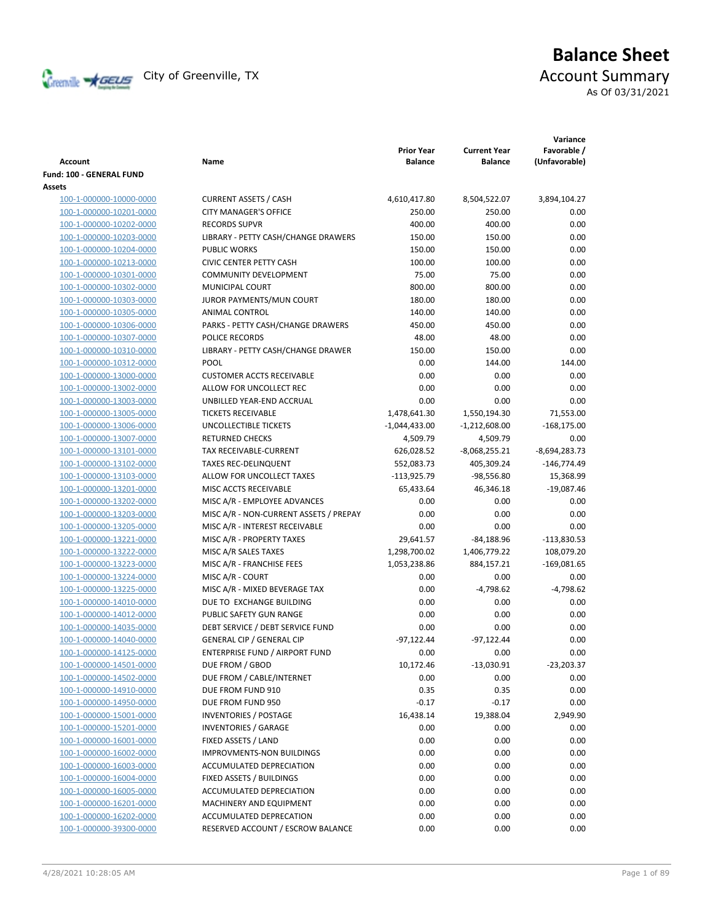

# **Balance Sheet** Creenville Strategy City of Greenville, TX Account Summary As Of 03/31/2021

| <b>Account</b>           | Name                                   | <b>Prior Year</b><br><b>Balance</b> | <b>Current Year</b><br><b>Balance</b> | Variance<br>Favorable /<br>(Unfavorable) |
|--------------------------|----------------------------------------|-------------------------------------|---------------------------------------|------------------------------------------|
| Fund: 100 - GENERAL FUND |                                        |                                     |                                       |                                          |
| Assets                   |                                        |                                     |                                       |                                          |
| 100-1-000000-10000-0000  | <b>CURRENT ASSETS / CASH</b>           | 4,610,417.80                        | 8,504,522.07                          | 3,894,104.27                             |
| 100-1-000000-10201-0000  | <b>CITY MANAGER'S OFFICE</b>           | 250.00                              | 250.00                                | 0.00                                     |
| 100-1-000000-10202-0000  | <b>RECORDS SUPVR</b>                   | 400.00                              | 400.00                                | 0.00                                     |
| 100-1-000000-10203-0000  | LIBRARY - PETTY CASH/CHANGE DRAWERS    | 150.00                              | 150.00                                | 0.00                                     |
| 100-1-000000-10204-0000  | <b>PUBLIC WORKS</b>                    | 150.00                              | 150.00                                | 0.00                                     |
| 100-1-000000-10213-0000  | <b>CIVIC CENTER PETTY CASH</b>         | 100.00                              | 100.00                                | 0.00                                     |
| 100-1-000000-10301-0000  | <b>COMMUNITY DEVELOPMENT</b>           | 75.00                               | 75.00                                 | 0.00                                     |
| 100-1-000000-10302-0000  | <b>MUNICIPAL COURT</b>                 | 800.00                              | 800.00                                | 0.00                                     |
| 100-1-000000-10303-0000  | JUROR PAYMENTS/MUN COURT               | 180.00                              | 180.00                                | 0.00                                     |
| 100-1-000000-10305-0000  | ANIMAL CONTROL                         | 140.00                              | 140.00                                | 0.00                                     |
| 100-1-000000-10306-0000  | PARKS - PETTY CASH/CHANGE DRAWERS      | 450.00                              | 450.00                                | 0.00                                     |
| 100-1-000000-10307-0000  | POLICE RECORDS                         | 48.00                               | 48.00                                 | 0.00                                     |
| 100-1-000000-10310-0000  | LIBRARY - PETTY CASH/CHANGE DRAWER     | 150.00                              | 150.00                                | 0.00                                     |
| 100-1-000000-10312-0000  | POOL                                   | 0.00                                | 144.00                                | 144.00                                   |
| 100-1-000000-13000-0000  | <b>CUSTOMER ACCTS RECEIVABLE</b>       | 0.00                                | 0.00                                  | 0.00                                     |
| 100-1-000000-13002-0000  | ALLOW FOR UNCOLLECT REC                | 0.00                                | 0.00                                  | 0.00                                     |
| 100-1-000000-13003-0000  | UNBILLED YEAR-END ACCRUAL              | 0.00                                | 0.00                                  | 0.00                                     |
| 100-1-000000-13005-0000  | <b>TICKETS RECEIVABLE</b>              | 1,478,641.30                        | 1,550,194.30                          | 71,553.00                                |
| 100-1-000000-13006-0000  | UNCOLLECTIBLE TICKETS                  | -1,044,433.00                       | $-1,212,608.00$                       | $-168,175.00$                            |
| 100-1-000000-13007-0000  | <b>RETURNED CHECKS</b>                 | 4,509.79                            | 4,509.79                              | 0.00                                     |
| 100-1-000000-13101-0000  | <b>TAX RECEIVABLE-CURRENT</b>          | 626,028.52                          | $-8,068,255.21$                       | $-8,694,283.73$                          |
| 100-1-000000-13102-0000  | <b>TAXES REC-DELINQUENT</b>            | 552,083.73                          | 405,309.24                            | $-146,774.49$                            |
| 100-1-000000-13103-0000  | ALLOW FOR UNCOLLECT TAXES              | $-113,925.79$                       | -98,556.80                            | 15,368.99                                |
| 100-1-000000-13201-0000  | MISC ACCTS RECEIVABLE                  | 65,433.64                           | 46,346.18                             | $-19,087.46$                             |
| 100-1-000000-13202-0000  | MISC A/R - EMPLOYEE ADVANCES           | 0.00                                | 0.00                                  | 0.00                                     |
| 100-1-000000-13203-0000  | MISC A/R - NON-CURRENT ASSETS / PREPAY | 0.00                                | 0.00                                  | 0.00                                     |
| 100-1-000000-13205-0000  | MISC A/R - INTEREST RECEIVABLE         | 0.00                                | 0.00                                  | 0.00                                     |
| 100-1-000000-13221-0000  | MISC A/R - PROPERTY TAXES              | 29,641.57                           | $-84,188.96$                          | $-113,830.53$                            |
| 100-1-000000-13222-0000  | MISC A/R SALES TAXES                   | 1,298,700.02                        | 1,406,779.22                          | 108,079.20                               |
| 100-1-000000-13223-0000  | MISC A/R - FRANCHISE FEES              | 1,053,238.86                        | 884,157.21                            | $-169,081.65$                            |
| 100-1-000000-13224-0000  | MISC A/R - COURT                       | 0.00                                | 0.00                                  | 0.00                                     |
| 100-1-000000-13225-0000  | MISC A/R - MIXED BEVERAGE TAX          | 0.00                                | $-4,798.62$                           | $-4,798.62$                              |
| 100-1-000000-14010-0000  | DUE TO EXCHANGE BUILDING               | 0.00                                | 0.00                                  | 0.00                                     |
| 100-1-000000-14012-0000  | PUBLIC SAFETY GUN RANGE                | 0.00                                | 0.00                                  | 0.00                                     |
| 100-1-000000-14035-0000  | DEBT SERVICE / DEBT SERVICE FUND       | 0.00                                | 0.00                                  | 0.00                                     |
| 100-1-000000-14040-0000  | <b>GENERAL CIP / GENERAL CIP</b>       | $-97,122.44$                        | $-97,122.44$                          | 0.00                                     |
| 100-1-000000-14125-0000  | <b>ENTERPRISE FUND / AIRPORT FUND</b>  | 0.00                                | 0.00                                  | 0.00                                     |
| 100-1-000000-14501-0000  | DUE FROM / GBOD                        | 10,172.46                           | $-13,030.91$                          | $-23,203.37$                             |
| 100-1-000000-14502-0000  | DUE FROM / CABLE/INTERNET              | 0.00                                | 0.00                                  | 0.00                                     |
| 100-1-000000-14910-0000  | DUE FROM FUND 910                      | 0.35                                | 0.35                                  | 0.00                                     |
| 100-1-000000-14950-0000  | DUE FROM FUND 950                      | $-0.17$                             | $-0.17$                               | 0.00                                     |
| 100-1-000000-15001-0000  | <b>INVENTORIES / POSTAGE</b>           | 16,438.14                           | 19,388.04                             | 2,949.90                                 |
| 100-1-000000-15201-0000  | <b>INVENTORIES / GARAGE</b>            | 0.00                                | 0.00                                  | 0.00                                     |
| 100-1-000000-16001-0000  | FIXED ASSETS / LAND                    | 0.00                                | 0.00                                  | 0.00                                     |
| 100-1-000000-16002-0000  | <b>IMPROVMENTS-NON BUILDINGS</b>       | 0.00                                | 0.00                                  | 0.00                                     |
| 100-1-000000-16003-0000  | ACCUMULATED DEPRECIATION               | 0.00                                | 0.00                                  | 0.00                                     |
| 100-1-000000-16004-0000  | FIXED ASSETS / BUILDINGS               | 0.00                                | 0.00                                  | 0.00                                     |
| 100-1-000000-16005-0000  | ACCUMULATED DEPRECIATION               | 0.00                                | 0.00                                  | 0.00                                     |
| 100-1-000000-16201-0000  | MACHINERY AND EQUIPMENT                | 0.00                                | 0.00                                  | 0.00                                     |
| 100-1-000000-16202-0000  | ACCUMULATED DEPRECATION                | 0.00                                | 0.00                                  | 0.00                                     |
| 100-1-000000-39300-0000  | RESERVED ACCOUNT / ESCROW BALANCE      | 0.00                                | 0.00                                  | 0.00                                     |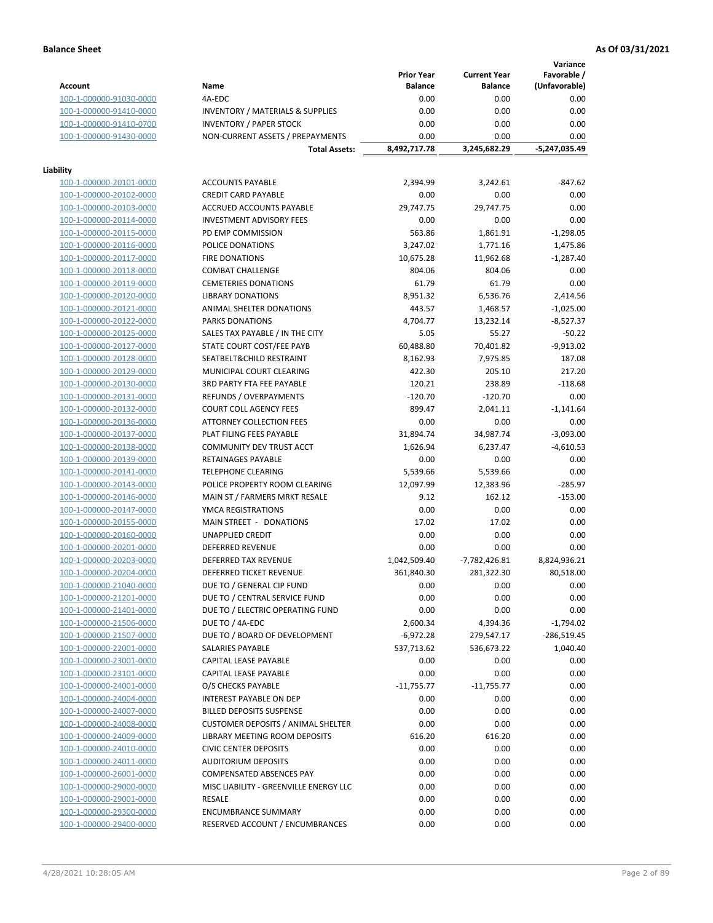**Variance**

|                         |                                             | <b>Prior Year</b> | <b>Current Year</b> | Favorable /   |
|-------------------------|---------------------------------------------|-------------------|---------------------|---------------|
| <b>Account</b>          | Name                                        | <b>Balance</b>    | <b>Balance</b>      | (Unfavorable) |
| 100-1-000000-91030-0000 | 4A-EDC                                      | 0.00              | 0.00                | 0.00          |
| 100-1-000000-91410-0000 | <b>INVENTORY / MATERIALS &amp; SUPPLIES</b> | 0.00              | 0.00                | 0.00          |
| 100-1-000000-91410-0700 | <b>INVENTORY / PAPER STOCK</b>              | 0.00              | 0.00                | 0.00          |
| 100-1-000000-91430-0000 | NON-CURRENT ASSETS / PREPAYMENTS            | 0.00              | 0.00                | 0.00          |
|                         | <b>Total Assets:</b>                        | 8,492,717.78      | 3,245,682.29        | -5,247,035.49 |
|                         |                                             |                   |                     |               |
| Liability               |                                             |                   |                     |               |
| 100-1-000000-20101-0000 | <b>ACCOUNTS PAYABLE</b>                     | 2,394.99          | 3,242.61            | $-847.62$     |
| 100-1-000000-20102-0000 | <b>CREDIT CARD PAYABLE</b>                  | 0.00              | 0.00                | 0.00          |
| 100-1-000000-20103-0000 | <b>ACCRUED ACCOUNTS PAYABLE</b>             | 29,747.75         | 29,747.75           | 0.00          |
| 100-1-000000-20114-0000 | <b>INVESTMENT ADVISORY FEES</b>             | 0.00              | 0.00                | 0.00          |
| 100-1-000000-20115-0000 | PD EMP COMMISSION                           | 563.86            | 1,861.91            | $-1,298.05$   |
| 100-1-000000-20116-0000 | POLICE DONATIONS                            | 3,247.02          | 1,771.16            | 1,475.86      |
| 100-1-000000-20117-0000 | <b>FIRE DONATIONS</b>                       | 10,675.28         | 11,962.68           | $-1,287.40$   |
| 100-1-000000-20118-0000 | <b>COMBAT CHALLENGE</b>                     | 804.06            | 804.06              | 0.00          |
| 100-1-000000-20119-0000 | <b>CEMETERIES DONATIONS</b>                 | 61.79             | 61.79               | 0.00          |
| 100-1-000000-20120-0000 | <b>LIBRARY DONATIONS</b>                    | 8,951.32          | 6,536.76            | 2,414.56      |
| 100-1-000000-20121-0000 | ANIMAL SHELTER DONATIONS                    | 443.57            | 1,468.57            | $-1,025.00$   |
| 100-1-000000-20122-0000 | PARKS DONATIONS                             | 4,704.77          | 13,232.14           | $-8,527.37$   |
| 100-1-000000-20125-0000 | SALES TAX PAYABLE / IN THE CITY             | 5.05              | 55.27               | $-50.22$      |
| 100-1-000000-20127-0000 | STATE COURT COST/FEE PAYB                   | 60,488.80         | 70,401.82           | $-9,913.02$   |
| 100-1-000000-20128-0000 | SEATBELT&CHILD RESTRAINT                    | 8,162.93          | 7,975.85            | 187.08        |
| 100-1-000000-20129-0000 | MUNICIPAL COURT CLEARING                    | 422.30            | 205.10              | 217.20        |
| 100-1-000000-20130-0000 | 3RD PARTY FTA FEE PAYABLE                   | 120.21            | 238.89              | $-118.68$     |
| 100-1-000000-20131-0000 | <b>REFUNDS / OVERPAYMENTS</b>               | $-120.70$         | $-120.70$           | 0.00          |
| 100-1-000000-20132-0000 | <b>COURT COLL AGENCY FEES</b>               | 899.47            | 2,041.11            | $-1,141.64$   |
| 100-1-000000-20136-0000 | <b>ATTORNEY COLLECTION FEES</b>             | 0.00              | 0.00                | 0.00          |
| 100-1-000000-20137-0000 | PLAT FILING FEES PAYABLE                    | 31,894.74         | 34,987.74           | $-3,093.00$   |
| 100-1-000000-20138-0000 | COMMUNITY DEV TRUST ACCT                    | 1,626.94          | 6,237.47            | $-4,610.53$   |
| 100-1-000000-20139-0000 | RETAINAGES PAYABLE                          | 0.00              | 0.00                | 0.00          |
| 100-1-000000-20141-0000 | <b>TELEPHONE CLEARING</b>                   | 5,539.66          | 5,539.66            | 0.00          |
| 100-1-000000-20143-0000 | POLICE PROPERTY ROOM CLEARING               | 12,097.99         | 12,383.96           | $-285.97$     |
| 100-1-000000-20146-0000 | MAIN ST / FARMERS MRKT RESALE               | 9.12              | 162.12              | $-153.00$     |
| 100-1-000000-20147-0000 | YMCA REGISTRATIONS                          | 0.00              | 0.00                | 0.00          |
| 100-1-000000-20155-0000 | MAIN STREET - DONATIONS                     | 17.02             | 17.02               | 0.00          |
| 100-1-000000-20160-0000 | <b>UNAPPLIED CREDIT</b>                     | 0.00              | 0.00                | 0.00          |
| 100-1-000000-20201-0000 | <b>DEFERRED REVENUE</b>                     | 0.00              | 0.00                | 0.00          |
| 100-1-000000-20203-0000 | DEFERRED TAX REVENUE                        | 1,042,509.40      | $-7,782,426.81$     | 8,824,936.21  |
| 100-1-000000-20204-0000 | DEFERRED TICKET REVENUE                     | 361,840.30        | 281,322.30          | 80,518.00     |
| 100-1-000000-21040-0000 | DUE TO / GENERAL CIP FUND                   | 0.00              | 0.00                | 0.00          |
| 100-1-000000-21201-0000 | DUE TO / CENTRAL SERVICE FUND               | 0.00              | 0.00                | 0.00          |
| 100-1-000000-21401-0000 | DUE TO / ELECTRIC OPERATING FUND            | 0.00              | 0.00                | 0.00          |
| 100-1-000000-21506-0000 | DUE TO / 4A-EDC                             | 2,600.34          | 4,394.36            | $-1,794.02$   |
| 100-1-000000-21507-0000 | DUE TO / BOARD OF DEVELOPMENT               | $-6,972.28$       | 279,547.17          | $-286,519.45$ |
| 100-1-000000-22001-0000 | SALARIES PAYABLE                            | 537,713.62        | 536,673.22          | 1,040.40      |
| 100-1-000000-23001-0000 | CAPITAL LEASE PAYABLE                       | 0.00              | 0.00                | 0.00          |
| 100-1-000000-23101-0000 | CAPITAL LEASE PAYABLE                       | 0.00              | 0.00                | 0.00          |
| 100-1-000000-24001-0000 | O/S CHECKS PAYABLE                          | $-11,755.77$      | $-11,755.77$        | 0.00          |
| 100-1-000000-24004-0000 | <b>INTEREST PAYABLE ON DEP</b>              | 0.00              | 0.00                | 0.00          |
| 100-1-000000-24007-0000 | <b>BILLED DEPOSITS SUSPENSE</b>             | 0.00              | 0.00                | 0.00          |
| 100-1-000000-24008-0000 | <b>CUSTOMER DEPOSITS / ANIMAL SHELTER</b>   | 0.00              | 0.00                | 0.00          |
| 100-1-000000-24009-0000 | LIBRARY MEETING ROOM DEPOSITS               | 616.20            | 616.20              | 0.00          |
| 100-1-000000-24010-0000 | <b>CIVIC CENTER DEPOSITS</b>                | 0.00              | 0.00                | 0.00          |
| 100-1-000000-24011-0000 | <b>AUDITORIUM DEPOSITS</b>                  | 0.00              | 0.00                | 0.00          |
| 100-1-000000-26001-0000 | <b>COMPENSATED ABSENCES PAY</b>             | 0.00              | 0.00                | 0.00          |
| 100-1-000000-29000-0000 | MISC LIABILITY - GREENVILLE ENERGY LLC      | 0.00              | 0.00                | 0.00          |
| 100-1-000000-29001-0000 | RESALE                                      | 0.00              | 0.00                | 0.00          |
| 100-1-000000-29300-0000 | <b>ENCUMBRANCE SUMMARY</b>                  | 0.00              | 0.00                | 0.00          |
| 100-1-000000-29400-0000 | RESERVED ACCOUNT / ENCUMBRANCES             | 0.00              | 0.00                | 0.00          |
|                         |                                             |                   |                     |               |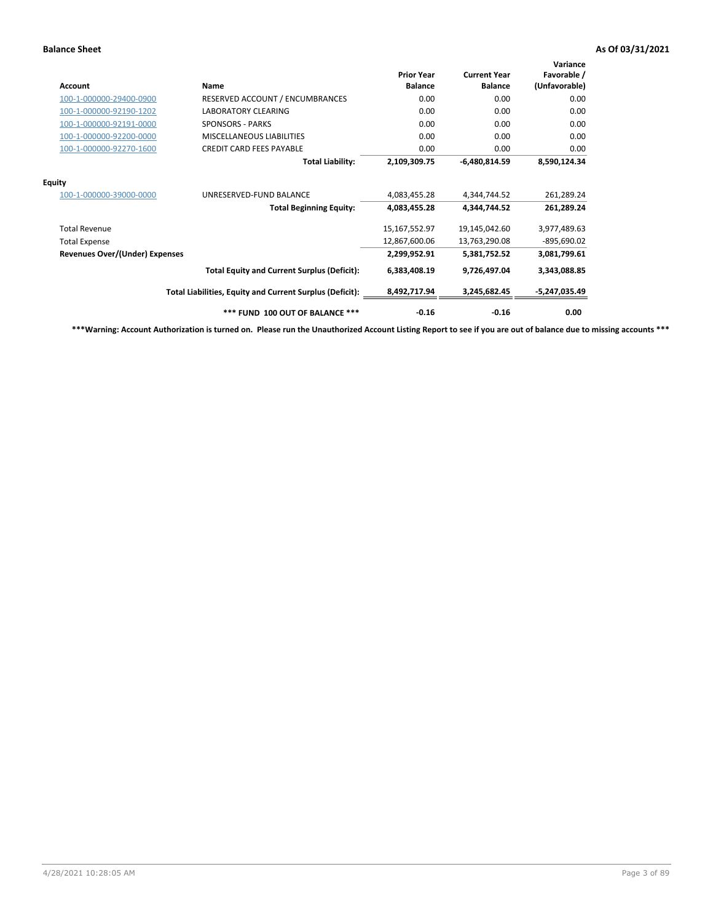| <b>Account</b>                        | Name                                                     | <b>Prior Year</b><br><b>Balance</b> | <b>Current Year</b><br><b>Balance</b> | Variance<br>Favorable /<br>(Unfavorable) |
|---------------------------------------|----------------------------------------------------------|-------------------------------------|---------------------------------------|------------------------------------------|
| 100-1-000000-29400-0900               | RESERVED ACCOUNT / ENCUMBRANCES                          | 0.00                                | 0.00                                  | 0.00                                     |
| 100-1-000000-92190-1202               | <b>LABORATORY CLEARING</b>                               | 0.00                                | 0.00                                  | 0.00                                     |
| 100-1-000000-92191-0000               | <b>SPONSORS - PARKS</b>                                  | 0.00                                | 0.00                                  | 0.00                                     |
| 100-1-000000-92200-0000               | MISCELLANEOUS LIABILITIES                                | 0.00                                | 0.00                                  | 0.00                                     |
| 100-1-000000-92270-1600               | <b>CREDIT CARD FEES PAYABLE</b>                          | 0.00                                | 0.00                                  | 0.00                                     |
|                                       | <b>Total Liability:</b>                                  | 2,109,309.75                        | $-6,480,814.59$                       | 8,590,124.34                             |
| <b>Equity</b>                         |                                                          |                                     |                                       |                                          |
| 100-1-000000-39000-0000               | UNRESERVED-FUND BALANCE                                  | 4,083,455.28                        | 4,344,744.52                          | 261,289.24                               |
|                                       | <b>Total Beginning Equity:</b>                           | 4,083,455.28                        | 4,344,744.52                          | 261,289.24                               |
| <b>Total Revenue</b>                  |                                                          | 15,167,552.97                       | 19,145,042.60                         | 3,977,489.63                             |
| <b>Total Expense</b>                  |                                                          | 12,867,600.06                       | 13,763,290.08                         | $-895,690.02$                            |
| <b>Revenues Over/(Under) Expenses</b> |                                                          | 2,299,952.91                        | 5,381,752.52                          | 3,081,799.61                             |
|                                       | <b>Total Equity and Current Surplus (Deficit):</b>       | 6,383,408.19                        | 9,726,497.04                          | 3,343,088.85                             |
|                                       | Total Liabilities, Equity and Current Surplus (Deficit): | 8,492,717.94                        | 3,245,682.45                          | $-5,247,035.49$                          |
|                                       | *** FUND 100 OUT OF BALANCE ***                          | $-0.16$                             | $-0.16$                               | 0.00                                     |

**\*\*\*Warning: Account Authorization is turned on. Please run the Unauthorized Account Listing Report to see if you are out of balance due to missing accounts \*\*\***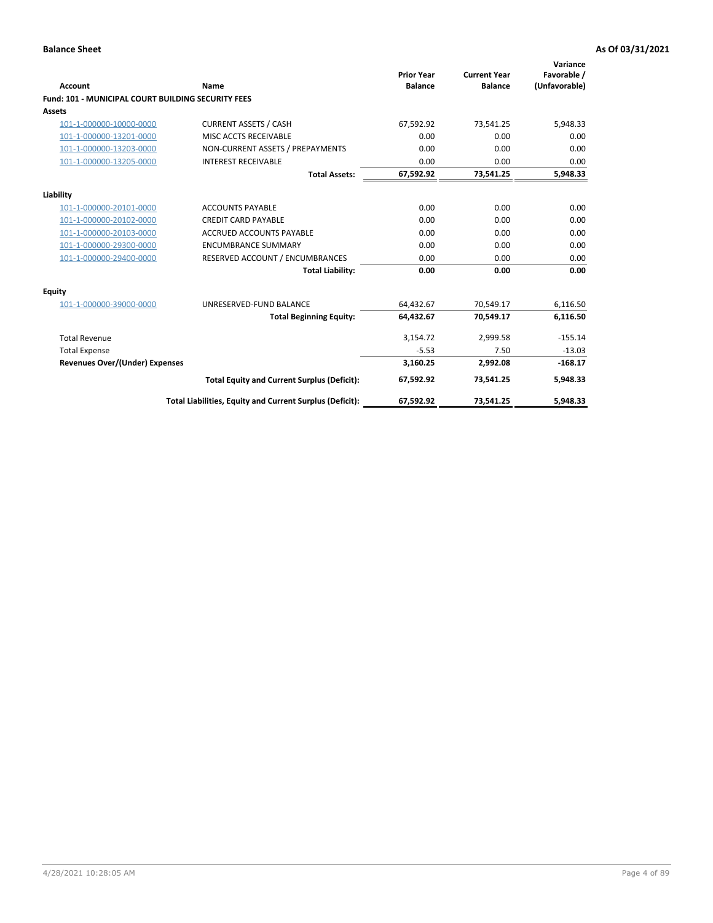| Account                                                   | Name                                                     | <b>Prior Year</b><br><b>Balance</b> | <b>Current Year</b><br><b>Balance</b> | Variance<br>Favorable /<br>(Unfavorable) |
|-----------------------------------------------------------|----------------------------------------------------------|-------------------------------------|---------------------------------------|------------------------------------------|
| <b>Fund: 101 - MUNICIPAL COURT BUILDING SECURITY FEES</b> |                                                          |                                     |                                       |                                          |
| Assets                                                    |                                                          |                                     |                                       |                                          |
| 101-1-000000-10000-0000                                   | <b>CURRENT ASSETS / CASH</b>                             | 67,592.92                           | 73,541.25                             | 5,948.33                                 |
| 101-1-000000-13201-0000                                   | MISC ACCTS RECEIVABLE                                    | 0.00                                | 0.00                                  | 0.00                                     |
| 101-1-000000-13203-0000                                   | NON-CURRENT ASSETS / PREPAYMENTS                         | 0.00                                | 0.00                                  | 0.00                                     |
| 101-1-000000-13205-0000                                   | <b>INTEREST RECEIVABLE</b>                               | 0.00                                | 0.00                                  | 0.00                                     |
|                                                           | <b>Total Assets:</b>                                     | 67,592.92                           | 73,541.25                             | 5,948.33                                 |
| Liability                                                 |                                                          |                                     |                                       |                                          |
| 101-1-000000-20101-0000                                   | <b>ACCOUNTS PAYABLE</b>                                  | 0.00                                | 0.00                                  | 0.00                                     |
| 101-1-000000-20102-0000                                   | <b>CREDIT CARD PAYABLE</b>                               | 0.00                                | 0.00                                  | 0.00                                     |
| 101-1-000000-20103-0000                                   | ACCRUED ACCOUNTS PAYABLE                                 | 0.00                                | 0.00                                  | 0.00                                     |
| 101-1-000000-29300-0000                                   | <b>ENCUMBRANCE SUMMARY</b>                               | 0.00                                | 0.00                                  | 0.00                                     |
| 101-1-000000-29400-0000                                   | RESERVED ACCOUNT / ENCUMBRANCES                          | 0.00                                | 0.00                                  | 0.00                                     |
|                                                           | <b>Total Liability:</b>                                  | 0.00                                | 0.00                                  | 0.00                                     |
| <b>Equity</b>                                             |                                                          |                                     |                                       |                                          |
| 101-1-000000-39000-0000                                   | UNRESERVED-FUND BALANCE                                  | 64,432.67                           | 70,549.17                             | 6,116.50                                 |
|                                                           | <b>Total Beginning Equity:</b>                           | 64,432.67                           | 70,549.17                             | 6,116.50                                 |
| <b>Total Revenue</b>                                      |                                                          | 3,154.72                            | 2,999.58                              | $-155.14$                                |
| <b>Total Expense</b>                                      |                                                          | $-5.53$                             | 7.50                                  | $-13.03$                                 |
| <b>Revenues Over/(Under) Expenses</b>                     |                                                          | 3.160.25                            | 2.992.08                              | $-168.17$                                |
|                                                           | <b>Total Equity and Current Surplus (Deficit):</b>       | 67,592.92                           | 73,541.25                             | 5,948.33                                 |
|                                                           | Total Liabilities, Equity and Current Surplus (Deficit): | 67,592.92                           | 73,541.25                             | 5,948.33                                 |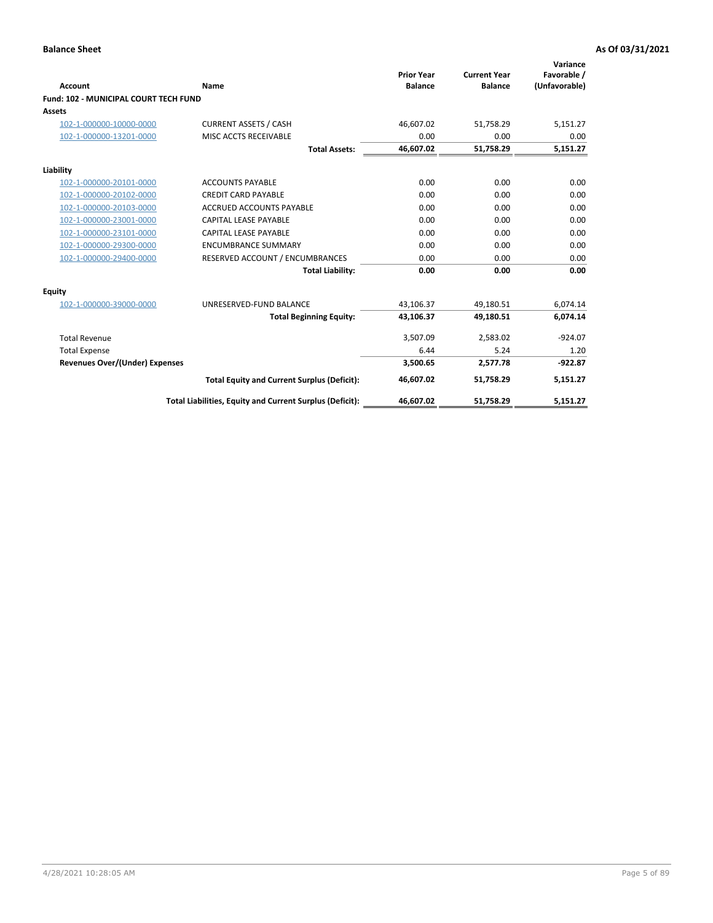| Account                                      | Name                                                     | <b>Prior Year</b><br><b>Balance</b> | <b>Current Year</b><br><b>Balance</b> | Variance<br>Favorable /<br>(Unfavorable) |
|----------------------------------------------|----------------------------------------------------------|-------------------------------------|---------------------------------------|------------------------------------------|
| <b>Fund: 102 - MUNICIPAL COURT TECH FUND</b> |                                                          |                                     |                                       |                                          |
| Assets                                       |                                                          |                                     |                                       |                                          |
| 102-1-000000-10000-0000                      | <b>CURRENT ASSETS / CASH</b>                             | 46,607.02                           | 51,758.29                             | 5,151.27                                 |
| 102-1-000000-13201-0000                      | MISC ACCTS RECEIVABLE                                    | 0.00                                | 0.00                                  | 0.00                                     |
|                                              | <b>Total Assets:</b>                                     | 46,607.02                           | 51,758.29                             | 5,151.27                                 |
| Liability                                    |                                                          |                                     |                                       |                                          |
| 102-1-000000-20101-0000                      | <b>ACCOUNTS PAYABLE</b>                                  | 0.00                                | 0.00                                  | 0.00                                     |
| 102-1-000000-20102-0000                      | <b>CREDIT CARD PAYABLE</b>                               | 0.00                                | 0.00                                  | 0.00                                     |
| 102-1-000000-20103-0000                      | <b>ACCRUED ACCOUNTS PAYABLE</b>                          | 0.00                                | 0.00                                  | 0.00                                     |
| 102-1-000000-23001-0000                      | CAPITAL LEASE PAYABLE                                    | 0.00                                | 0.00                                  | 0.00                                     |
| 102-1-000000-23101-0000                      | <b>CAPITAL LEASE PAYABLE</b>                             | 0.00                                | 0.00                                  | 0.00                                     |
| 102-1-000000-29300-0000                      | <b>ENCUMBRANCE SUMMARY</b>                               | 0.00                                | 0.00                                  | 0.00                                     |
| 102-1-000000-29400-0000                      | RESERVED ACCOUNT / ENCUMBRANCES                          | 0.00                                | 0.00                                  | 0.00                                     |
|                                              | <b>Total Liability:</b>                                  | 0.00                                | 0.00                                  | 0.00                                     |
| Equity                                       |                                                          |                                     |                                       |                                          |
| 102-1-000000-39000-0000                      | UNRESERVED-FUND BALANCE                                  | 43,106.37                           | 49,180.51                             | 6,074.14                                 |
|                                              | <b>Total Beginning Equity:</b>                           | 43,106.37                           | 49,180.51                             | 6,074.14                                 |
| <b>Total Revenue</b>                         |                                                          | 3,507.09                            | 2,583.02                              | $-924.07$                                |
| <b>Total Expense</b>                         |                                                          | 6.44                                | 5.24                                  | 1.20                                     |
| Revenues Over/(Under) Expenses               |                                                          | 3,500.65                            | 2,577.78                              | $-922.87$                                |
|                                              | <b>Total Equity and Current Surplus (Deficit):</b>       | 46,607.02                           | 51,758.29                             | 5,151.27                                 |
|                                              | Total Liabilities, Equity and Current Surplus (Deficit): | 46,607.02                           | 51,758.29                             | 5,151.27                                 |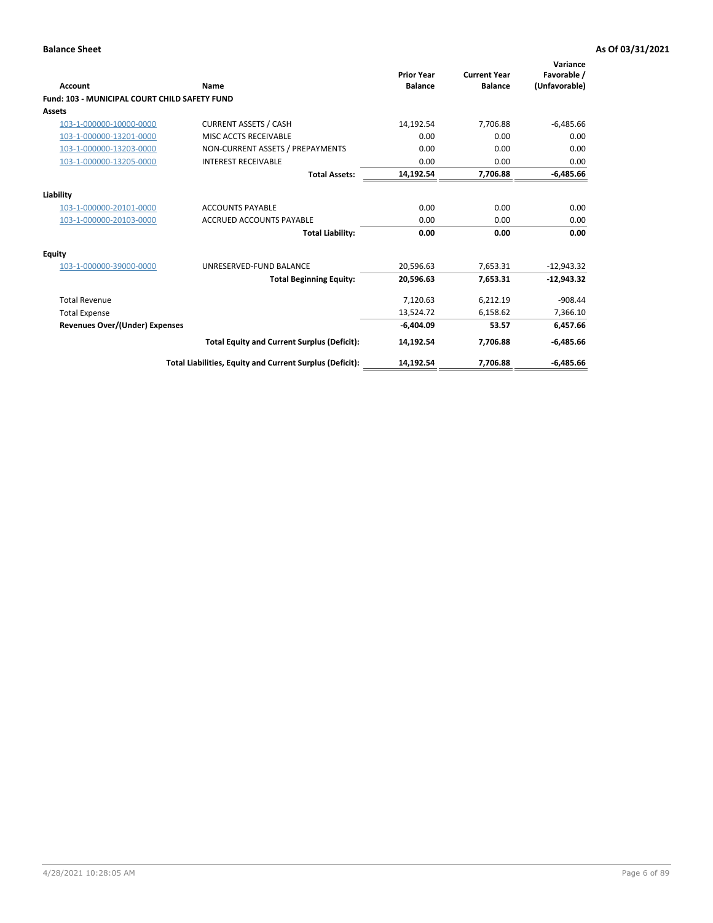| <b>Account</b>                                       | Name                                                     | <b>Prior Year</b><br><b>Balance</b> | <b>Current Year</b><br><b>Balance</b> | Variance<br>Favorable /<br>(Unfavorable) |
|------------------------------------------------------|----------------------------------------------------------|-------------------------------------|---------------------------------------|------------------------------------------|
| <b>Fund: 103 - MUNICIPAL COURT CHILD SAFETY FUND</b> |                                                          |                                     |                                       |                                          |
| <b>Assets</b>                                        |                                                          |                                     |                                       |                                          |
| 103-1-000000-10000-0000                              | <b>CURRENT ASSETS / CASH</b>                             | 14.192.54                           | 7.706.88                              | $-6,485.66$                              |
| 103-1-000000-13201-0000                              | MISC ACCTS RECEIVABLE                                    | 0.00                                | 0.00                                  | 0.00                                     |
| 103-1-000000-13203-0000                              | NON-CURRENT ASSETS / PREPAYMENTS                         | 0.00                                | 0.00                                  | 0.00                                     |
| 103-1-000000-13205-0000                              | <b>INTEREST RECEIVABLE</b>                               | 0.00                                | 0.00                                  | 0.00                                     |
|                                                      | <b>Total Assets:</b>                                     | 14,192.54                           | 7,706.88                              | $-6,485.66$                              |
| Liability                                            |                                                          |                                     |                                       |                                          |
| 103-1-000000-20101-0000                              | <b>ACCOUNTS PAYABLE</b>                                  | 0.00                                | 0.00                                  | 0.00                                     |
| 103-1-000000-20103-0000                              | <b>ACCRUED ACCOUNTS PAYABLE</b>                          | 0.00                                | 0.00                                  | 0.00                                     |
|                                                      | <b>Total Liability:</b>                                  | 0.00                                | 0.00                                  | 0.00                                     |
| Equity                                               |                                                          |                                     |                                       |                                          |
| 103-1-000000-39000-0000                              | UNRESERVED-FUND BALANCE                                  | 20,596.63                           | 7,653.31                              | $-12,943.32$                             |
|                                                      | <b>Total Beginning Equity:</b>                           | 20,596.63                           | 7,653.31                              | $-12.943.32$                             |
| <b>Total Revenue</b>                                 |                                                          | 7,120.63                            | 6,212.19                              | $-908.44$                                |
| <b>Total Expense</b>                                 |                                                          | 13,524.72                           | 6,158.62                              | 7,366.10                                 |
| <b>Revenues Over/(Under) Expenses</b>                |                                                          | $-6,404.09$                         | 53.57                                 | 6,457.66                                 |
|                                                      | <b>Total Equity and Current Surplus (Deficit):</b>       | 14,192.54                           | 7,706.88                              | $-6,485.66$                              |
|                                                      | Total Liabilities, Equity and Current Surplus (Deficit): | 14,192.54                           | 7,706.88                              | $-6,485.66$                              |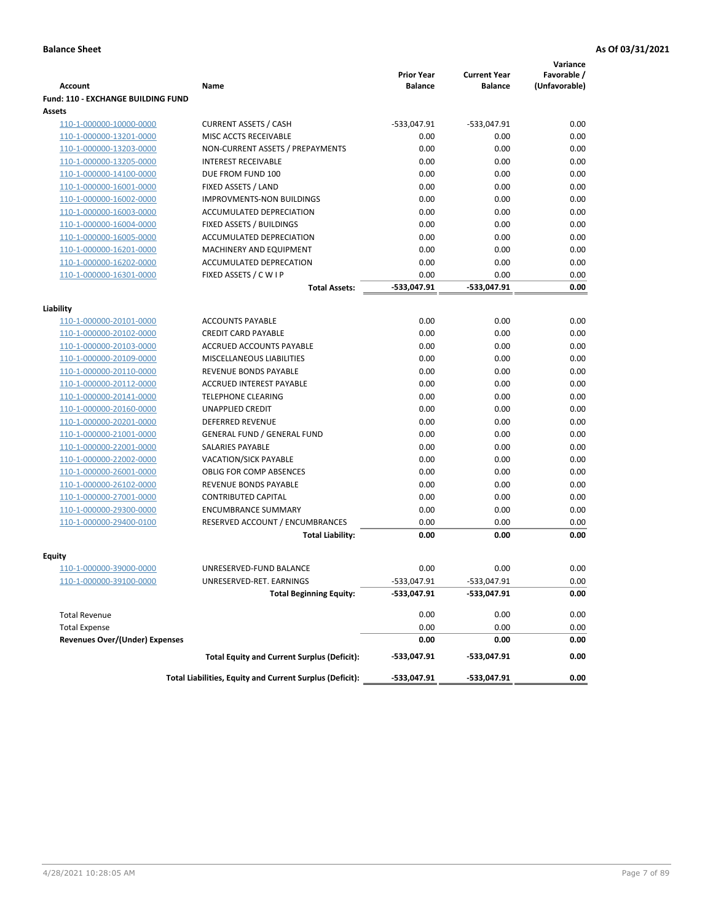|                                           |                                                            |                                     |                                       | Variance                     |
|-------------------------------------------|------------------------------------------------------------|-------------------------------------|---------------------------------------|------------------------------|
| <b>Account</b>                            | Name                                                       | <b>Prior Year</b><br><b>Balance</b> | <b>Current Year</b><br><b>Balance</b> | Favorable /<br>(Unfavorable) |
| <b>Fund: 110 - EXCHANGE BUILDING FUND</b> |                                                            |                                     |                                       |                              |
| Assets                                    |                                                            |                                     |                                       |                              |
| 110-1-000000-10000-0000                   | <b>CURRENT ASSETS / CASH</b>                               | -533,047.91                         | $-533,047.91$                         | 0.00                         |
| 110-1-000000-13201-0000                   | MISC ACCTS RECEIVABLE                                      | 0.00                                | 0.00                                  | 0.00                         |
| 110-1-000000-13203-0000                   | NON-CURRENT ASSETS / PREPAYMENTS                           | 0.00                                | 0.00                                  | 0.00                         |
| 110-1-000000-13205-0000                   | <b>INTEREST RECEIVABLE</b>                                 | 0.00                                | 0.00                                  | 0.00                         |
| 110-1-000000-14100-0000                   | DUE FROM FUND 100                                          | 0.00                                | 0.00                                  | 0.00                         |
| 110-1-000000-16001-0000                   | FIXED ASSETS / LAND                                        | 0.00                                | 0.00                                  | 0.00                         |
| 110-1-000000-16002-0000                   | <b>IMPROVMENTS-NON BUILDINGS</b>                           | 0.00                                | 0.00                                  | 0.00                         |
| 110-1-000000-16003-0000                   | ACCUMULATED DEPRECIATION                                   | 0.00                                | 0.00                                  | 0.00                         |
| 110-1-000000-16004-0000                   | FIXED ASSETS / BUILDINGS                                   | 0.00                                | 0.00                                  | 0.00                         |
| 110-1-000000-16005-0000                   | ACCUMULATED DEPRECIATION                                   | 0.00                                | 0.00                                  | 0.00                         |
| 110-1-000000-16201-0000                   | <b>MACHINERY AND EQUIPMENT</b>                             | 0.00                                | 0.00                                  | 0.00                         |
| 110-1-000000-16202-0000                   | ACCUMULATED DEPRECATION                                    | 0.00                                | 0.00                                  | 0.00                         |
| 110-1-000000-16301-0000                   | FIXED ASSETS / C W I P                                     | 0.00                                | 0.00                                  | 0.00                         |
|                                           | <b>Total Assets:</b>                                       | $-533,047.91$                       | -533,047.91                           | 0.00                         |
| Liability                                 |                                                            |                                     |                                       |                              |
| 110-1-000000-20101-0000                   | <b>ACCOUNTS PAYABLE</b>                                    | 0.00                                | 0.00                                  | 0.00                         |
| 110-1-000000-20102-0000                   | <b>CREDIT CARD PAYABLE</b>                                 | 0.00                                | 0.00                                  | 0.00                         |
| 110-1-000000-20103-0000                   | ACCRUED ACCOUNTS PAYABLE                                   | 0.00                                | 0.00                                  | 0.00                         |
| 110-1-000000-20109-0000                   | MISCELLANEOUS LIABILITIES                                  | 0.00                                | 0.00                                  | 0.00                         |
| 110-1-000000-20110-0000                   | REVENUE BONDS PAYABLE                                      | 0.00                                | 0.00                                  | 0.00                         |
| 110-1-000000-20112-0000                   | <b>ACCRUED INTEREST PAYABLE</b>                            | 0.00                                | 0.00                                  | 0.00                         |
| 110-1-000000-20141-0000                   | <b>TELEPHONE CLEARING</b>                                  | 0.00                                | 0.00                                  | 0.00                         |
| 110-1-000000-20160-0000                   | <b>UNAPPLIED CREDIT</b>                                    | 0.00                                | 0.00                                  | 0.00                         |
| 110-1-000000-20201-0000                   | <b>DEFERRED REVENUE</b>                                    | 0.00                                | 0.00                                  | 0.00                         |
| 110-1-000000-21001-0000                   | <b>GENERAL FUND / GENERAL FUND</b>                         | 0.00                                | 0.00                                  | 0.00                         |
| 110-1-000000-22001-0000                   | SALARIES PAYABLE                                           | 0.00                                | 0.00                                  | 0.00                         |
| 110-1-000000-22002-0000                   | <b>VACATION/SICK PAYABLE</b>                               | 0.00                                | 0.00                                  | 0.00                         |
| 110-1-000000-26001-0000                   | <b>OBLIG FOR COMP ABSENCES</b>                             | 0.00                                | 0.00                                  | 0.00                         |
| 110-1-000000-26102-0000                   | REVENUE BONDS PAYABLE                                      | 0.00                                | 0.00                                  | 0.00                         |
| 110-1-000000-27001-0000                   | <b>CONTRIBUTED CAPITAL</b>                                 | 0.00                                | 0.00                                  | 0.00                         |
| 110-1-000000-29300-0000                   | <b>ENCUMBRANCE SUMMARY</b>                                 | 0.00                                | 0.00                                  | 0.00                         |
| 110-1-000000-29400-0100                   | RESERVED ACCOUNT / ENCUMBRANCES                            | 0.00                                | 0.00                                  | 0.00                         |
|                                           | <b>Total Liability:</b>                                    | 0.00                                | 0.00                                  | 0.00                         |
|                                           |                                                            |                                     |                                       |                              |
| <b>Equity</b>                             | UNRESERVED-FUND BALANCE                                    | 0.00                                | 0.00                                  | 0.00                         |
| 110-1-000000-39000-0000                   |                                                            | $-533,047.91$                       |                                       |                              |
| <u>110-1-000000-39100-0000</u>            | UNRESERVED-RET. EARNINGS<br><b>Total Beginning Equity:</b> | -533,047.91                         | -533,047.91<br>-533,047.91            | 0.00<br>0.00                 |
|                                           |                                                            |                                     |                                       |                              |
| <b>Total Revenue</b>                      |                                                            | 0.00                                | 0.00                                  | 0.00                         |
| <b>Total Expense</b>                      |                                                            | 0.00                                | 0.00                                  | 0.00                         |
| <b>Revenues Over/(Under) Expenses</b>     |                                                            | 0.00                                | 0.00                                  | 0.00                         |
|                                           | <b>Total Equity and Current Surplus (Deficit):</b>         | -533,047.91                         | -533,047.91                           | 0.00                         |
|                                           | Total Liabilities, Equity and Current Surplus (Deficit):   | -533,047.91                         | -533,047.91                           | 0.00                         |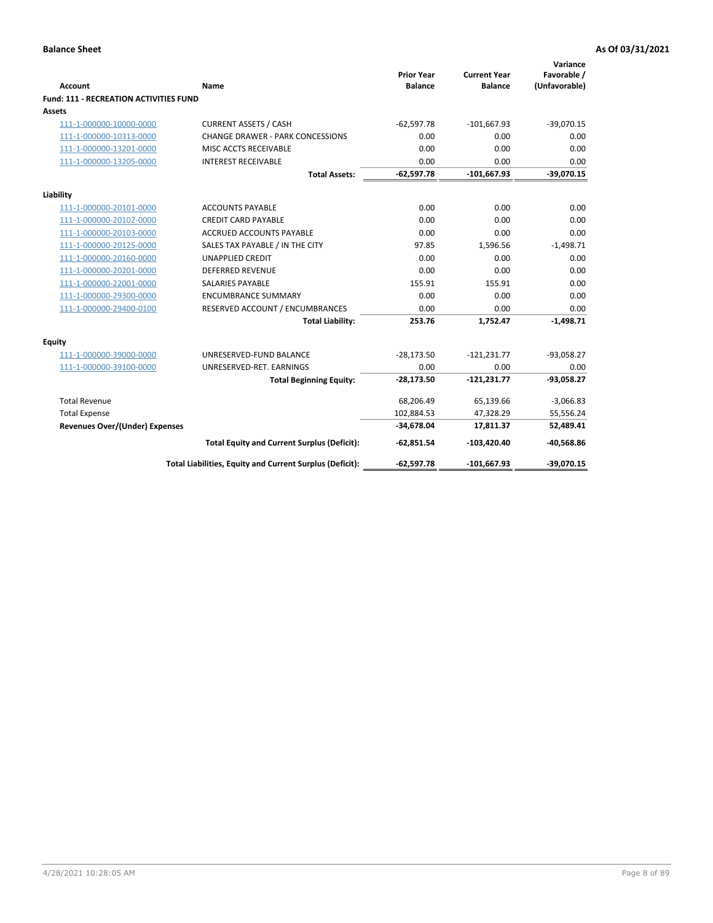| <b>Account</b>                                | Name                                                     | <b>Prior Year</b><br><b>Balance</b> | <b>Current Year</b><br><b>Balance</b> | Variance<br>Favorable /<br>(Unfavorable) |
|-----------------------------------------------|----------------------------------------------------------|-------------------------------------|---------------------------------------|------------------------------------------|
| <b>Fund: 111 - RECREATION ACTIVITIES FUND</b> |                                                          |                                     |                                       |                                          |
| Assets                                        |                                                          |                                     |                                       |                                          |
| 111-1-000000-10000-0000                       | <b>CURRENT ASSETS / CASH</b>                             | $-62,597.78$                        | $-101,667.93$                         | $-39,070.15$                             |
| 111-1-000000-10313-0000                       | <b>CHANGE DRAWER - PARK CONCESSIONS</b>                  | 0.00                                | 0.00                                  | 0.00                                     |
| 111-1-000000-13201-0000                       | MISC ACCTS RECEIVABLE                                    | 0.00                                | 0.00                                  | 0.00                                     |
| 111-1-000000-13205-0000                       | <b>INTEREST RECEIVABLE</b>                               | 0.00                                | 0.00                                  | 0.00                                     |
|                                               | <b>Total Assets:</b>                                     | $-62,597.78$                        | $-101,667.93$                         | $-39,070.15$                             |
| Liability                                     |                                                          |                                     |                                       |                                          |
| 111-1-000000-20101-0000                       | <b>ACCOUNTS PAYABLE</b>                                  | 0.00                                | 0.00                                  | 0.00                                     |
| 111-1-000000-20102-0000                       | <b>CREDIT CARD PAYABLE</b>                               | 0.00                                | 0.00                                  | 0.00                                     |
| 111-1-000000-20103-0000                       | ACCRUED ACCOUNTS PAYABLE                                 | 0.00                                | 0.00                                  | 0.00                                     |
| 111-1-000000-20125-0000                       | SALES TAX PAYABLE / IN THE CITY                          | 97.85                               | 1,596.56                              | $-1,498.71$                              |
| 111-1-000000-20160-0000                       | <b>UNAPPLIED CREDIT</b>                                  | 0.00                                | 0.00                                  | 0.00                                     |
| 111-1-000000-20201-0000                       | <b>DEFERRED REVENUE</b>                                  | 0.00                                | 0.00                                  | 0.00                                     |
| 111-1-000000-22001-0000                       | <b>SALARIES PAYABLE</b>                                  | 155.91                              | 155.91                                | 0.00                                     |
| 111-1-000000-29300-0000                       | <b>ENCUMBRANCE SUMMARY</b>                               | 0.00                                | 0.00                                  | 0.00                                     |
| 111-1-000000-29400-0100                       | RESERVED ACCOUNT / ENCUMBRANCES                          | 0.00                                | 0.00                                  | 0.00                                     |
|                                               | <b>Total Liability:</b>                                  | 253.76                              | 1,752.47                              | $-1,498.71$                              |
| Equity                                        |                                                          |                                     |                                       |                                          |
| 111-1-000000-39000-0000                       | UNRESERVED-FUND BALANCE                                  | $-28,173.50$                        | $-121,231.77$                         | $-93,058.27$                             |
| 111-1-000000-39100-0000                       | UNRESERVED-RET. EARNINGS                                 | 0.00                                | 0.00                                  | 0.00                                     |
|                                               | <b>Total Beginning Equity:</b>                           | $-28,173.50$                        | $-121,231.77$                         | $-93,058.27$                             |
| <b>Total Revenue</b>                          |                                                          | 68,206.49                           | 65,139.66                             | $-3,066.83$                              |
| <b>Total Expense</b>                          |                                                          | 102,884.53                          | 47,328.29                             | 55,556.24                                |
| <b>Revenues Over/(Under) Expenses</b>         |                                                          | $-34,678.04$                        | 17,811.37                             | 52,489.41                                |
|                                               | <b>Total Equity and Current Surplus (Deficit):</b>       | $-62,851.54$                        | $-103,420.40$                         | $-40,568.86$                             |
|                                               | Total Liabilities, Equity and Current Surplus (Deficit): | $-62,597.78$                        | $-101,667.93$                         | $-39,070.15$                             |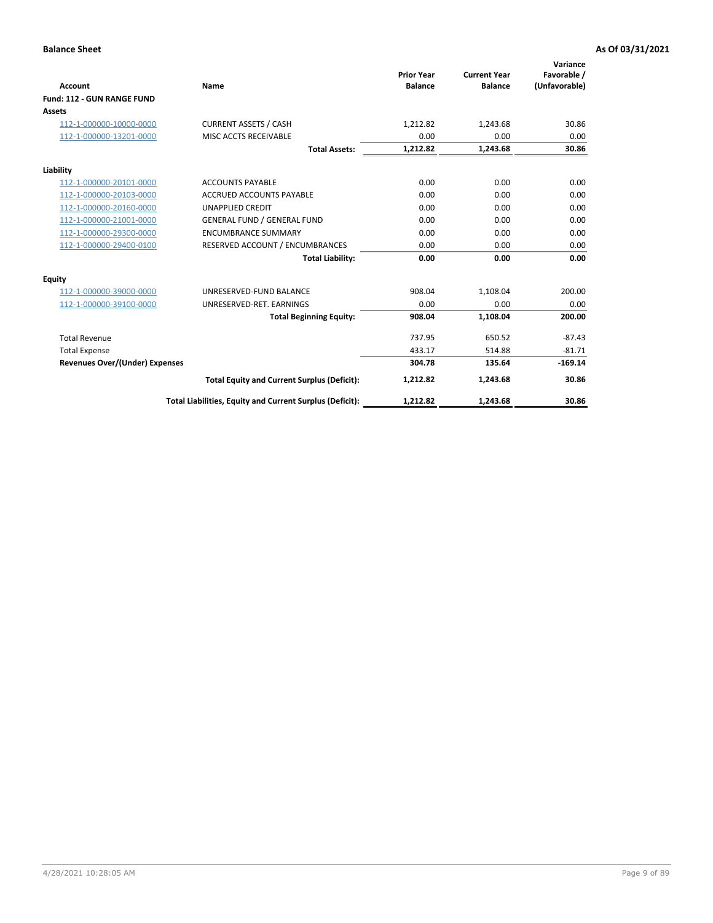| <b>Account</b>                        | Name                                                     | <b>Prior Year</b><br><b>Balance</b> | <b>Current Year</b><br><b>Balance</b> | Variance<br>Favorable /<br>(Unfavorable) |
|---------------------------------------|----------------------------------------------------------|-------------------------------------|---------------------------------------|------------------------------------------|
| Fund: 112 - GUN RANGE FUND            |                                                          |                                     |                                       |                                          |
| <b>Assets</b>                         |                                                          |                                     |                                       |                                          |
| 112-1-000000-10000-0000               | <b>CURRENT ASSETS / CASH</b>                             | 1,212.82                            | 1,243.68                              | 30.86                                    |
| 112-1-000000-13201-0000               | MISC ACCTS RECEIVABLE                                    | 0.00                                | 0.00                                  | 0.00                                     |
|                                       | <b>Total Assets:</b>                                     | 1,212.82                            | 1,243.68                              | 30.86                                    |
| Liability                             |                                                          |                                     |                                       |                                          |
| 112-1-000000-20101-0000               | <b>ACCOUNTS PAYABLE</b>                                  | 0.00                                | 0.00                                  | 0.00                                     |
| 112-1-000000-20103-0000               | <b>ACCRUED ACCOUNTS PAYABLE</b>                          | 0.00                                | 0.00                                  | 0.00                                     |
| 112-1-000000-20160-0000               | <b>UNAPPLIED CREDIT</b>                                  | 0.00                                | 0.00                                  | 0.00                                     |
| 112-1-000000-21001-0000               | <b>GENERAL FUND / GENERAL FUND</b>                       | 0.00                                | 0.00                                  | 0.00                                     |
| 112-1-000000-29300-0000               | <b>ENCUMBRANCE SUMMARY</b>                               | 0.00                                | 0.00                                  | 0.00                                     |
| 112-1-000000-29400-0100               | RESERVED ACCOUNT / ENCUMBRANCES                          | 0.00                                | 0.00                                  | 0.00                                     |
|                                       | <b>Total Liability:</b>                                  | 0.00                                | 0.00                                  | 0.00                                     |
| <b>Equity</b>                         |                                                          |                                     |                                       |                                          |
| 112-1-000000-39000-0000               | UNRESERVED-FUND BALANCE                                  | 908.04                              | 1,108.04                              | 200.00                                   |
| 112-1-000000-39100-0000               | UNRESERVED-RET. EARNINGS                                 | 0.00                                | 0.00                                  | 0.00                                     |
|                                       | <b>Total Beginning Equity:</b>                           | 908.04                              | 1,108.04                              | 200.00                                   |
| <b>Total Revenue</b>                  |                                                          | 737.95                              | 650.52                                | $-87.43$                                 |
| <b>Total Expense</b>                  |                                                          | 433.17                              | 514.88                                | $-81.71$                                 |
| <b>Revenues Over/(Under) Expenses</b> |                                                          | 304.78                              | 135.64                                | $-169.14$                                |
|                                       | <b>Total Equity and Current Surplus (Deficit):</b>       | 1,212.82                            | 1,243.68                              | 30.86                                    |
|                                       | Total Liabilities, Equity and Current Surplus (Deficit): | 1,212.82                            | 1,243.68                              | 30.86                                    |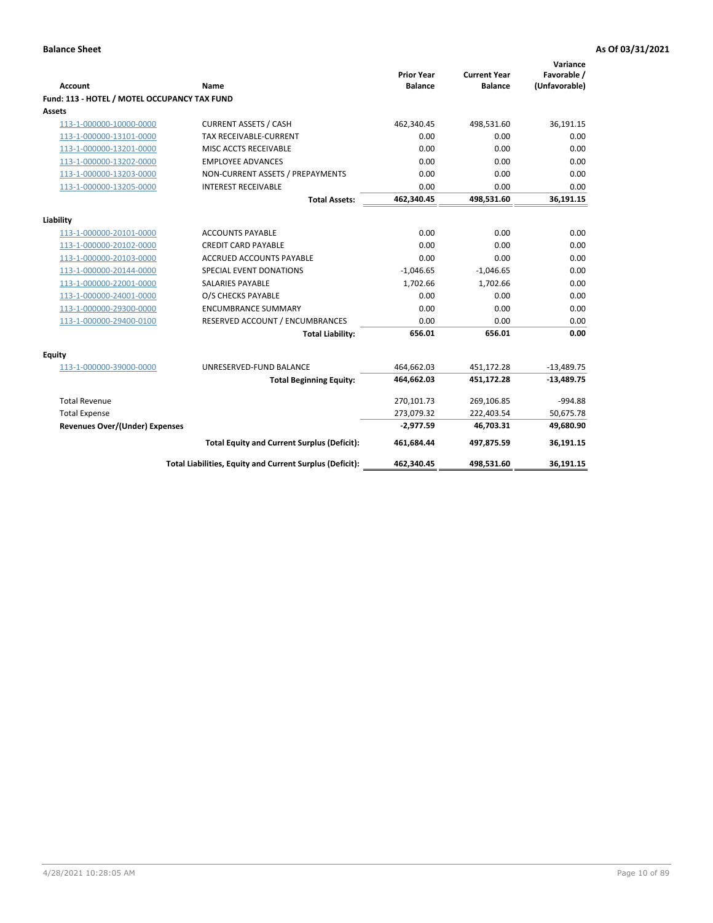| <b>Account</b>                               | <b>Name</b>                                              | <b>Prior Year</b><br><b>Balance</b> | <b>Current Year</b><br><b>Balance</b> | Variance<br>Favorable /<br>(Unfavorable) |
|----------------------------------------------|----------------------------------------------------------|-------------------------------------|---------------------------------------|------------------------------------------|
| Fund: 113 - HOTEL / MOTEL OCCUPANCY TAX FUND |                                                          |                                     |                                       |                                          |
| Assets                                       |                                                          |                                     |                                       |                                          |
| 113-1-000000-10000-0000                      | <b>CURRENT ASSETS / CASH</b>                             | 462,340.45                          | 498,531.60                            | 36,191.15                                |
| 113-1-000000-13101-0000                      | TAX RECEIVABLE-CURRENT                                   | 0.00                                | 0.00                                  | 0.00                                     |
| 113-1-000000-13201-0000                      | MISC ACCTS RECEIVABLE                                    | 0.00                                | 0.00                                  | 0.00                                     |
| 113-1-000000-13202-0000                      | <b>EMPLOYEE ADVANCES</b>                                 | 0.00                                | 0.00                                  | 0.00                                     |
| 113-1-000000-13203-0000                      | NON-CURRENT ASSETS / PREPAYMENTS                         | 0.00                                | 0.00                                  | 0.00                                     |
| 113-1-000000-13205-0000                      | <b>INTEREST RECEIVABLE</b>                               | 0.00                                | 0.00                                  | 0.00                                     |
|                                              | <b>Total Assets:</b>                                     | 462,340.45                          | 498,531.60                            | 36,191.15                                |
| Liability                                    |                                                          |                                     |                                       |                                          |
| 113-1-000000-20101-0000                      | <b>ACCOUNTS PAYABLE</b>                                  | 0.00                                | 0.00                                  | 0.00                                     |
| 113-1-000000-20102-0000                      | <b>CREDIT CARD PAYABLE</b>                               | 0.00                                | 0.00                                  | 0.00                                     |
| 113-1-000000-20103-0000                      | ACCRUED ACCOUNTS PAYABLE                                 | 0.00                                | 0.00                                  | 0.00                                     |
| 113-1-000000-20144-0000                      | <b>SPECIAL EVENT DONATIONS</b>                           | $-1,046.65$                         | $-1,046.65$                           | 0.00                                     |
| 113-1-000000-22001-0000                      | <b>SALARIES PAYABLE</b>                                  | 1,702.66                            | 1,702.66                              | 0.00                                     |
| 113-1-000000-24001-0000                      | O/S CHECKS PAYABLE                                       | 0.00                                | 0.00                                  | 0.00                                     |
| 113-1-000000-29300-0000                      | <b>ENCUMBRANCE SUMMARY</b>                               | 0.00                                | 0.00                                  | 0.00                                     |
| 113-1-000000-29400-0100                      | RESERVED ACCOUNT / ENCUMBRANCES                          | 0.00                                | 0.00                                  | 0.00                                     |
|                                              | <b>Total Liability:</b>                                  | 656.01                              | 656.01                                | 0.00                                     |
| Equity                                       |                                                          |                                     |                                       |                                          |
| 113-1-000000-39000-0000                      | UNRESERVED-FUND BALANCE                                  | 464,662.03                          | 451,172.28                            | $-13,489.75$                             |
|                                              | <b>Total Beginning Equity:</b>                           | 464,662.03                          | 451,172.28                            | $-13,489.75$                             |
| <b>Total Revenue</b>                         |                                                          | 270,101.73                          | 269,106.85                            | $-994.88$                                |
| <b>Total Expense</b>                         |                                                          | 273,079.32                          | 222,403.54                            | 50,675.78                                |
| <b>Revenues Over/(Under) Expenses</b>        |                                                          | $-2,977.59$                         | 46.703.31                             | 49,680.90                                |
|                                              | <b>Total Equity and Current Surplus (Deficit):</b>       | 461,684.44                          | 497,875.59                            | 36,191.15                                |
|                                              | Total Liabilities, Equity and Current Surplus (Deficit): | 462,340.45                          | 498,531.60                            | 36,191.15                                |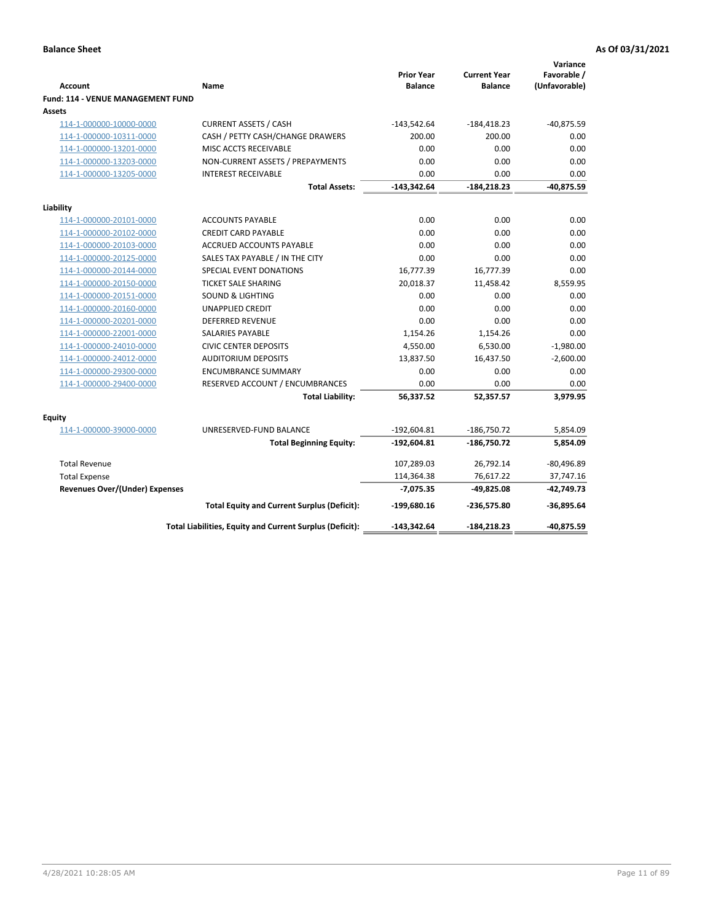| <b>Account</b>                              | Name                                                     | <b>Prior Year</b><br><b>Balance</b> | <b>Current Year</b><br><b>Balance</b> | Variance<br>Favorable /<br>(Unfavorable) |
|---------------------------------------------|----------------------------------------------------------|-------------------------------------|---------------------------------------|------------------------------------------|
| Fund: 114 - VENUE MANAGEMENT FUND<br>Assets |                                                          |                                     |                                       |                                          |
| 114-1-000000-10000-0000                     | <b>CURRENT ASSETS / CASH</b>                             | $-143,542.64$                       | $-184,418.23$                         | $-40,875.59$                             |
| 114-1-000000-10311-0000                     | CASH / PETTY CASH/CHANGE DRAWERS                         | 200.00                              | 200.00                                | 0.00                                     |
| 114-1-000000-13201-0000                     | MISC ACCTS RECEIVABLE                                    | 0.00                                | 0.00                                  | 0.00                                     |
| 114-1-000000-13203-0000                     | NON-CURRENT ASSETS / PREPAYMENTS                         | 0.00                                | 0.00                                  | 0.00                                     |
| 114-1-000000-13205-0000                     | <b>INTEREST RECEIVABLE</b>                               | 0.00                                | 0.00                                  | 0.00                                     |
|                                             | <b>Total Assets:</b>                                     | $-143,342.64$                       | $-184,218.23$                         | $-40,875.59$                             |
| Liability                                   |                                                          |                                     |                                       |                                          |
| 114-1-000000-20101-0000                     | <b>ACCOUNTS PAYABLE</b>                                  | 0.00                                | 0.00                                  | 0.00                                     |
| 114-1-000000-20102-0000                     | <b>CREDIT CARD PAYABLE</b>                               | 0.00                                | 0.00                                  | 0.00                                     |
| 114-1-000000-20103-0000                     | <b>ACCRUED ACCOUNTS PAYABLE</b>                          | 0.00                                | 0.00                                  | 0.00                                     |
| 114-1-000000-20125-0000                     | SALES TAX PAYABLE / IN THE CITY                          | 0.00                                | 0.00                                  | 0.00                                     |
| 114-1-000000-20144-0000                     | SPECIAL EVENT DONATIONS                                  | 16,777.39                           | 16,777.39                             | 0.00                                     |
| 114-1-000000-20150-0000                     | <b>TICKET SALE SHARING</b>                               | 20,018.37                           | 11,458.42                             | 8,559.95                                 |
| 114-1-000000-20151-0000                     | <b>SOUND &amp; LIGHTING</b>                              | 0.00                                | 0.00                                  | 0.00                                     |
| 114-1-000000-20160-0000                     | <b>UNAPPLIED CREDIT</b>                                  | 0.00                                | 0.00                                  | 0.00                                     |
| 114-1-000000-20201-0000                     | <b>DEFERRED REVENUE</b>                                  | 0.00                                | 0.00                                  | 0.00                                     |
| 114-1-000000-22001-0000                     | <b>SALARIES PAYABLE</b>                                  | 1,154.26                            | 1,154.26                              | 0.00                                     |
| 114-1-000000-24010-0000                     | <b>CIVIC CENTER DEPOSITS</b>                             | 4,550.00                            | 6,530.00                              | $-1,980.00$                              |
| 114-1-000000-24012-0000                     | <b>AUDITORIUM DEPOSITS</b>                               | 13,837.50                           | 16,437.50                             | $-2,600.00$                              |
| 114-1-000000-29300-0000                     | <b>ENCUMBRANCE SUMMARY</b>                               | 0.00                                | 0.00                                  | 0.00                                     |
| 114-1-000000-29400-0000                     | RESERVED ACCOUNT / ENCUMBRANCES                          | 0.00                                | 0.00                                  | 0.00                                     |
|                                             | <b>Total Liability:</b>                                  | 56,337.52                           | 52,357.57                             | 3,979.95                                 |
| Equity                                      |                                                          |                                     |                                       |                                          |
| 114-1-000000-39000-0000                     | UNRESERVED-FUND BALANCE                                  | $-192,604.81$                       | $-186,750.72$                         | 5,854.09                                 |
|                                             | <b>Total Beginning Equity:</b>                           | $-192,604.81$                       | $-186,750.72$                         | 5,854.09                                 |
| <b>Total Revenue</b>                        |                                                          | 107,289.03                          | 26,792.14                             | $-80,496.89$                             |
| <b>Total Expense</b>                        |                                                          | 114,364.38                          | 76,617.22                             | 37,747.16                                |
| <b>Revenues Over/(Under) Expenses</b>       |                                                          | $-7,075.35$                         | -49,825.08                            | $-42,749.73$                             |
|                                             | <b>Total Equity and Current Surplus (Deficit):</b>       | $-199,680.16$                       | $-236,575.80$                         | $-36,895.64$                             |
|                                             | Total Liabilities, Equity and Current Surplus (Deficit): | $-143,342.64$                       | $-184.218.23$                         | -40.875.59                               |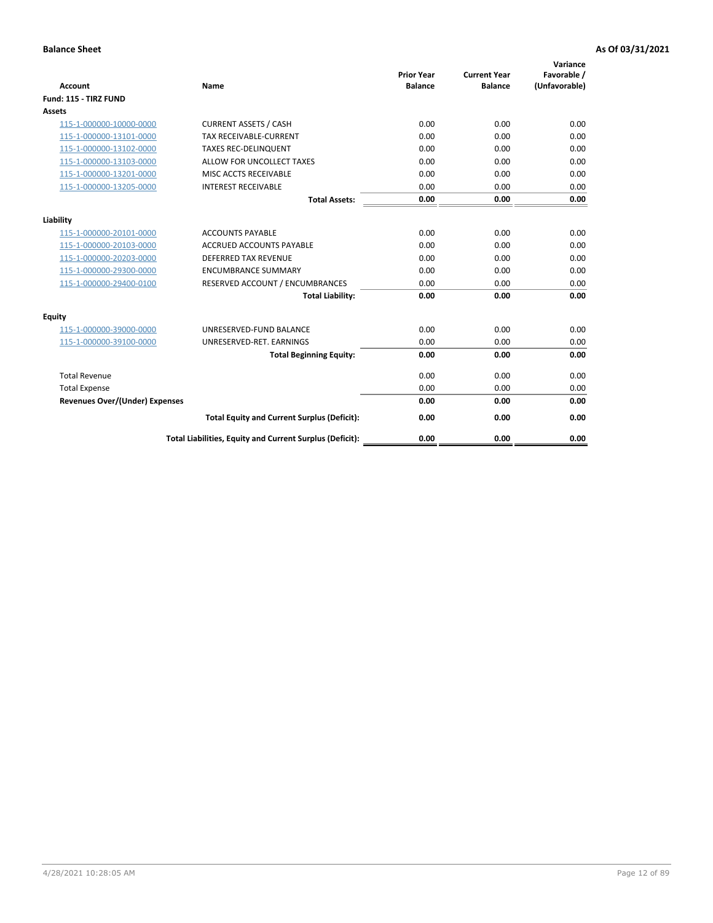|                                       |                                                          |                                     |                                       | Variance                     |
|---------------------------------------|----------------------------------------------------------|-------------------------------------|---------------------------------------|------------------------------|
| <b>Account</b>                        | Name                                                     | <b>Prior Year</b><br><b>Balance</b> | <b>Current Year</b><br><b>Balance</b> | Favorable /<br>(Unfavorable) |
| Fund: 115 - TIRZ FUND                 |                                                          |                                     |                                       |                              |
| Assets                                |                                                          |                                     |                                       |                              |
| 115-1-000000-10000-0000               | <b>CURRENT ASSETS / CASH</b>                             | 0.00                                | 0.00                                  | 0.00                         |
| 115-1-000000-13101-0000               | <b>TAX RECEIVABLE-CURRENT</b>                            | 0.00                                | 0.00                                  | 0.00                         |
| 115-1-000000-13102-0000               | <b>TAXES REC-DELINQUENT</b>                              | 0.00                                | 0.00                                  | 0.00                         |
| 115-1-000000-13103-0000               | ALLOW FOR UNCOLLECT TAXES                                | 0.00                                | 0.00                                  | 0.00                         |
| 115-1-000000-13201-0000               | MISC ACCTS RECEIVABLE                                    | 0.00                                | 0.00                                  | 0.00                         |
| 115-1-000000-13205-0000               | <b>INTEREST RECEIVABLE</b>                               | 0.00                                | 0.00                                  | 0.00                         |
|                                       | <b>Total Assets:</b>                                     | 0.00                                | 0.00                                  | 0.00                         |
| Liability                             |                                                          |                                     |                                       |                              |
| 115-1-000000-20101-0000               | <b>ACCOUNTS PAYABLE</b>                                  | 0.00                                | 0.00                                  | 0.00                         |
| 115-1-000000-20103-0000               | <b>ACCRUED ACCOUNTS PAYABLE</b>                          | 0.00                                | 0.00                                  | 0.00                         |
| 115-1-000000-20203-0000               | <b>DEFERRED TAX REVENUE</b>                              | 0.00                                | 0.00                                  | 0.00                         |
| 115-1-000000-29300-0000               | <b>ENCUMBRANCE SUMMARY</b>                               | 0.00                                | 0.00                                  | 0.00                         |
| 115-1-000000-29400-0100               | RESERVED ACCOUNT / ENCUMBRANCES                          | 0.00                                | 0.00                                  | 0.00                         |
|                                       | <b>Total Liability:</b>                                  | 0.00                                | 0.00                                  | 0.00                         |
| <b>Equity</b>                         |                                                          |                                     |                                       |                              |
| 115-1-000000-39000-0000               | UNRESERVED-FUND BALANCE                                  | 0.00                                | 0.00                                  | 0.00                         |
| 115-1-000000-39100-0000               | UNRESERVED-RET. EARNINGS                                 | 0.00                                | 0.00                                  | 0.00                         |
|                                       | <b>Total Beginning Equity:</b>                           | 0.00                                | 0.00                                  | 0.00                         |
| <b>Total Revenue</b>                  |                                                          | 0.00                                | 0.00                                  | 0.00                         |
| <b>Total Expense</b>                  |                                                          | 0.00                                | 0.00                                  | 0.00                         |
| <b>Revenues Over/(Under) Expenses</b> |                                                          | 0.00                                | 0.00                                  | 0.00                         |
|                                       | <b>Total Equity and Current Surplus (Deficit):</b>       | 0.00                                | 0.00                                  | 0.00                         |
|                                       | Total Liabilities, Equity and Current Surplus (Deficit): | 0.00                                | 0.00                                  | 0.00                         |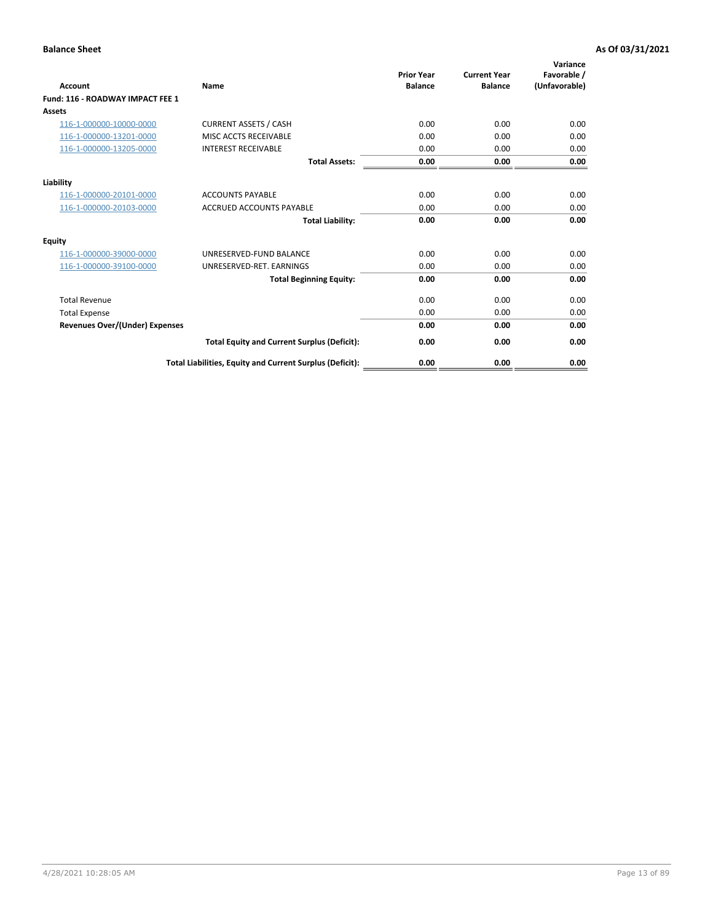| <b>Account</b>                        | Name                                                     | <b>Prior Year</b><br><b>Balance</b> | <b>Current Year</b><br><b>Balance</b> | Variance<br>Favorable /<br>(Unfavorable) |
|---------------------------------------|----------------------------------------------------------|-------------------------------------|---------------------------------------|------------------------------------------|
| Fund: 116 - ROADWAY IMPACT FEE 1      |                                                          |                                     |                                       |                                          |
| <b>Assets</b>                         |                                                          |                                     |                                       |                                          |
| 116-1-000000-10000-0000               | <b>CURRENT ASSETS / CASH</b>                             | 0.00                                | 0.00                                  | 0.00                                     |
| 116-1-000000-13201-0000               | MISC ACCTS RECEIVABLE                                    | 0.00                                | 0.00                                  | 0.00                                     |
| 116-1-000000-13205-0000               | <b>INTEREST RECEIVABLE</b>                               | 0.00                                | 0.00                                  | 0.00                                     |
|                                       | <b>Total Assets:</b>                                     | 0.00                                | 0.00                                  | 0.00                                     |
| Liability                             |                                                          |                                     |                                       |                                          |
| 116-1-000000-20101-0000               | <b>ACCOUNTS PAYABLE</b>                                  | 0.00                                | 0.00                                  | 0.00                                     |
| 116-1-000000-20103-0000               | <b>ACCRUED ACCOUNTS PAYABLE</b>                          | 0.00                                | 0.00                                  | 0.00                                     |
|                                       | <b>Total Liability:</b>                                  | 0.00                                | 0.00                                  | 0.00                                     |
| Equity                                |                                                          |                                     |                                       |                                          |
| 116-1-000000-39000-0000               | UNRESERVED-FUND BALANCE                                  | 0.00                                | 0.00                                  | 0.00                                     |
| 116-1-000000-39100-0000               | UNRESERVED-RET. EARNINGS                                 | 0.00                                | 0.00                                  | 0.00                                     |
|                                       | <b>Total Beginning Equity:</b>                           | 0.00                                | 0.00                                  | 0.00                                     |
| <b>Total Revenue</b>                  |                                                          | 0.00                                | 0.00                                  | 0.00                                     |
| <b>Total Expense</b>                  |                                                          | 0.00                                | 0.00                                  | 0.00                                     |
| <b>Revenues Over/(Under) Expenses</b> |                                                          | 0.00                                | 0.00                                  | 0.00                                     |
|                                       | <b>Total Equity and Current Surplus (Deficit):</b>       | 0.00                                | 0.00                                  | 0.00                                     |
|                                       | Total Liabilities, Equity and Current Surplus (Deficit): | 0.00                                | 0.00                                  | 0.00                                     |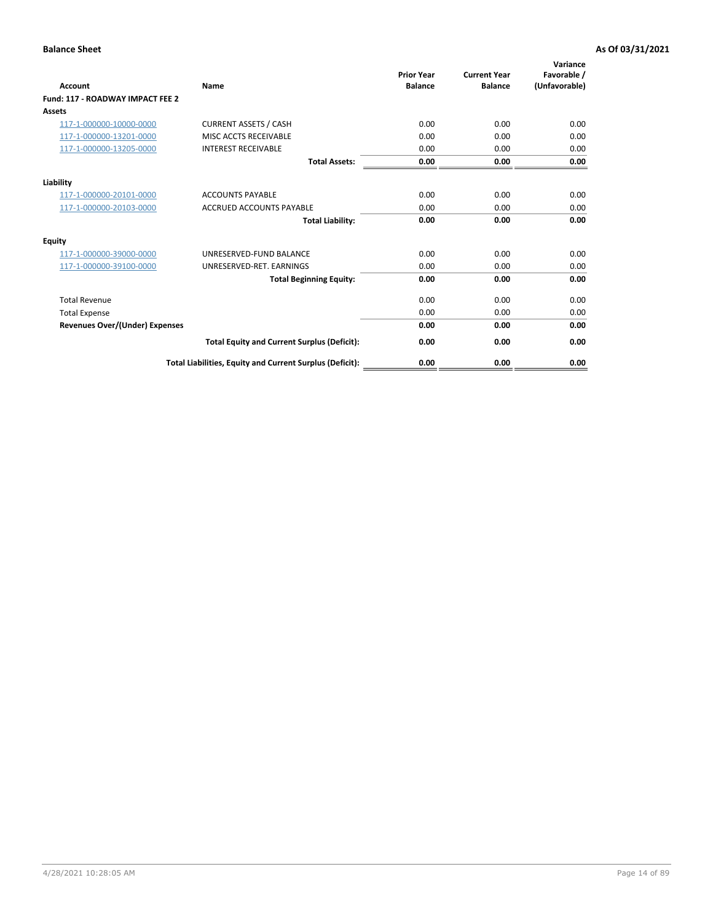| Account                               | Name                                                     | <b>Prior Year</b><br><b>Balance</b> | <b>Current Year</b><br><b>Balance</b> | Variance<br>Favorable /<br>(Unfavorable) |
|---------------------------------------|----------------------------------------------------------|-------------------------------------|---------------------------------------|------------------------------------------|
| Fund: 117 - ROADWAY IMPACT FEE 2      |                                                          |                                     |                                       |                                          |
| Assets                                |                                                          |                                     |                                       |                                          |
| 117-1-000000-10000-0000               | <b>CURRENT ASSETS / CASH</b>                             | 0.00                                | 0.00                                  | 0.00                                     |
| 117-1-000000-13201-0000               | MISC ACCTS RECEIVABLE                                    | 0.00                                | 0.00                                  | 0.00                                     |
| 117-1-000000-13205-0000               | <b>INTEREST RECEIVABLE</b>                               | 0.00                                | 0.00                                  | 0.00                                     |
|                                       | <b>Total Assets:</b>                                     | 0.00                                | 0.00                                  | 0.00                                     |
| Liability                             |                                                          |                                     |                                       |                                          |
| 117-1-000000-20101-0000               | <b>ACCOUNTS PAYABLE</b>                                  | 0.00                                | 0.00                                  | 0.00                                     |
| 117-1-000000-20103-0000               | <b>ACCRUED ACCOUNTS PAYABLE</b>                          | 0.00                                | 0.00                                  | 0.00                                     |
|                                       | <b>Total Liability:</b>                                  | 0.00                                | 0.00                                  | 0.00                                     |
| Equity                                |                                                          |                                     |                                       |                                          |
| 117-1-000000-39000-0000               | UNRESERVED-FUND BALANCE                                  | 0.00                                | 0.00                                  | 0.00                                     |
| 117-1-000000-39100-0000               | UNRESERVED-RET. EARNINGS                                 | 0.00                                | 0.00                                  | 0.00                                     |
|                                       | <b>Total Beginning Equity:</b>                           | 0.00                                | 0.00                                  | 0.00                                     |
| <b>Total Revenue</b>                  |                                                          | 0.00                                | 0.00                                  | 0.00                                     |
| <b>Total Expense</b>                  |                                                          | 0.00                                | 0.00                                  | 0.00                                     |
| <b>Revenues Over/(Under) Expenses</b> |                                                          | 0.00                                | 0.00                                  | 0.00                                     |
|                                       | <b>Total Equity and Current Surplus (Deficit):</b>       | 0.00                                | 0.00                                  | 0.00                                     |
|                                       | Total Liabilities, Equity and Current Surplus (Deficit): | 0.00                                | 0.00                                  | 0.00                                     |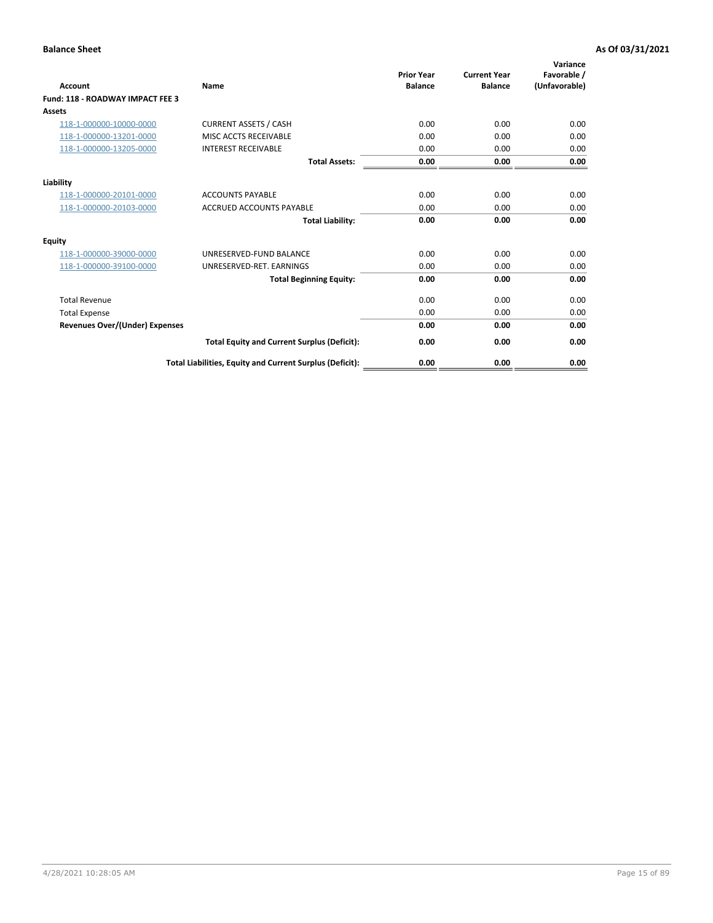| <b>Account</b>                        | Name                                                     | <b>Prior Year</b><br><b>Balance</b> | <b>Current Year</b><br><b>Balance</b> | Variance<br>Favorable /<br>(Unfavorable) |
|---------------------------------------|----------------------------------------------------------|-------------------------------------|---------------------------------------|------------------------------------------|
| Fund: 118 - ROADWAY IMPACT FEE 3      |                                                          |                                     |                                       |                                          |
| <b>Assets</b>                         |                                                          |                                     |                                       |                                          |
| 118-1-000000-10000-0000               | <b>CURRENT ASSETS / CASH</b>                             | 0.00                                | 0.00                                  | 0.00                                     |
| 118-1-000000-13201-0000               | MISC ACCTS RECEIVABLE                                    | 0.00                                | 0.00                                  | 0.00                                     |
| 118-1-000000-13205-0000               | <b>INTEREST RECEIVABLE</b>                               | 0.00                                | 0.00                                  | 0.00                                     |
|                                       | <b>Total Assets:</b>                                     | 0.00                                | 0.00                                  | 0.00                                     |
| Liability                             |                                                          |                                     |                                       |                                          |
| 118-1-000000-20101-0000               | <b>ACCOUNTS PAYABLE</b>                                  | 0.00                                | 0.00                                  | 0.00                                     |
| 118-1-000000-20103-0000               | <b>ACCRUED ACCOUNTS PAYABLE</b>                          | 0.00                                | 0.00                                  | 0.00                                     |
|                                       | <b>Total Liability:</b>                                  | 0.00                                | 0.00                                  | 0.00                                     |
| Equity                                |                                                          |                                     |                                       |                                          |
| 118-1-000000-39000-0000               | UNRESERVED-FUND BALANCE                                  | 0.00                                | 0.00                                  | 0.00                                     |
| 118-1-000000-39100-0000               | UNRESERVED-RET. EARNINGS                                 | 0.00                                | 0.00                                  | 0.00                                     |
|                                       | <b>Total Beginning Equity:</b>                           | 0.00                                | 0.00                                  | 0.00                                     |
| <b>Total Revenue</b>                  |                                                          | 0.00                                | 0.00                                  | 0.00                                     |
| <b>Total Expense</b>                  |                                                          | 0.00                                | 0.00                                  | 0.00                                     |
| <b>Revenues Over/(Under) Expenses</b> |                                                          | 0.00                                | 0.00                                  | 0.00                                     |
|                                       | <b>Total Equity and Current Surplus (Deficit):</b>       | 0.00                                | 0.00                                  | 0.00                                     |
|                                       | Total Liabilities, Equity and Current Surplus (Deficit): | 0.00                                | 0.00                                  | 0.00                                     |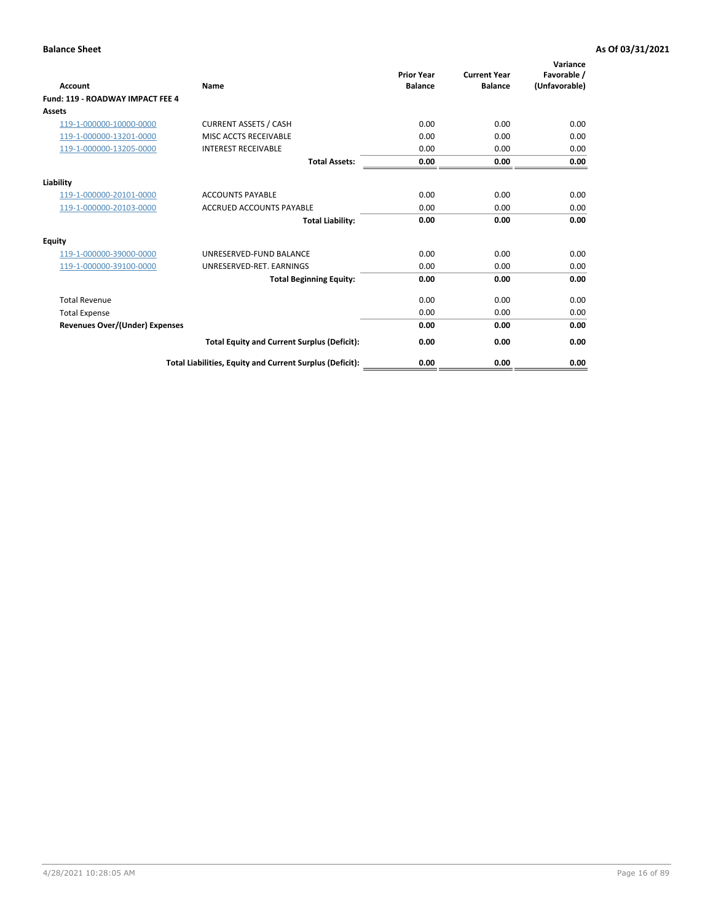| <b>Account</b>                        | Name                                                     | <b>Prior Year</b><br><b>Balance</b> | <b>Current Year</b><br><b>Balance</b> | Variance<br>Favorable /<br>(Unfavorable) |
|---------------------------------------|----------------------------------------------------------|-------------------------------------|---------------------------------------|------------------------------------------|
| Fund: 119 - ROADWAY IMPACT FEE 4      |                                                          |                                     |                                       |                                          |
| Assets                                |                                                          |                                     |                                       |                                          |
| 119-1-000000-10000-0000               | <b>CURRENT ASSETS / CASH</b>                             | 0.00                                | 0.00                                  | 0.00                                     |
| 119-1-000000-13201-0000               | MISC ACCTS RECEIVABLE                                    | 0.00                                | 0.00                                  | 0.00                                     |
| 119-1-000000-13205-0000               | <b>INTEREST RECEIVABLE</b>                               | 0.00                                | 0.00                                  | 0.00                                     |
|                                       | <b>Total Assets:</b>                                     | 0.00                                | 0.00                                  | 0.00                                     |
| Liability                             |                                                          |                                     |                                       |                                          |
| 119-1-000000-20101-0000               | <b>ACCOUNTS PAYABLE</b>                                  | 0.00                                | 0.00                                  | 0.00                                     |
| 119-1-000000-20103-0000               | <b>ACCRUED ACCOUNTS PAYABLE</b>                          | 0.00                                | 0.00                                  | 0.00                                     |
|                                       | <b>Total Liability:</b>                                  | 0.00                                | 0.00                                  | 0.00                                     |
| Equity                                |                                                          |                                     |                                       |                                          |
| 119-1-000000-39000-0000               | UNRESERVED-FUND BALANCE                                  | 0.00                                | 0.00                                  | 0.00                                     |
| 119-1-000000-39100-0000               | UNRESERVED-RET. EARNINGS                                 | 0.00                                | 0.00                                  | 0.00                                     |
|                                       | <b>Total Beginning Equity:</b>                           | 0.00                                | 0.00                                  | 0.00                                     |
| <b>Total Revenue</b>                  |                                                          | 0.00                                | 0.00                                  | 0.00                                     |
| <b>Total Expense</b>                  |                                                          | 0.00                                | 0.00                                  | 0.00                                     |
| <b>Revenues Over/(Under) Expenses</b> |                                                          | 0.00                                | 0.00                                  | 0.00                                     |
|                                       | <b>Total Equity and Current Surplus (Deficit):</b>       | 0.00                                | 0.00                                  | 0.00                                     |
|                                       | Total Liabilities, Equity and Current Surplus (Deficit): | 0.00                                | 0.00                                  | 0.00                                     |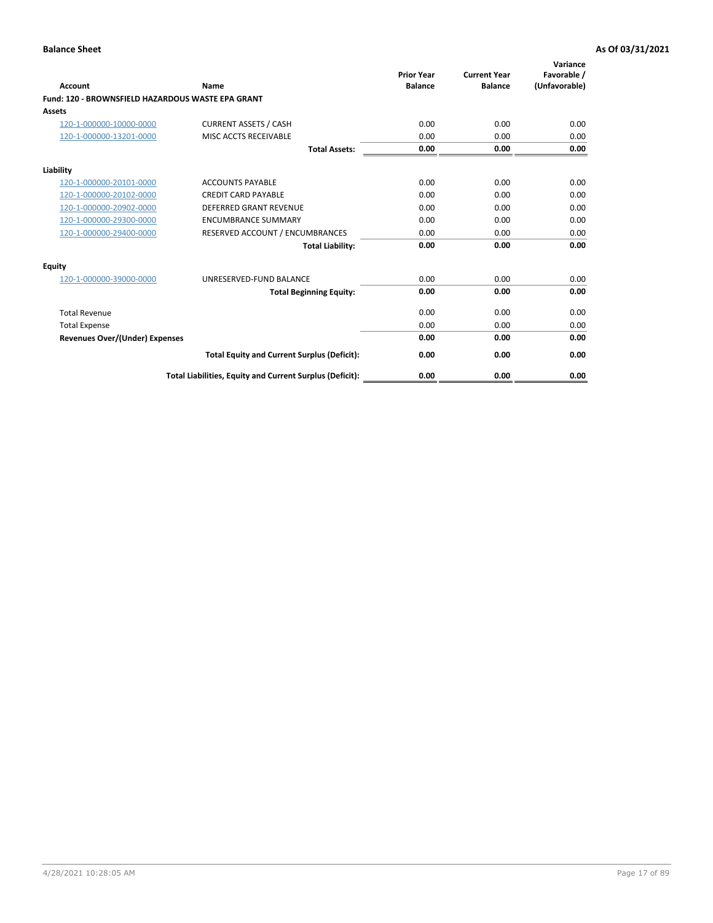|                                                   |                                                          | <b>Prior Year</b> | <b>Current Year</b> | Variance<br>Favorable / |
|---------------------------------------------------|----------------------------------------------------------|-------------------|---------------------|-------------------------|
| <b>Account</b>                                    | Name                                                     | <b>Balance</b>    | <b>Balance</b>      | (Unfavorable)           |
| Fund: 120 - BROWNSFIELD HAZARDOUS WASTE EPA GRANT |                                                          |                   |                     |                         |
| <b>Assets</b>                                     |                                                          |                   |                     |                         |
| 120-1-000000-10000-0000                           | <b>CURRENT ASSETS / CASH</b>                             | 0.00              | 0.00                | 0.00                    |
| 120-1-000000-13201-0000                           | MISC ACCTS RECEIVABLE                                    | 0.00              | 0.00                | 0.00                    |
|                                                   | <b>Total Assets:</b>                                     | 0.00              | 0.00                | 0.00                    |
| Liability                                         |                                                          |                   |                     |                         |
| 120-1-000000-20101-0000                           | <b>ACCOUNTS PAYABLE</b>                                  | 0.00              | 0.00                | 0.00                    |
| 120-1-000000-20102-0000                           | <b>CREDIT CARD PAYABLE</b>                               | 0.00              | 0.00                | 0.00                    |
| 120-1-000000-20902-0000                           | DEFERRED GRANT REVENUE                                   | 0.00              | 0.00                | 0.00                    |
| 120-1-000000-29300-0000                           | <b>ENCUMBRANCE SUMMARY</b>                               | 0.00              | 0.00                | 0.00                    |
| 120-1-000000-29400-0000                           | RESERVED ACCOUNT / ENCUMBRANCES                          | 0.00              | 0.00                | 0.00                    |
|                                                   | <b>Total Liability:</b>                                  | 0.00              | 0.00                | 0.00                    |
| Equity                                            |                                                          |                   |                     |                         |
| 120-1-000000-39000-0000                           | UNRESERVED-FUND BALANCE                                  | 0.00              | 0.00                | 0.00                    |
|                                                   | <b>Total Beginning Equity:</b>                           | 0.00              | 0.00                | 0.00                    |
| <b>Total Revenue</b>                              |                                                          | 0.00              | 0.00                | 0.00                    |
| <b>Total Expense</b>                              |                                                          | 0.00              | 0.00                | 0.00                    |
| Revenues Over/(Under) Expenses                    |                                                          | 0.00              | 0.00                | 0.00                    |
|                                                   | <b>Total Equity and Current Surplus (Deficit):</b>       | 0.00              | 0.00                | 0.00                    |
|                                                   | Total Liabilities, Equity and Current Surplus (Deficit): | 0.00              | 0.00                | 0.00                    |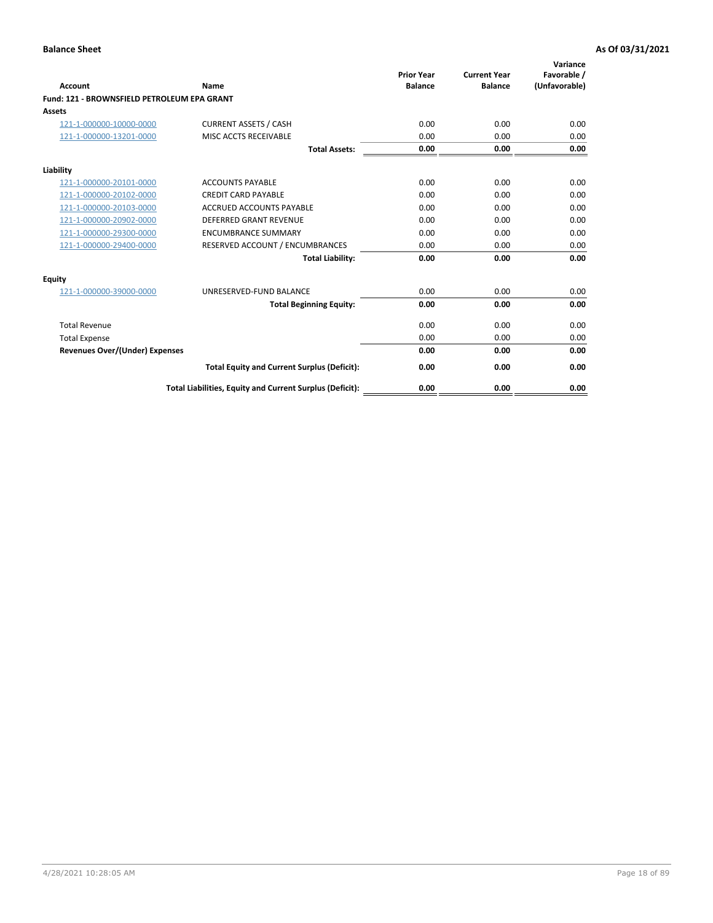|                                             |                                                          | <b>Prior Year</b><br><b>Balance</b> | <b>Current Year</b><br><b>Balance</b> | Variance<br>Favorable / |
|---------------------------------------------|----------------------------------------------------------|-------------------------------------|---------------------------------------|-------------------------|
| Account                                     | Name                                                     |                                     |                                       | (Unfavorable)           |
| Fund: 121 - BROWNSFIELD PETROLEUM EPA GRANT |                                                          |                                     |                                       |                         |
| <b>Assets</b>                               |                                                          |                                     |                                       |                         |
| 121-1-000000-10000-0000                     | <b>CURRENT ASSETS / CASH</b>                             | 0.00                                | 0.00                                  | 0.00                    |
| 121-1-000000-13201-0000                     | MISC ACCTS RECEIVABLE                                    | 0.00                                | 0.00                                  | 0.00                    |
|                                             | <b>Total Assets:</b>                                     | 0.00                                | 0.00                                  | 0.00                    |
| Liability                                   |                                                          |                                     |                                       |                         |
| 121-1-000000-20101-0000                     | <b>ACCOUNTS PAYABLE</b>                                  | 0.00                                | 0.00                                  | 0.00                    |
| 121-1-000000-20102-0000                     | <b>CREDIT CARD PAYABLE</b>                               | 0.00                                | 0.00                                  | 0.00                    |
| 121-1-000000-20103-0000                     | <b>ACCRUED ACCOUNTS PAYABLE</b>                          | 0.00                                | 0.00                                  | 0.00                    |
| 121-1-000000-20902-0000                     | DEFERRED GRANT REVENUE                                   | 0.00                                | 0.00                                  | 0.00                    |
| 121-1-000000-29300-0000                     | <b>ENCUMBRANCE SUMMARY</b>                               | 0.00                                | 0.00                                  | 0.00                    |
| 121-1-000000-29400-0000                     | RESERVED ACCOUNT / ENCUMBRANCES                          | 0.00                                | 0.00                                  | 0.00                    |
|                                             | <b>Total Liability:</b>                                  | 0.00                                | 0.00                                  | 0.00                    |
| <b>Equity</b>                               |                                                          |                                     |                                       |                         |
| 121-1-000000-39000-0000                     | UNRESERVED-FUND BALANCE                                  | 0.00                                | 0.00                                  | 0.00                    |
|                                             | <b>Total Beginning Equity:</b>                           | 0.00                                | 0.00                                  | 0.00                    |
| <b>Total Revenue</b>                        |                                                          | 0.00                                | 0.00                                  | 0.00                    |
| <b>Total Expense</b>                        |                                                          | 0.00                                | 0.00                                  | 0.00                    |
| <b>Revenues Over/(Under) Expenses</b>       |                                                          | 0.00                                | 0.00                                  | 0.00                    |
|                                             | <b>Total Equity and Current Surplus (Deficit):</b>       | 0.00                                | 0.00                                  | 0.00                    |
|                                             | Total Liabilities, Equity and Current Surplus (Deficit): | 0.00                                | 0.00                                  | 0.00                    |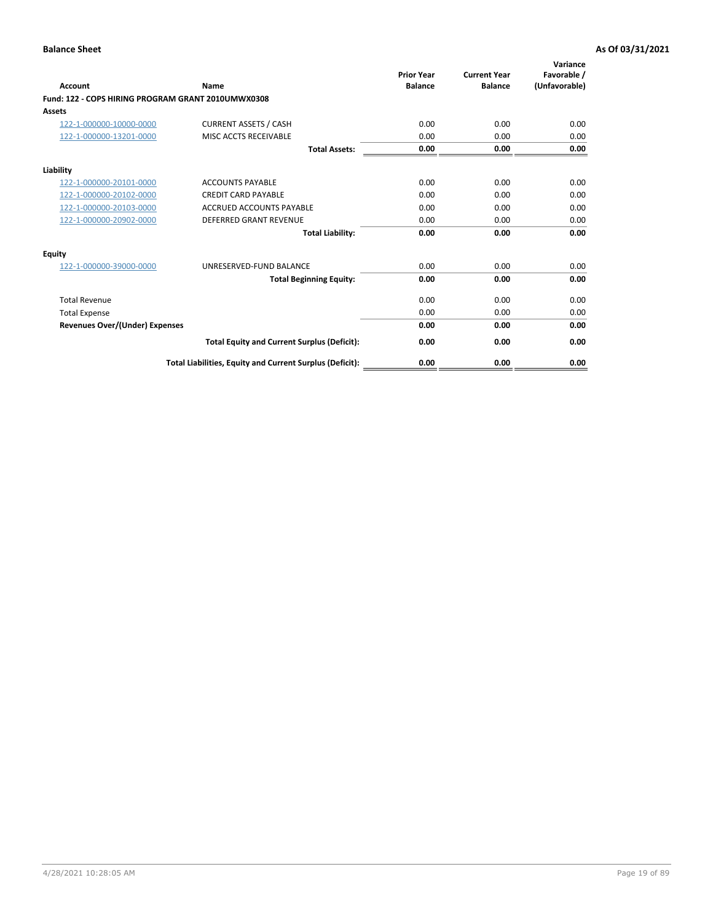| <b>Account</b>                                     | Name                                                     | <b>Prior Year</b><br><b>Balance</b> | <b>Current Year</b><br><b>Balance</b> | Variance<br>Favorable /<br>(Unfavorable) |
|----------------------------------------------------|----------------------------------------------------------|-------------------------------------|---------------------------------------|------------------------------------------|
| Fund: 122 - COPS HIRING PROGRAM GRANT 2010UMWX0308 |                                                          |                                     |                                       |                                          |
| Assets                                             |                                                          |                                     |                                       |                                          |
| 122-1-000000-10000-0000                            | <b>CURRENT ASSETS / CASH</b>                             | 0.00                                | 0.00                                  | 0.00                                     |
| 122-1-000000-13201-0000                            | MISC ACCTS RECEIVABLE                                    | 0.00                                | 0.00                                  | 0.00                                     |
|                                                    | <b>Total Assets:</b>                                     | 0.00                                | 0.00                                  | 0.00                                     |
| Liability                                          |                                                          |                                     |                                       |                                          |
| 122-1-000000-20101-0000                            | <b>ACCOUNTS PAYABLE</b>                                  | 0.00                                | 0.00                                  | 0.00                                     |
| 122-1-000000-20102-0000                            | <b>CREDIT CARD PAYABLE</b>                               | 0.00                                | 0.00                                  | 0.00                                     |
| 122-1-000000-20103-0000                            | <b>ACCRUED ACCOUNTS PAYABLE</b>                          | 0.00                                | 0.00                                  | 0.00                                     |
| 122-1-000000-20902-0000                            | <b>DEFERRED GRANT REVENUE</b>                            | 0.00                                | 0.00                                  | 0.00                                     |
|                                                    | <b>Total Liability:</b>                                  | 0.00                                | 0.00                                  | 0.00                                     |
| Equity                                             |                                                          |                                     |                                       |                                          |
| 122-1-000000-39000-0000                            | UNRESERVED-FUND BALANCE                                  | 0.00                                | 0.00                                  | 0.00                                     |
|                                                    | <b>Total Beginning Equity:</b>                           | 0.00                                | 0.00                                  | 0.00                                     |
| <b>Total Revenue</b>                               |                                                          | 0.00                                | 0.00                                  | 0.00                                     |
| <b>Total Expense</b>                               |                                                          | 0.00                                | 0.00                                  | 0.00                                     |
| <b>Revenues Over/(Under) Expenses</b>              |                                                          | 0.00                                | 0.00                                  | 0.00                                     |
|                                                    | <b>Total Equity and Current Surplus (Deficit):</b>       | 0.00                                | 0.00                                  | 0.00                                     |
|                                                    | Total Liabilities, Equity and Current Surplus (Deficit): | 0.00                                | 0.00                                  | 0.00                                     |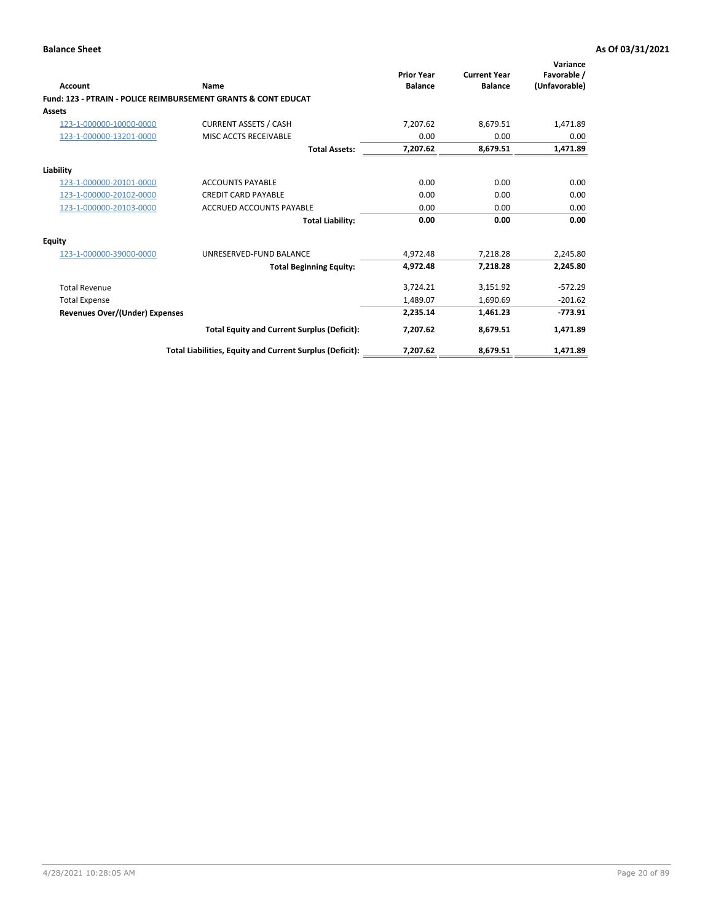| Account                        | Name                                                           | <b>Prior Year</b><br><b>Balance</b> | <b>Current Year</b><br><b>Balance</b> | Variance<br>Favorable /<br>(Unfavorable) |
|--------------------------------|----------------------------------------------------------------|-------------------------------------|---------------------------------------|------------------------------------------|
|                                | Fund: 123 - PTRAIN - POLICE REIMBURSEMENT GRANTS & CONT EDUCAT |                                     |                                       |                                          |
| Assets                         |                                                                |                                     |                                       |                                          |
| 123-1-000000-10000-0000        | <b>CURRENT ASSETS / CASH</b>                                   | 7.207.62                            | 8,679.51                              | 1,471.89                                 |
| 123-1-000000-13201-0000        | MISC ACCTS RECEIVABLE                                          | 0.00                                | 0.00                                  | 0.00                                     |
|                                | <b>Total Assets:</b>                                           | 7,207.62                            | 8,679.51                              | 1,471.89                                 |
| Liability                      |                                                                |                                     |                                       |                                          |
| 123-1-000000-20101-0000        | <b>ACCOUNTS PAYABLE</b>                                        | 0.00                                | 0.00                                  | 0.00                                     |
| 123-1-000000-20102-0000        | <b>CREDIT CARD PAYABLE</b>                                     | 0.00                                | 0.00                                  | 0.00                                     |
| 123-1-000000-20103-0000        | <b>ACCRUED ACCOUNTS PAYABLE</b>                                | 0.00                                | 0.00                                  | 0.00                                     |
|                                | <b>Total Liability:</b>                                        | 0.00                                | 0.00                                  | 0.00                                     |
| Equity                         |                                                                |                                     |                                       |                                          |
| 123-1-000000-39000-0000        | UNRESERVED-FUND BALANCE                                        | 4,972.48                            | 7,218.28                              | 2,245.80                                 |
|                                | <b>Total Beginning Equity:</b>                                 | 4,972.48                            | 7,218.28                              | 2,245.80                                 |
| <b>Total Revenue</b>           |                                                                | 3,724.21                            | 3,151.92                              | $-572.29$                                |
| <b>Total Expense</b>           |                                                                | 1,489.07                            | 1,690.69                              | $-201.62$                                |
| Revenues Over/(Under) Expenses |                                                                | 2,235.14                            | 1,461.23                              | $-773.91$                                |
|                                | <b>Total Equity and Current Surplus (Deficit):</b>             | 7,207.62                            | 8,679.51                              | 1,471.89                                 |
|                                | Total Liabilities, Equity and Current Surplus (Deficit):       | 7,207.62                            | 8,679.51                              | 1,471.89                                 |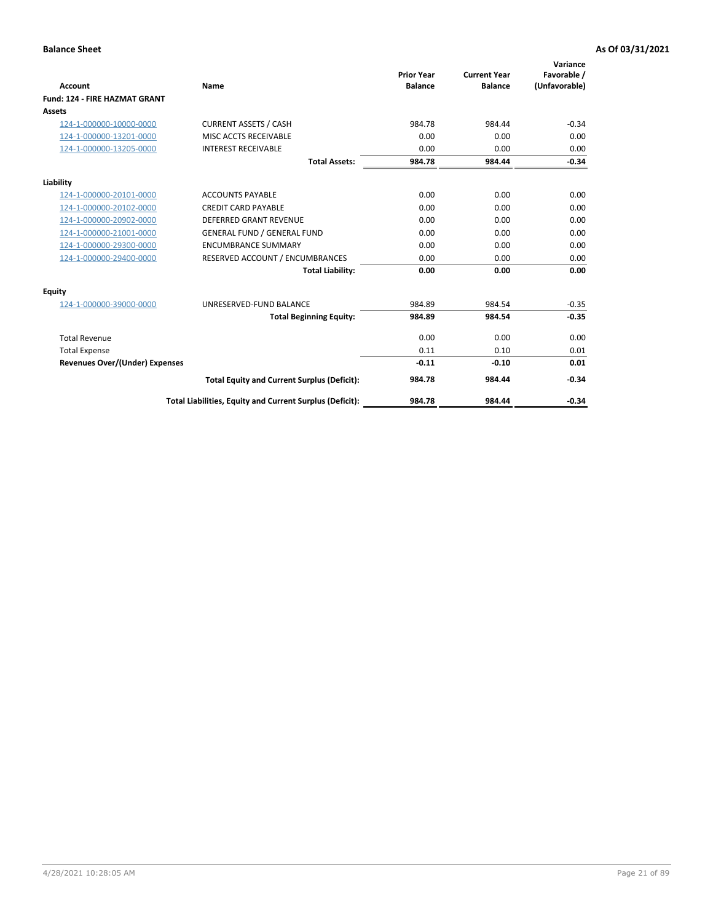|                                      |                                                          | <b>Prior Year</b> | <b>Current Year</b> | Variance<br>Favorable / |
|--------------------------------------|----------------------------------------------------------|-------------------|---------------------|-------------------------|
| <b>Account</b>                       | Name                                                     | <b>Balance</b>    | <b>Balance</b>      | (Unfavorable)           |
| <b>Fund: 124 - FIRE HAZMAT GRANT</b> |                                                          |                   |                     |                         |
| <b>Assets</b>                        |                                                          |                   |                     |                         |
| 124-1-000000-10000-0000              | <b>CURRENT ASSETS / CASH</b>                             | 984.78            | 984.44              | $-0.34$                 |
| 124-1-000000-13201-0000              | MISC ACCTS RECEIVABLE                                    | 0.00              | 0.00                | 0.00                    |
| 124-1-000000-13205-0000              | <b>INTEREST RECEIVABLE</b>                               | 0.00              | 0.00                | 0.00                    |
|                                      | <b>Total Assets:</b>                                     | 984.78            | 984.44              | $-0.34$                 |
| Liability                            |                                                          |                   |                     |                         |
| 124-1-000000-20101-0000              | <b>ACCOUNTS PAYABLE</b>                                  | 0.00              | 0.00                | 0.00                    |
| 124-1-000000-20102-0000              | <b>CREDIT CARD PAYABLE</b>                               | 0.00              | 0.00                | 0.00                    |
| 124-1-000000-20902-0000              | <b>DEFERRED GRANT REVENUE</b>                            | 0.00              | 0.00                | 0.00                    |
| 124-1-000000-21001-0000              | <b>GENERAL FUND / GENERAL FUND</b>                       | 0.00              | 0.00                | 0.00                    |
| 124-1-000000-29300-0000              | <b>ENCUMBRANCE SUMMARY</b>                               | 0.00              | 0.00                | 0.00                    |
| 124-1-000000-29400-0000              | RESERVED ACCOUNT / ENCUMBRANCES                          | 0.00              | 0.00                | 0.00                    |
|                                      | <b>Total Liability:</b>                                  | 0.00              | 0.00                | 0.00                    |
| Equity                               |                                                          |                   |                     |                         |
| 124-1-000000-39000-0000              | UNRESERVED-FUND BALANCE                                  | 984.89            | 984.54              | $-0.35$                 |
|                                      | <b>Total Beginning Equity:</b>                           | 984.89            | 984.54              | $-0.35$                 |
| <b>Total Revenue</b>                 |                                                          | 0.00              | 0.00                | 0.00                    |
| <b>Total Expense</b>                 |                                                          | 0.11              | 0.10                | 0.01                    |
| Revenues Over/(Under) Expenses       |                                                          | $-0.11$           | $-0.10$             | 0.01                    |
|                                      | <b>Total Equity and Current Surplus (Deficit):</b>       | 984.78            | 984.44              | $-0.34$                 |
|                                      | Total Liabilities, Equity and Current Surplus (Deficit): | 984.78            | 984.44              | $-0.34$                 |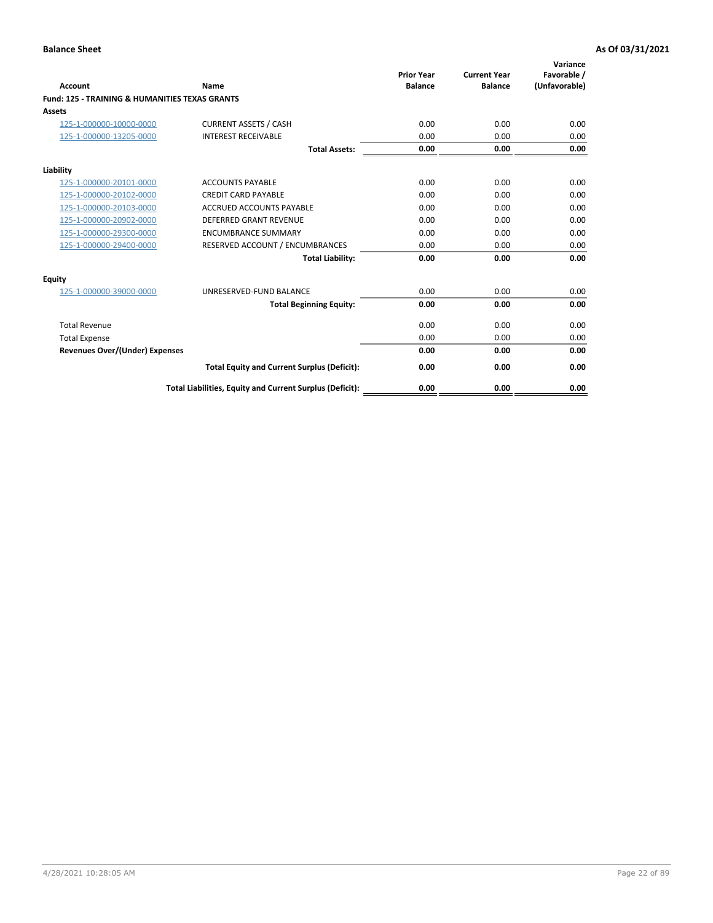| Account                                                   | Name                                                     | <b>Prior Year</b><br><b>Balance</b> | <b>Current Year</b><br><b>Balance</b> | Variance<br>Favorable /<br>(Unfavorable) |
|-----------------------------------------------------------|----------------------------------------------------------|-------------------------------------|---------------------------------------|------------------------------------------|
| <b>Fund: 125 - TRAINING &amp; HUMANITIES TEXAS GRANTS</b> |                                                          |                                     |                                       |                                          |
| <b>Assets</b>                                             |                                                          |                                     |                                       |                                          |
| 125-1-000000-10000-0000                                   | <b>CURRENT ASSETS / CASH</b>                             | 0.00                                | 0.00                                  | 0.00                                     |
| 125-1-000000-13205-0000                                   | <b>INTEREST RECEIVABLE</b>                               | 0.00                                | 0.00                                  | 0.00                                     |
|                                                           | <b>Total Assets:</b>                                     | 0.00                                | 0.00                                  | 0.00                                     |
| Liability                                                 |                                                          |                                     |                                       |                                          |
| 125-1-000000-20101-0000                                   | <b>ACCOUNTS PAYABLE</b>                                  | 0.00                                | 0.00                                  | 0.00                                     |
| 125-1-000000-20102-0000                                   | <b>CREDIT CARD PAYABLE</b>                               | 0.00                                | 0.00                                  | 0.00                                     |
| 125-1-000000-20103-0000                                   | <b>ACCRUED ACCOUNTS PAYABLE</b>                          | 0.00                                | 0.00                                  | 0.00                                     |
| 125-1-000000-20902-0000                                   | DEFERRED GRANT REVENUE                                   | 0.00                                | 0.00                                  | 0.00                                     |
| 125-1-000000-29300-0000                                   | <b>ENCUMBRANCE SUMMARY</b>                               | 0.00                                | 0.00                                  | 0.00                                     |
| 125-1-000000-29400-0000                                   | RESERVED ACCOUNT / ENCUMBRANCES                          | 0.00                                | 0.00                                  | 0.00                                     |
|                                                           | <b>Total Liability:</b>                                  | 0.00                                | 0.00                                  | 0.00                                     |
| <b>Equity</b>                                             |                                                          |                                     |                                       |                                          |
| 125-1-000000-39000-0000                                   | UNRESERVED-FUND BALANCE                                  | 0.00                                | 0.00                                  | 0.00                                     |
|                                                           | <b>Total Beginning Equity:</b>                           | 0.00                                | 0.00                                  | 0.00                                     |
| <b>Total Revenue</b>                                      |                                                          | 0.00                                | 0.00                                  | 0.00                                     |
| <b>Total Expense</b>                                      |                                                          | 0.00                                | 0.00                                  | 0.00                                     |
| <b>Revenues Over/(Under) Expenses</b>                     |                                                          | 0.00                                | 0.00                                  | 0.00                                     |
|                                                           | <b>Total Equity and Current Surplus (Deficit):</b>       | 0.00                                | 0.00                                  | 0.00                                     |
|                                                           | Total Liabilities, Equity and Current Surplus (Deficit): | 0.00                                | 0.00                                  | 0.00                                     |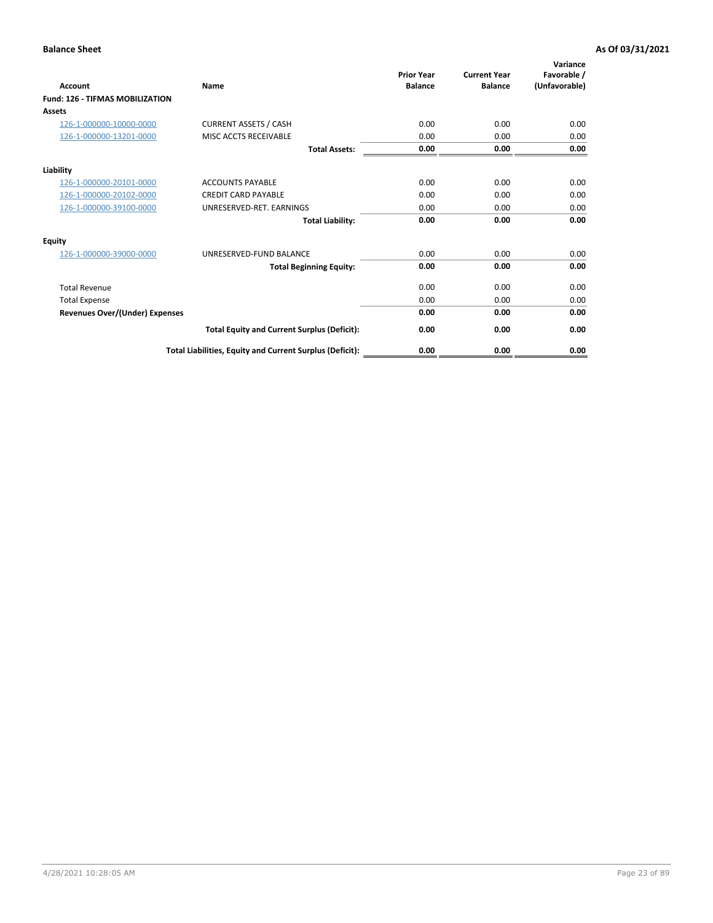| <b>Account</b>                         | Name                                                     | <b>Prior Year</b><br><b>Balance</b> | <b>Current Year</b><br><b>Balance</b> | Variance<br>Favorable /<br>(Unfavorable) |
|----------------------------------------|----------------------------------------------------------|-------------------------------------|---------------------------------------|------------------------------------------|
| <b>Fund: 126 - TIFMAS MOBILIZATION</b> |                                                          |                                     |                                       |                                          |
| Assets                                 |                                                          |                                     |                                       |                                          |
| 126-1-000000-10000-0000                | <b>CURRENT ASSETS / CASH</b>                             | 0.00                                | 0.00                                  | 0.00                                     |
| 126-1-000000-13201-0000                | MISC ACCTS RECEIVABLE                                    | 0.00                                | 0.00                                  | 0.00                                     |
|                                        | <b>Total Assets:</b>                                     | 0.00                                | 0.00                                  | 0.00                                     |
| Liability                              |                                                          |                                     |                                       |                                          |
| 126-1-000000-20101-0000                | <b>ACCOUNTS PAYABLE</b>                                  | 0.00                                | 0.00                                  | 0.00                                     |
| 126-1-000000-20102-0000                | <b>CREDIT CARD PAYABLE</b>                               | 0.00                                | 0.00                                  | 0.00                                     |
| 126-1-000000-39100-0000                | UNRESERVED-RET, EARNINGS                                 | 0.00                                | 0.00                                  | 0.00                                     |
|                                        | <b>Total Liability:</b>                                  | 0.00                                | 0.00                                  | 0.00                                     |
| Equity                                 |                                                          |                                     |                                       |                                          |
| 126-1-000000-39000-0000                | UNRESERVED-FUND BALANCE                                  | 0.00                                | 0.00                                  | 0.00                                     |
|                                        | <b>Total Beginning Equity:</b>                           | 0.00                                | 0.00                                  | 0.00                                     |
| <b>Total Revenue</b>                   |                                                          | 0.00                                | 0.00                                  | 0.00                                     |
| <b>Total Expense</b>                   |                                                          | 0.00                                | 0.00                                  | 0.00                                     |
| <b>Revenues Over/(Under) Expenses</b>  |                                                          | 0.00                                | 0.00                                  | 0.00                                     |
|                                        | <b>Total Equity and Current Surplus (Deficit):</b>       | 0.00                                | 0.00                                  | 0.00                                     |
|                                        | Total Liabilities, Equity and Current Surplus (Deficit): | 0.00                                | 0.00                                  | 0.00                                     |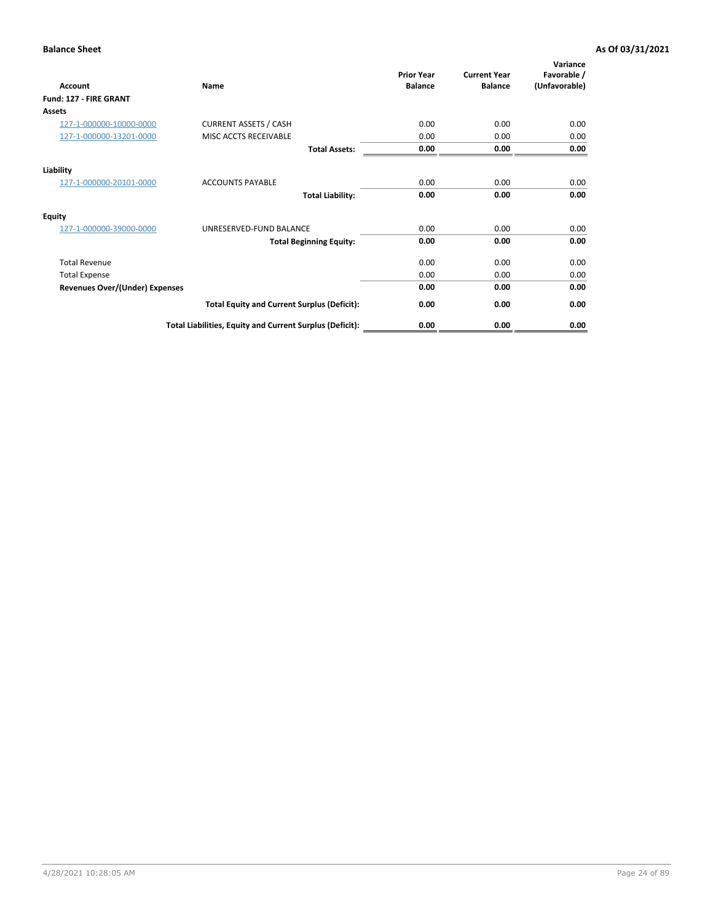| Account                               | Name                                                     | <b>Prior Year</b><br><b>Balance</b> | <b>Current Year</b><br><b>Balance</b> | Variance<br>Favorable /<br>(Unfavorable) |
|---------------------------------------|----------------------------------------------------------|-------------------------------------|---------------------------------------|------------------------------------------|
| Fund: 127 - FIRE GRANT                |                                                          |                                     |                                       |                                          |
| Assets                                |                                                          |                                     |                                       |                                          |
| 127-1-000000-10000-0000               | <b>CURRENT ASSETS / CASH</b>                             | 0.00                                | 0.00                                  | 0.00                                     |
| 127-1-000000-13201-0000               | MISC ACCTS RECEIVABLE                                    | 0.00                                | 0.00                                  | 0.00                                     |
|                                       | <b>Total Assets:</b>                                     | 0.00                                | 0.00                                  | 0.00                                     |
| Liability                             |                                                          |                                     |                                       |                                          |
| 127-1-000000-20101-0000               | <b>ACCOUNTS PAYABLE</b>                                  | 0.00                                | 0.00                                  | 0.00                                     |
|                                       | <b>Total Liability:</b>                                  | 0.00                                | 0.00                                  | 0.00                                     |
| <b>Equity</b>                         |                                                          |                                     |                                       |                                          |
| 127-1-000000-39000-0000               | UNRESERVED-FUND BALANCE                                  | 0.00                                | 0.00                                  | 0.00                                     |
|                                       | <b>Total Beginning Equity:</b>                           | 0.00                                | 0.00                                  | 0.00                                     |
| <b>Total Revenue</b>                  |                                                          | 0.00                                | 0.00                                  | 0.00                                     |
| <b>Total Expense</b>                  |                                                          | 0.00                                | 0.00                                  | 0.00                                     |
| <b>Revenues Over/(Under) Expenses</b> |                                                          | 0.00                                | 0.00                                  | 0.00                                     |
|                                       | <b>Total Equity and Current Surplus (Deficit):</b>       | 0.00                                | 0.00                                  | 0.00                                     |
|                                       | Total Liabilities, Equity and Current Surplus (Deficit): | 0.00                                | 0.00                                  | 0.00                                     |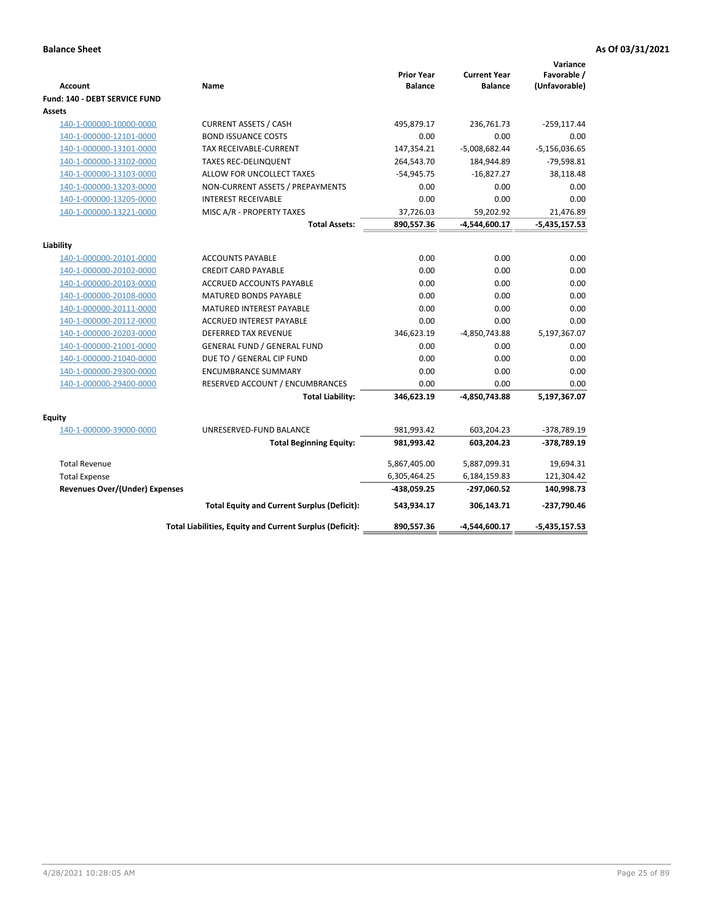|                                       |                                                          |                                     |                                       | Variance                     |
|---------------------------------------|----------------------------------------------------------|-------------------------------------|---------------------------------------|------------------------------|
| <b>Account</b>                        | Name                                                     | <b>Prior Year</b><br><b>Balance</b> | <b>Current Year</b><br><b>Balance</b> | Favorable /<br>(Unfavorable) |
| Fund: 140 - DEBT SERVICE FUND         |                                                          |                                     |                                       |                              |
| Assets                                |                                                          |                                     |                                       |                              |
| 140-1-000000-10000-0000               | <b>CURRENT ASSETS / CASH</b>                             | 495,879.17                          | 236,761.73                            | $-259,117.44$                |
| 140-1-000000-12101-0000               | <b>BOND ISSUANCE COSTS</b>                               | 0.00                                | 0.00                                  | 0.00                         |
| 140-1-000000-13101-0000               | <b>TAX RECEIVABLE-CURRENT</b>                            | 147,354.21                          | $-5,008,682.44$                       | $-5,156,036.65$              |
| 140-1-000000-13102-0000               | <b>TAXES REC-DELINQUENT</b>                              | 264,543.70                          | 184,944.89                            | $-79,598.81$                 |
| 140-1-000000-13103-0000               | ALLOW FOR UNCOLLECT TAXES                                | $-54,945.75$                        | $-16,827.27$                          | 38,118.48                    |
| 140-1-000000-13203-0000               | NON-CURRENT ASSETS / PREPAYMENTS                         | 0.00                                | 0.00                                  | 0.00                         |
| 140-1-000000-13205-0000               | <b>INTEREST RECEIVABLE</b>                               | 0.00                                | 0.00                                  | 0.00                         |
| 140-1-000000-13221-0000               | MISC A/R - PROPERTY TAXES                                | 37,726.03                           | 59,202.92                             | 21,476.89                    |
|                                       | <b>Total Assets:</b>                                     | 890,557.36                          | -4,544,600.17                         | $-5,435,157.53$              |
|                                       |                                                          |                                     |                                       |                              |
| Liability<br>140-1-000000-20101-0000  | <b>ACCOUNTS PAYABLE</b>                                  | 0.00                                | 0.00                                  | 0.00                         |
| 140-1-000000-20102-0000               | <b>CREDIT CARD PAYABLE</b>                               | 0.00                                | 0.00                                  | 0.00                         |
| 140-1-000000-20103-0000               | <b>ACCRUED ACCOUNTS PAYABLE</b>                          | 0.00                                | 0.00                                  | 0.00                         |
| 140-1-000000-20108-0000               | <b>MATURED BONDS PAYABLE</b>                             | 0.00                                | 0.00                                  | 0.00                         |
| 140-1-000000-20111-0000               | <b>MATURED INTEREST PAYABLE</b>                          | 0.00                                | 0.00                                  | 0.00                         |
| 140-1-000000-20112-0000               | <b>ACCRUED INTEREST PAYABLE</b>                          | 0.00                                | 0.00                                  | 0.00                         |
| 140-1-000000-20203-0000               | <b>DEFERRED TAX REVENUE</b>                              | 346,623.19                          | -4,850,743.88                         | 5,197,367.07                 |
| 140-1-000000-21001-0000               | <b>GENERAL FUND / GENERAL FUND</b>                       | 0.00                                | 0.00                                  | 0.00                         |
| 140-1-000000-21040-0000               | DUE TO / GENERAL CIP FUND                                | 0.00                                | 0.00                                  | 0.00                         |
| 140-1-000000-29300-0000               | <b>ENCUMBRANCE SUMMARY</b>                               | 0.00                                | 0.00                                  | 0.00                         |
| 140-1-000000-29400-0000               | RESERVED ACCOUNT / ENCUMBRANCES                          | 0.00                                | 0.00                                  | 0.00                         |
|                                       | <b>Total Liability:</b>                                  | 346,623.19                          | -4,850,743.88                         | 5,197,367.07                 |
| <b>Equity</b>                         |                                                          |                                     |                                       |                              |
| 140-1-000000-39000-0000               | UNRESERVED-FUND BALANCE                                  | 981,993.42                          | 603,204.23                            | -378,789.19                  |
|                                       | <b>Total Beginning Equity:</b>                           | 981,993.42                          | 603,204.23                            | -378,789.19                  |
|                                       |                                                          |                                     |                                       |                              |
| <b>Total Revenue</b>                  |                                                          | 5,867,405.00                        | 5,887,099.31                          | 19,694.31                    |
| <b>Total Expense</b>                  |                                                          | 6,305,464.25                        | 6,184,159.83                          | 121,304.42                   |
| <b>Revenues Over/(Under) Expenses</b> |                                                          | -438,059.25                         | -297,060.52                           | 140,998.73                   |
|                                       | <b>Total Equity and Current Surplus (Deficit):</b>       | 543,934.17                          | 306,143.71                            | $-237,790.46$                |
|                                       | Total Liabilities, Equity and Current Surplus (Deficit): | 890,557.36                          | -4,544,600.17                         | $-5,435,157.53$              |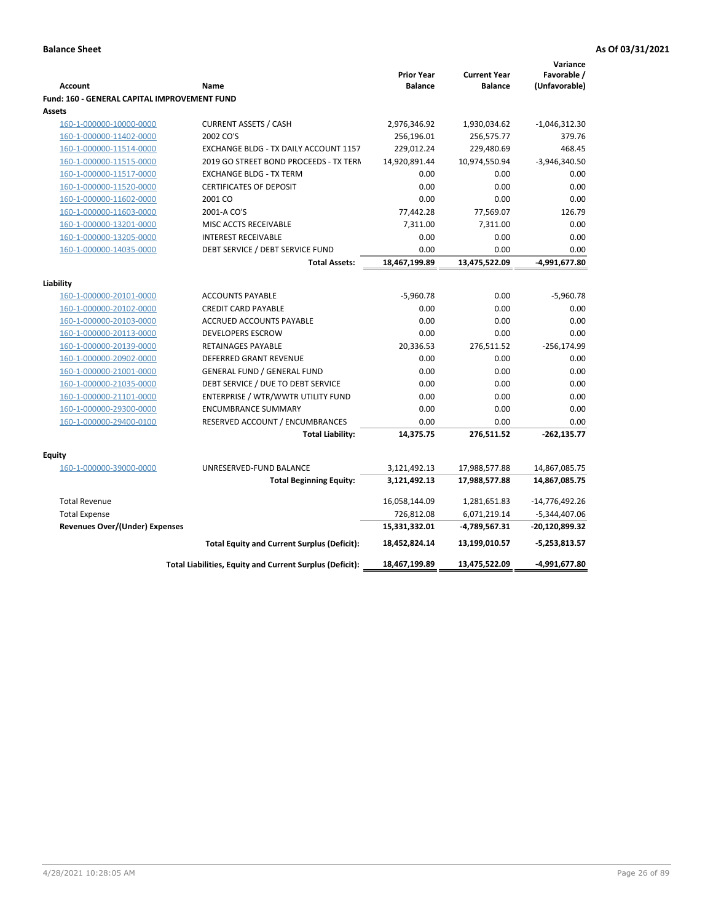|                                                     |                                                          | <b>Prior Year</b> | <b>Current Year</b> | Variance<br>Favorable / |
|-----------------------------------------------------|----------------------------------------------------------|-------------------|---------------------|-------------------------|
| <b>Account</b>                                      | Name                                                     | <b>Balance</b>    | <b>Balance</b>      | (Unfavorable)           |
| <b>Fund: 160 - GENERAL CAPITAL IMPROVEMENT FUND</b> |                                                          |                   |                     |                         |
| <b>Assets</b>                                       |                                                          |                   |                     |                         |
| 160-1-000000-10000-0000                             | <b>CURRENT ASSETS / CASH</b>                             | 2,976,346.92      | 1,930,034.62        | $-1,046,312.30$         |
| 160-1-000000-11402-0000                             | 2002 CO'S                                                | 256,196.01        | 256,575.77          | 379.76                  |
| 160-1-000000-11514-0000                             | EXCHANGE BLDG - TX DAILY ACCOUNT 1157                    | 229,012.24        | 229,480.69          | 468.45                  |
| 160-1-000000-11515-0000                             | 2019 GO STREET BOND PROCEEDS - TX TERN                   | 14,920,891.44     | 10,974,550.94       | $-3,946,340.50$         |
| 160-1-000000-11517-0000                             | <b>EXCHANGE BLDG - TX TERM</b>                           | 0.00              | 0.00                | 0.00                    |
| 160-1-000000-11520-0000                             | <b>CERTIFICATES OF DEPOSIT</b>                           | 0.00              | 0.00                | 0.00                    |
| 160-1-000000-11602-0000                             | 2001 CO                                                  | 0.00              | 0.00                | 0.00                    |
| 160-1-000000-11603-0000                             | 2001-A CO'S                                              | 77,442.28         | 77,569.07           | 126.79                  |
| 160-1-000000-13201-0000                             | MISC ACCTS RECEIVABLE                                    | 7,311.00          | 7,311.00            | 0.00                    |
| 160-1-000000-13205-0000                             | <b>INTEREST RECEIVABLE</b>                               | 0.00              | 0.00                | 0.00                    |
| 160-1-000000-14035-0000                             | DEBT SERVICE / DEBT SERVICE FUND                         | 0.00              | 0.00                | 0.00                    |
|                                                     | <b>Total Assets:</b>                                     | 18,467,199.89     | 13,475,522.09       | -4,991,677.80           |
| Liability                                           |                                                          |                   |                     |                         |
| 160-1-000000-20101-0000                             | <b>ACCOUNTS PAYABLE</b>                                  | $-5,960.78$       | 0.00                | $-5,960.78$             |
| 160-1-000000-20102-0000                             | <b>CREDIT CARD PAYABLE</b>                               | 0.00              | 0.00                | 0.00                    |
| 160-1-000000-20103-0000                             | ACCRUED ACCOUNTS PAYABLE                                 | 0.00              | 0.00                | 0.00                    |
| 160-1-000000-20113-0000                             | <b>DEVELOPERS ESCROW</b>                                 | 0.00              | 0.00                | 0.00                    |
| 160-1-000000-20139-0000                             | RETAINAGES PAYABLE                                       | 20,336.53         | 276,511.52          | $-256, 174.99$          |
| 160-1-000000-20902-0000                             | DEFERRED GRANT REVENUE                                   | 0.00              | 0.00                | 0.00                    |
| 160-1-000000-21001-0000                             | <b>GENERAL FUND / GENERAL FUND</b>                       | 0.00              | 0.00                | 0.00                    |
| 160-1-000000-21035-0000                             | DEBT SERVICE / DUE TO DEBT SERVICE                       | 0.00              | 0.00                | 0.00                    |
| 160-1-000000-21101-0000                             | ENTERPRISE / WTR/WWTR UTILITY FUND                       | 0.00              | 0.00                | 0.00                    |
| 160-1-000000-29300-0000                             | <b>ENCUMBRANCE SUMMARY</b>                               | 0.00              | 0.00                | 0.00                    |
| 160-1-000000-29400-0100                             | RESERVED ACCOUNT / ENCUMBRANCES                          | 0.00              | 0.00                | 0.00                    |
|                                                     |                                                          |                   |                     |                         |
|                                                     | <b>Total Liability:</b>                                  | 14,375.75         | 276,511.52          | $-262, 135.77$          |
| <b>Equity</b>                                       |                                                          |                   |                     |                         |
| 160-1-000000-39000-0000                             | UNRESERVED-FUND BALANCE                                  | 3,121,492.13      | 17,988,577.88       | 14,867,085.75           |
|                                                     | <b>Total Beginning Equity:</b>                           | 3,121,492.13      | 17,988,577.88       | 14,867,085.75           |
|                                                     |                                                          |                   |                     |                         |
| <b>Total Revenue</b>                                |                                                          | 16,058,144.09     | 1,281,651.83        | $-14,776,492.26$        |
| <b>Total Expense</b>                                |                                                          | 726,812.08        | 6,071,219.14        | $-5,344,407.06$         |
| <b>Revenues Over/(Under) Expenses</b>               |                                                          | 15,331,332.01     | -4,789,567.31       | -20,120,899.32          |
|                                                     | <b>Total Equity and Current Surplus (Deficit):</b>       | 18,452,824.14     | 13,199,010.57       | $-5,253,813.57$         |
|                                                     | Total Liabilities, Equity and Current Surplus (Deficit): | 18,467,199.89     | 13,475,522.09       | -4,991,677.80           |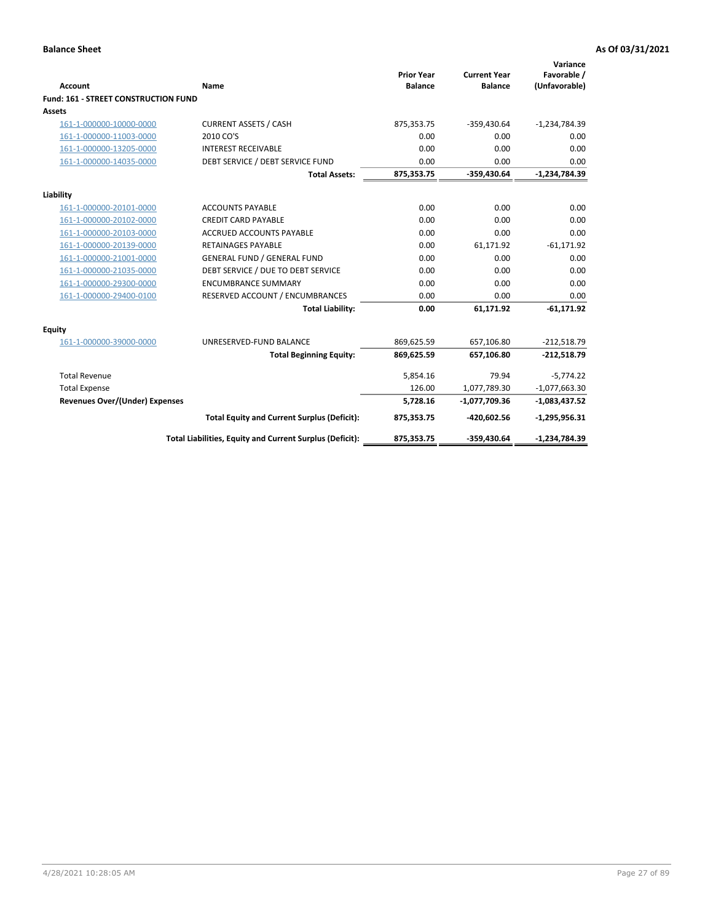| <b>Account</b>                       | Name                                                     | <b>Prior Year</b><br><b>Balance</b> | <b>Current Year</b><br><b>Balance</b> | Variance<br>Favorable /<br>(Unfavorable) |
|--------------------------------------|----------------------------------------------------------|-------------------------------------|---------------------------------------|------------------------------------------|
| Fund: 161 - STREET CONSTRUCTION FUND |                                                          |                                     |                                       |                                          |
| Assets                               |                                                          |                                     |                                       |                                          |
| 161-1-000000-10000-0000              | <b>CURRENT ASSETS / CASH</b>                             | 875,353.75                          | $-359,430.64$                         | $-1,234,784.39$                          |
| 161-1-000000-11003-0000              | 2010 CO'S                                                | 0.00                                | 0.00                                  | 0.00                                     |
| 161-1-000000-13205-0000              | <b>INTEREST RECEIVABLE</b>                               | 0.00                                | 0.00                                  | 0.00                                     |
| 161-1-000000-14035-0000              | DEBT SERVICE / DEBT SERVICE FUND                         | 0.00                                | 0.00                                  | 0.00                                     |
|                                      | <b>Total Assets:</b>                                     | 875,353.75                          | $-359,430.64$                         | $-1,234,784.39$                          |
| Liability                            |                                                          |                                     |                                       |                                          |
| 161-1-000000-20101-0000              | <b>ACCOUNTS PAYABLE</b>                                  | 0.00                                | 0.00                                  | 0.00                                     |
| 161-1-000000-20102-0000              | <b>CREDIT CARD PAYABLE</b>                               | 0.00                                | 0.00                                  | 0.00                                     |
| 161-1-000000-20103-0000              | <b>ACCRUED ACCOUNTS PAYABLE</b>                          | 0.00                                | 0.00                                  | 0.00                                     |
| 161-1-000000-20139-0000              | <b>RETAINAGES PAYABLE</b>                                | 0.00                                | 61,171.92                             | $-61,171.92$                             |
| 161-1-000000-21001-0000              | <b>GENERAL FUND / GENERAL FUND</b>                       | 0.00                                | 0.00                                  | 0.00                                     |
| 161-1-000000-21035-0000              | DEBT SERVICE / DUE TO DEBT SERVICE                       | 0.00                                | 0.00                                  | 0.00                                     |
| 161-1-000000-29300-0000              | <b>ENCUMBRANCE SUMMARY</b>                               | 0.00                                | 0.00                                  | 0.00                                     |
| 161-1-000000-29400-0100              | RESERVED ACCOUNT / ENCUMBRANCES                          | 0.00                                | 0.00                                  | 0.00                                     |
|                                      | <b>Total Liability:</b>                                  | 0.00                                | 61.171.92                             | $-61,171.92$                             |
| Equity                               |                                                          |                                     |                                       |                                          |
| 161-1-000000-39000-0000              | UNRESERVED-FUND BALANCE                                  | 869,625.59                          | 657,106.80                            | $-212,518.79$                            |
|                                      | <b>Total Beginning Equity:</b>                           | 869,625.59                          | 657,106.80                            | $-212,518.79$                            |
| <b>Total Revenue</b>                 |                                                          | 5,854.16                            | 79.94                                 | $-5,774.22$                              |
| <b>Total Expense</b>                 |                                                          | 126.00                              | 1,077,789.30                          | $-1,077,663.30$                          |
| Revenues Over/(Under) Expenses       |                                                          | 5,728.16                            | $-1,077,709.36$                       | $-1,083,437.52$                          |
|                                      | <b>Total Equity and Current Surplus (Deficit):</b>       | 875,353.75                          | -420,602.56                           | $-1,295,956.31$                          |
|                                      | Total Liabilities, Equity and Current Surplus (Deficit): | 875,353.75                          | $-359,430.64$                         | $-1,234,784.39$                          |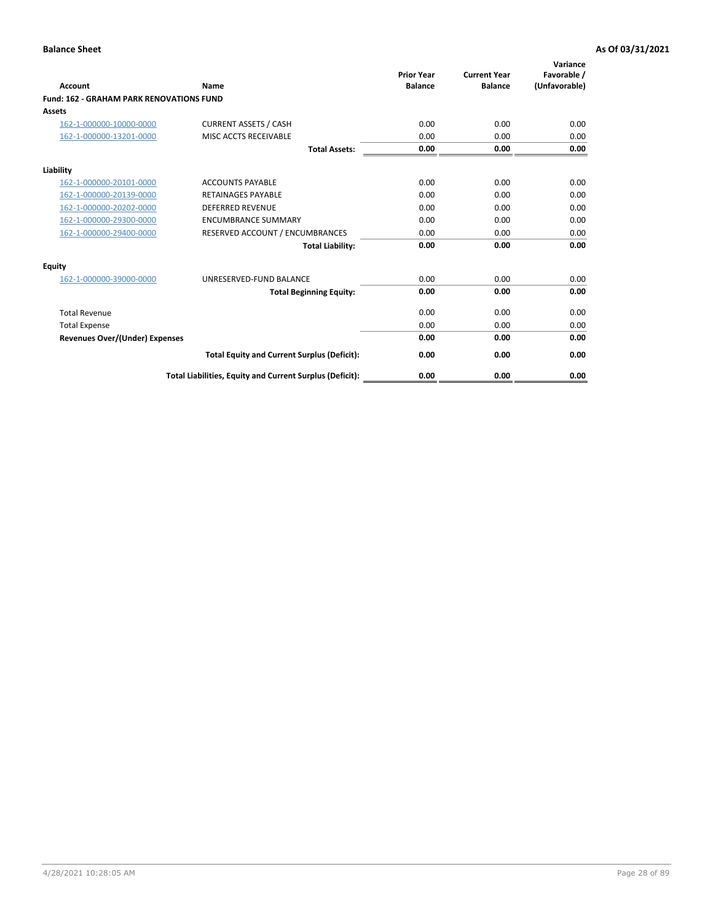|                                                 |                                                          | <b>Prior Year</b><br><b>Balance</b> | <b>Current Year</b> | Variance<br>Favorable / |
|-------------------------------------------------|----------------------------------------------------------|-------------------------------------|---------------------|-------------------------|
| <b>Account</b>                                  | Name                                                     |                                     | <b>Balance</b>      | (Unfavorable)           |
| <b>Fund: 162 - GRAHAM PARK RENOVATIONS FUND</b> |                                                          |                                     |                     |                         |
| <b>Assets</b>                                   |                                                          |                                     |                     |                         |
| 162-1-000000-10000-0000                         | <b>CURRENT ASSETS / CASH</b>                             | 0.00                                | 0.00                | 0.00                    |
| 162-1-000000-13201-0000                         | MISC ACCTS RECEIVABLE                                    | 0.00                                | 0.00                | 0.00                    |
|                                                 | <b>Total Assets:</b>                                     | 0.00                                | 0.00                | 0.00                    |
| Liability                                       |                                                          |                                     |                     |                         |
| 162-1-000000-20101-0000                         | <b>ACCOUNTS PAYABLE</b>                                  | 0.00                                | 0.00                | 0.00                    |
| 162-1-000000-20139-0000                         | <b>RETAINAGES PAYABLE</b>                                | 0.00                                | 0.00                | 0.00                    |
| 162-1-000000-20202-0000                         | <b>DEFERRED REVENUE</b>                                  | 0.00                                | 0.00                | 0.00                    |
| 162-1-000000-29300-0000                         | <b>ENCUMBRANCE SUMMARY</b>                               | 0.00                                | 0.00                | 0.00                    |
| 162-1-000000-29400-0000                         | RESERVED ACCOUNT / ENCUMBRANCES                          | 0.00                                | 0.00                | 0.00                    |
|                                                 | <b>Total Liability:</b>                                  | 0.00                                | 0.00                | 0.00                    |
| Equity                                          |                                                          |                                     |                     |                         |
| 162-1-000000-39000-0000                         | UNRESERVED-FUND BALANCE                                  | 0.00                                | 0.00                | 0.00                    |
|                                                 | <b>Total Beginning Equity:</b>                           | 0.00                                | 0.00                | 0.00                    |
| <b>Total Revenue</b>                            |                                                          | 0.00                                | 0.00                | 0.00                    |
| <b>Total Expense</b>                            |                                                          | 0.00                                | 0.00                | 0.00                    |
| Revenues Over/(Under) Expenses                  |                                                          | 0.00                                | 0.00                | 0.00                    |
|                                                 | <b>Total Equity and Current Surplus (Deficit):</b>       | 0.00                                | 0.00                | 0.00                    |
|                                                 | Total Liabilities, Equity and Current Surplus (Deficit): | 0.00                                | 0.00                | 0.00                    |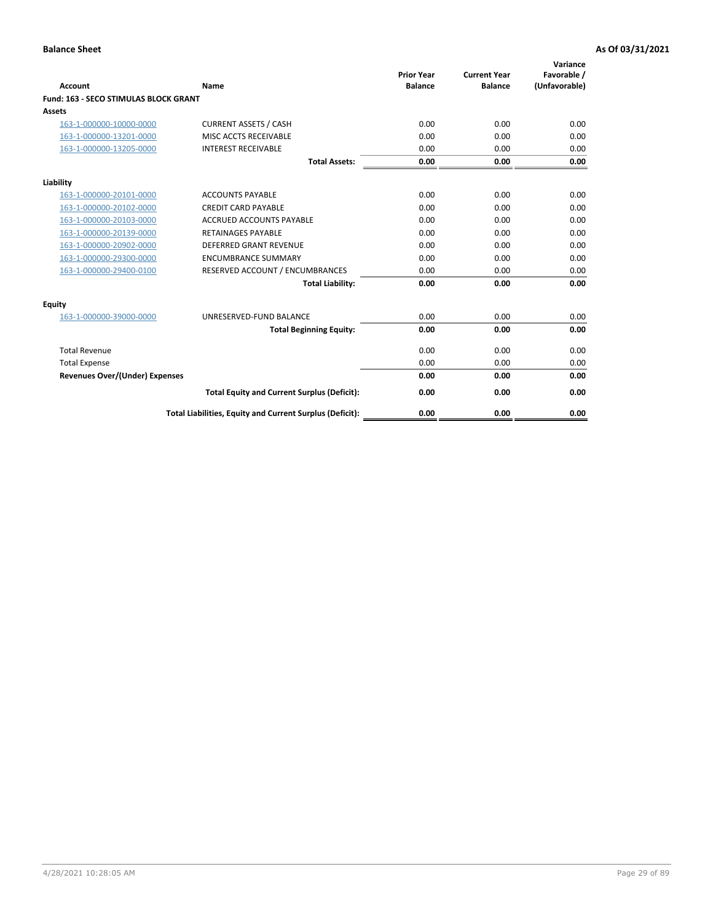| Account                               | Name                                                     | <b>Prior Year</b><br><b>Balance</b> | <b>Current Year</b><br><b>Balance</b> | Variance<br>Favorable /<br>(Unfavorable) |
|---------------------------------------|----------------------------------------------------------|-------------------------------------|---------------------------------------|------------------------------------------|
| Fund: 163 - SECO STIMULAS BLOCK GRANT |                                                          |                                     |                                       |                                          |
| <b>Assets</b>                         |                                                          |                                     |                                       |                                          |
| 163-1-000000-10000-0000               | <b>CURRENT ASSETS / CASH</b>                             | 0.00                                | 0.00                                  | 0.00                                     |
| 163-1-000000-13201-0000               | MISC ACCTS RECEIVABLE                                    | 0.00                                | 0.00                                  | 0.00                                     |
| 163-1-000000-13205-0000               | <b>INTEREST RECEIVABLE</b>                               | 0.00                                | 0.00                                  | 0.00                                     |
|                                       | <b>Total Assets:</b>                                     | 0.00                                | 0.00                                  | 0.00                                     |
| Liability                             |                                                          |                                     |                                       |                                          |
| 163-1-000000-20101-0000               | <b>ACCOUNTS PAYABLE</b>                                  | 0.00                                | 0.00                                  | 0.00                                     |
| 163-1-000000-20102-0000               | <b>CREDIT CARD PAYABLE</b>                               | 0.00                                | 0.00                                  | 0.00                                     |
| 163-1-000000-20103-0000               | <b>ACCRUED ACCOUNTS PAYABLE</b>                          | 0.00                                | 0.00                                  | 0.00                                     |
| 163-1-000000-20139-0000               | <b>RETAINAGES PAYABLE</b>                                | 0.00                                | 0.00                                  | 0.00                                     |
| 163-1-000000-20902-0000               | DEFERRED GRANT REVENUE                                   | 0.00                                | 0.00                                  | 0.00                                     |
| 163-1-000000-29300-0000               | <b>ENCUMBRANCE SUMMARY</b>                               | 0.00                                | 0.00                                  | 0.00                                     |
| 163-1-000000-29400-0100               | RESERVED ACCOUNT / ENCUMBRANCES                          | 0.00                                | 0.00                                  | 0.00                                     |
|                                       | <b>Total Liability:</b>                                  | 0.00                                | 0.00                                  | 0.00                                     |
| <b>Equity</b>                         |                                                          |                                     |                                       |                                          |
| 163-1-000000-39000-0000               | UNRESERVED-FUND BALANCE                                  | 0.00                                | 0.00                                  | 0.00                                     |
|                                       | <b>Total Beginning Equity:</b>                           | 0.00                                | 0.00                                  | 0.00                                     |
| <b>Total Revenue</b>                  |                                                          | 0.00                                | 0.00                                  | 0.00                                     |
| <b>Total Expense</b>                  |                                                          | 0.00                                | 0.00                                  | 0.00                                     |
| <b>Revenues Over/(Under) Expenses</b> |                                                          | 0.00                                | 0.00                                  | 0.00                                     |
|                                       | <b>Total Equity and Current Surplus (Deficit):</b>       | 0.00                                | 0.00                                  | 0.00                                     |
|                                       | Total Liabilities, Equity and Current Surplus (Deficit): | 0.00                                | 0.00                                  | 0.00                                     |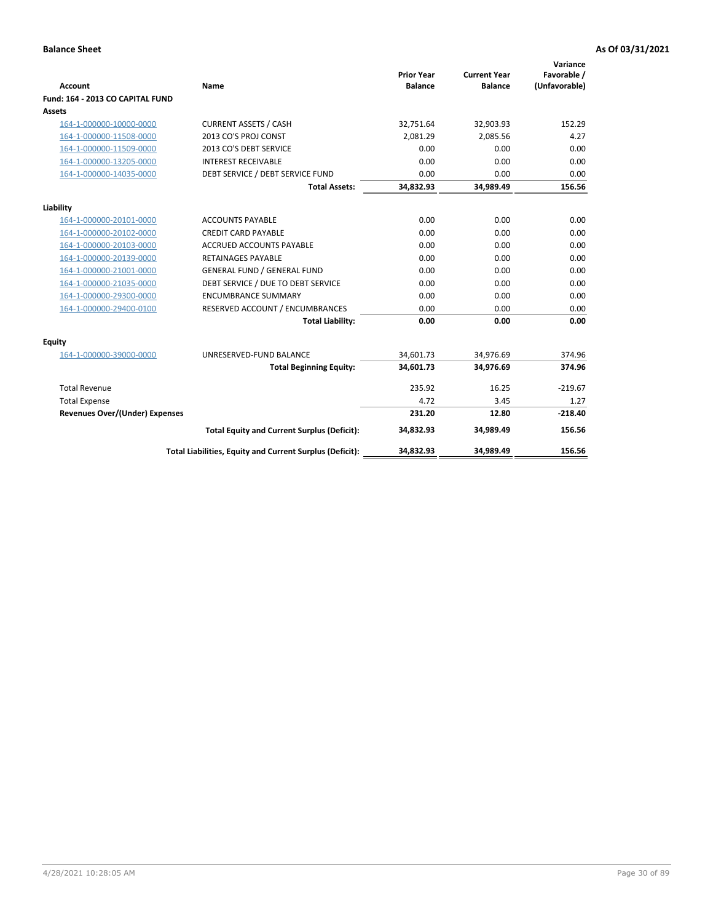| <b>Account</b>                        | <b>Name</b>                                              | <b>Prior Year</b><br><b>Balance</b> | <b>Current Year</b><br><b>Balance</b> | Variance<br>Favorable /<br>(Unfavorable) |
|---------------------------------------|----------------------------------------------------------|-------------------------------------|---------------------------------------|------------------------------------------|
| Fund: 164 - 2013 CO CAPITAL FUND      |                                                          |                                     |                                       |                                          |
| Assets                                |                                                          |                                     |                                       |                                          |
| 164-1-000000-10000-0000               | <b>CURRENT ASSETS / CASH</b>                             | 32,751.64                           | 32,903.93                             | 152.29                                   |
| 164-1-000000-11508-0000               | 2013 CO'S PROJ CONST                                     | 2,081.29                            | 2,085.56                              | 4.27                                     |
| 164-1-000000-11509-0000               | 2013 CO'S DEBT SERVICE                                   | 0.00                                | 0.00                                  | 0.00                                     |
| 164-1-000000-13205-0000               | <b>INTEREST RECEIVABLE</b>                               | 0.00                                | 0.00                                  | 0.00                                     |
| 164-1-000000-14035-0000               | DEBT SERVICE / DEBT SERVICE FUND                         | 0.00                                | 0.00                                  | 0.00                                     |
|                                       | <b>Total Assets:</b>                                     | 34,832.93                           | 34,989.49                             | 156.56                                   |
| Liability                             |                                                          |                                     |                                       |                                          |
| 164-1-000000-20101-0000               | <b>ACCOUNTS PAYABLE</b>                                  | 0.00                                | 0.00                                  | 0.00                                     |
| 164-1-000000-20102-0000               | <b>CREDIT CARD PAYABLE</b>                               | 0.00                                | 0.00                                  | 0.00                                     |
| 164-1-000000-20103-0000               | <b>ACCRUED ACCOUNTS PAYABLE</b>                          | 0.00                                | 0.00                                  | 0.00                                     |
| 164-1-000000-20139-0000               | <b>RETAINAGES PAYABLE</b>                                | 0.00                                | 0.00                                  | 0.00                                     |
| 164-1-000000-21001-0000               | <b>GENERAL FUND / GENERAL FUND</b>                       | 0.00                                | 0.00                                  | 0.00                                     |
| 164-1-000000-21035-0000               | DEBT SERVICE / DUE TO DEBT SERVICE                       | 0.00                                | 0.00                                  | 0.00                                     |
| 164-1-000000-29300-0000               | <b>ENCUMBRANCE SUMMARY</b>                               | 0.00                                | 0.00                                  | 0.00                                     |
| 164-1-000000-29400-0100               | RESERVED ACCOUNT / ENCUMBRANCES                          | 0.00                                | 0.00                                  | 0.00                                     |
|                                       | <b>Total Liability:</b>                                  | 0.00                                | 0.00                                  | 0.00                                     |
| Equity                                |                                                          |                                     |                                       |                                          |
| 164-1-000000-39000-0000               | UNRESERVED-FUND BALANCE                                  | 34,601.73                           | 34,976.69                             | 374.96                                   |
|                                       | <b>Total Beginning Equity:</b>                           | 34,601.73                           | 34,976.69                             | 374.96                                   |
| <b>Total Revenue</b>                  |                                                          | 235.92                              | 16.25                                 | $-219.67$                                |
| <b>Total Expense</b>                  |                                                          | 4.72                                | 3.45                                  | 1.27                                     |
| <b>Revenues Over/(Under) Expenses</b> |                                                          | 231.20                              | 12.80                                 | $-218.40$                                |
|                                       | <b>Total Equity and Current Surplus (Deficit):</b>       | 34,832.93                           | 34,989.49                             | 156.56                                   |
|                                       | Total Liabilities, Equity and Current Surplus (Deficit): | 34,832.93                           | 34,989.49                             | 156.56                                   |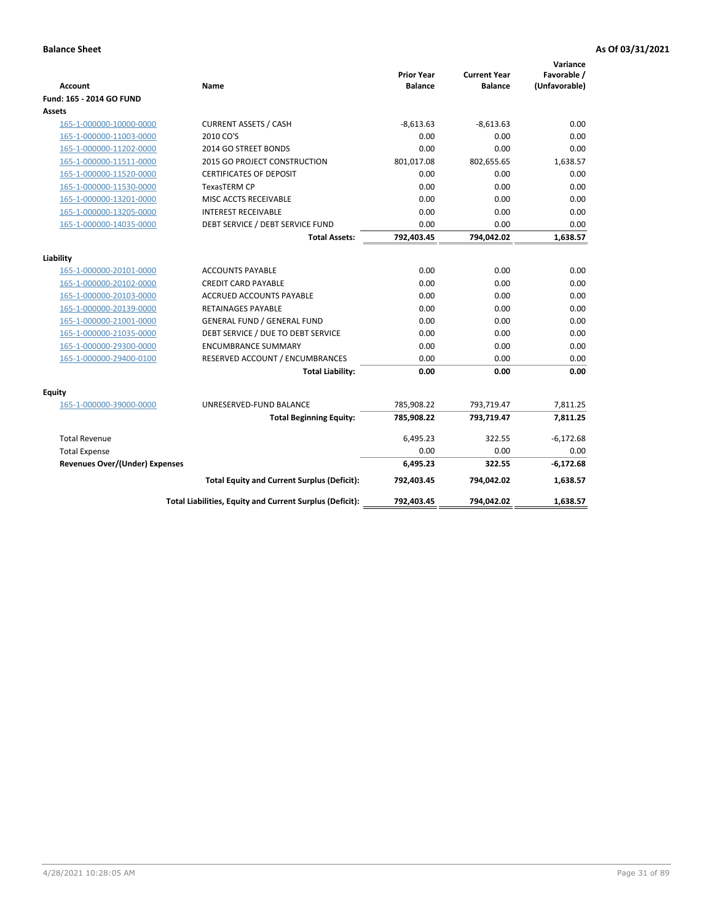| <b>Account</b>                        | Name                                                     | <b>Prior Year</b><br><b>Balance</b> | <b>Current Year</b><br><b>Balance</b> | Variance<br>Favorable /<br>(Unfavorable) |
|---------------------------------------|----------------------------------------------------------|-------------------------------------|---------------------------------------|------------------------------------------|
| Fund: 165 - 2014 GO FUND              |                                                          |                                     |                                       |                                          |
| Assets                                |                                                          |                                     |                                       |                                          |
| 165-1-000000-10000-0000               | <b>CURRENT ASSETS / CASH</b>                             | $-8,613.63$                         | $-8,613.63$                           | 0.00                                     |
| 165-1-000000-11003-0000               | 2010 CO'S                                                | 0.00                                | 0.00                                  | 0.00                                     |
| 165-1-000000-11202-0000               | 2014 GO STREET BONDS                                     | 0.00                                | 0.00                                  | 0.00                                     |
| 165-1-000000-11511-0000               | 2015 GO PROJECT CONSTRUCTION                             | 801,017.08                          | 802,655.65                            | 1,638.57                                 |
| 165-1-000000-11520-0000               | <b>CERTIFICATES OF DEPOSIT</b>                           | 0.00                                | 0.00                                  | 0.00                                     |
| 165-1-000000-11530-0000               | <b>TexasTERM CP</b>                                      | 0.00                                | 0.00                                  | 0.00                                     |
| 165-1-000000-13201-0000               | MISC ACCTS RECEIVABLE                                    | 0.00                                | 0.00                                  | 0.00                                     |
| 165-1-000000-13205-0000               | <b>INTEREST RECEIVABLE</b>                               | 0.00                                | 0.00                                  | 0.00                                     |
| 165-1-000000-14035-0000               | DEBT SERVICE / DEBT SERVICE FUND                         | 0.00                                | 0.00                                  | 0.00                                     |
|                                       | <b>Total Assets:</b>                                     | 792,403.45                          | 794,042.02                            | 1,638.57                                 |
| Liability                             |                                                          |                                     |                                       |                                          |
| 165-1-000000-20101-0000               | <b>ACCOUNTS PAYABLE</b>                                  | 0.00                                | 0.00                                  | 0.00                                     |
| 165-1-000000-20102-0000               | <b>CREDIT CARD PAYABLE</b>                               | 0.00                                | 0.00                                  | 0.00                                     |
| 165-1-000000-20103-0000               | <b>ACCRUED ACCOUNTS PAYABLE</b>                          | 0.00                                | 0.00                                  | 0.00                                     |
| 165-1-000000-20139-0000               | <b>RETAINAGES PAYABLE</b>                                | 0.00                                | 0.00                                  | 0.00                                     |
| 165-1-000000-21001-0000               | <b>GENERAL FUND / GENERAL FUND</b>                       | 0.00                                | 0.00                                  | 0.00                                     |
| 165-1-000000-21035-0000               | DEBT SERVICE / DUE TO DEBT SERVICE                       | 0.00                                | 0.00                                  | 0.00                                     |
| 165-1-000000-29300-0000               | <b>ENCUMBRANCE SUMMARY</b>                               | 0.00                                | 0.00                                  | 0.00                                     |
| 165-1-000000-29400-0100               | RESERVED ACCOUNT / ENCUMBRANCES                          | 0.00                                | 0.00                                  | 0.00                                     |
|                                       | <b>Total Liability:</b>                                  | 0.00                                | 0.00                                  | 0.00                                     |
| Fquity                                |                                                          |                                     |                                       |                                          |
| 165-1-000000-39000-0000               | UNRESERVED-FUND BALANCE                                  | 785,908.22                          | 793,719.47                            | 7,811.25                                 |
|                                       | <b>Total Beginning Equity:</b>                           | 785,908.22                          | 793,719.47                            | 7,811.25                                 |
| <b>Total Revenue</b>                  |                                                          | 6,495.23                            | 322.55                                | $-6,172.68$                              |
| <b>Total Expense</b>                  |                                                          | 0.00                                | 0.00                                  | 0.00                                     |
| <b>Revenues Over/(Under) Expenses</b> |                                                          | 6,495.23                            | 322.55                                | $-6,172.68$                              |
|                                       | <b>Total Equity and Current Surplus (Deficit):</b>       | 792,403.45                          | 794,042.02                            | 1,638.57                                 |
|                                       | Total Liabilities, Equity and Current Surplus (Deficit): | 792,403.45                          | 794,042.02                            | 1.638.57                                 |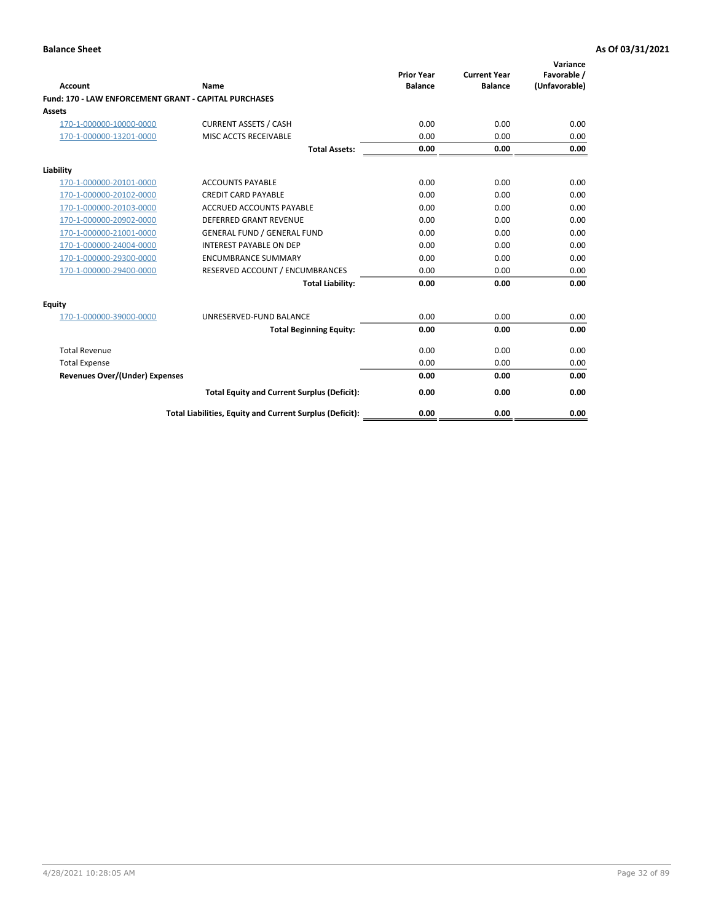| <b>Account</b>                                               | Name                                                     | <b>Prior Year</b><br><b>Balance</b> | <b>Current Year</b><br><b>Balance</b> | Variance<br>Favorable /<br>(Unfavorable) |
|--------------------------------------------------------------|----------------------------------------------------------|-------------------------------------|---------------------------------------|------------------------------------------|
| <b>Fund: 170 - LAW ENFORCEMENT GRANT - CAPITAL PURCHASES</b> |                                                          |                                     |                                       |                                          |
| Assets                                                       |                                                          |                                     |                                       |                                          |
| 170-1-000000-10000-0000                                      | <b>CURRENT ASSETS / CASH</b>                             | 0.00                                | 0.00                                  | 0.00                                     |
| 170-1-000000-13201-0000                                      | MISC ACCTS RECEIVABLE                                    | 0.00                                | 0.00                                  | 0.00                                     |
|                                                              | <b>Total Assets:</b>                                     | 0.00                                | 0.00                                  | 0.00                                     |
| Liability                                                    |                                                          |                                     |                                       |                                          |
| 170-1-000000-20101-0000                                      | <b>ACCOUNTS PAYABLE</b>                                  | 0.00                                | 0.00                                  | 0.00                                     |
| 170-1-000000-20102-0000                                      | <b>CREDIT CARD PAYABLE</b>                               | 0.00                                | 0.00                                  | 0.00                                     |
| 170-1-000000-20103-0000                                      | <b>ACCRUED ACCOUNTS PAYABLE</b>                          | 0.00                                | 0.00                                  | 0.00                                     |
| 170-1-000000-20902-0000                                      | <b>DEFERRED GRANT REVENUE</b>                            | 0.00                                | 0.00                                  | 0.00                                     |
| 170-1-000000-21001-0000                                      | <b>GENERAL FUND / GENERAL FUND</b>                       | 0.00                                | 0.00                                  | 0.00                                     |
| 170-1-000000-24004-0000                                      | <b>INTEREST PAYABLE ON DEP</b>                           | 0.00                                | 0.00                                  | 0.00                                     |
| 170-1-000000-29300-0000                                      | <b>ENCUMBRANCE SUMMARY</b>                               | 0.00                                | 0.00                                  | 0.00                                     |
| 170-1-000000-29400-0000                                      | RESERVED ACCOUNT / ENCUMBRANCES                          | 0.00                                | 0.00                                  | 0.00                                     |
|                                                              | <b>Total Liability:</b>                                  | 0.00                                | 0.00                                  | 0.00                                     |
| <b>Equity</b>                                                |                                                          |                                     |                                       |                                          |
| 170-1-000000-39000-0000                                      | UNRESERVED-FUND BALANCE                                  | 0.00                                | 0.00                                  | 0.00                                     |
|                                                              | <b>Total Beginning Equity:</b>                           | 0.00                                | 0.00                                  | 0.00                                     |
| <b>Total Revenue</b>                                         |                                                          | 0.00                                | 0.00                                  | 0.00                                     |
| <b>Total Expense</b>                                         |                                                          | 0.00                                | 0.00                                  | 0.00                                     |
| <b>Revenues Over/(Under) Expenses</b>                        |                                                          | 0.00                                | 0.00                                  | 0.00                                     |
|                                                              | <b>Total Equity and Current Surplus (Deficit):</b>       | 0.00                                | 0.00                                  | 0.00                                     |
|                                                              | Total Liabilities, Equity and Current Surplus (Deficit): | 0.00                                | 0.00                                  | 0.00                                     |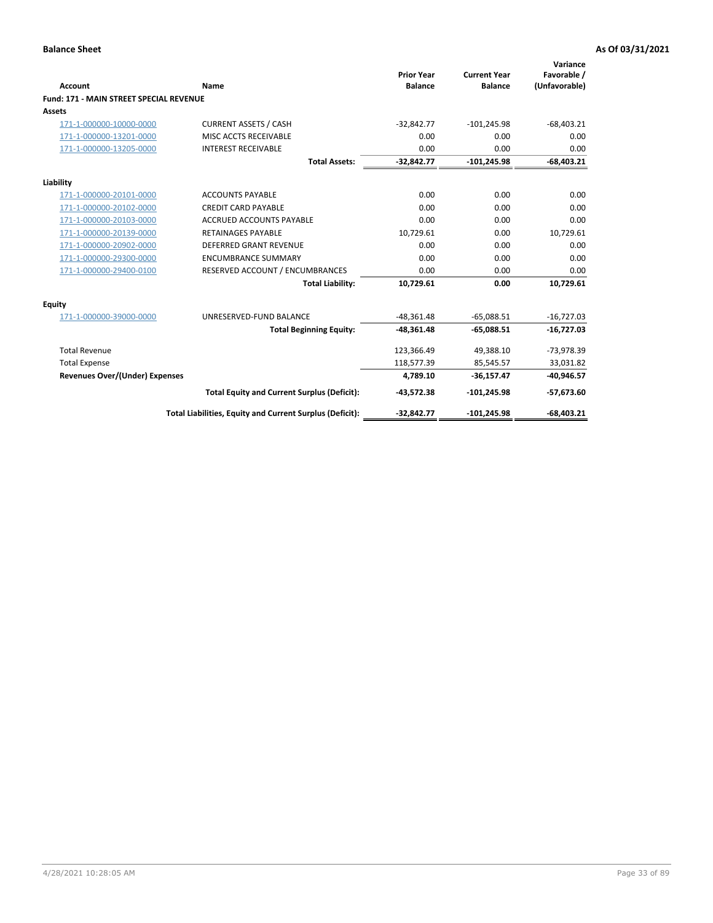| Account                                        | Name                                                     | <b>Prior Year</b><br><b>Balance</b> | <b>Current Year</b><br><b>Balance</b> | Variance<br>Favorable /<br>(Unfavorable) |
|------------------------------------------------|----------------------------------------------------------|-------------------------------------|---------------------------------------|------------------------------------------|
| <b>Fund: 171 - MAIN STREET SPECIAL REVENUE</b> |                                                          |                                     |                                       |                                          |
| Assets                                         |                                                          |                                     |                                       |                                          |
| 171-1-000000-10000-0000                        | <b>CURRENT ASSETS / CASH</b>                             | $-32,842.77$                        | $-101,245.98$                         | $-68,403.21$                             |
| 171-1-000000-13201-0000                        | MISC ACCTS RECEIVABLE                                    | 0.00                                | 0.00                                  | 0.00                                     |
| 171-1-000000-13205-0000                        | <b>INTEREST RECEIVABLE</b>                               | 0.00                                | 0.00                                  | 0.00                                     |
|                                                | <b>Total Assets:</b>                                     | $-32,842.77$                        | $-101,245.98$                         | $-68,403.21$                             |
| Liability                                      |                                                          |                                     |                                       |                                          |
| 171-1-000000-20101-0000                        | <b>ACCOUNTS PAYABLE</b>                                  | 0.00                                | 0.00                                  | 0.00                                     |
| 171-1-000000-20102-0000                        | <b>CREDIT CARD PAYABLE</b>                               | 0.00                                | 0.00                                  | 0.00                                     |
| 171-1-000000-20103-0000                        | <b>ACCRUED ACCOUNTS PAYABLE</b>                          | 0.00                                | 0.00                                  | 0.00                                     |
| 171-1-000000-20139-0000                        | <b>RETAINAGES PAYABLE</b>                                | 10,729.61                           | 0.00                                  | 10,729.61                                |
| 171-1-000000-20902-0000                        | <b>DEFERRED GRANT REVENUE</b>                            | 0.00                                | 0.00                                  | 0.00                                     |
| 171-1-000000-29300-0000                        | <b>ENCUMBRANCE SUMMARY</b>                               | 0.00                                | 0.00                                  | 0.00                                     |
| 171-1-000000-29400-0100                        | RESERVED ACCOUNT / ENCUMBRANCES                          | 0.00                                | 0.00                                  | 0.00                                     |
|                                                | <b>Total Liability:</b>                                  | 10,729.61                           | 0.00                                  | 10,729.61                                |
| <b>Equity</b>                                  |                                                          |                                     |                                       |                                          |
| 171-1-000000-39000-0000                        | UNRESERVED-FUND BALANCE                                  | $-48.361.48$                        | $-65.088.51$                          | $-16,727.03$                             |
|                                                | <b>Total Beginning Equity:</b>                           | $-48,361.48$                        | $-65,088.51$                          | $-16,727.03$                             |
| <b>Total Revenue</b>                           |                                                          | 123,366.49                          | 49,388.10                             | $-73,978.39$                             |
| <b>Total Expense</b>                           |                                                          | 118,577.39                          | 85,545.57                             | 33,031.82                                |
| Revenues Over/(Under) Expenses                 |                                                          | 4,789.10                            | $-36,157.47$                          | $-40,946.57$                             |
|                                                | <b>Total Equity and Current Surplus (Deficit):</b>       | $-43,572.38$                        | $-101,245.98$                         | $-57,673.60$                             |
|                                                | Total Liabilities, Equity and Current Surplus (Deficit): | $-32.842.77$                        | $-101,245.98$                         | $-68.403.21$                             |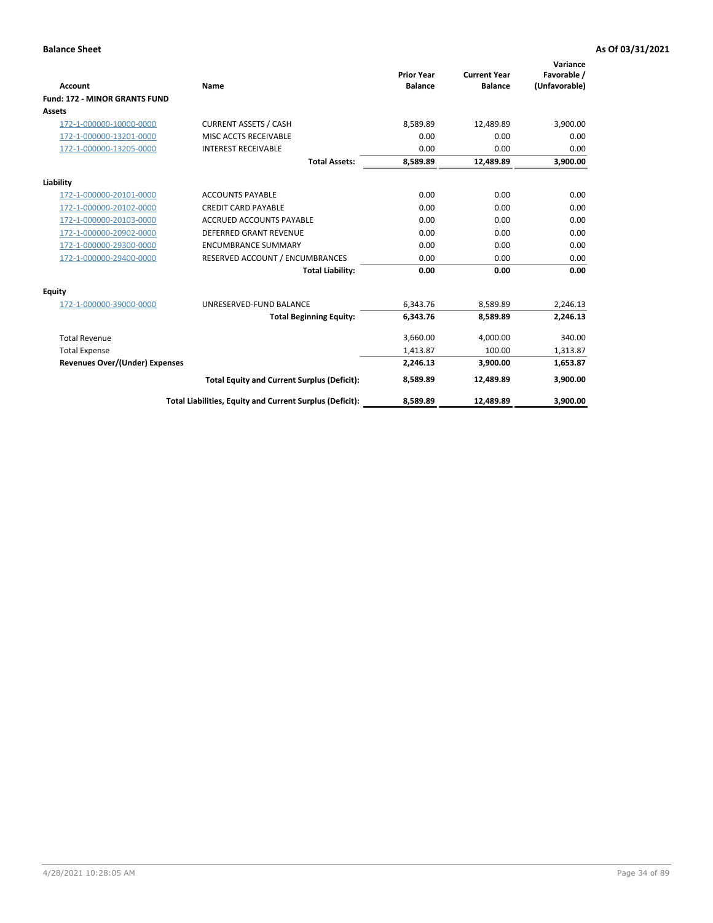| <b>Account</b>                        | Name                                                     | <b>Prior Year</b><br><b>Balance</b> | <b>Current Year</b><br><b>Balance</b> | Variance<br>Favorable /<br>(Unfavorable) |
|---------------------------------------|----------------------------------------------------------|-------------------------------------|---------------------------------------|------------------------------------------|
| <b>Fund: 172 - MINOR GRANTS FUND</b>  |                                                          |                                     |                                       |                                          |
| <b>Assets</b>                         |                                                          |                                     |                                       |                                          |
| 172-1-000000-10000-0000               | <b>CURRENT ASSETS / CASH</b>                             | 8,589.89                            | 12,489.89                             | 3,900.00                                 |
| 172-1-000000-13201-0000               | MISC ACCTS RECEIVABLE                                    | 0.00                                | 0.00                                  | 0.00                                     |
| 172-1-000000-13205-0000               | <b>INTEREST RECEIVABLE</b>                               | 0.00                                | 0.00                                  | 0.00                                     |
|                                       | <b>Total Assets:</b>                                     | 8,589.89                            | 12,489.89                             | 3,900.00                                 |
| Liability                             |                                                          |                                     |                                       |                                          |
| 172-1-000000-20101-0000               | <b>ACCOUNTS PAYABLE</b>                                  | 0.00                                | 0.00                                  | 0.00                                     |
| 172-1-000000-20102-0000               | <b>CREDIT CARD PAYABLE</b>                               | 0.00                                | 0.00                                  | 0.00                                     |
| 172-1-000000-20103-0000               | <b>ACCRUED ACCOUNTS PAYABLE</b>                          | 0.00                                | 0.00                                  | 0.00                                     |
| 172-1-000000-20902-0000               | <b>DEFERRED GRANT REVENUE</b>                            | 0.00                                | 0.00                                  | 0.00                                     |
| 172-1-000000-29300-0000               | <b>ENCUMBRANCE SUMMARY</b>                               | 0.00                                | 0.00                                  | 0.00                                     |
| 172-1-000000-29400-0000               | RESERVED ACCOUNT / ENCUMBRANCES                          | 0.00                                | 0.00                                  | 0.00                                     |
|                                       | <b>Total Liability:</b>                                  | 0.00                                | 0.00                                  | 0.00                                     |
| Equity                                |                                                          |                                     |                                       |                                          |
| 172-1-000000-39000-0000               | UNRESERVED-FUND BALANCE                                  | 6,343.76                            | 8,589.89                              | 2,246.13                                 |
|                                       | <b>Total Beginning Equity:</b>                           | 6,343.76                            | 8,589.89                              | 2,246.13                                 |
| <b>Total Revenue</b>                  |                                                          | 3,660.00                            | 4,000.00                              | 340.00                                   |
| <b>Total Expense</b>                  |                                                          | 1,413.87                            | 100.00                                | 1,313.87                                 |
| <b>Revenues Over/(Under) Expenses</b> |                                                          | 2,246.13                            | 3,900.00                              | 1,653.87                                 |
|                                       | <b>Total Equity and Current Surplus (Deficit):</b>       | 8,589.89                            | 12.489.89                             | 3,900.00                                 |
|                                       | Total Liabilities, Equity and Current Surplus (Deficit): | 8,589.89                            | 12,489.89                             | 3,900.00                                 |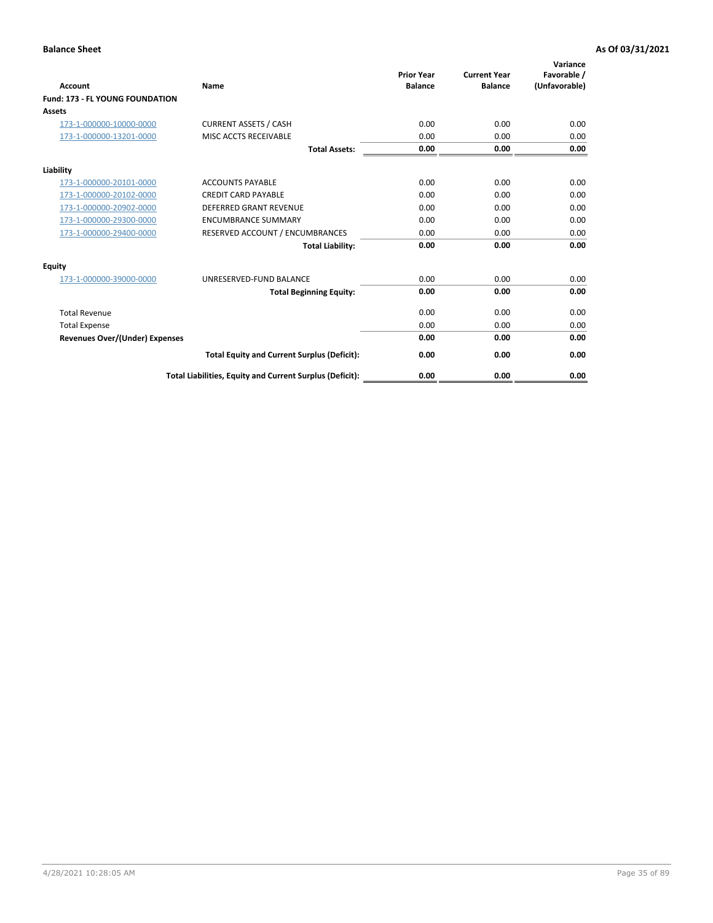| <b>Account</b>                         | <b>Name</b>                                              | <b>Prior Year</b><br><b>Balance</b> | <b>Current Year</b><br><b>Balance</b> | Variance<br>Favorable /<br>(Unfavorable) |
|----------------------------------------|----------------------------------------------------------|-------------------------------------|---------------------------------------|------------------------------------------|
| <b>Fund: 173 - FL YOUNG FOUNDATION</b> |                                                          |                                     |                                       |                                          |
| Assets                                 |                                                          |                                     |                                       |                                          |
| 173-1-000000-10000-0000                | <b>CURRENT ASSETS / CASH</b>                             | 0.00                                | 0.00                                  | 0.00                                     |
| 173-1-000000-13201-0000                | MISC ACCTS RECEIVABLE                                    | 0.00                                | 0.00                                  | 0.00                                     |
|                                        | <b>Total Assets:</b>                                     | 0.00                                | 0.00                                  | 0.00                                     |
| Liability                              |                                                          |                                     |                                       |                                          |
| 173-1-000000-20101-0000                | <b>ACCOUNTS PAYABLE</b>                                  | 0.00                                | 0.00                                  | 0.00                                     |
| 173-1-000000-20102-0000                | <b>CREDIT CARD PAYABLE</b>                               | 0.00                                | 0.00                                  | 0.00                                     |
| 173-1-000000-20902-0000                | <b>DEFERRED GRANT REVENUE</b>                            | 0.00                                | 0.00                                  | 0.00                                     |
| 173-1-000000-29300-0000                | <b>ENCUMBRANCE SUMMARY</b>                               | 0.00                                | 0.00                                  | 0.00                                     |
| 173-1-000000-29400-0000                | RESERVED ACCOUNT / ENCUMBRANCES                          | 0.00                                | 0.00                                  | 0.00                                     |
|                                        | <b>Total Liability:</b>                                  | 0.00                                | 0.00                                  | 0.00                                     |
| Equity                                 |                                                          |                                     |                                       |                                          |
| 173-1-000000-39000-0000                | UNRESERVED-FUND BALANCE                                  | 0.00                                | 0.00                                  | 0.00                                     |
|                                        | <b>Total Beginning Equity:</b>                           | 0.00                                | 0.00                                  | 0.00                                     |
| <b>Total Revenue</b>                   |                                                          | 0.00                                | 0.00                                  | 0.00                                     |
| <b>Total Expense</b>                   |                                                          | 0.00                                | 0.00                                  | 0.00                                     |
| <b>Revenues Over/(Under) Expenses</b>  |                                                          | 0.00                                | 0.00                                  | 0.00                                     |
|                                        | <b>Total Equity and Current Surplus (Deficit):</b>       | 0.00                                | 0.00                                  | 0.00                                     |
|                                        | Total Liabilities, Equity and Current Surplus (Deficit): | 0.00                                | 0.00                                  | 0.00                                     |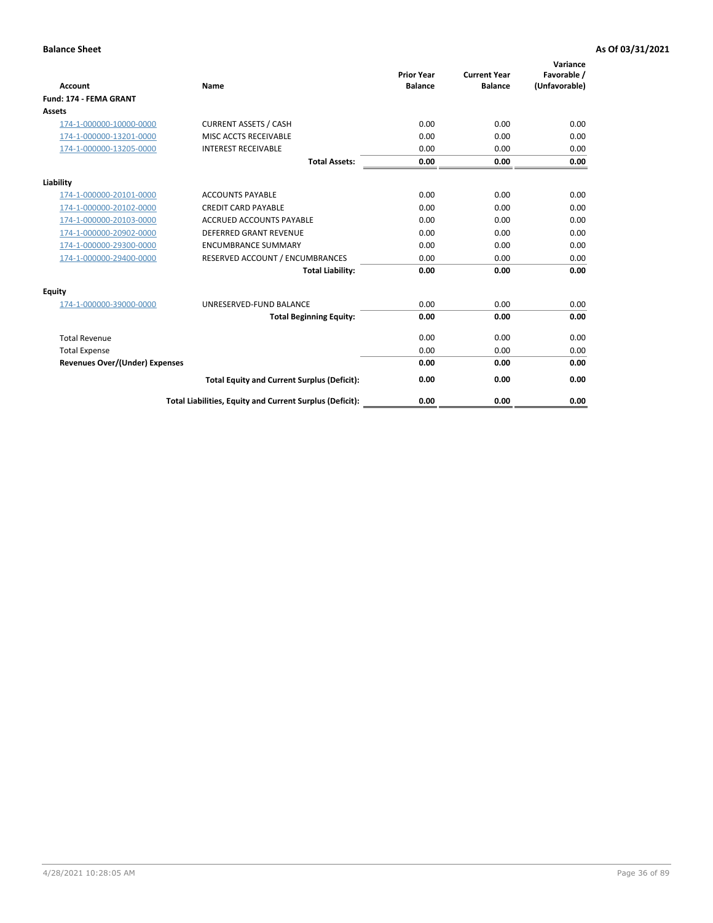|                                |                                                          |                                     |                                       | Variance                     |
|--------------------------------|----------------------------------------------------------|-------------------------------------|---------------------------------------|------------------------------|
| <b>Account</b>                 | Name                                                     | <b>Prior Year</b><br><b>Balance</b> | <b>Current Year</b><br><b>Balance</b> | Favorable /<br>(Unfavorable) |
| Fund: 174 - FEMA GRANT         |                                                          |                                     |                                       |                              |
| Assets                         |                                                          |                                     |                                       |                              |
| 174-1-000000-10000-0000        | <b>CURRENT ASSETS / CASH</b>                             | 0.00                                | 0.00                                  | 0.00                         |
| 174-1-000000-13201-0000        | MISC ACCTS RECEIVABLE                                    | 0.00                                | 0.00                                  | 0.00                         |
| 174-1-000000-13205-0000        | <b>INTEREST RECEIVABLE</b>                               | 0.00                                | 0.00                                  | 0.00                         |
|                                | <b>Total Assets:</b>                                     | 0.00                                | 0.00                                  | 0.00                         |
| Liability                      |                                                          |                                     |                                       |                              |
| 174-1-000000-20101-0000        | <b>ACCOUNTS PAYABLE</b>                                  | 0.00                                | 0.00                                  | 0.00                         |
| 174-1-000000-20102-0000        | <b>CREDIT CARD PAYABLE</b>                               | 0.00                                | 0.00                                  | 0.00                         |
| 174-1-000000-20103-0000        | <b>ACCRUED ACCOUNTS PAYABLE</b>                          | 0.00                                | 0.00                                  | 0.00                         |
| 174-1-000000-20902-0000        | <b>DEFERRED GRANT REVENUE</b>                            | 0.00                                | 0.00                                  | 0.00                         |
| 174-1-000000-29300-0000        | <b>ENCUMBRANCE SUMMARY</b>                               | 0.00                                | 0.00                                  | 0.00                         |
| 174-1-000000-29400-0000        | RESERVED ACCOUNT / ENCUMBRANCES                          | 0.00                                | 0.00                                  | 0.00                         |
|                                | <b>Total Liability:</b>                                  | 0.00                                | 0.00                                  | 0.00                         |
| Equity                         |                                                          |                                     |                                       |                              |
| 174-1-000000-39000-0000        | UNRESERVED-FUND BALANCE                                  | 0.00                                | 0.00                                  | 0.00                         |
|                                | <b>Total Beginning Equity:</b>                           | 0.00                                | 0.00                                  | 0.00                         |
| <b>Total Revenue</b>           |                                                          | 0.00                                | 0.00                                  | 0.00                         |
| <b>Total Expense</b>           |                                                          | 0.00                                | 0.00                                  | 0.00                         |
| Revenues Over/(Under) Expenses |                                                          | 0.00                                | 0.00                                  | 0.00                         |
|                                | <b>Total Equity and Current Surplus (Deficit):</b>       | 0.00                                | 0.00                                  | 0.00                         |
|                                | Total Liabilities, Equity and Current Surplus (Deficit): | 0.00                                | 0.00                                  | 0.00                         |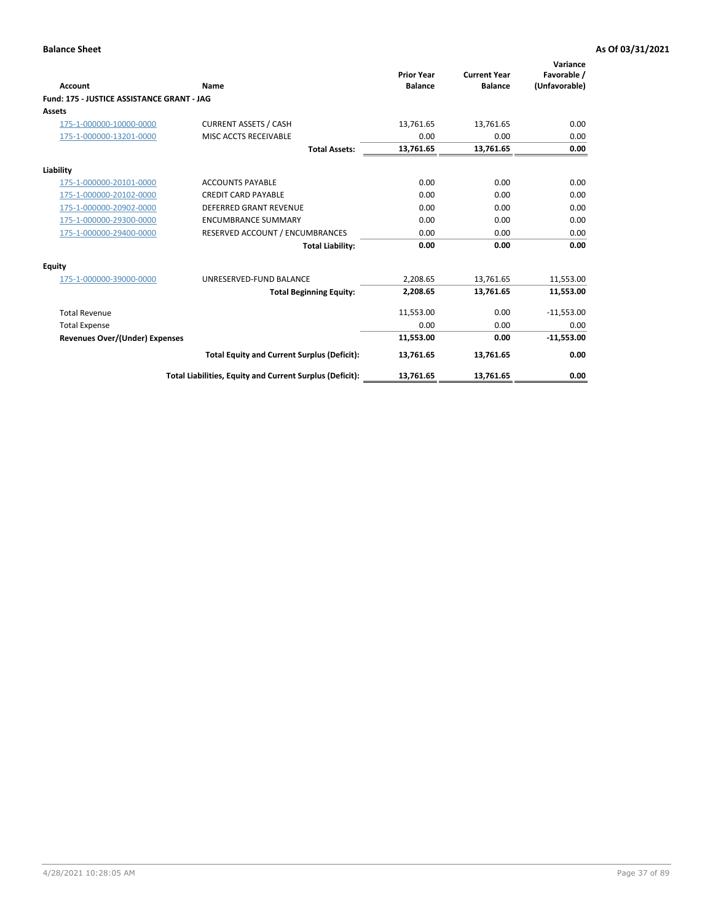|                                            |                                                          | <b>Prior Year</b> | <b>Current Year</b> | Variance<br>Favorable / |
|--------------------------------------------|----------------------------------------------------------|-------------------|---------------------|-------------------------|
| Account                                    | Name                                                     | <b>Balance</b>    | <b>Balance</b>      | (Unfavorable)           |
| Fund: 175 - JUSTICE ASSISTANCE GRANT - JAG |                                                          |                   |                     |                         |
| Assets                                     |                                                          |                   |                     |                         |
| 175-1-000000-10000-0000                    | <b>CURRENT ASSETS / CASH</b>                             | 13,761.65         | 13,761.65           | 0.00                    |
| 175-1-000000-13201-0000                    | MISC ACCTS RECEIVABLE                                    | 0.00              | 0.00                | 0.00                    |
|                                            | <b>Total Assets:</b>                                     | 13,761.65         | 13,761.65           | 0.00                    |
| Liability                                  |                                                          |                   |                     |                         |
| 175-1-000000-20101-0000                    | <b>ACCOUNTS PAYABLE</b>                                  | 0.00              | 0.00                | 0.00                    |
| 175-1-000000-20102-0000                    | <b>CREDIT CARD PAYABLE</b>                               | 0.00              | 0.00                | 0.00                    |
| 175-1-000000-20902-0000                    | <b>DEFERRED GRANT REVENUE</b>                            | 0.00              | 0.00                | 0.00                    |
| 175-1-000000-29300-0000                    | <b>ENCUMBRANCE SUMMARY</b>                               | 0.00              | 0.00                | 0.00                    |
| 175-1-000000-29400-0000                    | RESERVED ACCOUNT / ENCUMBRANCES                          | 0.00              | 0.00                | 0.00                    |
|                                            | <b>Total Liability:</b>                                  | 0.00              | 0.00                | 0.00                    |
| Equity                                     |                                                          |                   |                     |                         |
| 175-1-000000-39000-0000                    | UNRESERVED-FUND BALANCE                                  | 2,208.65          | 13,761.65           | 11,553.00               |
|                                            | <b>Total Beginning Equity:</b>                           | 2,208.65          | 13,761.65           | 11,553.00               |
| <b>Total Revenue</b>                       |                                                          | 11,553.00         | 0.00                | $-11,553.00$            |
| <b>Total Expense</b>                       |                                                          | 0.00              | 0.00                | 0.00                    |
| <b>Revenues Over/(Under) Expenses</b>      |                                                          | 11,553.00         | 0.00                | $-11,553.00$            |
|                                            | <b>Total Equity and Current Surplus (Deficit):</b>       | 13,761.65         | 13,761.65           | 0.00                    |
|                                            | Total Liabilities, Equity and Current Surplus (Deficit): | 13,761.65         | 13,761.65           | 0.00                    |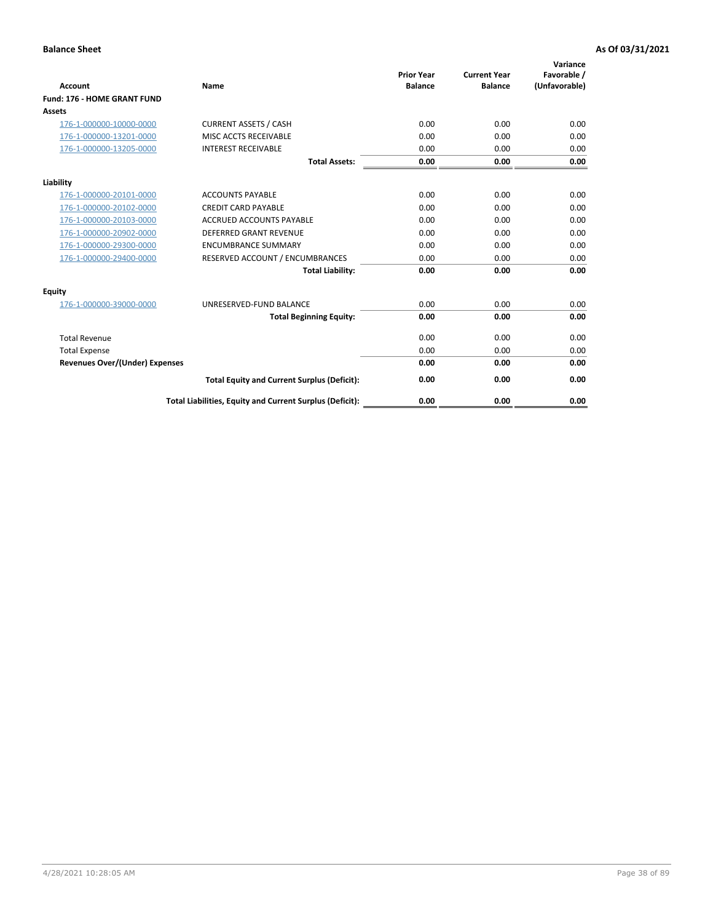|                                       |                                                          | <b>Prior Year</b> | <b>Current Year</b> | Variance<br>Favorable / |
|---------------------------------------|----------------------------------------------------------|-------------------|---------------------|-------------------------|
| <b>Account</b>                        | <b>Name</b>                                              | <b>Balance</b>    | <b>Balance</b>      | (Unfavorable)           |
| <b>Fund: 176 - HOME GRANT FUND</b>    |                                                          |                   |                     |                         |
| Assets                                |                                                          |                   |                     |                         |
| 176-1-000000-10000-0000               | <b>CURRENT ASSETS / CASH</b>                             | 0.00              | 0.00                | 0.00                    |
| 176-1-000000-13201-0000               | MISC ACCTS RECEIVABLE                                    | 0.00              | 0.00                | 0.00                    |
| 176-1-000000-13205-0000               | <b>INTEREST RECEIVABLE</b>                               | 0.00              | 0.00                | 0.00                    |
|                                       | <b>Total Assets:</b>                                     | 0.00              | 0.00                | 0.00                    |
| Liability                             |                                                          |                   |                     |                         |
| 176-1-000000-20101-0000               | <b>ACCOUNTS PAYABLE</b>                                  | 0.00              | 0.00                | 0.00                    |
| 176-1-000000-20102-0000               | <b>CREDIT CARD PAYABLE</b>                               | 0.00              | 0.00                | 0.00                    |
| 176-1-000000-20103-0000               | <b>ACCRUED ACCOUNTS PAYABLE</b>                          | 0.00              | 0.00                | 0.00                    |
| 176-1-000000-20902-0000               | <b>DEFERRED GRANT REVENUE</b>                            | 0.00              | 0.00                | 0.00                    |
| 176-1-000000-29300-0000               | <b>ENCUMBRANCE SUMMARY</b>                               | 0.00              | 0.00                | 0.00                    |
| 176-1-000000-29400-0000               | RESERVED ACCOUNT / ENCUMBRANCES                          | 0.00              | 0.00                | 0.00                    |
|                                       | <b>Total Liability:</b>                                  | 0.00              | 0.00                | 0.00                    |
| Equity                                |                                                          |                   |                     |                         |
| 176-1-000000-39000-0000               | UNRESERVED-FUND BALANCE                                  | 0.00              | 0.00                | 0.00                    |
|                                       | <b>Total Beginning Equity:</b>                           | 0.00              | 0.00                | 0.00                    |
| <b>Total Revenue</b>                  |                                                          | 0.00              | 0.00                | 0.00                    |
| <b>Total Expense</b>                  |                                                          | 0.00              | 0.00                | 0.00                    |
| <b>Revenues Over/(Under) Expenses</b> |                                                          | 0.00              | 0.00                | 0.00                    |
|                                       | <b>Total Equity and Current Surplus (Deficit):</b>       | 0.00              | 0.00                | 0.00                    |
|                                       | Total Liabilities, Equity and Current Surplus (Deficit): | 0.00              | 0.00                | 0.00                    |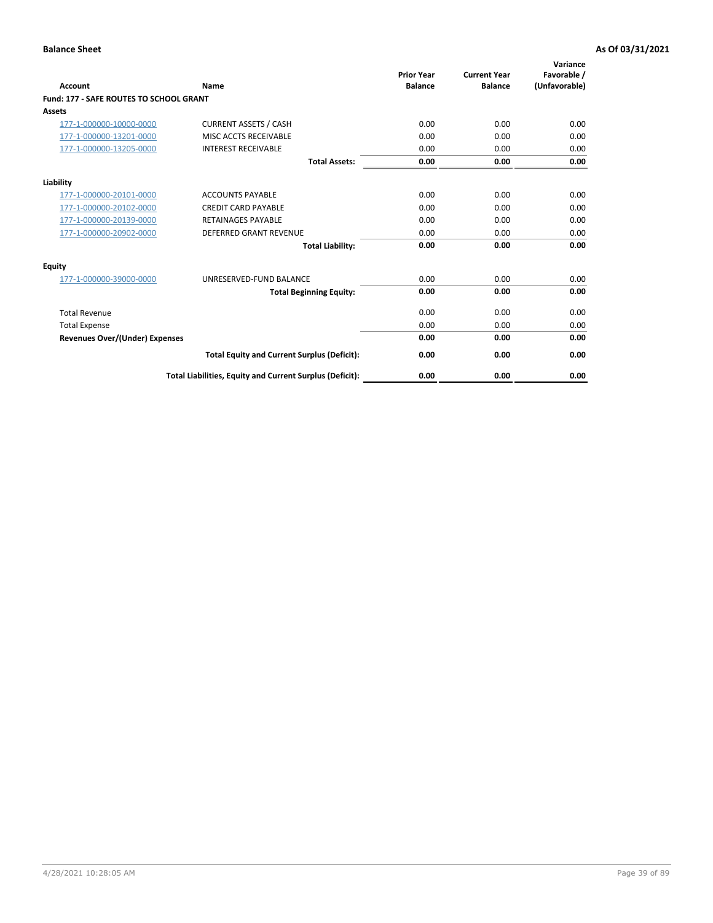| Account                                        | Name                                                     | <b>Prior Year</b><br><b>Balance</b> | <b>Current Year</b><br><b>Balance</b> | Variance<br>Favorable /<br>(Unfavorable) |
|------------------------------------------------|----------------------------------------------------------|-------------------------------------|---------------------------------------|------------------------------------------|
| <b>Fund: 177 - SAFE ROUTES TO SCHOOL GRANT</b> |                                                          |                                     |                                       |                                          |
| <b>Assets</b>                                  |                                                          |                                     |                                       |                                          |
| 177-1-000000-10000-0000                        | <b>CURRENT ASSETS / CASH</b>                             | 0.00                                | 0.00                                  | 0.00                                     |
| 177-1-000000-13201-0000                        | MISC ACCTS RECEIVABLE                                    | 0.00                                | 0.00                                  | 0.00                                     |
| 177-1-000000-13205-0000                        | <b>INTEREST RECEIVABLE</b>                               | 0.00                                | 0.00                                  | 0.00                                     |
|                                                | <b>Total Assets:</b>                                     | 0.00                                | 0.00                                  | 0.00                                     |
| Liability                                      |                                                          |                                     |                                       |                                          |
| 177-1-000000-20101-0000                        | <b>ACCOUNTS PAYABLE</b>                                  | 0.00                                | 0.00                                  | 0.00                                     |
| 177-1-000000-20102-0000                        | <b>CREDIT CARD PAYABLE</b>                               | 0.00                                | 0.00                                  | 0.00                                     |
| 177-1-000000-20139-0000                        | <b>RETAINAGES PAYABLE</b>                                | 0.00                                | 0.00                                  | 0.00                                     |
| 177-1-000000-20902-0000                        | <b>DEFERRED GRANT REVENUE</b>                            | 0.00                                | 0.00                                  | 0.00                                     |
|                                                | <b>Total Liability:</b>                                  | 0.00                                | 0.00                                  | 0.00                                     |
| Equity                                         |                                                          |                                     |                                       |                                          |
| 177-1-000000-39000-0000                        | UNRESERVED-FUND BALANCE                                  | 0.00                                | 0.00                                  | 0.00                                     |
|                                                | <b>Total Beginning Equity:</b>                           | 0.00                                | 0.00                                  | 0.00                                     |
| <b>Total Revenue</b>                           |                                                          | 0.00                                | 0.00                                  | 0.00                                     |
| <b>Total Expense</b>                           |                                                          | 0.00                                | 0.00                                  | 0.00                                     |
| Revenues Over/(Under) Expenses                 |                                                          | 0.00                                | 0.00                                  | 0.00                                     |
|                                                | <b>Total Equity and Current Surplus (Deficit):</b>       | 0.00                                | 0.00                                  | 0.00                                     |
|                                                | Total Liabilities, Equity and Current Surplus (Deficit): | 0.00                                | 0.00                                  | 0.00                                     |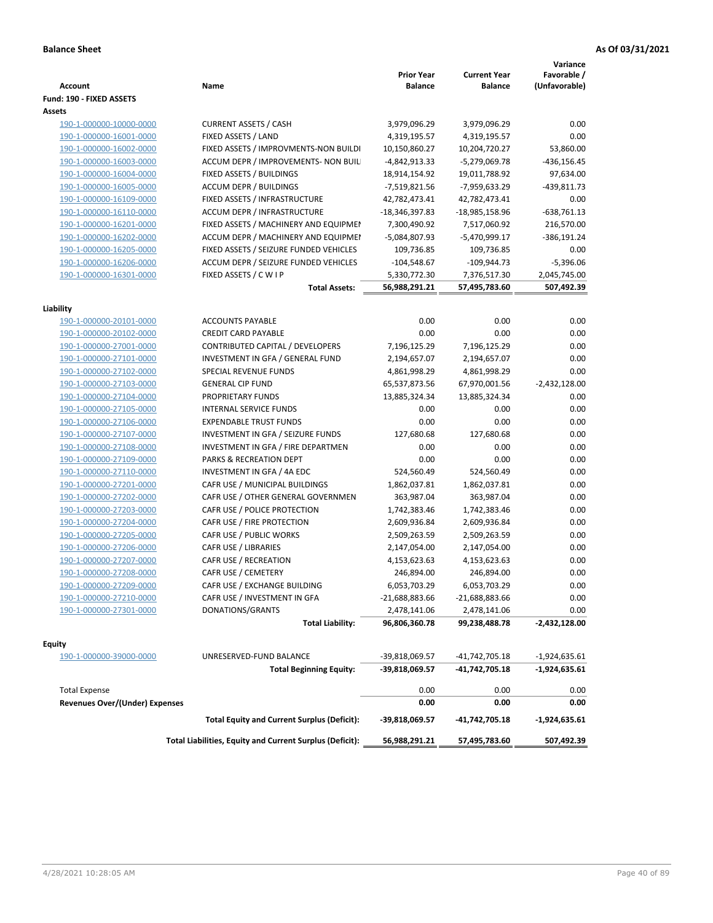| Fund: 190 - FIXED ASSETS<br>Assets                                                                 | 0.00<br>0.00    |
|----------------------------------------------------------------------------------------------------|-----------------|
|                                                                                                    |                 |
|                                                                                                    |                 |
| 190-1-000000-10000-0000<br><b>CURRENT ASSETS / CASH</b><br>3,979,096.29<br>3,979,096.29            |                 |
| 190-1-000000-16001-0000<br>FIXED ASSETS / LAND<br>4,319,195.57<br>4,319,195.57                     |                 |
| 190-1-000000-16002-0000<br>FIXED ASSETS / IMPROVMENTS-NON BUILDI<br>10,150,860.27<br>10,204,720.27 | 53,860.00       |
| 190-1-000000-16003-0000<br>ACCUM DEPR / IMPROVEMENTS- NON BUIL<br>-4,842,913.33<br>-5,279,069.78   | $-436, 156.45$  |
| FIXED ASSETS / BUILDINGS<br>190-1-000000-16004-0000<br>18,914,154.92<br>19,011,788.92              | 97,634.00       |
| 190-1-000000-16005-0000<br><b>ACCUM DEPR / BUILDINGS</b><br>-7,959,633.29<br>-7,519,821.56         | -439,811.73     |
| 190-1-000000-16109-0000<br>FIXED ASSETS / INFRASTRUCTURE<br>42,782,473.41<br>42,782,473.41         | 0.00            |
| 190-1-000000-16110-0000<br>ACCUM DEPR / INFRASTRUCTURE<br>-18,346,397.83<br>-18,985,158.96         | $-638,761.13$   |
| 190-1-000000-16201-0000<br>FIXED ASSETS / MACHINERY AND EQUIPMEN<br>7,300,490.92<br>7,517,060.92   | 216,570.00      |
| ACCUM DEPR / MACHINERY AND EQUIPMEI<br>190-1-000000-16202-0000<br>-5,084,807.93<br>-5,470,999.17   | -386,191.24     |
| FIXED ASSETS / SEIZURE FUNDED VEHICLES<br>190-1-000000-16205-0000<br>109,736.85<br>109,736.85      | 0.00            |
| 190-1-000000-16206-0000<br>ACCUM DEPR / SEIZURE FUNDED VEHICLES<br>$-104,548.67$<br>$-109,944.73$  | $-5,396.06$     |
| FIXED ASSETS / C W I P<br>190-1-000000-16301-0000<br>5,330,772.30<br>7,376,517.30                  | 2,045,745.00    |
| 56,988,291.21<br>57,495,783.60<br><b>Total Assets:</b>                                             | 507,492.39      |
|                                                                                                    |                 |
| Liability<br>0.00<br><b>ACCOUNTS PAYABLE</b><br>0.00<br>190-1-000000-20101-0000                    | 0.00            |
| 0.00<br>0.00<br>190-1-000000-20102-0000<br><b>CREDIT CARD PAYABLE</b>                              | 0.00            |
| 190-1-000000-27001-0000<br><b>CONTRIBUTED CAPITAL / DEVELOPERS</b><br>7,196,125.29<br>7,196,125.29 | 0.00            |
| 190-1-000000-27101-0000<br>INVESTMENT IN GFA / GENERAL FUND<br>2,194,657.07<br>2,194,657.07        | 0.00            |
| 190-1-000000-27102-0000<br>SPECIAL REVENUE FUNDS<br>4,861,998.29<br>4,861,998.29                   | 0.00            |
| <b>GENERAL CIP FUND</b><br>67,970,001.56<br>190-1-000000-27103-0000<br>65,537,873.56               | $-2,432,128.00$ |
| 190-1-000000-27104-0000<br>PROPRIETARY FUNDS<br>13,885,324.34<br>13,885,324.34                     | 0.00            |
| 190-1-000000-27105-0000<br><b>INTERNAL SERVICE FUNDS</b><br>0.00<br>0.00                           | 0.00            |
| 0.00<br>0.00<br>190-1-000000-27106-0000<br><b>EXPENDABLE TRUST FUNDS</b>                           | 0.00            |
| 190-1-000000-27107-0000<br>INVESTMENT IN GFA / SEIZURE FUNDS<br>127,680.68<br>127,680.68           | 0.00            |
| INVESTMENT IN GFA / FIRE DEPARTMEN<br>0.00<br>0.00<br>190-1-000000-27108-0000                      | 0.00            |
| 190-1-000000-27109-0000<br>PARKS & RECREATION DEPT<br>0.00<br>0.00                                 | 0.00            |
| 190-1-000000-27110-0000<br>INVESTMENT IN GFA / 4A EDC<br>524,560.49<br>524,560.49                  | 0.00            |
| 190-1-000000-27201-0000<br>CAFR USE / MUNICIPAL BUILDINGS<br>1,862,037.81<br>1,862,037.81          | 0.00            |
| 190-1-000000-27202-0000<br>CAFR USE / OTHER GENERAL GOVERNMEN<br>363,987.04<br>363,987.04          | 0.00            |
| CAFR USE / POLICE PROTECTION<br>190-1-000000-27203-0000<br>1,742,383.46<br>1,742,383.46            | 0.00            |
| CAFR USE / FIRE PROTECTION<br>2,609,936.84<br>190-1-000000-27204-0000<br>2,609,936.84              | 0.00            |
| 190-1-000000-27205-0000<br>CAFR USE / PUBLIC WORKS<br>2,509,263.59<br>2,509,263.59                 | 0.00            |
| CAFR USE / LIBRARIES<br>190-1-000000-27206-0000<br>2,147,054.00<br>2,147,054.00                    | 0.00            |
| 190-1-000000-27207-0000<br>CAFR USE / RECREATION<br>4,153,623.63<br>4,153,623.63                   | 0.00            |
| 190-1-000000-27208-0000<br>CAFR USE / CEMETERY<br>246,894.00<br>246,894.00                         | 0.00            |
| 190-1-000000-27209-0000<br>CAFR USE / EXCHANGE BUILDING<br>6,053,703.29<br>6,053,703.29            | 0.00            |
| CAFR USE / INVESTMENT IN GFA<br>190-1-000000-27210-0000<br>$-21,688,883.66$<br>$-21,688,883.66$    | 0.00            |
| 190-1-000000-27301-0000<br>DONATIONS/GRANTS<br>2,478,141.06<br>2,478,141.06                        | 0.00            |
| <b>Total Liability:</b><br>96,806,360.78<br>99,238,488.78                                          | -2,432,128.00   |
|                                                                                                    |                 |
| <b>Equity</b>                                                                                      |                 |
| 190-1-000000-39000-0000<br>UNRESERVED-FUND BALANCE<br>-39,818,069.57<br>-41,742,705.18             | $-1,924,635.61$ |
| <b>Total Beginning Equity:</b><br>-41,742,705.18<br>-39,818,069.57                                 | -1,924,635.61   |
| <b>Total Expense</b><br>0.00<br>0.00                                                               | 0.00            |
| Revenues Over/(Under) Expenses<br>0.00<br>0.00                                                     | 0.00            |
| <b>Total Equity and Current Surplus (Deficit):</b><br>-39,818,069.57<br>-41,742,705.18             | -1,924,635.61   |
| Total Liabilities, Equity and Current Surplus (Deficit):<br>56,988,291.21<br>57,495,783.60         | 507,492.39      |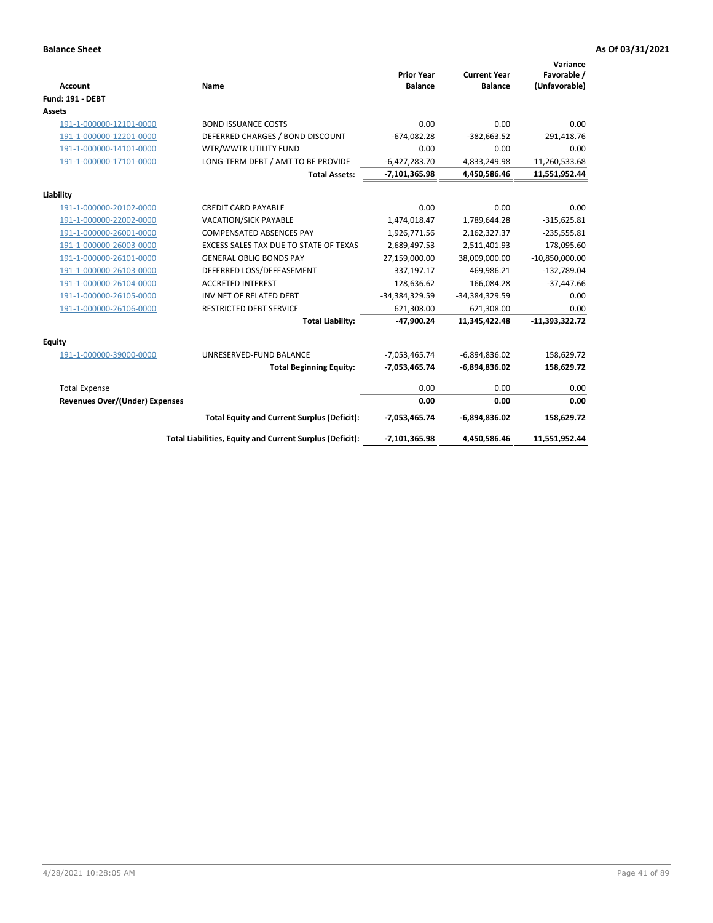| <b>Account</b>                        | <b>Name</b>                                              | <b>Prior Year</b><br><b>Balance</b> | <b>Current Year</b><br><b>Balance</b> | Variance<br>Favorable /<br>(Unfavorable) |
|---------------------------------------|----------------------------------------------------------|-------------------------------------|---------------------------------------|------------------------------------------|
| Fund: 191 - DEBT                      |                                                          |                                     |                                       |                                          |
| Assets                                |                                                          |                                     |                                       |                                          |
| 191-1-000000-12101-0000               | <b>BOND ISSUANCE COSTS</b>                               | 0.00                                | 0.00                                  | 0.00                                     |
| 191-1-000000-12201-0000               | DEFERRED CHARGES / BOND DISCOUNT                         | $-674,082.28$                       | $-382,663.52$                         | 291,418.76                               |
| 191-1-000000-14101-0000               | WTR/WWTR UTILITY FUND                                    | 0.00                                | 0.00                                  | 0.00                                     |
| 191-1-000000-17101-0000               | LONG-TERM DEBT / AMT TO BE PROVIDE                       | $-6,427,283.70$                     | 4,833,249.98                          | 11,260,533.68                            |
|                                       | <b>Total Assets:</b>                                     | $-7,101,365.98$                     | 4,450,586.46                          | 11,551,952.44                            |
| Liability                             |                                                          |                                     |                                       |                                          |
| 191-1-000000-20102-0000               | <b>CREDIT CARD PAYABLE</b>                               | 0.00                                | 0.00                                  | 0.00                                     |
| 191-1-000000-22002-0000               | <b>VACATION/SICK PAYABLE</b>                             | 1,474,018.47                        | 1,789,644.28                          | $-315,625.81$                            |
| 191-1-000000-26001-0000               | <b>COMPENSATED ABSENCES PAY</b>                          | 1,926,771.56                        | 2,162,327.37                          | $-235,555.81$                            |
| 191-1-000000-26003-0000               | EXCESS SALES TAX DUE TO STATE OF TEXAS                   | 2,689,497.53                        | 2,511,401.93                          | 178,095.60                               |
| 191-1-000000-26101-0000               | <b>GENERAL OBLIG BONDS PAY</b>                           | 27,159,000.00                       | 38,009,000.00                         | $-10,850,000.00$                         |
| 191-1-000000-26103-0000               | DEFERRED LOSS/DEFEASEMENT                                | 337,197.17                          | 469,986.21                            | $-132,789.04$                            |
| 191-1-000000-26104-0000               | <b>ACCRETED INTEREST</b>                                 | 128,636.62                          | 166,084.28                            | $-37,447.66$                             |
| 191-1-000000-26105-0000               | INV NET OF RELATED DEBT                                  | -34,384,329.59                      | -34,384,329.59                        | 0.00                                     |
| 191-1-000000-26106-0000               | RESTRICTED DEBT SERVICE                                  | 621,308.00                          | 621,308.00                            | 0.00                                     |
|                                       | <b>Total Liability:</b>                                  | -47,900.24                          | 11,345,422.48                         | $-11,393,322.72$                         |
| Equity                                |                                                          |                                     |                                       |                                          |
| 191-1-000000-39000-0000               | UNRESERVED-FUND BALANCE                                  | $-7,053,465.74$                     | $-6,894,836.02$                       | 158,629.72                               |
|                                       | <b>Total Beginning Equity:</b>                           | $-7,053,465.74$                     | $-6,894,836.02$                       | 158,629.72                               |
| <b>Total Expense</b>                  |                                                          | 0.00                                | 0.00                                  | 0.00                                     |
| <b>Revenues Over/(Under) Expenses</b> |                                                          | 0.00                                | 0.00                                  | 0.00                                     |
|                                       | <b>Total Equity and Current Surplus (Deficit):</b>       | $-7,053,465.74$                     | $-6,894,836.02$                       | 158,629.72                               |
|                                       | Total Liabilities, Equity and Current Surplus (Deficit): | -7,101,365.98                       | 4,450,586.46                          | 11,551,952.44                            |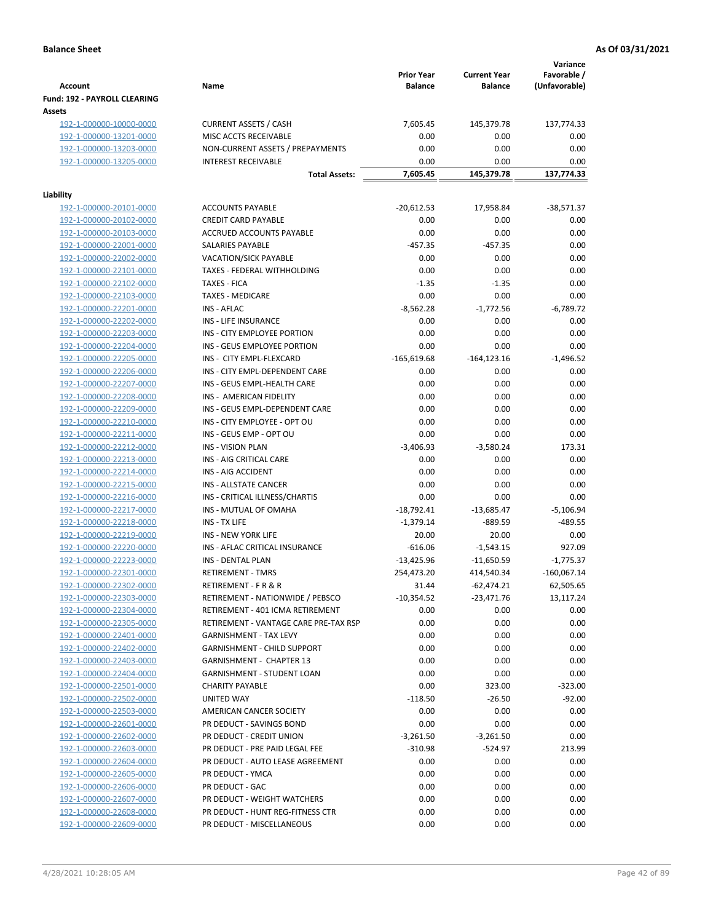| Account                                | Name                                  | <b>Prior Year</b><br><b>Balance</b> | <b>Current Year</b><br><b>Balance</b> | Variance<br>Favorable /<br>(Unfavorable) |
|----------------------------------------|---------------------------------------|-------------------------------------|---------------------------------------|------------------------------------------|
| Fund: 192 - PAYROLL CLEARING<br>Assets |                                       |                                     |                                       |                                          |
| 192-1-000000-10000-0000                | <b>CURRENT ASSETS / CASH</b>          | 7,605.45                            | 145,379.78                            | 137,774.33                               |
| 192-1-000000-13201-0000                | MISC ACCTS RECEIVABLE                 | 0.00                                | 0.00                                  | 0.00                                     |
| 192-1-000000-13203-0000                | NON-CURRENT ASSETS / PREPAYMENTS      | 0.00                                | 0.00                                  | 0.00                                     |
| 192-1-000000-13205-0000                | <b>INTEREST RECEIVABLE</b>            | 0.00                                | 0.00                                  | 0.00                                     |
|                                        | <b>Total Assets:</b>                  | 7,605.45                            | 145,379.78                            | 137,774.33                               |
| Liability                              |                                       |                                     |                                       |                                          |
| 192-1-000000-20101-0000                | <b>ACCOUNTS PAYABLE</b>               | $-20,612.53$                        | 17,958.84                             | $-38,571.37$                             |
| 192-1-000000-20102-0000                | <b>CREDIT CARD PAYABLE</b>            | 0.00                                | 0.00                                  | 0.00                                     |
| 192-1-000000-20103-0000                | ACCRUED ACCOUNTS PAYABLE              | 0.00                                | 0.00                                  | 0.00                                     |
| 192-1-000000-22001-0000                | SALARIES PAYABLE                      | $-457.35$                           | $-457.35$                             | 0.00                                     |
| 192-1-000000-22002-0000                | VACATION/SICK PAYABLE                 | 0.00                                | 0.00                                  | 0.00                                     |
| 192-1-000000-22101-0000                | TAXES - FEDERAL WITHHOLDING           | 0.00                                | 0.00                                  | 0.00                                     |
| 192-1-000000-22102-0000                | <b>TAXES - FICA</b>                   | $-1.35$                             | $-1.35$                               | 0.00                                     |
| 192-1-000000-22103-0000                | <b>TAXES - MEDICARE</b>               | 0.00                                | 0.00                                  | 0.00                                     |
| 192-1-000000-22201-0000                | <b>INS - AFLAC</b>                    | $-8,562.28$                         | $-1,772.56$                           | $-6,789.72$                              |
| 192-1-000000-22202-0000                | <b>INS - LIFE INSURANCE</b>           | 0.00                                | 0.00                                  | 0.00                                     |
| 192-1-000000-22203-0000                | INS - CITY EMPLOYEE PORTION           | 0.00                                | 0.00                                  | 0.00                                     |
| 192-1-000000-22204-0000                | INS - GEUS EMPLOYEE PORTION           | 0.00                                | 0.00                                  | 0.00                                     |
| 192-1-000000-22205-0000                | INS - CITY EMPL-FLEXCARD              | $-165,619.68$                       | $-164, 123.16$                        | $-1,496.52$                              |
| 192-1-000000-22206-0000                | INS - CITY EMPL-DEPENDENT CARE        | 0.00                                | 0.00                                  | 0.00                                     |
| 192-1-000000-22207-0000                | INS - GEUS EMPL-HEALTH CARE           | 0.00                                | 0.00                                  | 0.00                                     |
| 192-1-000000-22208-0000                | INS - AMERICAN FIDELITY               | 0.00                                | 0.00                                  | 0.00                                     |
| 192-1-000000-22209-0000                | INS - GEUS EMPL-DEPENDENT CARE        | 0.00                                | 0.00                                  | 0.00                                     |
| 192-1-000000-22210-0000                | INS - CITY EMPLOYEE - OPT OU          | 0.00                                | 0.00                                  | 0.00                                     |
| 192-1-000000-22211-0000                | INS - GEUS EMP - OPT OU               | 0.00                                | 0.00                                  | 0.00                                     |
| 192-1-000000-22212-0000                | <b>INS - VISION PLAN</b>              | $-3,406.93$                         | $-3,580.24$                           | 173.31                                   |
| 192-1-000000-22213-0000                | INS - AIG CRITICAL CARE               | 0.00                                | 0.00                                  | 0.00                                     |
| 192-1-000000-22214-0000                | INS - AIG ACCIDENT                    | 0.00                                | 0.00                                  | 0.00                                     |
| 192-1-000000-22215-0000                | INS - ALLSTATE CANCER                 | 0.00                                | 0.00                                  | 0.00                                     |
| 192-1-000000-22216-0000                | INS - CRITICAL ILLNESS/CHARTIS        | 0.00                                | 0.00                                  | 0.00                                     |
| 192-1-000000-22217-0000                | INS - MUTUAL OF OMAHA                 | $-18,792.41$                        | $-13,685.47$                          | $-5,106.94$                              |
| 192-1-000000-22218-0000                | INS - TX LIFE                         | $-1,379.14$                         | $-889.59$                             | $-489.55$                                |
| 192-1-000000-22219-0000                | <b>INS - NEW YORK LIFE</b>            | 20.00                               | 20.00                                 | 0.00                                     |
| 192-1-000000-22220-0000                | INS - AFLAC CRITICAL INSURANCE        | $-616.06$                           | $-1,543.15$                           | 927.09                                   |
| 192-1-000000-22223-0000                | <b>INS - DENTAL PLAN</b>              | $-13,425.96$                        | $-11,650.59$                          | $-1,775.37$                              |
| 192-1-000000-22301-0000                | <b>RETIREMENT - TMRS</b>              | 254,473.20                          | 414,540.34                            | $-160,067.14$                            |
| 192-1-000000-22302-0000                | RETIREMENT - F R & R                  | 31.44                               | $-62,474.21$                          | 62,505.65                                |
| 192-1-000000-22303-0000                | RETIREMENT - NATIONWIDE / PEBSCO      | $-10,354.52$                        | $-23,471.76$                          | 13,117.24                                |
| 192-1-000000-22304-0000                | RETIREMENT - 401 ICMA RETIREMENT      | 0.00                                | 0.00                                  | 0.00                                     |
| 192-1-000000-22305-0000                | RETIREMENT - VANTAGE CARE PRE-TAX RSP | 0.00                                | 0.00                                  | 0.00                                     |
| 192-1-000000-22401-0000                | <b>GARNISHMENT - TAX LEVY</b>         | 0.00                                | 0.00                                  | 0.00                                     |
| 192-1-000000-22402-0000                | GARNISHMENT - CHILD SUPPORT           | 0.00                                | 0.00                                  | 0.00                                     |
| 192-1-000000-22403-0000                | <b>GARNISHMENT - CHAPTER 13</b>       | 0.00                                | 0.00                                  | 0.00                                     |
| 192-1-000000-22404-0000                | <b>GARNISHMENT - STUDENT LOAN</b>     | 0.00                                | 0.00                                  | 0.00                                     |
| 192-1-000000-22501-0000                | <b>CHARITY PAYABLE</b>                | 0.00                                | 323.00                                | $-323.00$                                |
| 192-1-000000-22502-0000                | UNITED WAY                            | $-118.50$                           | $-26.50$                              | $-92.00$                                 |
| 192-1-000000-22503-0000                | AMERICAN CANCER SOCIETY               | 0.00                                | 0.00                                  | 0.00                                     |
| 192-1-000000-22601-0000                | PR DEDUCT - SAVINGS BOND              | 0.00                                | 0.00                                  | 0.00                                     |
| 192-1-000000-22602-0000                | PR DEDUCT - CREDIT UNION              | $-3,261.50$                         | $-3,261.50$                           | 0.00                                     |
| 192-1-000000-22603-0000                | PR DEDUCT - PRE PAID LEGAL FEE        | $-310.98$                           | $-524.97$                             | 213.99                                   |
| 192-1-000000-22604-0000                | PR DEDUCT - AUTO LEASE AGREEMENT      | 0.00                                | 0.00                                  | 0.00                                     |
| 192-1-000000-22605-0000                | PR DEDUCT - YMCA                      | 0.00                                | 0.00                                  | 0.00                                     |
| 192-1-000000-22606-0000                | PR DEDUCT - GAC                       | 0.00                                | 0.00                                  | 0.00                                     |
| 192-1-000000-22607-0000                | PR DEDUCT - WEIGHT WATCHERS           | 0.00                                | 0.00                                  | 0.00                                     |
| 192-1-000000-22608-0000                | PR DEDUCT - HUNT REG-FITNESS CTR      | 0.00                                | 0.00                                  | 0.00                                     |
| 192-1-000000-22609-0000                | PR DEDUCT - MISCELLANEOUS             | 0.00                                | 0.00                                  | 0.00                                     |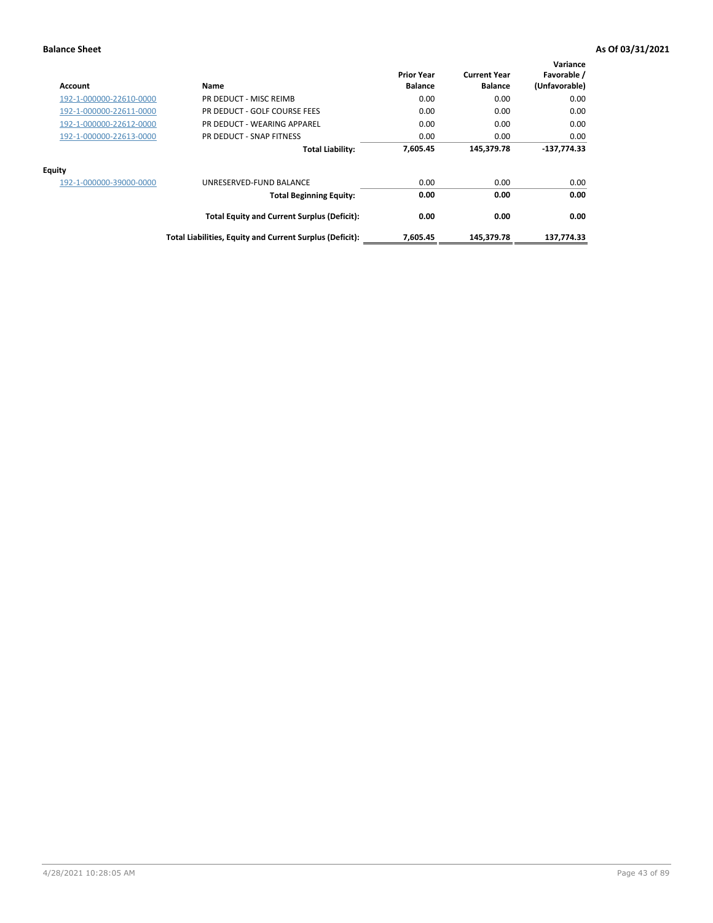| Account                 | Name                                                     | <b>Prior Year</b><br><b>Balance</b> | <b>Current Year</b><br><b>Balance</b> | Variance<br>Favorable /<br>(Unfavorable) |
|-------------------------|----------------------------------------------------------|-------------------------------------|---------------------------------------|------------------------------------------|
| 192-1-000000-22610-0000 | PR DEDUCT - MISC REIMB                                   | 0.00                                | 0.00                                  | 0.00                                     |
| 192-1-000000-22611-0000 | PR DEDUCT - GOLF COURSE FEES                             | 0.00                                | 0.00                                  | 0.00                                     |
| 192-1-000000-22612-0000 | PR DEDUCT - WEARING APPAREL                              | 0.00                                | 0.00                                  | 0.00                                     |
| 192-1-000000-22613-0000 | PR DEDUCT - SNAP FITNESS                                 | 0.00                                | 0.00                                  | 0.00                                     |
|                         | <b>Total Liability:</b>                                  | 7,605.45                            | 145,379.78                            | $-137,774.33$                            |
| <b>Equity</b>           |                                                          |                                     |                                       |                                          |
| 192-1-000000-39000-0000 | UNRESERVED-FUND BALANCE                                  | 0.00                                | 0.00                                  | 0.00                                     |
|                         | <b>Total Beginning Equity:</b>                           | 0.00                                | 0.00                                  | 0.00                                     |
|                         | <b>Total Equity and Current Surplus (Deficit):</b>       | 0.00                                | 0.00                                  | 0.00                                     |
|                         | Total Liabilities, Equity and Current Surplus (Deficit): | 7,605.45                            | 145,379.78                            | 137.774.33                               |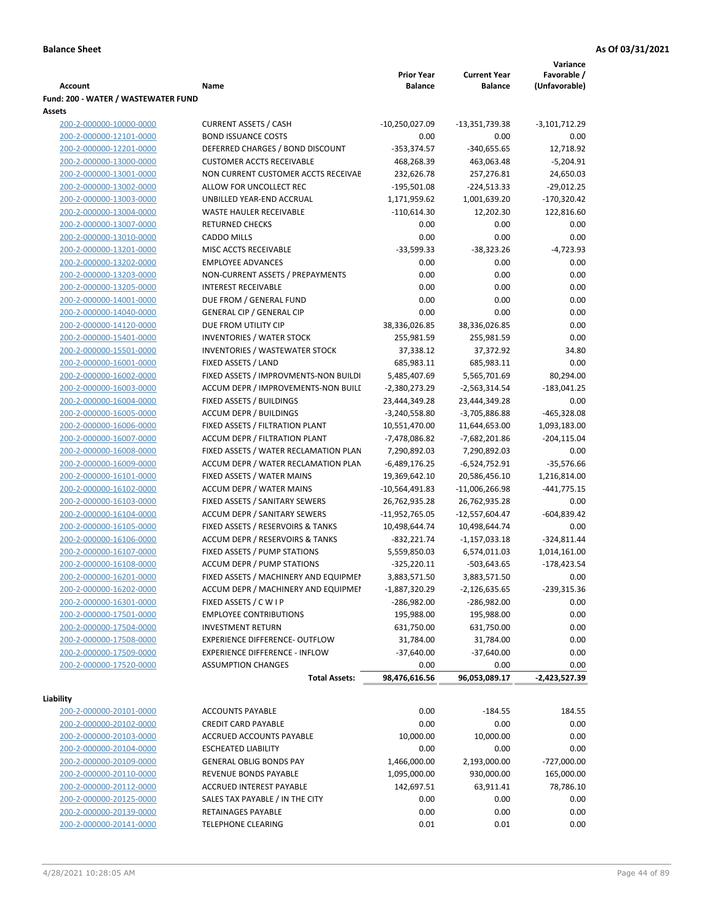|                                                    |                                                               |                                     |                                       | Variance                     |
|----------------------------------------------------|---------------------------------------------------------------|-------------------------------------|---------------------------------------|------------------------------|
| <b>Account</b>                                     | Name                                                          | <b>Prior Year</b><br><b>Balance</b> | <b>Current Year</b><br><b>Balance</b> | Favorable /<br>(Unfavorable) |
| Fund: 200 - WATER / WASTEWATER FUND                |                                                               |                                     |                                       |                              |
| Assets                                             |                                                               |                                     |                                       |                              |
| 200-2-000000-10000-0000                            | <b>CURRENT ASSETS / CASH</b>                                  | $-10,250,027.09$                    | -13,351,739.38                        | $-3,101,712.29$              |
| 200-2-000000-12101-0000                            | <b>BOND ISSUANCE COSTS</b>                                    | 0.00                                | 0.00                                  | 0.00                         |
| 200-2-000000-12201-0000                            | DEFERRED CHARGES / BOND DISCOUNT                              | $-353,374.57$                       | $-340,655.65$                         | 12,718.92                    |
| 200-2-000000-13000-0000                            | <b>CUSTOMER ACCTS RECEIVABLE</b>                              | 468,268.39                          | 463,063.48                            | $-5,204.91$                  |
| 200-2-000000-13001-0000                            | NON CURRENT CUSTOMER ACCTS RECEIVAE                           | 232,626.78                          | 257,276.81                            | 24,650.03                    |
| 200-2-000000-13002-0000                            | ALLOW FOR UNCOLLECT REC                                       | $-195,501.08$                       | $-224,513.33$                         | $-29,012.25$                 |
| 200-2-000000-13003-0000                            | UNBILLED YEAR-END ACCRUAL                                     | 1,171,959.62                        | 1,001,639.20                          | -170,320.42                  |
| 200-2-000000-13004-0000                            | <b>WASTE HAULER RECEIVABLE</b>                                | $-110,614.30$                       | 12,202.30                             | 122,816.60                   |
| 200-2-000000-13007-0000                            | <b>RETURNED CHECKS</b>                                        | 0.00                                | 0.00                                  | 0.00                         |
| 200-2-000000-13010-0000                            | <b>CADDO MILLS</b>                                            | 0.00                                | 0.00                                  | 0.00                         |
| 200-2-000000-13201-0000                            | MISC ACCTS RECEIVABLE                                         | $-33,599.33$                        | $-38,323.26$                          | $-4,723.93$                  |
| 200-2-000000-13202-0000                            | <b>EMPLOYEE ADVANCES</b>                                      | 0.00                                | 0.00                                  | 0.00                         |
| 200-2-000000-13203-0000                            | NON-CURRENT ASSETS / PREPAYMENTS                              | 0.00                                | 0.00                                  | 0.00                         |
| 200-2-000000-13205-0000                            | <b>INTEREST RECEIVABLE</b>                                    | 0.00                                | 0.00                                  | 0.00                         |
| 200-2-000000-14001-0000                            | DUE FROM / GENERAL FUND                                       | 0.00                                | 0.00                                  | 0.00                         |
| 200-2-000000-14040-0000                            | <b>GENERAL CIP / GENERAL CIP</b>                              | 0.00                                | 0.00                                  | 0.00                         |
| 200-2-000000-14120-0000<br>200-2-000000-15401-0000 | DUE FROM UTILITY CIP<br><b>INVENTORIES / WATER STOCK</b>      | 38,336,026.85<br>255,981.59         | 38,336,026.85<br>255,981.59           | 0.00<br>0.00                 |
| 200-2-000000-15501-0000                            | <b>INVENTORIES / WASTEWATER STOCK</b>                         | 37,338.12                           | 37,372.92                             | 34.80                        |
| 200-2-000000-16001-0000                            | FIXED ASSETS / LAND                                           | 685,983.11                          | 685,983.11                            | 0.00                         |
| 200-2-000000-16002-0000                            | FIXED ASSETS / IMPROVMENTS-NON BUILDI                         | 5,485,407.69                        | 5,565,701.69                          | 80,294.00                    |
| 200-2-000000-16003-0000                            | ACCUM DEPR / IMPROVEMENTS-NON BUILL                           | -2,380,273.29                       | -2,563,314.54                         | $-183,041.25$                |
| 200-2-000000-16004-0000                            | FIXED ASSETS / BUILDINGS                                      | 23,444,349.28                       | 23,444,349.28                         | 0.00                         |
| 200-2-000000-16005-0000                            | <b>ACCUM DEPR / BUILDINGS</b>                                 | $-3,240,558.80$                     | $-3,705,886.88$                       | $-465,328.08$                |
| 200-2-000000-16006-0000                            | FIXED ASSETS / FILTRATION PLANT                               | 10,551,470.00                       | 11,644,653.00                         | 1,093,183.00                 |
| 200-2-000000-16007-0000                            | ACCUM DEPR / FILTRATION PLANT                                 | -7,478,086.82                       | -7,682,201.86                         | $-204,115.04$                |
| 200-2-000000-16008-0000                            | FIXED ASSETS / WATER RECLAMATION PLAN                         | 7,290,892.03                        | 7,290,892.03                          | 0.00                         |
| 200-2-000000-16009-0000                            | ACCUM DEPR / WATER RECLAMATION PLAN                           | $-6,489,176.25$                     | $-6,524,752.91$                       | $-35,576.66$                 |
| 200-2-000000-16101-0000                            | FIXED ASSETS / WATER MAINS                                    | 19,369,642.10                       | 20,586,456.10                         | 1,216,814.00                 |
| 200-2-000000-16102-0000                            | <b>ACCUM DEPR / WATER MAINS</b>                               | -10,564,491.83                      | -11,006,266.98                        | $-441,775.15$                |
| 200-2-000000-16103-0000                            | FIXED ASSETS / SANITARY SEWERS                                | 26,762,935.28                       | 26,762,935.28                         | 0.00                         |
| 200-2-000000-16104-0000                            | ACCUM DEPR / SANITARY SEWERS                                  | -11,952,765.05                      | -12,557,604.47                        | -604,839.42                  |
| 200-2-000000-16105-0000                            | FIXED ASSETS / RESERVOIRS & TANKS                             | 10,498,644.74                       | 10,498,644.74                         | 0.00                         |
| 200-2-000000-16106-0000                            | ACCUM DEPR / RESERVOIRS & TANKS                               | $-832,221.74$                       | $-1,157,033.18$                       | $-324,811.44$                |
| 200-2-000000-16107-0000                            | FIXED ASSETS / PUMP STATIONS                                  | 5,559,850.03                        | 6,574,011.03                          | 1,014,161.00                 |
| 200-2-000000-16108-0000                            | <b>ACCUM DEPR / PUMP STATIONS</b>                             | $-325,220.11$                       | $-503,643.65$                         | $-178,423.54$                |
| 200-2-000000-16201-0000<br>200-2-000000-16202-0000 | FIXED ASSETS / MACHINERY AND EQUIPMEN                         | 3,883,571.50                        | 3,883,571.50                          | 0.00                         |
| 200-2-000000-16301-0000                            | ACCUM DEPR / MACHINERY AND EQUIPMEI<br>FIXED ASSETS / C W I P | $-1,887,320.29$<br>-286,982.00      | $-2,126,635.65$<br>-286,982.00        | -239,315.36<br>0.00          |
| 200-2-000000-17501-0000                            | <b>EMPLOYEE CONTRIBUTIONS</b>                                 | 195,988.00                          | 195,988.00                            | 0.00                         |
| 200-2-000000-17504-0000                            | <b>INVESTMENT RETURN</b>                                      | 631,750.00                          | 631,750.00                            | 0.00                         |
| 200-2-000000-17508-0000                            | EXPERIENCE DIFFERENCE- OUTFLOW                                | 31,784.00                           | 31,784.00                             | 0.00                         |
| 200-2-000000-17509-0000                            | <b>EXPERIENCE DIFFERENCE - INFLOW</b>                         | $-37,640.00$                        | $-37,640.00$                          | 0.00                         |
| 200-2-000000-17520-0000                            | <b>ASSUMPTION CHANGES</b>                                     | 0.00                                | 0.00                                  | 0.00                         |
|                                                    | <b>Total Assets:</b>                                          | 98,476,616.56                       | 96,053,089.17                         | $-2,423,527.39$              |
|                                                    |                                                               |                                     |                                       |                              |
| Liability                                          |                                                               |                                     |                                       |                              |
| 200-2-000000-20101-0000                            | <b>ACCOUNTS PAYABLE</b>                                       | 0.00                                | $-184.55$                             | 184.55                       |
| 200-2-000000-20102-0000                            | <b>CREDIT CARD PAYABLE</b>                                    | 0.00                                | 0.00                                  | 0.00                         |
| 200-2-000000-20103-0000                            | ACCRUED ACCOUNTS PAYABLE                                      | 10,000.00                           | 10,000.00                             | 0.00                         |
| 200-2-000000-20104-0000<br>200-2-000000-20109-0000 | <b>ESCHEATED LIABILITY</b><br><b>GENERAL OBLIG BONDS PAY</b>  | 0.00<br>1,466,000.00                | 0.00<br>2,193,000.00                  | 0.00<br>$-727,000.00$        |
| 200-2-000000-20110-0000                            | REVENUE BONDS PAYABLE                                         | 1,095,000.00                        | 930,000.00                            | 165,000.00                   |
| 200-2-000000-20112-0000                            | ACCRUED INTEREST PAYABLE                                      | 142,697.51                          | 63,911.41                             | 78,786.10                    |
| 200-2-000000-20125-0000                            | SALES TAX PAYABLE / IN THE CITY                               | 0.00                                | 0.00                                  | 0.00                         |
| 200-2-000000-20139-0000                            | RETAINAGES PAYABLE                                            | 0.00                                | 0.00                                  | 0.00                         |
| 200-2-000000-20141-0000                            | <b>TELEPHONE CLEARING</b>                                     | 0.01                                | 0.01                                  | 0.00                         |
|                                                    |                                                               |                                     |                                       |                              |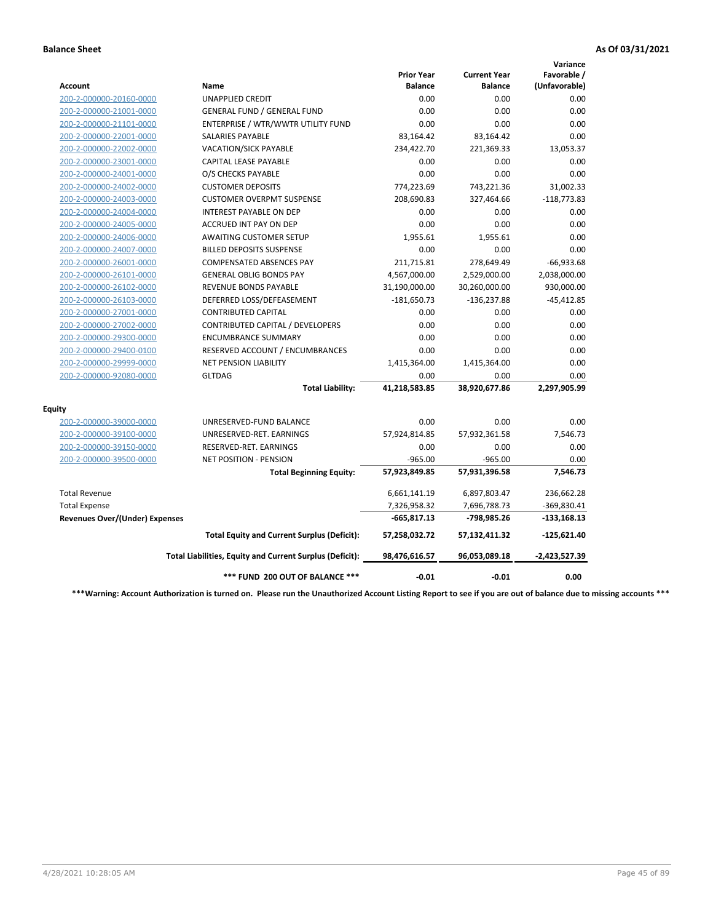|                                       |                                                          |                                     |                                       | Variance                     |
|---------------------------------------|----------------------------------------------------------|-------------------------------------|---------------------------------------|------------------------------|
| Account                               | <b>Name</b>                                              | <b>Prior Year</b><br><b>Balance</b> | <b>Current Year</b><br><b>Balance</b> | Favorable /<br>(Unfavorable) |
| 200-2-000000-20160-0000               | <b>UNAPPLIED CREDIT</b>                                  | 0.00                                | 0.00                                  | 0.00                         |
| 200-2-000000-21001-0000               | <b>GENERAL FUND / GENERAL FUND</b>                       | 0.00                                | 0.00                                  | 0.00                         |
| 200-2-000000-21101-0000               | ENTERPRISE / WTR/WWTR UTILITY FUND                       | 0.00                                | 0.00                                  | 0.00                         |
| 200-2-000000-22001-0000               | <b>SALARIES PAYABLE</b>                                  | 83,164.42                           | 83,164.42                             | 0.00                         |
| 200-2-000000-22002-0000               | <b>VACATION/SICK PAYABLE</b>                             | 234,422.70                          | 221,369.33                            | 13,053.37                    |
| 200-2-000000-23001-0000               | CAPITAL LEASE PAYABLE                                    | 0.00                                | 0.00                                  | 0.00                         |
| 200-2-000000-24001-0000               | O/S CHECKS PAYABLE                                       | 0.00                                | 0.00                                  | 0.00                         |
| 200-2-000000-24002-0000               | <b>CUSTOMER DEPOSITS</b>                                 | 774,223.69                          | 743,221.36                            | 31,002.33                    |
| 200-2-000000-24003-0000               | <b>CUSTOMER OVERPMT SUSPENSE</b>                         | 208,690.83                          | 327,464.66                            | $-118,773.83$                |
| 200-2-000000-24004-0000               | <b>INTEREST PAYABLE ON DEP</b>                           | 0.00                                | 0.00                                  | 0.00                         |
| 200-2-000000-24005-0000               | <b>ACCRUED INT PAY ON DEP</b>                            | 0.00                                | 0.00                                  | 0.00                         |
| 200-2-000000-24006-0000               | <b>AWAITING CUSTOMER SETUP</b>                           | 1,955.61                            | 1,955.61                              | 0.00                         |
| 200-2-000000-24007-0000               | <b>BILLED DEPOSITS SUSPENSE</b>                          | 0.00                                | 0.00                                  | 0.00                         |
| 200-2-000000-26001-0000               | <b>COMPENSATED ABSENCES PAY</b>                          | 211,715.81                          | 278,649.49                            | $-66,933.68$                 |
| 200-2-000000-26101-0000               | <b>GENERAL OBLIG BONDS PAY</b>                           | 4,567,000.00                        | 2,529,000.00                          | 2,038,000.00                 |
| 200-2-000000-26102-0000               | REVENUE BONDS PAYABLE                                    | 31,190,000.00                       | 30,260,000.00                         | 930,000.00                   |
| 200-2-000000-26103-0000               | DEFERRED LOSS/DEFEASEMENT                                | $-181,650.73$                       | $-136,237.88$                         | $-45,412.85$                 |
| 200-2-000000-27001-0000               | <b>CONTRIBUTED CAPITAL</b>                               | 0.00                                | 0.00                                  | 0.00                         |
| 200-2-000000-27002-0000               | CONTRIBUTED CAPITAL / DEVELOPERS                         | 0.00                                | 0.00                                  | 0.00                         |
| 200-2-000000-29300-0000               | <b>ENCUMBRANCE SUMMARY</b>                               | 0.00                                | 0.00                                  | 0.00                         |
| 200-2-000000-29400-0100               | RESERVED ACCOUNT / ENCUMBRANCES                          | 0.00                                | 0.00                                  | 0.00                         |
| 200-2-000000-29999-0000               | <b>NET PENSION LIABILITY</b>                             | 1,415,364.00                        | 1,415,364.00                          | 0.00                         |
| 200-2-000000-92080-0000               | <b>GLTDAG</b>                                            | 0.00                                | 0.00                                  | 0.00                         |
|                                       | <b>Total Liability:</b>                                  | 41,218,583.85                       | 38,920,677.86                         | 2,297,905.99                 |
| Equity                                |                                                          |                                     |                                       |                              |
| 200-2-000000-39000-0000               | UNRESERVED-FUND BALANCE                                  | 0.00                                | 0.00                                  | 0.00                         |
| 200-2-000000-39100-0000               | UNRESERVED-RET. EARNINGS                                 | 57,924,814.85                       | 57,932,361.58                         | 7,546.73                     |
| 200-2-000000-39150-0000               | RESERVED-RET. EARNINGS                                   | 0.00                                | 0.00                                  | 0.00                         |
| 200-2-000000-39500-0000               | <b>NET POSITION - PENSION</b>                            | $-965.00$                           | $-965.00$                             | 0.00                         |
|                                       | <b>Total Beginning Equity:</b>                           | 57,923,849.85                       | 57,931,396.58                         | 7,546.73                     |
| <b>Total Revenue</b>                  |                                                          | 6,661,141.19                        | 6,897,803.47                          | 236,662.28                   |
| <b>Total Expense</b>                  |                                                          | 7,326,958.32                        | 7,696,788.73                          | $-369,830.41$                |
| <b>Revenues Over/(Under) Expenses</b> |                                                          | $-665,817.13$                       | -798,985.26                           | $-133,168.13$                |
|                                       | <b>Total Equity and Current Surplus (Deficit):</b>       | 57,258,032.72                       | 57,132,411.32                         | $-125,621.40$                |
|                                       | Total Liabilities, Equity and Current Surplus (Deficit): | 98,476,616.57                       | 96,053,089.18                         | -2,423,527.39                |
|                                       | *** FUND 200 OUT OF BALANCE ***                          |                                     |                                       |                              |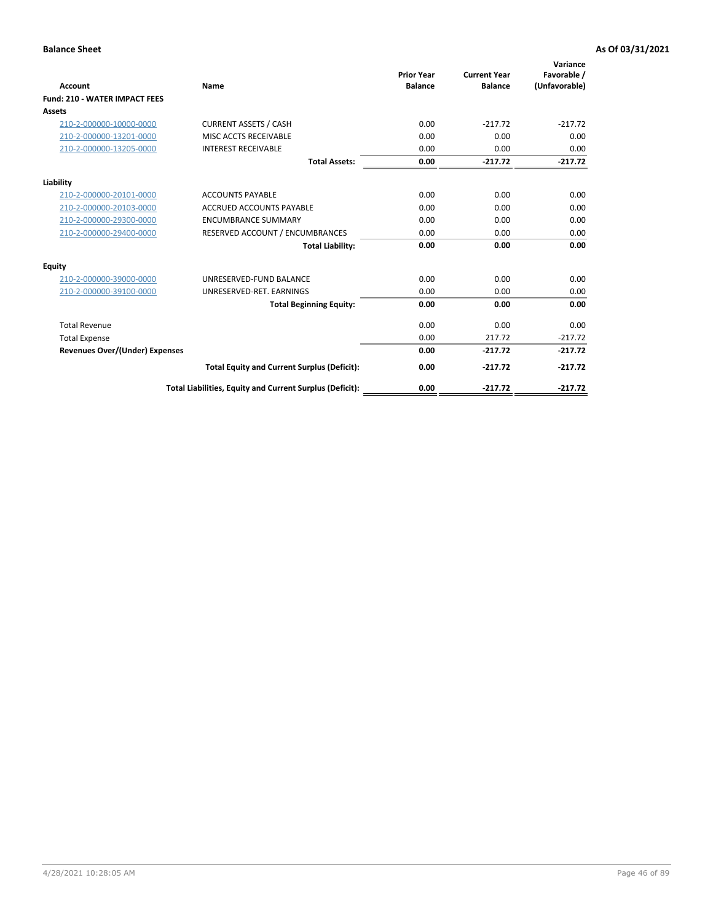| Account                               | Name                                                     | <b>Prior Year</b><br><b>Balance</b> | <b>Current Year</b><br><b>Balance</b> | Variance<br>Favorable /<br>(Unfavorable) |
|---------------------------------------|----------------------------------------------------------|-------------------------------------|---------------------------------------|------------------------------------------|
| <b>Fund: 210 - WATER IMPACT FEES</b>  |                                                          |                                     |                                       |                                          |
| <b>Assets</b>                         |                                                          |                                     |                                       |                                          |
| 210-2-000000-10000-0000               | <b>CURRENT ASSETS / CASH</b>                             | 0.00                                | $-217.72$                             | $-217.72$                                |
| 210-2-000000-13201-0000               | MISC ACCTS RECEIVABLE                                    | 0.00                                | 0.00                                  | 0.00                                     |
| 210-2-000000-13205-0000               | <b>INTEREST RECEIVABLE</b>                               | 0.00                                | 0.00                                  | 0.00                                     |
|                                       | <b>Total Assets:</b>                                     | 0.00                                | $-217.72$                             | $-217.72$                                |
| Liability                             |                                                          |                                     |                                       |                                          |
| 210-2-000000-20101-0000               | <b>ACCOUNTS PAYABLE</b>                                  | 0.00                                | 0.00                                  | 0.00                                     |
| 210-2-000000-20103-0000               | <b>ACCRUED ACCOUNTS PAYABLE</b>                          | 0.00                                | 0.00                                  | 0.00                                     |
| 210-2-000000-29300-0000               | <b>ENCUMBRANCE SUMMARY</b>                               | 0.00                                | 0.00                                  | 0.00                                     |
| 210-2-000000-29400-0000               | RESERVED ACCOUNT / ENCUMBRANCES                          | 0.00                                | 0.00                                  | 0.00                                     |
|                                       | <b>Total Liability:</b>                                  | 0.00                                | 0.00                                  | 0.00                                     |
| <b>Equity</b>                         |                                                          |                                     |                                       |                                          |
| 210-2-000000-39000-0000               | UNRESERVED-FUND BALANCE                                  | 0.00                                | 0.00                                  | 0.00                                     |
| 210-2-000000-39100-0000               | UNRESERVED-RET. EARNINGS                                 | 0.00                                | 0.00                                  | 0.00                                     |
|                                       | <b>Total Beginning Equity:</b>                           | 0.00                                | 0.00                                  | 0.00                                     |
| <b>Total Revenue</b>                  |                                                          | 0.00                                | 0.00                                  | 0.00                                     |
| <b>Total Expense</b>                  |                                                          | 0.00                                | 217.72                                | $-217.72$                                |
| <b>Revenues Over/(Under) Expenses</b> |                                                          | 0.00                                | $-217.72$                             | $-217.72$                                |
|                                       | <b>Total Equity and Current Surplus (Deficit):</b>       | 0.00                                | $-217.72$                             | $-217.72$                                |
|                                       | Total Liabilities, Equity and Current Surplus (Deficit): | 0.00                                | $-217.72$                             | $-217.72$                                |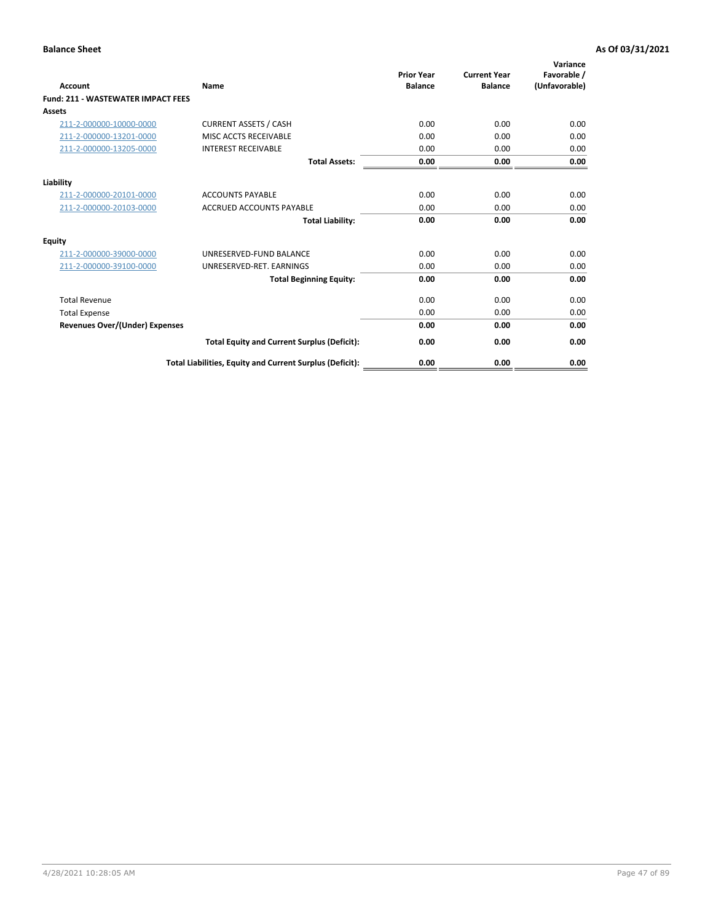| Account                                   | Name                                                     | <b>Prior Year</b><br><b>Balance</b> | <b>Current Year</b><br><b>Balance</b> | Variance<br>Favorable /<br>(Unfavorable) |
|-------------------------------------------|----------------------------------------------------------|-------------------------------------|---------------------------------------|------------------------------------------|
| <b>Fund: 211 - WASTEWATER IMPACT FEES</b> |                                                          |                                     |                                       |                                          |
| <b>Assets</b>                             |                                                          |                                     |                                       |                                          |
| 211-2-000000-10000-0000                   | <b>CURRENT ASSETS / CASH</b>                             | 0.00                                | 0.00                                  | 0.00                                     |
| 211-2-000000-13201-0000                   | MISC ACCTS RECEIVABLE                                    | 0.00                                | 0.00                                  | 0.00                                     |
| 211-2-000000-13205-0000                   | <b>INTEREST RECEIVABLE</b>                               | 0.00                                | 0.00                                  | 0.00                                     |
|                                           | <b>Total Assets:</b>                                     | 0.00                                | 0.00                                  | 0.00                                     |
| Liability                                 |                                                          |                                     |                                       |                                          |
| 211-2-000000-20101-0000                   | <b>ACCOUNTS PAYABLE</b>                                  | 0.00                                | 0.00                                  | 0.00                                     |
| 211-2-000000-20103-0000                   | <b>ACCRUED ACCOUNTS PAYABLE</b>                          | 0.00                                | 0.00                                  | 0.00                                     |
|                                           | <b>Total Liability:</b>                                  | 0.00                                | 0.00                                  | 0.00                                     |
| Equity                                    |                                                          |                                     |                                       |                                          |
| 211-2-000000-39000-0000                   | UNRESERVED-FUND BALANCE                                  | 0.00                                | 0.00                                  | 0.00                                     |
| 211-2-000000-39100-0000                   | UNRESERVED-RET. EARNINGS                                 | 0.00                                | 0.00                                  | 0.00                                     |
|                                           | <b>Total Beginning Equity:</b>                           | 0.00                                | 0.00                                  | 0.00                                     |
| <b>Total Revenue</b>                      |                                                          | 0.00                                | 0.00                                  | 0.00                                     |
| <b>Total Expense</b>                      |                                                          | 0.00                                | 0.00                                  | 0.00                                     |
| <b>Revenues Over/(Under) Expenses</b>     |                                                          | 0.00                                | 0.00                                  | 0.00                                     |
|                                           | <b>Total Equity and Current Surplus (Deficit):</b>       | 0.00                                | 0.00                                  | 0.00                                     |
|                                           | Total Liabilities, Equity and Current Surplus (Deficit): | 0.00                                | 0.00                                  | 0.00                                     |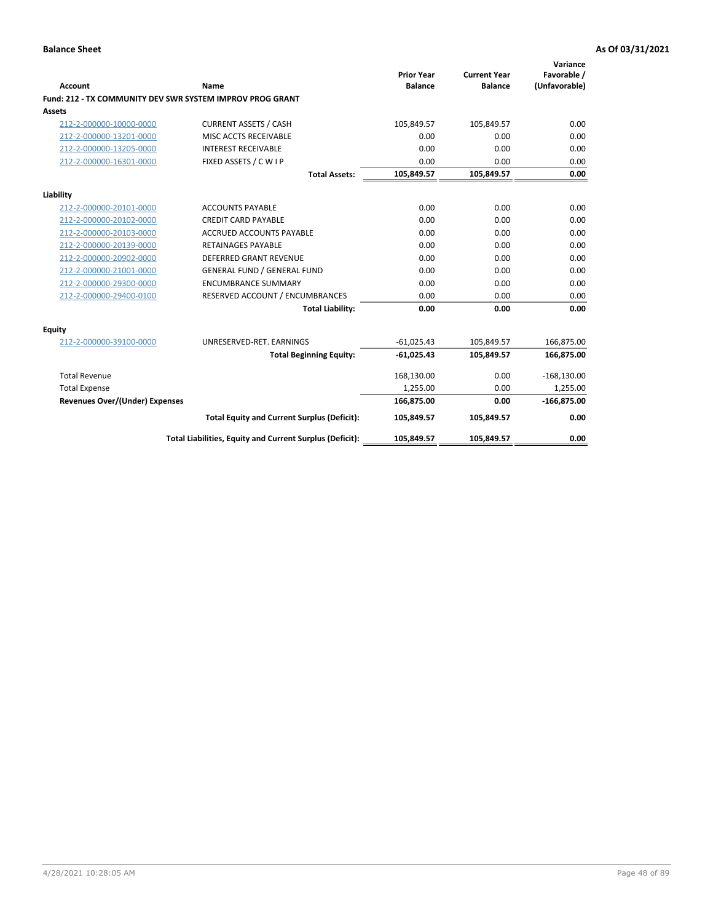|                                |                                                           |                                     |                                       | Variance                     |
|--------------------------------|-----------------------------------------------------------|-------------------------------------|---------------------------------------|------------------------------|
| <b>Account</b>                 | <b>Name</b>                                               | <b>Prior Year</b><br><b>Balance</b> | <b>Current Year</b><br><b>Balance</b> | Favorable /<br>(Unfavorable) |
|                                | Fund: 212 - TX COMMUNITY DEV SWR SYSTEM IMPROV PROG GRANT |                                     |                                       |                              |
| <b>Assets</b>                  |                                                           |                                     |                                       |                              |
| 212-2-000000-10000-0000        | <b>CURRENT ASSETS / CASH</b>                              | 105,849.57                          | 105,849.57                            | 0.00                         |
| 212-2-000000-13201-0000        | MISC ACCTS RECEIVABLE                                     | 0.00                                | 0.00                                  | 0.00                         |
| 212-2-000000-13205-0000        | <b>INTEREST RECEIVABLE</b>                                | 0.00                                | 0.00                                  | 0.00                         |
| 212-2-000000-16301-0000        | FIXED ASSETS / C W I P                                    | 0.00                                | 0.00                                  | 0.00                         |
|                                | <b>Total Assets:</b>                                      | 105,849.57                          | 105,849.57                            | 0.00                         |
| Liability                      |                                                           |                                     |                                       |                              |
| 212-2-000000-20101-0000        | <b>ACCOUNTS PAYABLE</b>                                   | 0.00                                | 0.00                                  | 0.00                         |
| 212-2-000000-20102-0000        | <b>CREDIT CARD PAYABLE</b>                                | 0.00                                | 0.00                                  | 0.00                         |
| 212-2-000000-20103-0000        | <b>ACCRUED ACCOUNTS PAYABLE</b>                           | 0.00                                | 0.00                                  | 0.00                         |
| 212-2-000000-20139-0000        | <b>RETAINAGES PAYABLE</b>                                 | 0.00                                | 0.00                                  | 0.00                         |
| 212-2-000000-20902-0000        | <b>DEFERRED GRANT REVENUE</b>                             | 0.00                                | 0.00                                  | 0.00                         |
| 212-2-000000-21001-0000        | <b>GENERAL FUND / GENERAL FUND</b>                        | 0.00                                | 0.00                                  | 0.00                         |
| 212-2-000000-29300-0000        | <b>ENCUMBRANCE SUMMARY</b>                                | 0.00                                | 0.00                                  | 0.00                         |
| 212-2-000000-29400-0100        | RESERVED ACCOUNT / ENCUMBRANCES                           | 0.00                                | 0.00                                  | 0.00                         |
|                                | <b>Total Liability:</b>                                   | 0.00                                | 0.00                                  | 0.00                         |
| Equity                         |                                                           |                                     |                                       |                              |
| 212-2-000000-39100-0000        | UNRESERVED-RET. EARNINGS                                  | $-61,025.43$                        | 105,849.57                            | 166,875.00                   |
|                                | <b>Total Beginning Equity:</b>                            | $-61,025.43$                        | 105,849.57                            | 166,875.00                   |
| <b>Total Revenue</b>           |                                                           | 168,130.00                          | 0.00                                  | $-168,130.00$                |
| <b>Total Expense</b>           |                                                           | 1,255.00                            | 0.00                                  | 1,255.00                     |
| Revenues Over/(Under) Expenses |                                                           | 166,875.00                          | 0.00                                  | $-166,875.00$                |
|                                | <b>Total Equity and Current Surplus (Deficit):</b>        | 105,849.57                          | 105,849.57                            | 0.00                         |
|                                | Total Liabilities, Equity and Current Surplus (Deficit):  | 105,849.57                          | 105,849.57                            | 0.00                         |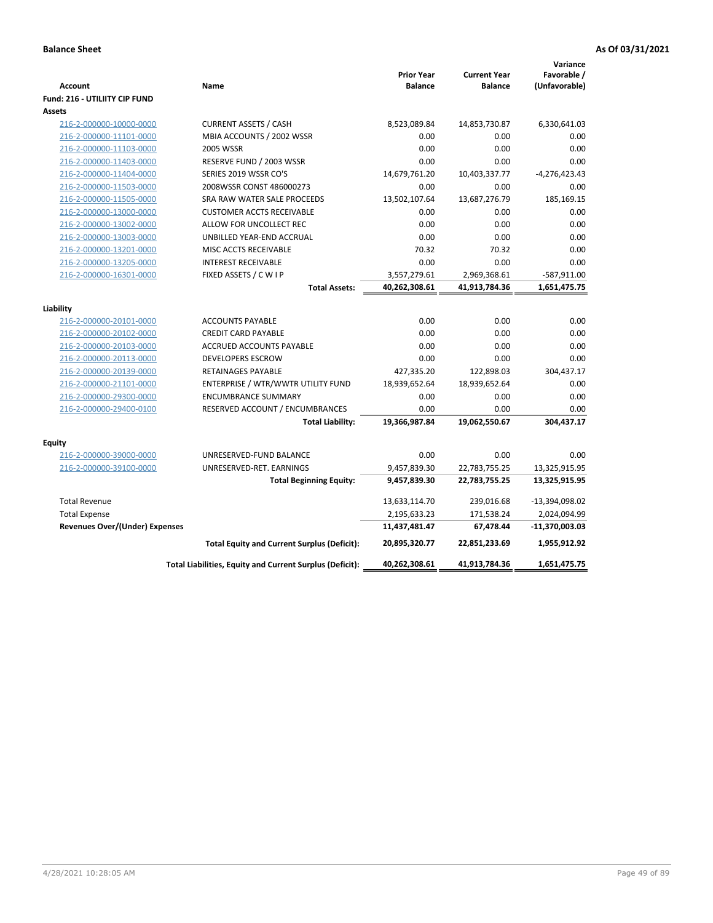| <b>Account</b><br>Fund: 216 - UTILIITY CIP FUND    | Name                                                     | <b>Prior Year</b><br><b>Balance</b> | <b>Current Year</b><br><b>Balance</b> | Variance<br>Favorable /<br>(Unfavorable) |
|----------------------------------------------------|----------------------------------------------------------|-------------------------------------|---------------------------------------|------------------------------------------|
| <b>Assets</b>                                      |                                                          |                                     |                                       |                                          |
| 216-2-000000-10000-0000                            | <b>CURRENT ASSETS / CASH</b>                             | 8,523,089.84                        | 14,853,730.87                         | 6,330,641.03                             |
| 216-2-000000-11101-0000                            | MBIA ACCOUNTS / 2002 WSSR                                | 0.00                                | 0.00                                  | 0.00                                     |
| 216-2-000000-11103-0000                            | 2005 WSSR                                                | 0.00                                | 0.00                                  | 0.00                                     |
| 216-2-000000-11403-0000                            | RESERVE FUND / 2003 WSSR                                 | 0.00                                | 0.00                                  | 0.00                                     |
| 216-2-000000-11404-0000                            | SERIES 2019 WSSR CO'S                                    | 14,679,761.20                       | 10,403,337.77                         | $-4,276,423.43$                          |
| 216-2-000000-11503-0000                            | 2008WSSR CONST 486000273                                 | 0.00                                | 0.00                                  | 0.00                                     |
| 216-2-000000-11505-0000                            | SRA RAW WATER SALE PROCEEDS                              | 13,502,107.64                       | 13,687,276.79                         | 185,169.15                               |
| 216-2-000000-13000-0000                            | <b>CUSTOMER ACCTS RECEIVABLE</b>                         | 0.00                                | 0.00                                  | 0.00                                     |
| 216-2-000000-13002-0000                            | ALLOW FOR UNCOLLECT REC                                  | 0.00                                | 0.00                                  | 0.00                                     |
| 216-2-000000-13003-0000                            | UNBILLED YEAR-END ACCRUAL                                | 0.00                                | 0.00                                  | 0.00                                     |
| 216-2-000000-13201-0000                            | MISC ACCTS RECEIVABLE                                    | 70.32                               | 70.32                                 | 0.00                                     |
| 216-2-000000-13205-0000                            | <b>INTEREST RECEIVABLE</b>                               | 0.00                                | 0.00                                  | 0.00                                     |
| 216-2-000000-16301-0000                            | FIXED ASSETS / C W I P                                   | 3,557,279.61                        | 2,969,368.61                          | -587,911.00                              |
|                                                    | <b>Total Assets:</b>                                     | 40,262,308.61                       | 41,913,784.36                         | 1,651,475.75                             |
|                                                    |                                                          |                                     |                                       |                                          |
| Liability                                          |                                                          |                                     |                                       |                                          |
| 216-2-000000-20101-0000                            | <b>ACCOUNTS PAYABLE</b>                                  | 0.00                                | 0.00                                  | 0.00                                     |
| 216-2-000000-20102-0000                            | <b>CREDIT CARD PAYABLE</b><br>ACCRUED ACCOUNTS PAYABLE   | 0.00<br>0.00                        | 0.00                                  | 0.00<br>0.00                             |
| 216-2-000000-20103-0000                            | <b>DEVELOPERS ESCROW</b>                                 | 0.00                                | 0.00<br>0.00                          | 0.00                                     |
| 216-2-000000-20113-0000<br>216-2-000000-20139-0000 | <b>RETAINAGES PAYABLE</b>                                | 427,335.20                          | 122,898.03                            | 304,437.17                               |
| 216-2-000000-21101-0000                            | ENTERPRISE / WTR/WWTR UTILITY FUND                       | 18,939,652.64                       | 18,939,652.64                         | 0.00                                     |
| 216-2-000000-29300-0000                            | <b>ENCUMBRANCE SUMMARY</b>                               | 0.00                                | 0.00                                  | 0.00                                     |
| 216-2-000000-29400-0100                            | RESERVED ACCOUNT / ENCUMBRANCES                          | 0.00                                | 0.00                                  | 0.00                                     |
|                                                    | <b>Total Liability:</b>                                  | 19,366,987.84                       | 19,062,550.67                         | 304,437.17                               |
|                                                    |                                                          |                                     |                                       |                                          |
| <b>Equity</b>                                      |                                                          |                                     |                                       |                                          |
| 216-2-000000-39000-0000                            | UNRESERVED-FUND BALANCE                                  | 0.00                                | 0.00                                  | 0.00                                     |
| 216-2-000000-39100-0000                            | UNRESERVED-RET. EARNINGS                                 | 9,457,839.30                        | 22,783,755.25                         | 13,325,915.95                            |
|                                                    | <b>Total Beginning Equity:</b>                           | 9,457,839.30                        | 22,783,755.25                         | 13,325,915.95                            |
| <b>Total Revenue</b>                               |                                                          | 13,633,114.70                       | 239,016.68                            | -13,394,098.02                           |
| <b>Total Expense</b>                               |                                                          | 2,195,633.23                        | 171,538.24                            | 2,024,094.99                             |
| <b>Revenues Over/(Under) Expenses</b>              |                                                          | 11,437,481.47                       | 67,478.44                             | -11,370,003.03                           |
|                                                    | <b>Total Equity and Current Surplus (Deficit):</b>       | 20,895,320.77                       | 22,851,233.69                         | 1,955,912.92                             |
|                                                    | Total Liabilities, Equity and Current Surplus (Deficit): | 40,262,308.61                       | 41,913,784.36                         | 1,651,475.75                             |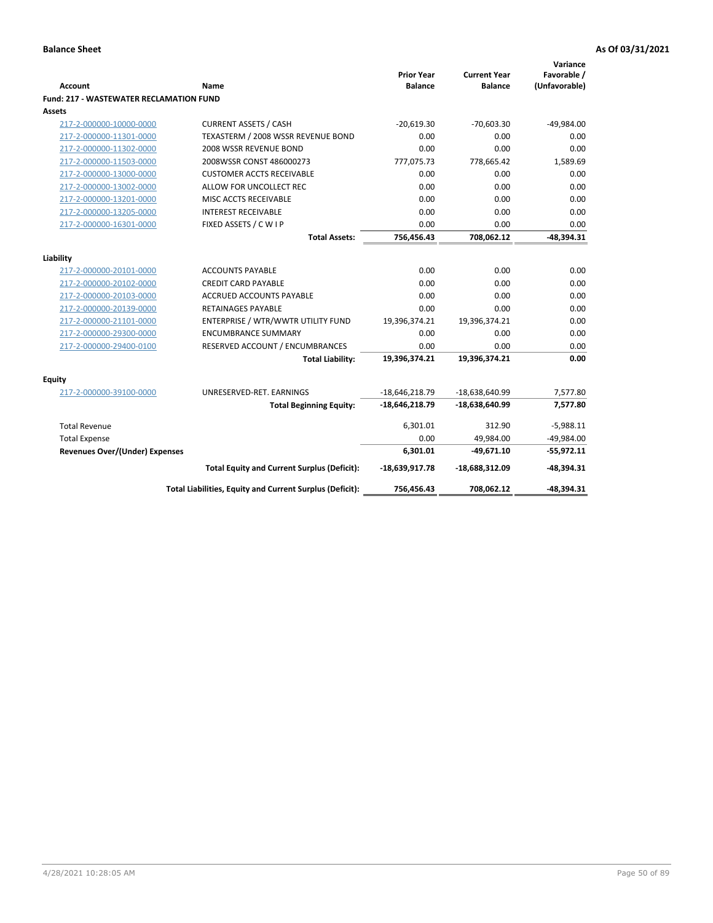|                                                |                                                          | <b>Prior Year</b> | <b>Current Year</b> | Variance<br>Favorable / |
|------------------------------------------------|----------------------------------------------------------|-------------------|---------------------|-------------------------|
| <b>Account</b>                                 | Name                                                     | <b>Balance</b>    | <b>Balance</b>      | (Unfavorable)           |
| <b>Fund: 217 - WASTEWATER RECLAMATION FUND</b> |                                                          |                   |                     |                         |
| <b>Assets</b>                                  |                                                          |                   |                     |                         |
| 217-2-000000-10000-0000                        | <b>CURRENT ASSETS / CASH</b>                             | $-20,619.30$      | $-70,603.30$        | $-49,984.00$            |
| 217-2-000000-11301-0000                        | TEXASTERM / 2008 WSSR REVENUE BOND                       | 0.00              | 0.00                | 0.00                    |
| 217-2-000000-11302-0000                        | 2008 WSSR REVENUE BOND                                   | 0.00              | 0.00                | 0.00                    |
| 217-2-000000-11503-0000                        | 2008WSSR CONST 486000273                                 | 777,075.73        | 778,665.42          | 1,589.69                |
| 217-2-000000-13000-0000                        | <b>CUSTOMER ACCTS RECEIVABLE</b>                         | 0.00              | 0.00                | 0.00                    |
| 217-2-000000-13002-0000                        | ALLOW FOR UNCOLLECT REC                                  | 0.00              | 0.00                | 0.00                    |
| 217-2-000000-13201-0000                        | MISC ACCTS RECEIVABLE                                    | 0.00              | 0.00                | 0.00                    |
| 217-2-000000-13205-0000                        | <b>INTEREST RECEIVABLE</b>                               | 0.00              | 0.00                | 0.00                    |
| 217-2-000000-16301-0000                        | FIXED ASSETS / C W I P                                   | 0.00              | 0.00                | 0.00                    |
|                                                | <b>Total Assets:</b>                                     | 756,456.43        | 708,062.12          | $-48,394.31$            |
|                                                |                                                          |                   |                     |                         |
| Liability                                      |                                                          |                   |                     |                         |
| 217-2-000000-20101-0000                        | <b>ACCOUNTS PAYABLE</b>                                  | 0.00              | 0.00                | 0.00                    |
| 217-2-000000-20102-0000                        | <b>CREDIT CARD PAYABLE</b>                               | 0.00              | 0.00                | 0.00                    |
| 217-2-000000-20103-0000                        | ACCRUED ACCOUNTS PAYABLE                                 | 0.00              | 0.00                | 0.00                    |
| 217-2-000000-20139-0000                        | <b>RETAINAGES PAYABLE</b>                                | 0.00              | 0.00                | 0.00                    |
| 217-2-000000-21101-0000                        | ENTERPRISE / WTR/WWTR UTILITY FUND                       | 19,396,374.21     | 19,396,374.21       | 0.00                    |
| 217-2-000000-29300-0000                        | <b>ENCUMBRANCE SUMMARY</b>                               | 0.00              | 0.00                | 0.00                    |
| 217-2-000000-29400-0100                        | RESERVED ACCOUNT / ENCUMBRANCES                          | 0.00              | 0.00                | 0.00                    |
|                                                | <b>Total Liability:</b>                                  | 19,396,374.21     | 19,396,374.21       | 0.00                    |
| <b>Equity</b>                                  |                                                          |                   |                     |                         |
| 217-2-000000-39100-0000                        | UNRESERVED-RET. EARNINGS                                 | $-18,646,218.79$  | $-18,638,640.99$    | 7,577.80                |
|                                                | <b>Total Beginning Equity:</b>                           | $-18,646,218.79$  | -18,638,640.99      | 7,577.80                |
| <b>Total Revenue</b>                           |                                                          | 6,301.01          | 312.90              | $-5,988.11$             |
| <b>Total Expense</b>                           |                                                          | 0.00              | 49,984.00           | $-49,984.00$            |
| <b>Revenues Over/(Under) Expenses</b>          |                                                          | 6,301.01          | $-49,671.10$        | $-55,972.11$            |
|                                                | <b>Total Equity and Current Surplus (Deficit):</b>       | $-18,639,917.78$  | -18,688,312.09      | $-48,394.31$            |
|                                                | Total Liabilities, Equity and Current Surplus (Deficit): | 756,456.43        | 708,062.12          | $-48.394.31$            |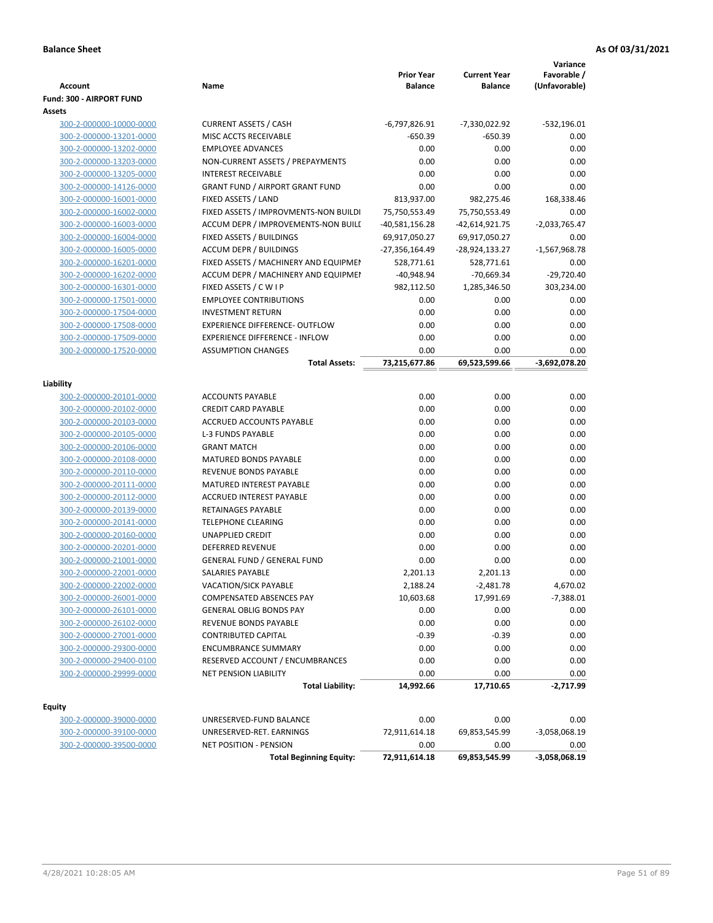|                          |                                        |                   |                     | Variance        |
|--------------------------|----------------------------------------|-------------------|---------------------|-----------------|
|                          |                                        | <b>Prior Year</b> | <b>Current Year</b> | Favorable /     |
| <b>Account</b>           | Name                                   | <b>Balance</b>    | <b>Balance</b>      | (Unfavorable)   |
| Fund: 300 - AIRPORT FUND |                                        |                   |                     |                 |
| Assets                   |                                        |                   |                     |                 |
| 300-2-000000-10000-0000  | <b>CURRENT ASSETS / CASH</b>           | $-6,797,826.91$   | -7,330,022.92       | $-532,196.01$   |
| 300-2-000000-13201-0000  | MISC ACCTS RECEIVABLE                  | $-650.39$         | $-650.39$           | 0.00            |
| 300-2-000000-13202-0000  | <b>EMPLOYEE ADVANCES</b>               | 0.00              | 0.00                | 0.00            |
| 300-2-000000-13203-0000  | NON-CURRENT ASSETS / PREPAYMENTS       | 0.00              | 0.00                | 0.00            |
| 300-2-000000-13205-0000  | <b>INTEREST RECEIVABLE</b>             | 0.00              | 0.00                | 0.00            |
| 300-2-000000-14126-0000  | <b>GRANT FUND / AIRPORT GRANT FUND</b> | 0.00              | 0.00                | 0.00            |
| 300-2-000000-16001-0000  | FIXED ASSETS / LAND                    | 813,937.00        | 982,275.46          | 168,338.46      |
| 300-2-000000-16002-0000  | FIXED ASSETS / IMPROVMENTS-NON BUILDI  | 75,750,553.49     | 75,750,553.49       | 0.00            |
| 300-2-000000-16003-0000  | ACCUM DEPR / IMPROVEMENTS-NON BUILI    | $-40,581,156.28$  | $-42,614,921.75$    | $-2,033,765.47$ |
| 300-2-000000-16004-0000  | FIXED ASSETS / BUILDINGS               | 69,917,050.27     | 69,917,050.27       | 0.00            |
| 300-2-000000-16005-0000  | <b>ACCUM DEPR / BUILDINGS</b>          | -27,356,164.49    | -28,924,133.27      | $-1,567,968.78$ |
| 300-2-000000-16201-0000  | FIXED ASSETS / MACHINERY AND EQUIPMEN  | 528,771.61        | 528,771.61          | 0.00            |
| 300-2-000000-16202-0000  | ACCUM DEPR / MACHINERY AND EQUIPMEI    | $-40,948.94$      | $-70,669.34$        | $-29,720.40$    |
| 300-2-000000-16301-0000  | FIXED ASSETS / C W I P                 | 982,112.50        | 1,285,346.50        | 303,234.00      |
| 300-2-000000-17501-0000  | <b>EMPLOYEE CONTRIBUTIONS</b>          | 0.00              | 0.00                | 0.00            |
| 300-2-000000-17504-0000  | <b>INVESTMENT RETURN</b>               | 0.00              | 0.00                | 0.00            |
| 300-2-000000-17508-0000  | <b>EXPERIENCE DIFFERENCE- OUTFLOW</b>  | 0.00              | 0.00                | 0.00            |
| 300-2-000000-17509-0000  | <b>EXPERIENCE DIFFERENCE - INFLOW</b>  | 0.00              | 0.00                | 0.00            |
| 300-2-000000-17520-0000  | <b>ASSUMPTION CHANGES</b>              | 0.00              | 0.00                | 0.00            |
|                          | <b>Total Assets:</b>                   | 73,215,677.86     | 69,523,599.66       | -3,692,078.20   |
| Liability                |                                        |                   |                     |                 |
| 300-2-000000-20101-0000  | <b>ACCOUNTS PAYABLE</b>                | 0.00              | 0.00                | 0.00            |
| 300-2-000000-20102-0000  | <b>CREDIT CARD PAYABLE</b>             | 0.00              | 0.00                | 0.00            |
| 300-2-000000-20103-0000  | ACCRUED ACCOUNTS PAYABLE               | 0.00              | 0.00                | 0.00            |
| 300-2-000000-20105-0000  | <b>L-3 FUNDS PAYABLE</b>               | 0.00              | 0.00                | 0.00            |
| 300-2-000000-20106-0000  | <b>GRANT MATCH</b>                     | 0.00              | 0.00                | 0.00            |
| 300-2-000000-20108-0000  | <b>MATURED BONDS PAYABLE</b>           | 0.00              | 0.00                | 0.00            |
| 300-2-000000-20110-0000  | REVENUE BONDS PAYABLE                  | 0.00              | 0.00                | 0.00            |
| 300-2-000000-20111-0000  | MATURED INTEREST PAYABLE               | 0.00              | 0.00                | 0.00            |
| 300-2-000000-20112-0000  | <b>ACCRUED INTEREST PAYABLE</b>        | 0.00              | 0.00                | 0.00            |
| 300-2-000000-20139-0000  | RETAINAGES PAYABLE                     | 0.00              | 0.00                | 0.00            |
| 300-2-000000-20141-0000  | <b>TELEPHONE CLEARING</b>              | 0.00              | 0.00                | 0.00            |
| 300-2-000000-20160-0000  | <b>UNAPPLIED CREDIT</b>                | 0.00              | 0.00                | 0.00            |
| 300-2-000000-20201-0000  | <b>DEFERRED REVENUE</b>                | 0.00              | 0.00                | 0.00            |
| 300-2-000000-21001-0000  | <b>GENERAL FUND / GENERAL FUND</b>     | 0.00              | 0.00                | 0.00            |
| 300-2-000000-22001-0000  | SALARIES PAYABLE                       | 2,201.13          | 2,201.13            | 0.00            |
| 300-2-000000-22002-0000  | <b>VACATION/SICK PAYABLE</b>           | 2,188.24          | $-2,481.78$         | 4,670.02        |
| 300-2-000000-26001-0000  | <b>COMPENSATED ABSENCES PAY</b>        | 10,603.68         | 17,991.69           | $-7,388.01$     |
| 300-2-000000-26101-0000  | <b>GENERAL OBLIG BONDS PAY</b>         | 0.00              | 0.00                | 0.00            |
| 300-2-000000-26102-0000  | REVENUE BONDS PAYABLE                  | 0.00              | 0.00                | 0.00            |
| 300-2-000000-27001-0000  | CONTRIBUTED CAPITAL                    | $-0.39$           | $-0.39$             | 0.00            |
| 300-2-000000-29300-0000  | <b>ENCUMBRANCE SUMMARY</b>             | 0.00              | 0.00                | 0.00            |
| 300-2-000000-29400-0100  | RESERVED ACCOUNT / ENCUMBRANCES        | 0.00              | 0.00                | 0.00            |
| 300-2-000000-29999-0000  | NET PENSION LIABILITY                  | 0.00              | 0.00                | 0.00            |
|                          | <b>Total Liability:</b>                | 14,992.66         | 17,710.65           | $-2,717.99$     |
|                          |                                        |                   |                     |                 |
| <b>Equity</b>            |                                        |                   |                     |                 |
| 300-2-000000-39000-0000  | UNRESERVED-FUND BALANCE                | 0.00              | 0.00                | 0.00            |
| 300-2-000000-39100-0000  | UNRESERVED-RET. EARNINGS               | 72,911,614.18     | 69,853,545.99       | -3,058,068.19   |
| 300-2-000000-39500-0000  | NET POSITION - PENSION                 | 0.00              | 0.00                | 0.00            |
|                          | <b>Total Beginning Equity:</b>         | 72,911,614.18     | 69,853,545.99       | $-3,058,068.19$ |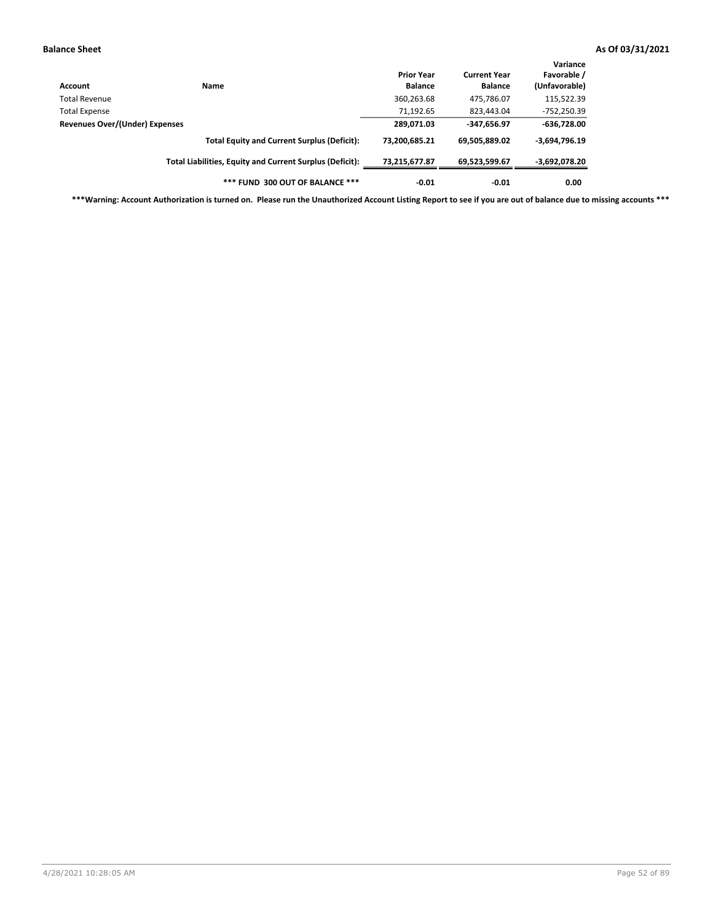| Account                        | Name                                                     | <b>Prior Year</b><br><b>Balance</b> | <b>Current Year</b><br><b>Balance</b> | Variance<br>Favorable /<br>(Unfavorable) |
|--------------------------------|----------------------------------------------------------|-------------------------------------|---------------------------------------|------------------------------------------|
| <b>Total Revenue</b>           |                                                          | 360,263.68                          | 475,786.07                            | 115,522.39                               |
| <b>Total Expense</b>           |                                                          | 71,192.65                           | 823,443.04                            | $-752,250.39$                            |
| Revenues Over/(Under) Expenses |                                                          | 289,071.03                          | -347,656.97                           | $-636,728.00$                            |
|                                | <b>Total Equity and Current Surplus (Deficit):</b>       | 73,200,685.21                       | 69,505,889.02                         | $-3,694,796.19$                          |
|                                | Total Liabilities, Equity and Current Surplus (Deficit): | 73,215,677.87                       | 69,523,599.67                         | -3,692,078.20                            |
|                                | *** FUND 300 OUT OF BALANCE ***                          | $-0.01$                             | $-0.01$                               | 0.00                                     |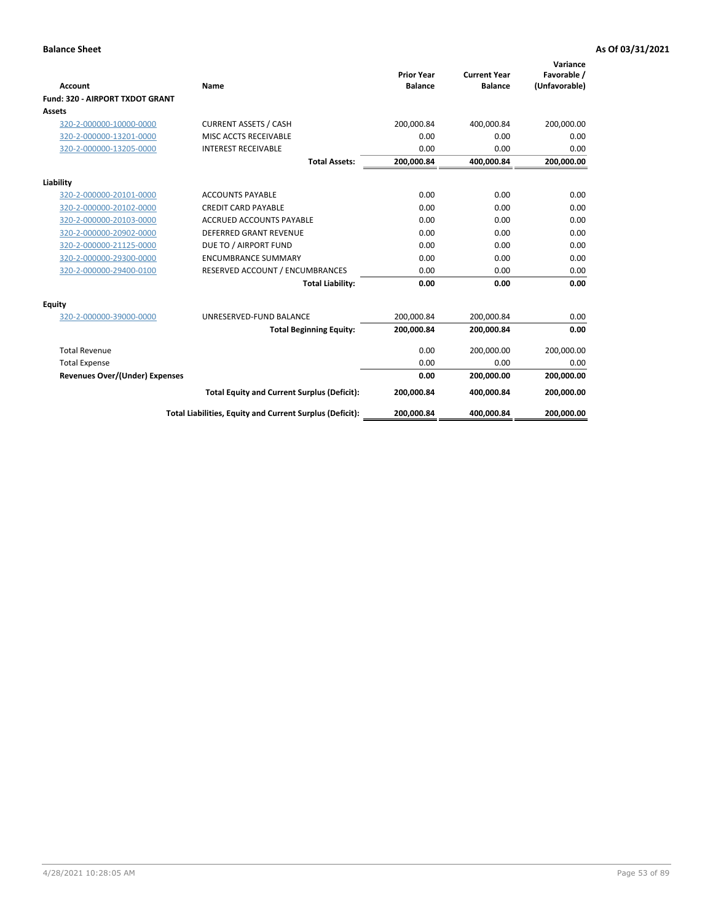|                                        |                                                          | <b>Prior Year</b> | <b>Current Year</b> | Variance<br>Favorable / |
|----------------------------------------|----------------------------------------------------------|-------------------|---------------------|-------------------------|
| Account                                | <b>Name</b>                                              | <b>Balance</b>    | <b>Balance</b>      | (Unfavorable)           |
| <b>Fund: 320 - AIRPORT TXDOT GRANT</b> |                                                          |                   |                     |                         |
| Assets                                 |                                                          |                   |                     |                         |
| 320-2-000000-10000-0000                | <b>CURRENT ASSETS / CASH</b>                             | 200,000.84        | 400,000.84          | 200,000.00              |
| 320-2-000000-13201-0000                | MISC ACCTS RECEIVABLE                                    | 0.00              | 0.00                | 0.00                    |
| 320-2-000000-13205-0000                | <b>INTEREST RECEIVABLE</b>                               | 0.00              | 0.00                | 0.00                    |
|                                        | <b>Total Assets:</b>                                     | 200,000.84        | 400,000.84          | 200,000.00              |
| Liability                              |                                                          |                   |                     |                         |
| 320-2-000000-20101-0000                | <b>ACCOUNTS PAYABLE</b>                                  | 0.00              | 0.00                | 0.00                    |
| 320-2-000000-20102-0000                | <b>CREDIT CARD PAYABLE</b>                               | 0.00              | 0.00                | 0.00                    |
| 320-2-000000-20103-0000                | <b>ACCRUED ACCOUNTS PAYABLE</b>                          | 0.00              | 0.00                | 0.00                    |
| 320-2-000000-20902-0000                | <b>DEFERRED GRANT REVENUE</b>                            | 0.00              | 0.00                | 0.00                    |
| 320-2-000000-21125-0000                | DUE TO / AIRPORT FUND                                    | 0.00              | 0.00                | 0.00                    |
| 320-2-000000-29300-0000                | <b>ENCUMBRANCE SUMMARY</b>                               | 0.00              | 0.00                | 0.00                    |
| 320-2-000000-29400-0100                | RESERVED ACCOUNT / ENCUMBRANCES                          | 0.00              | 0.00                | 0.00                    |
|                                        | <b>Total Liability:</b>                                  | 0.00              | 0.00                | 0.00                    |
| Equity                                 |                                                          |                   |                     |                         |
| 320-2-000000-39000-0000                | UNRESERVED-FUND BALANCE                                  | 200,000.84        | 200,000.84          | 0.00                    |
|                                        | <b>Total Beginning Equity:</b>                           | 200,000.84        | 200,000.84          | 0.00                    |
| <b>Total Revenue</b>                   |                                                          | 0.00              | 200,000.00          | 200,000.00              |
| <b>Total Expense</b>                   |                                                          | 0.00              | 0.00                | 0.00                    |
| <b>Revenues Over/(Under) Expenses</b>  |                                                          | 0.00              | 200,000.00          | 200,000.00              |
|                                        | <b>Total Equity and Current Surplus (Deficit):</b>       | 200,000.84        | 400,000.84          | 200,000.00              |
|                                        | Total Liabilities, Equity and Current Surplus (Deficit): | 200,000.84        | 400,000.84          | 200,000.00              |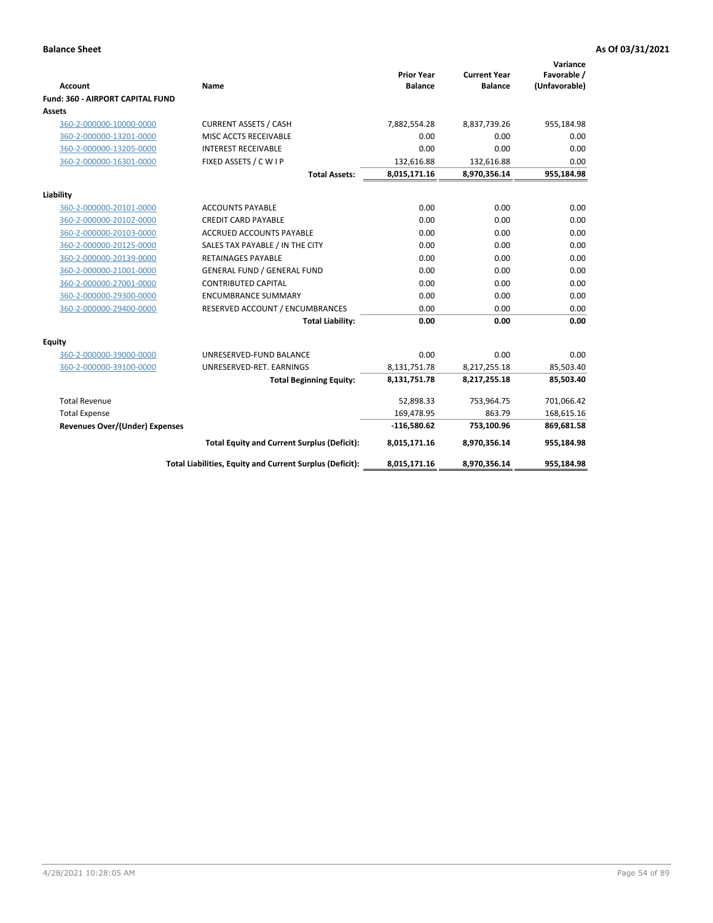|                                         |                                                          |                                     |                                       | Variance                     |
|-----------------------------------------|----------------------------------------------------------|-------------------------------------|---------------------------------------|------------------------------|
| Account                                 | <b>Name</b>                                              | <b>Prior Year</b><br><b>Balance</b> | <b>Current Year</b><br><b>Balance</b> | Favorable /<br>(Unfavorable) |
| <b>Fund: 360 - AIRPORT CAPITAL FUND</b> |                                                          |                                     |                                       |                              |
| Assets                                  |                                                          |                                     |                                       |                              |
| 360-2-000000-10000-0000                 | <b>CURRENT ASSETS / CASH</b>                             | 7,882,554.28                        | 8,837,739.26                          | 955,184.98                   |
| 360-2-000000-13201-0000                 | MISC ACCTS RECEIVABLE                                    | 0.00                                | 0.00                                  | 0.00                         |
| 360-2-000000-13205-0000                 | <b>INTEREST RECEIVABLE</b>                               | 0.00                                | 0.00                                  | 0.00                         |
| 360-2-000000-16301-0000                 | FIXED ASSETS / C W I P                                   | 132,616.88                          | 132,616.88                            | 0.00                         |
|                                         | <b>Total Assets:</b>                                     | 8,015,171.16                        | 8,970,356.14                          | 955,184.98                   |
| Liability                               |                                                          |                                     |                                       |                              |
| 360-2-000000-20101-0000                 | <b>ACCOUNTS PAYABLE</b>                                  | 0.00                                | 0.00                                  | 0.00                         |
| 360-2-000000-20102-0000                 | <b>CREDIT CARD PAYABLE</b>                               | 0.00                                | 0.00                                  | 0.00                         |
| 360-2-000000-20103-0000                 | ACCRUED ACCOUNTS PAYABLE                                 | 0.00                                | 0.00                                  | 0.00                         |
| 360-2-000000-20125-0000                 | SALES TAX PAYABLE / IN THE CITY                          | 0.00                                | 0.00                                  | 0.00                         |
| 360-2-000000-20139-0000                 | <b>RETAINAGES PAYABLE</b>                                | 0.00                                | 0.00                                  | 0.00                         |
| 360-2-000000-21001-0000                 | <b>GENERAL FUND / GENERAL FUND</b>                       | 0.00                                | 0.00                                  | 0.00                         |
| 360-2-000000-27001-0000                 | <b>CONTRIBUTED CAPITAL</b>                               | 0.00                                | 0.00                                  | 0.00                         |
| 360-2-000000-29300-0000                 | <b>ENCUMBRANCE SUMMARY</b>                               | 0.00                                | 0.00                                  | 0.00                         |
| 360-2-000000-29400-0000                 | RESERVED ACCOUNT / ENCUMBRANCES                          | 0.00                                | 0.00                                  | 0.00                         |
|                                         | <b>Total Liability:</b>                                  | 0.00                                | 0.00                                  | 0.00                         |
| Equity                                  |                                                          |                                     |                                       |                              |
| 360-2-000000-39000-0000                 | UNRESERVED-FUND BALANCE                                  | 0.00                                | 0.00                                  | 0.00                         |
| 360-2-000000-39100-0000                 | UNRESERVED-RET. EARNINGS                                 | 8,131,751.78                        | 8,217,255.18                          | 85,503.40                    |
|                                         | <b>Total Beginning Equity:</b>                           | 8,131,751.78                        | 8,217,255.18                          | 85,503.40                    |
| <b>Total Revenue</b>                    |                                                          | 52,898.33                           | 753,964.75                            | 701,066.42                   |
| <b>Total Expense</b>                    |                                                          | 169,478.95                          | 863.79                                | 168,615.16                   |
| <b>Revenues Over/(Under) Expenses</b>   |                                                          | $-116,580.62$                       | 753,100.96                            | 869,681.58                   |
|                                         | <b>Total Equity and Current Surplus (Deficit):</b>       | 8,015,171.16                        | 8,970,356.14                          | 955,184.98                   |
|                                         | Total Liabilities, Equity and Current Surplus (Deficit): | 8,015,171.16                        | 8,970,356.14                          | 955,184.98                   |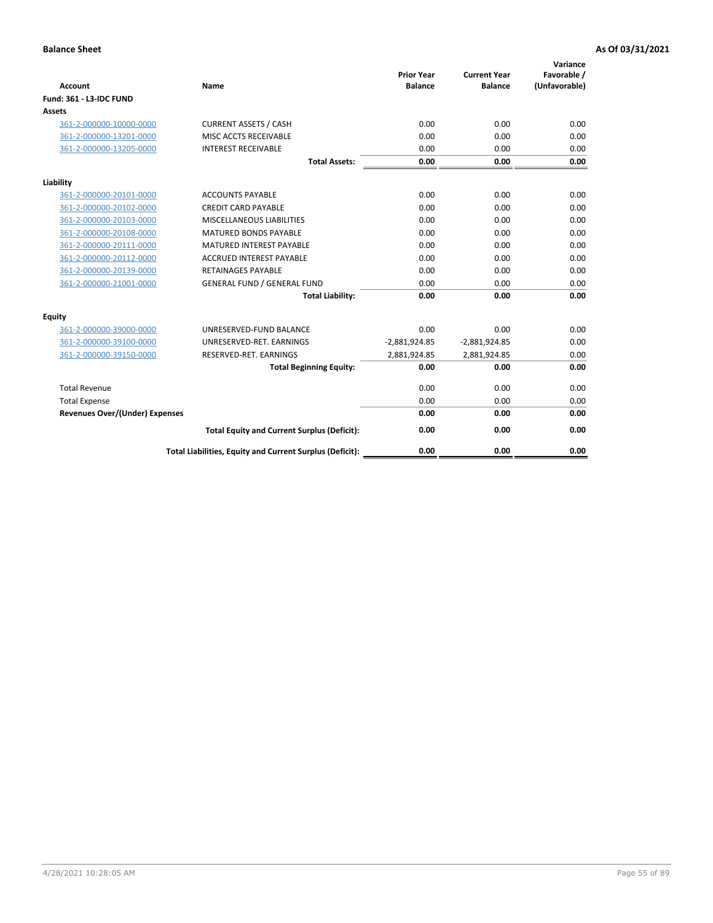| <b>Account</b>                        | Name                                                     | <b>Prior Year</b><br><b>Balance</b> | <b>Current Year</b><br><b>Balance</b> | Variance<br>Favorable /<br>(Unfavorable) |
|---------------------------------------|----------------------------------------------------------|-------------------------------------|---------------------------------------|------------------------------------------|
| <b>Fund: 361 - L3-IDC FUND</b>        |                                                          |                                     |                                       |                                          |
| Assets                                |                                                          |                                     |                                       |                                          |
| 361-2-000000-10000-0000               | <b>CURRENT ASSETS / CASH</b>                             | 0.00                                | 0.00                                  | 0.00                                     |
| 361-2-000000-13201-0000               | MISC ACCTS RECEIVABLE                                    | 0.00                                | 0.00                                  | 0.00                                     |
| 361-2-000000-13205-0000               | <b>INTEREST RECEIVABLE</b>                               | 0.00                                | 0.00                                  | 0.00                                     |
|                                       | <b>Total Assets:</b>                                     | 0.00                                | 0.00                                  | 0.00                                     |
| Liability                             |                                                          |                                     |                                       |                                          |
| 361-2-000000-20101-0000               | <b>ACCOUNTS PAYABLE</b>                                  | 0.00                                | 0.00                                  | 0.00                                     |
| 361-2-000000-20102-0000               | <b>CREDIT CARD PAYABLE</b>                               | 0.00                                | 0.00                                  | 0.00                                     |
| 361-2-000000-20103-0000               | MISCELLANEOUS LIABILITIES                                | 0.00                                | 0.00                                  | 0.00                                     |
| 361-2-000000-20108-0000               | <b>MATURED BONDS PAYABLE</b>                             | 0.00                                | 0.00                                  | 0.00                                     |
| 361-2-000000-20111-0000               | <b>MATURED INTEREST PAYABLE</b>                          | 0.00                                | 0.00                                  | 0.00                                     |
| 361-2-000000-20112-0000               | <b>ACCRUED INTEREST PAYABLE</b>                          | 0.00                                | 0.00                                  | 0.00                                     |
| 361-2-000000-20139-0000               | <b>RETAINAGES PAYABLE</b>                                | 0.00                                | 0.00                                  | 0.00                                     |
| 361-2-000000-21001-0000               | <b>GENERAL FUND / GENERAL FUND</b>                       | 0.00                                | 0.00                                  | 0.00                                     |
|                                       | <b>Total Liability:</b>                                  | 0.00                                | 0.00                                  | 0.00                                     |
| Equity                                |                                                          |                                     |                                       |                                          |
| 361-2-000000-39000-0000               | UNRESERVED-FUND BALANCE                                  | 0.00                                | 0.00                                  | 0.00                                     |
| 361-2-000000-39100-0000               | UNRESERVED-RET. EARNINGS                                 | $-2,881,924.85$                     | $-2,881,924.85$                       | 0.00                                     |
| 361-2-000000-39150-0000               | RESERVED-RET. EARNINGS                                   | 2,881,924.85                        | 2,881,924.85                          | 0.00                                     |
|                                       | <b>Total Beginning Equity:</b>                           | 0.00                                | 0.00                                  | 0.00                                     |
| <b>Total Revenue</b>                  |                                                          | 0.00                                | 0.00                                  | 0.00                                     |
| <b>Total Expense</b>                  |                                                          | 0.00                                | 0.00                                  | 0.00                                     |
| <b>Revenues Over/(Under) Expenses</b> |                                                          | 0.00                                | 0.00                                  | 0.00                                     |
|                                       | <b>Total Equity and Current Surplus (Deficit):</b>       | 0.00                                | 0.00                                  | 0.00                                     |
|                                       | Total Liabilities, Equity and Current Surplus (Deficit): | 0.00                                | 0.00                                  | 0.00                                     |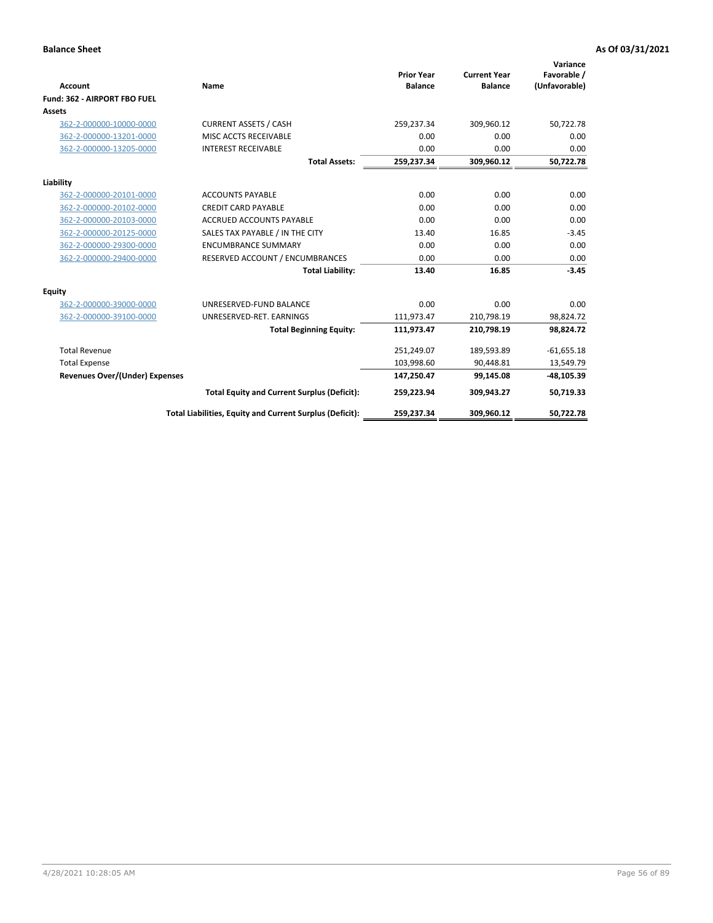|                                       |                                                          |                                     |                                       | Variance                     |
|---------------------------------------|----------------------------------------------------------|-------------------------------------|---------------------------------------|------------------------------|
| <b>Account</b>                        | Name                                                     | <b>Prior Year</b><br><b>Balance</b> | <b>Current Year</b><br><b>Balance</b> | Favorable /<br>(Unfavorable) |
| Fund: 362 - AIRPORT FBO FUEL          |                                                          |                                     |                                       |                              |
| <b>Assets</b>                         |                                                          |                                     |                                       |                              |
| 362-2-000000-10000-0000               | <b>CURRENT ASSETS / CASH</b>                             | 259,237.34                          | 309,960.12                            | 50,722.78                    |
| 362-2-000000-13201-0000               | MISC ACCTS RECEIVABLE                                    | 0.00                                | 0.00                                  | 0.00                         |
| 362-2-000000-13205-0000               | <b>INTEREST RECEIVABLE</b>                               | 0.00                                | 0.00                                  | 0.00                         |
|                                       | <b>Total Assets:</b>                                     | 259,237.34                          | 309,960.12                            | 50,722.78                    |
| Liability                             |                                                          |                                     |                                       |                              |
| 362-2-000000-20101-0000               | <b>ACCOUNTS PAYABLE</b>                                  | 0.00                                | 0.00                                  | 0.00                         |
| 362-2-000000-20102-0000               | <b>CREDIT CARD PAYABLE</b>                               | 0.00                                | 0.00                                  | 0.00                         |
| 362-2-000000-20103-0000               | <b>ACCRUED ACCOUNTS PAYABLE</b>                          | 0.00                                | 0.00                                  | 0.00                         |
| 362-2-000000-20125-0000               | SALES TAX PAYABLE / IN THE CITY                          | 13.40                               | 16.85                                 | $-3.45$                      |
| 362-2-000000-29300-0000               | <b>ENCUMBRANCE SUMMARY</b>                               | 0.00                                | 0.00                                  | 0.00                         |
| 362-2-000000-29400-0000               | RESERVED ACCOUNT / ENCUMBRANCES                          | 0.00                                | 0.00                                  | 0.00                         |
|                                       | <b>Total Liability:</b>                                  | 13.40                               | 16.85                                 | $-3.45$                      |
| <b>Equity</b>                         |                                                          |                                     |                                       |                              |
| 362-2-000000-39000-0000               | UNRESERVED-FUND BALANCE                                  | 0.00                                | 0.00                                  | 0.00                         |
| 362-2-000000-39100-0000               | UNRESERVED-RET. EARNINGS                                 | 111,973.47                          | 210,798.19                            | 98,824.72                    |
|                                       | <b>Total Beginning Equity:</b>                           | 111,973.47                          | 210,798.19                            | 98,824.72                    |
| <b>Total Revenue</b>                  |                                                          | 251,249.07                          | 189,593.89                            | $-61,655.18$                 |
| <b>Total Expense</b>                  |                                                          | 103,998.60                          | 90,448.81                             | 13,549.79                    |
| <b>Revenues Over/(Under) Expenses</b> |                                                          | 147,250.47                          | 99,145.08                             | $-48,105.39$                 |
|                                       | <b>Total Equity and Current Surplus (Deficit):</b>       | 259,223.94                          | 309,943.27                            | 50,719.33                    |
|                                       | Total Liabilities, Equity and Current Surplus (Deficit): | 259,237.34                          | 309,960.12                            | 50,722.78                    |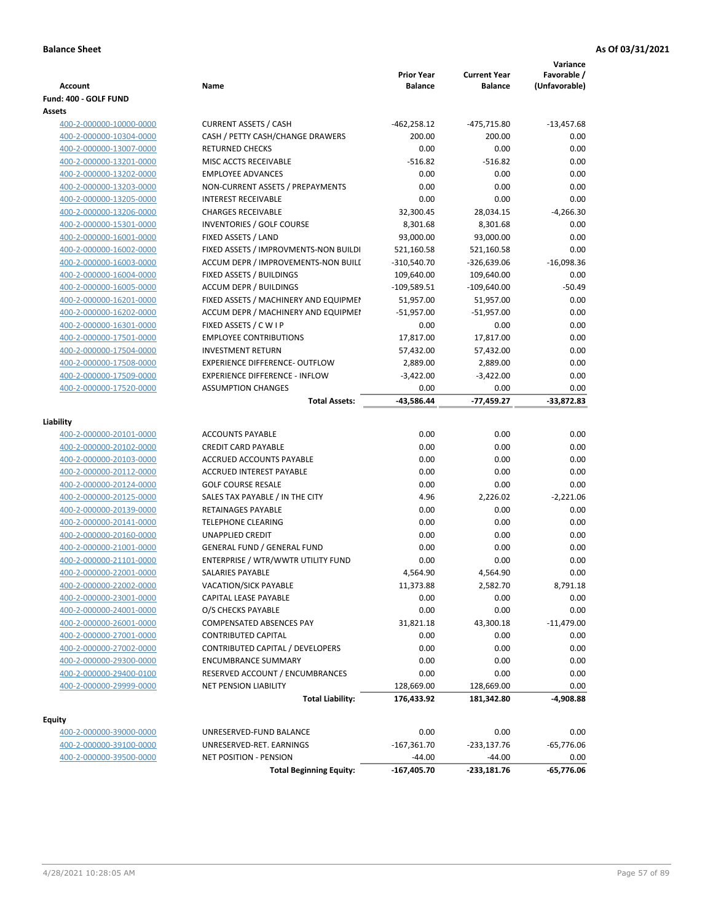| Account<br>Fund: 400 - GOLF FUND | Name                                  | <b>Prior Year</b><br><b>Balance</b> | <b>Current Year</b><br><b>Balance</b> | Variance<br>Favorable /<br>(Unfavorable) |
|----------------------------------|---------------------------------------|-------------------------------------|---------------------------------------|------------------------------------------|
| Assets                           |                                       |                                     |                                       |                                          |
| 400-2-000000-10000-0000          | <b>CURRENT ASSETS / CASH</b>          | -462,258.12                         | -475,715.80                           | $-13,457.68$                             |
| 400-2-000000-10304-0000          | CASH / PETTY CASH/CHANGE DRAWERS      | 200.00                              | 200.00                                | 0.00                                     |
| 400-2-000000-13007-0000          | <b>RETURNED CHECKS</b>                | 0.00                                | 0.00                                  | 0.00                                     |
| 400-2-000000-13201-0000          | MISC ACCTS RECEIVABLE                 | $-516.82$                           | $-516.82$                             | 0.00                                     |
| 400-2-000000-13202-0000          | <b>EMPLOYEE ADVANCES</b>              | 0.00                                | 0.00                                  | 0.00                                     |
| 400-2-000000-13203-0000          | NON-CURRENT ASSETS / PREPAYMENTS      | 0.00                                | 0.00                                  | 0.00                                     |
| 400-2-000000-13205-0000          | <b>INTEREST RECEIVABLE</b>            | 0.00                                | 0.00                                  | 0.00                                     |
| 400-2-000000-13206-0000          | <b>CHARGES RECEIVABLE</b>             | 32,300.45                           | 28,034.15                             | $-4,266.30$                              |
| 400-2-000000-15301-0000          | INVENTORIES / GOLF COURSE             | 8,301.68                            | 8,301.68                              | 0.00                                     |
| 400-2-000000-16001-0000          | FIXED ASSETS / LAND                   | 93,000.00                           | 93,000.00                             | 0.00                                     |
| 400-2-000000-16002-0000          | FIXED ASSETS / IMPROVMENTS-NON BUILDI | 521,160.58                          | 521,160.58                            | 0.00                                     |
| 400-2-000000-16003-0000          | ACCUM DEPR / IMPROVEMENTS-NON BUILI   | -310,540.70                         | -326,639.06                           | $-16,098.36$                             |
| 400-2-000000-16004-0000          | FIXED ASSETS / BUILDINGS              | 109,640.00                          | 109,640.00                            | 0.00                                     |
| 400-2-000000-16005-0000          | <b>ACCUM DEPR / BUILDINGS</b>         | $-109,589.51$                       | $-109,640.00$                         | $-50.49$                                 |
| 400-2-000000-16201-0000          | FIXED ASSETS / MACHINERY AND EQUIPMEN | 51,957.00                           | 51,957.00                             | 0.00                                     |
| 400-2-000000-16202-0000          | ACCUM DEPR / MACHINERY AND EQUIPMEI   | -51,957.00                          | $-51,957.00$                          | 0.00                                     |
| 400-2-000000-16301-0000          | FIXED ASSETS / C W I P                | 0.00                                | 0.00                                  | 0.00                                     |
| 400-2-000000-17501-0000          | <b>EMPLOYEE CONTRIBUTIONS</b>         | 17,817.00                           | 17,817.00                             | 0.00                                     |
| 400-2-000000-17504-0000          | <b>INVESTMENT RETURN</b>              | 57,432.00                           | 57,432.00                             | 0.00                                     |
| 400-2-000000-17508-0000          | <b>EXPERIENCE DIFFERENCE- OUTFLOW</b> | 2,889.00                            | 2,889.00                              | 0.00                                     |
| 400-2-000000-17509-0000          | <b>EXPERIENCE DIFFERENCE - INFLOW</b> | $-3,422.00$                         | $-3,422.00$                           | 0.00                                     |
| 400-2-000000-17520-0000          | <b>ASSUMPTION CHANGES</b>             | 0.00                                | 0.00                                  | 0.00                                     |
|                                  | <b>Total Assets:</b>                  | $-43,586.44$                        | $-77,459.27$                          | $-33,872.83$                             |
| Liability                        |                                       |                                     |                                       |                                          |
| 400-2-000000-20101-0000          | <b>ACCOUNTS PAYABLE</b>               | 0.00                                | 0.00                                  | 0.00                                     |
| 400-2-000000-20102-0000          | <b>CREDIT CARD PAYABLE</b>            | 0.00                                | 0.00                                  | 0.00                                     |
| 400-2-000000-20103-0000          | ACCRUED ACCOUNTS PAYABLE              | 0.00                                | 0.00                                  | 0.00                                     |
| 400-2-000000-20112-0000          | <b>ACCRUED INTEREST PAYABLE</b>       | 0.00                                | 0.00                                  | 0.00                                     |
| 400-2-000000-20124-0000          | <b>GOLF COURSE RESALE</b>             | 0.00                                | 0.00                                  | 0.00                                     |
| 400-2-000000-20125-0000          | SALES TAX PAYABLE / IN THE CITY       | 4.96                                | 2,226.02                              | $-2,221.06$                              |
| 400-2-000000-20139-0000          | RETAINAGES PAYABLE                    | 0.00                                | 0.00                                  | 0.00                                     |
| 400-2-000000-20141-0000          | <b>TELEPHONE CLEARING</b>             | 0.00                                | 0.00                                  | 0.00                                     |
| 400-2-000000-20160-0000          | <b>UNAPPLIED CREDIT</b>               | 0.00                                | 0.00                                  | 0.00                                     |
| 400-2-000000-21001-0000          | <b>GENERAL FUND / GENERAL FUND</b>    | 0.00                                | 0.00                                  | 0.00                                     |
| 400-2-000000-21101-0000          | ENTERPRISE / WTR/WWTR UTILITY FUND    | 0.00                                | 0.00                                  | 0.00                                     |
| 400-2-000000-22001-0000          | SALARIES PAYABLE                      | 4,564.90                            | 4,564.90                              | 0.00                                     |
| 400-2-000000-22002-0000          | VACATION/SICK PAYABLE                 | 11,373.88                           | 2,582.70                              | 8,791.18                                 |
| 400-2-000000-23001-0000          | CAPITAL LEASE PAYABLE                 | 0.00                                | 0.00                                  | 0.00                                     |
| 400-2-000000-24001-0000          | O/S CHECKS PAYABLE                    | 0.00                                | 0.00                                  | 0.00                                     |
| 400-2-000000-26001-0000          | <b>COMPENSATED ABSENCES PAY</b>       | 31,821.18                           | 43,300.18                             | $-11,479.00$                             |
| 400-2-000000-27001-0000          | <b>CONTRIBUTED CAPITAL</b>            | 0.00                                | 0.00                                  | 0.00                                     |
| 400-2-000000-27002-0000          | CONTRIBUTED CAPITAL / DEVELOPERS      | 0.00                                | 0.00                                  | 0.00                                     |
| 400-2-000000-29300-0000          | <b>ENCUMBRANCE SUMMARY</b>            | 0.00                                | 0.00                                  | 0.00                                     |
| 400-2-000000-29400-0100          | RESERVED ACCOUNT / ENCUMBRANCES       | 0.00                                | 0.00                                  | 0.00                                     |
| 400-2-000000-29999-0000          | <b>NET PENSION LIABILITY</b>          | 128,669.00                          | 128,669.00                            | 0.00                                     |
|                                  | <b>Total Liability:</b>               | 176,433.92                          | 181,342.80                            | -4,908.88                                |
|                                  |                                       |                                     |                                       |                                          |
| <b>Equity</b>                    |                                       |                                     |                                       |                                          |
| 400-2-000000-39000-0000          | UNRESERVED-FUND BALANCE               | 0.00                                | 0.00                                  | 0.00                                     |
| 400-2-000000-39100-0000          | UNRESERVED-RET. EARNINGS              | $-167,361.70$                       | $-233,137.76$                         | $-65,776.06$                             |
| 400-2-000000-39500-0000          | NET POSITION - PENSION                | $-44.00$                            | $-44.00$                              | 0.00                                     |
|                                  | <b>Total Beginning Equity:</b>        | -167,405.70                         | -233,181.76                           | -65,776.06                               |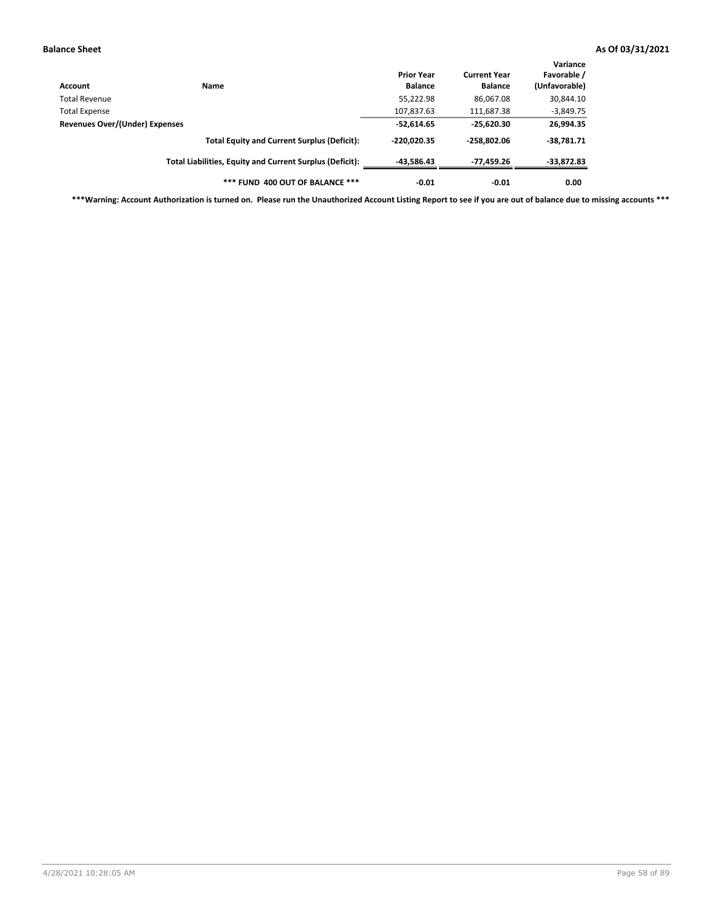| Account                        | Name                                                     | <b>Prior Year</b><br><b>Balance</b> | <b>Current Year</b><br><b>Balance</b> | Variance<br>Favorable /<br>(Unfavorable) |
|--------------------------------|----------------------------------------------------------|-------------------------------------|---------------------------------------|------------------------------------------|
| Total Revenue                  |                                                          | 55,222.98                           | 86,067.08                             | 30,844.10                                |
| <b>Total Expense</b>           |                                                          | 107,837.63                          | 111,687.38                            | $-3,849.75$                              |
| Revenues Over/(Under) Expenses |                                                          | $-52,614.65$                        | $-25,620.30$                          | 26,994.35                                |
|                                | <b>Total Equity and Current Surplus (Deficit):</b>       | $-220.020.35$                       | $-258,802.06$                         | $-38,781.71$                             |
|                                | Total Liabilities, Equity and Current Surplus (Deficit): | $-43.586.43$                        | -77,459.26                            | -33,872.83                               |
|                                | *** FUND 400 OUT OF BALANCE ***                          | $-0.01$                             | $-0.01$                               | 0.00                                     |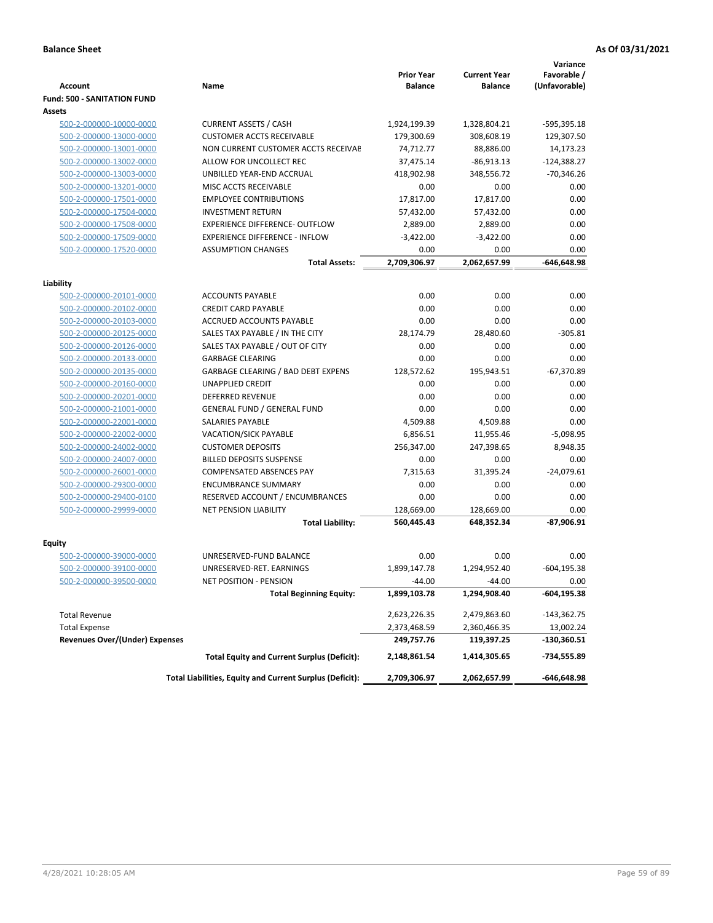|                                       |                                                          |                                     |                                       | Variance                     |
|---------------------------------------|----------------------------------------------------------|-------------------------------------|---------------------------------------|------------------------------|
| Account                               | Name                                                     | <b>Prior Year</b><br><b>Balance</b> | <b>Current Year</b><br><b>Balance</b> | Favorable /<br>(Unfavorable) |
| <b>Fund: 500 - SANITATION FUND</b>    |                                                          |                                     |                                       |                              |
| Assets                                |                                                          |                                     |                                       |                              |
| 500-2-000000-10000-0000               | <b>CURRENT ASSETS / CASH</b>                             | 1,924,199.39                        | 1,328,804.21                          | -595,395.18                  |
| 500-2-000000-13000-0000               | <b>CUSTOMER ACCTS RECEIVABLE</b>                         | 179,300.69                          | 308,608.19                            | 129,307.50                   |
| 500-2-000000-13001-0000               | NON CURRENT CUSTOMER ACCTS RECEIVAE                      | 74,712.77                           | 88,886.00                             | 14,173.23                    |
| 500-2-000000-13002-0000               | ALLOW FOR UNCOLLECT REC                                  | 37,475.14                           | $-86,913.13$                          | $-124,388.27$                |
| 500-2-000000-13003-0000               | UNBILLED YEAR-END ACCRUAL                                | 418,902.98                          | 348,556.72                            | $-70,346.26$                 |
| 500-2-000000-13201-0000               | MISC ACCTS RECEIVABLE                                    | 0.00                                | 0.00                                  | 0.00                         |
| 500-2-000000-17501-0000               | <b>EMPLOYEE CONTRIBUTIONS</b>                            | 17,817.00                           | 17.817.00                             | 0.00                         |
| 500-2-000000-17504-0000               | <b>INVESTMENT RETURN</b>                                 | 57,432.00                           | 57,432.00                             | 0.00                         |
| 500-2-000000-17508-0000               | <b>EXPERIENCE DIFFERENCE- OUTFLOW</b>                    | 2,889.00                            | 2,889.00                              | 0.00                         |
| 500-2-000000-17509-0000               | <b>EXPERIENCE DIFFERENCE - INFLOW</b>                    | $-3,422.00$                         | $-3,422.00$                           | 0.00                         |
| 500-2-000000-17520-0000               | <b>ASSUMPTION CHANGES</b>                                | 0.00                                | 0.00                                  | 0.00                         |
|                                       | <b>Total Assets:</b>                                     | 2,709,306.97                        | 2,062,657.99                          | -646,648.98                  |
|                                       |                                                          |                                     |                                       |                              |
| Liability                             |                                                          |                                     |                                       |                              |
| 500-2-000000-20101-0000               | <b>ACCOUNTS PAYABLE</b>                                  | 0.00                                | 0.00                                  | 0.00                         |
| 500-2-000000-20102-0000               | <b>CREDIT CARD PAYABLE</b>                               | 0.00                                | 0.00                                  | 0.00                         |
| 500-2-000000-20103-0000               | ACCRUED ACCOUNTS PAYABLE                                 | 0.00                                | 0.00                                  | 0.00                         |
| 500-2-000000-20125-0000               | SALES TAX PAYABLE / IN THE CITY                          | 28,174.79                           | 28,480.60                             | $-305.81$                    |
| 500-2-000000-20126-0000               | SALES TAX PAYABLE / OUT OF CITY                          | 0.00                                | 0.00                                  | 0.00                         |
| 500-2-000000-20133-0000               | <b>GARBAGE CLEARING</b>                                  | 0.00                                | 0.00                                  | 0.00                         |
| 500-2-000000-20135-0000               | <b>GARBAGE CLEARING / BAD DEBT EXPENS</b>                | 128,572.62                          | 195,943.51                            | $-67,370.89$                 |
| 500-2-000000-20160-0000               | <b>UNAPPLIED CREDIT</b>                                  | 0.00                                | 0.00                                  | 0.00                         |
| 500-2-000000-20201-0000               | <b>DEFERRED REVENUE</b>                                  | 0.00                                | 0.00                                  | 0.00                         |
| 500-2-000000-21001-0000               | <b>GENERAL FUND / GENERAL FUND</b>                       | 0.00                                | 0.00                                  | 0.00                         |
| 500-2-000000-22001-0000               | <b>SALARIES PAYABLE</b>                                  | 4,509.88                            | 4,509.88                              | 0.00                         |
| 500-2-000000-22002-0000               | <b>VACATION/SICK PAYABLE</b>                             | 6,856.51                            | 11,955.46                             | $-5,098.95$                  |
| 500-2-000000-24002-0000               | <b>CUSTOMER DEPOSITS</b>                                 | 256,347.00                          | 247,398.65                            | 8,948.35                     |
| 500-2-000000-24007-0000               | <b>BILLED DEPOSITS SUSPENSE</b>                          | 0.00                                | 0.00                                  | 0.00                         |
| 500-2-000000-26001-0000               | <b>COMPENSATED ABSENCES PAY</b>                          | 7,315.63                            | 31,395.24                             | $-24,079.61$                 |
| 500-2-000000-29300-0000               | <b>ENCUMBRANCE SUMMARY</b>                               | 0.00                                | 0.00                                  | 0.00                         |
| 500-2-000000-29400-0100               | RESERVED ACCOUNT / ENCUMBRANCES                          | 0.00                                | 0.00                                  | 0.00                         |
| 500-2-000000-29999-0000               | <b>NET PENSION LIABILITY</b>                             | 128,669.00                          | 128,669.00                            | 0.00                         |
|                                       | <b>Total Liability:</b>                                  | 560,445.43                          | 648,352.34                            | $-87,906.91$                 |
| <b>Equity</b>                         |                                                          |                                     |                                       |                              |
| 500-2-000000-39000-0000               | UNRESERVED-FUND BALANCE                                  | 0.00                                | 0.00                                  | 0.00                         |
| 500-2-000000-39100-0000               | UNRESERVED-RET. EARNINGS                                 | 1,899,147.78                        | 1,294,952.40                          | $-604, 195.38$               |
|                                       | NET POSITION - PENSION                                   | $-44.00$                            | $-44.00$                              | 0.00                         |
| <u>500-2-000000-39500-0000</u>        | <b>Total Beginning Equity:</b>                           | 1,899,103.78                        | 1,294,908.40                          | -604,195.38                  |
|                                       |                                                          |                                     |                                       |                              |
| <b>Total Revenue</b>                  |                                                          | 2,623,226.35                        | 2,479,863.60                          | -143,362.75                  |
| <b>Total Expense</b>                  |                                                          | 2,373,468.59                        | 2,360,466.35                          | 13,002.24                    |
| <b>Revenues Over/(Under) Expenses</b> |                                                          | 249,757.76                          | 119,397.25                            | -130,360.51                  |
|                                       | <b>Total Equity and Current Surplus (Deficit):</b>       | 2,148,861.54                        | 1,414,305.65                          | -734,555.89                  |
|                                       | Total Liabilities, Equity and Current Surplus (Deficit): | 2,709,306.97                        | 2,062,657.99                          | -646,648.98                  |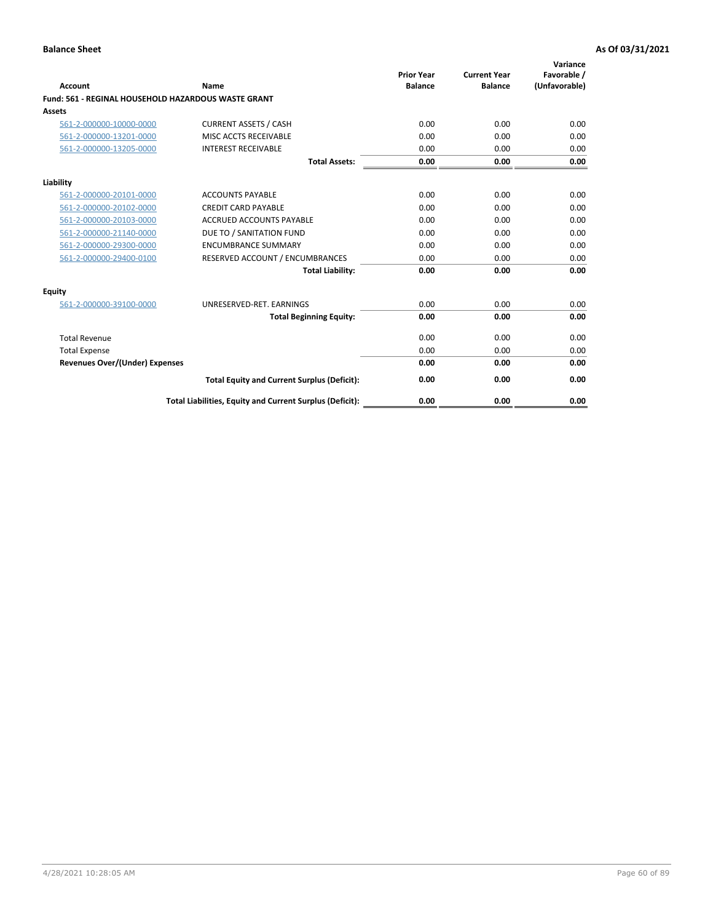| <b>Account</b>                        | Name                                                       | <b>Prior Year</b><br><b>Balance</b> | <b>Current Year</b><br><b>Balance</b> | Variance<br>Favorable /<br>(Unfavorable) |
|---------------------------------------|------------------------------------------------------------|-------------------------------------|---------------------------------------|------------------------------------------|
|                                       | <b>Fund: 561 - REGINAL HOUSEHOLD HAZARDOUS WASTE GRANT</b> |                                     |                                       |                                          |
| <b>Assets</b>                         |                                                            |                                     |                                       |                                          |
| 561-2-000000-10000-0000               | <b>CURRENT ASSETS / CASH</b>                               | 0.00                                | 0.00                                  | 0.00                                     |
| 561-2-000000-13201-0000               | MISC ACCTS RECEIVABLE                                      | 0.00                                | 0.00                                  | 0.00                                     |
| 561-2-000000-13205-0000               | <b>INTEREST RECEIVABLE</b>                                 | 0.00                                | 0.00                                  | 0.00                                     |
|                                       | <b>Total Assets:</b>                                       | 0.00                                | 0.00                                  | 0.00                                     |
| Liability                             |                                                            |                                     |                                       |                                          |
| 561-2-000000-20101-0000               | <b>ACCOUNTS PAYABLE</b>                                    | 0.00                                | 0.00                                  | 0.00                                     |
| 561-2-000000-20102-0000               | <b>CREDIT CARD PAYABLE</b>                                 | 0.00                                | 0.00                                  | 0.00                                     |
| 561-2-000000-20103-0000               | <b>ACCRUED ACCOUNTS PAYABLE</b>                            | 0.00                                | 0.00                                  | 0.00                                     |
| 561-2-000000-21140-0000               | DUE TO / SANITATION FUND                                   | 0.00                                | 0.00                                  | 0.00                                     |
| 561-2-000000-29300-0000               | <b>ENCUMBRANCE SUMMARY</b>                                 | 0.00                                | 0.00                                  | 0.00                                     |
| 561-2-000000-29400-0100               | RESERVED ACCOUNT / ENCUMBRANCES                            | 0.00                                | 0.00                                  | 0.00                                     |
|                                       | <b>Total Liability:</b>                                    | 0.00                                | 0.00                                  | 0.00                                     |
| <b>Equity</b>                         |                                                            |                                     |                                       |                                          |
| 561-2-000000-39100-0000               | UNRESERVED-RET. EARNINGS                                   | 0.00                                | 0.00                                  | 0.00                                     |
|                                       | <b>Total Beginning Equity:</b>                             | 0.00                                | 0.00                                  | 0.00                                     |
| <b>Total Revenue</b>                  |                                                            | 0.00                                | 0.00                                  | 0.00                                     |
| <b>Total Expense</b>                  |                                                            | 0.00                                | 0.00                                  | 0.00                                     |
| <b>Revenues Over/(Under) Expenses</b> |                                                            | 0.00                                | 0.00                                  | 0.00                                     |
|                                       | <b>Total Equity and Current Surplus (Deficit):</b>         | 0.00                                | 0.00                                  | 0.00                                     |
|                                       | Total Liabilities, Equity and Current Surplus (Deficit):   | 0.00                                | 0.00                                  | 0.00                                     |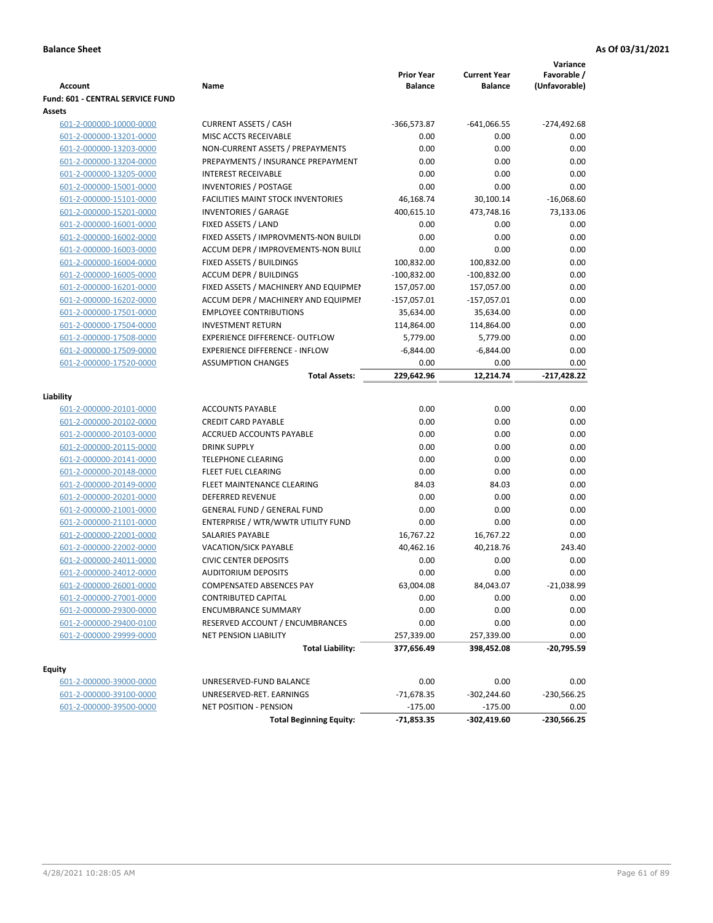| <b>Fund: 601 - CENTRAL SERVICE FUND</b><br>Assets<br><b>CURRENT ASSETS / CASH</b><br>$-366,573.87$<br>$-274,492.68$<br>601-2-000000-10000-0000<br>$-641,066.55$<br>MISC ACCTS RECEIVABLE<br>0.00<br>0.00<br>601-2-000000-13201-0000<br>0.00<br>601-2-000000-13203-0000<br>NON-CURRENT ASSETS / PREPAYMENTS<br>0.00<br>0.00<br>0.00<br>0.00<br>601-2-000000-13204-0000<br>PREPAYMENTS / INSURANCE PREPAYMENT<br>0.00<br>0.00<br>0.00<br>0.00<br>601-2-000000-13205-0000<br><b>INTEREST RECEIVABLE</b><br>0.00<br>INVENTORIES / POSTAGE<br>0.00<br>0.00<br>0.00<br>601-2-000000-15001-0000<br>$-16,068.60$<br><b>FACILITIES MAINT STOCK INVENTORIES</b><br>46,168.74<br>30,100.14<br>601-2-000000-15101-0000<br>400,615.10<br>73,133.06<br>601-2-000000-15201-0000<br><b>INVENTORIES / GARAGE</b><br>473,748.16<br>FIXED ASSETS / LAND<br>601-2-000000-16001-0000<br>0.00<br>0.00<br>0.00<br>0.00<br>601-2-000000-16002-0000<br>FIXED ASSETS / IMPROVMENTS-NON BUILDI<br>0.00<br>0.00<br>0.00<br>0.00<br>ACCUM DEPR / IMPROVEMENTS-NON BUILI<br>0.00<br>601-2-000000-16003-0000<br>FIXED ASSETS / BUILDINGS<br>100,832.00<br>100,832.00<br>0.00<br>601-2-000000-16004-0000<br>0.00<br>601-2-000000-16005-0000<br><b>ACCUM DEPR / BUILDINGS</b><br>$-100,832.00$<br>$-100,832.00$<br>0.00<br>601-2-000000-16201-0000<br>FIXED ASSETS / MACHINERY AND EQUIPMEN<br>157,057.00<br>157,057.00<br>0.00<br>601-2-000000-16202-0000<br>ACCUM DEPR / MACHINERY AND EQUIPMEI<br>$-157,057.01$<br>$-157,057.01$<br>0.00<br><b>EMPLOYEE CONTRIBUTIONS</b><br>35,634.00<br>35,634.00<br>601-2-000000-17501-0000<br>601-2-000000-17504-0000<br><b>INVESTMENT RETURN</b><br>114,864.00<br>114,864.00<br>0.00<br>0.00<br>601-2-000000-17508-0000<br><b>EXPERIENCE DIFFERENCE- OUTFLOW</b><br>5,779.00<br>5,779.00<br>601-2-000000-17509-0000<br><b>EXPERIENCE DIFFERENCE - INFLOW</b><br>$-6,844.00$<br>$-6,844.00$<br>0.00<br>0.00<br>601-2-000000-17520-0000<br><b>ASSUMPTION CHANGES</b><br>0.00<br>0.00<br>229,642.96<br>$-217,428.22$<br>12,214.74<br><b>Total Assets:</b><br>Liability<br>0.00<br><b>ACCOUNTS PAYABLE</b><br>0.00<br>0.00<br>601-2-000000-20101-0000<br>601-2-000000-20102-0000<br><b>CREDIT CARD PAYABLE</b><br>0.00<br>0.00<br>0.00<br>ACCRUED ACCOUNTS PAYABLE<br>0.00<br>601-2-000000-20103-0000<br>0.00<br>0.00<br>0.00<br>0.00<br>601-2-000000-20115-0000<br><b>DRINK SUPPLY</b><br>0.00<br>0.00<br><b>TELEPHONE CLEARING</b><br>0.00<br>0.00<br>601-2-000000-20141-0000<br>0.00<br><b>FLEET FUEL CLEARING</b><br>0.00<br>0.00<br>601-2-000000-20148-0000<br>0.00<br>601-2-000000-20149-0000<br>FLEET MAINTENANCE CLEARING<br>84.03<br>84.03<br>0.00<br>0.00<br>601-2-000000-20201-0000<br><b>DEFERRED REVENUE</b><br>0.00<br>0.00<br>0.00<br>601-2-000000-21001-0000<br><b>GENERAL FUND / GENERAL FUND</b><br>0.00<br>ENTERPRISE / WTR/WWTR UTILITY FUND<br>0.00<br>0.00<br>0.00<br>601-2-000000-21101-0000<br>601-2-000000-22001-0000<br>SALARIES PAYABLE<br>16,767.22<br>16,767.22<br>0.00<br>601-2-000000-22002-0000<br><b>VACATION/SICK PAYABLE</b><br>40,462.16<br>40,218.76<br>243.40<br><b>CIVIC CENTER DEPOSITS</b><br>601-2-000000-24011-0000<br>0.00<br>0.00<br>0.00<br>0.00<br>0.00<br>0.00<br>601-2-000000-24012-0000<br><b>AUDITORIUM DEPOSITS</b><br>84,043.07<br>$-21,038.99$<br>601-2-000000-26001-0000<br><b>COMPENSATED ABSENCES PAY</b><br>63,004.08<br>601-2-000000-27001-0000<br><b>CONTRIBUTED CAPITAL</b><br>0.00<br>0.00<br>0.00<br>601-2-000000-29300-0000<br><b>ENCUMBRANCE SUMMARY</b><br>0.00<br>0.00<br>0.00<br>601-2-000000-29400-0100<br>RESERVED ACCOUNT / ENCUMBRANCES<br>0.00<br>0.00<br>0.00<br>601-2-000000-29999-0000<br>NET PENSION LIABILITY<br>257,339.00<br>257,339.00<br>0.00<br><b>Total Liability:</b><br>377,656.49<br>-20,795.59<br>398,452.08<br><b>Equity</b><br>UNRESERVED-FUND BALANCE<br>0.00<br>0.00<br>0.00<br>601-2-000000-39000-0000<br>601-2-000000-39100-0000<br>UNRESERVED-RET. EARNINGS<br>$-71,678.35$<br>$-302,244.60$<br>-230,566.25<br>601-2-000000-39500-0000<br><b>NET POSITION - PENSION</b><br>$-175.00$<br>$-175.00$<br>0.00<br>$-230,566.25$<br>$-71,853.35$<br>$-302,419.60$<br><b>Total Beginning Equity:</b> | <b>Account</b> | Name | <b>Prior Year</b><br><b>Balance</b> | <b>Current Year</b><br><b>Balance</b> | Variance<br>Favorable /<br>(Unfavorable) |
|-------------------------------------------------------------------------------------------------------------------------------------------------------------------------------------------------------------------------------------------------------------------------------------------------------------------------------------------------------------------------------------------------------------------------------------------------------------------------------------------------------------------------------------------------------------------------------------------------------------------------------------------------------------------------------------------------------------------------------------------------------------------------------------------------------------------------------------------------------------------------------------------------------------------------------------------------------------------------------------------------------------------------------------------------------------------------------------------------------------------------------------------------------------------------------------------------------------------------------------------------------------------------------------------------------------------------------------------------------------------------------------------------------------------------------------------------------------------------------------------------------------------------------------------------------------------------------------------------------------------------------------------------------------------------------------------------------------------------------------------------------------------------------------------------------------------------------------------------------------------------------------------------------------------------------------------------------------------------------------------------------------------------------------------------------------------------------------------------------------------------------------------------------------------------------------------------------------------------------------------------------------------------------------------------------------------------------------------------------------------------------------------------------------------------------------------------------------------------------------------------------------------------------------------------------------------------------------------------------------------------------------------------------------------------------------------------------------------------------------------------------------------------------------------------------------------------------------------------------------------------------------------------------------------------------------------------------------------------------------------------------------------------------------------------------------------------------------------------------------------------------------------------------------------------------------------------------------------------------------------------------------------------------------------------------------------------------------------------------------------------------------------------------------------------------------------------------------------------------------------------------------------------------------------------------------------------------------------------------------------------------------------------------------------------------------------------------------------------------------------------------------------------------------------------------------------------------------------------------------------------------------------------------------------------------------------------------------------------------------------------------------------------------------------------------------------------------------------------------------------------------------------------------------------------------------------------|----------------|------|-------------------------------------|---------------------------------------|------------------------------------------|
|                                                                                                                                                                                                                                                                                                                                                                                                                                                                                                                                                                                                                                                                                                                                                                                                                                                                                                                                                                                                                                                                                                                                                                                                                                                                                                                                                                                                                                                                                                                                                                                                                                                                                                                                                                                                                                                                                                                                                                                                                                                                                                                                                                                                                                                                                                                                                                                                                                                                                                                                                                                                                                                                                                                                                                                                                                                                                                                                                                                                                                                                                                                                                                                                                                                                                                                                                                                                                                                                                                                                                                                                                                                                                                                                                                                                                                                                                                                                                                                                                                                                                                                                                                                                 |                |      |                                     |                                       |                                          |
|                                                                                                                                                                                                                                                                                                                                                                                                                                                                                                                                                                                                                                                                                                                                                                                                                                                                                                                                                                                                                                                                                                                                                                                                                                                                                                                                                                                                                                                                                                                                                                                                                                                                                                                                                                                                                                                                                                                                                                                                                                                                                                                                                                                                                                                                                                                                                                                                                                                                                                                                                                                                                                                                                                                                                                                                                                                                                                                                                                                                                                                                                                                                                                                                                                                                                                                                                                                                                                                                                                                                                                                                                                                                                                                                                                                                                                                                                                                                                                                                                                                                                                                                                                                                 |                |      |                                     |                                       |                                          |
|                                                                                                                                                                                                                                                                                                                                                                                                                                                                                                                                                                                                                                                                                                                                                                                                                                                                                                                                                                                                                                                                                                                                                                                                                                                                                                                                                                                                                                                                                                                                                                                                                                                                                                                                                                                                                                                                                                                                                                                                                                                                                                                                                                                                                                                                                                                                                                                                                                                                                                                                                                                                                                                                                                                                                                                                                                                                                                                                                                                                                                                                                                                                                                                                                                                                                                                                                                                                                                                                                                                                                                                                                                                                                                                                                                                                                                                                                                                                                                                                                                                                                                                                                                                                 |                |      |                                     |                                       |                                          |
|                                                                                                                                                                                                                                                                                                                                                                                                                                                                                                                                                                                                                                                                                                                                                                                                                                                                                                                                                                                                                                                                                                                                                                                                                                                                                                                                                                                                                                                                                                                                                                                                                                                                                                                                                                                                                                                                                                                                                                                                                                                                                                                                                                                                                                                                                                                                                                                                                                                                                                                                                                                                                                                                                                                                                                                                                                                                                                                                                                                                                                                                                                                                                                                                                                                                                                                                                                                                                                                                                                                                                                                                                                                                                                                                                                                                                                                                                                                                                                                                                                                                                                                                                                                                 |                |      |                                     |                                       |                                          |
|                                                                                                                                                                                                                                                                                                                                                                                                                                                                                                                                                                                                                                                                                                                                                                                                                                                                                                                                                                                                                                                                                                                                                                                                                                                                                                                                                                                                                                                                                                                                                                                                                                                                                                                                                                                                                                                                                                                                                                                                                                                                                                                                                                                                                                                                                                                                                                                                                                                                                                                                                                                                                                                                                                                                                                                                                                                                                                                                                                                                                                                                                                                                                                                                                                                                                                                                                                                                                                                                                                                                                                                                                                                                                                                                                                                                                                                                                                                                                                                                                                                                                                                                                                                                 |                |      |                                     |                                       |                                          |
|                                                                                                                                                                                                                                                                                                                                                                                                                                                                                                                                                                                                                                                                                                                                                                                                                                                                                                                                                                                                                                                                                                                                                                                                                                                                                                                                                                                                                                                                                                                                                                                                                                                                                                                                                                                                                                                                                                                                                                                                                                                                                                                                                                                                                                                                                                                                                                                                                                                                                                                                                                                                                                                                                                                                                                                                                                                                                                                                                                                                                                                                                                                                                                                                                                                                                                                                                                                                                                                                                                                                                                                                                                                                                                                                                                                                                                                                                                                                                                                                                                                                                                                                                                                                 |                |      |                                     |                                       |                                          |
|                                                                                                                                                                                                                                                                                                                                                                                                                                                                                                                                                                                                                                                                                                                                                                                                                                                                                                                                                                                                                                                                                                                                                                                                                                                                                                                                                                                                                                                                                                                                                                                                                                                                                                                                                                                                                                                                                                                                                                                                                                                                                                                                                                                                                                                                                                                                                                                                                                                                                                                                                                                                                                                                                                                                                                                                                                                                                                                                                                                                                                                                                                                                                                                                                                                                                                                                                                                                                                                                                                                                                                                                                                                                                                                                                                                                                                                                                                                                                                                                                                                                                                                                                                                                 |                |      |                                     |                                       |                                          |
|                                                                                                                                                                                                                                                                                                                                                                                                                                                                                                                                                                                                                                                                                                                                                                                                                                                                                                                                                                                                                                                                                                                                                                                                                                                                                                                                                                                                                                                                                                                                                                                                                                                                                                                                                                                                                                                                                                                                                                                                                                                                                                                                                                                                                                                                                                                                                                                                                                                                                                                                                                                                                                                                                                                                                                                                                                                                                                                                                                                                                                                                                                                                                                                                                                                                                                                                                                                                                                                                                                                                                                                                                                                                                                                                                                                                                                                                                                                                                                                                                                                                                                                                                                                                 |                |      |                                     |                                       |                                          |
|                                                                                                                                                                                                                                                                                                                                                                                                                                                                                                                                                                                                                                                                                                                                                                                                                                                                                                                                                                                                                                                                                                                                                                                                                                                                                                                                                                                                                                                                                                                                                                                                                                                                                                                                                                                                                                                                                                                                                                                                                                                                                                                                                                                                                                                                                                                                                                                                                                                                                                                                                                                                                                                                                                                                                                                                                                                                                                                                                                                                                                                                                                                                                                                                                                                                                                                                                                                                                                                                                                                                                                                                                                                                                                                                                                                                                                                                                                                                                                                                                                                                                                                                                                                                 |                |      |                                     |                                       |                                          |
|                                                                                                                                                                                                                                                                                                                                                                                                                                                                                                                                                                                                                                                                                                                                                                                                                                                                                                                                                                                                                                                                                                                                                                                                                                                                                                                                                                                                                                                                                                                                                                                                                                                                                                                                                                                                                                                                                                                                                                                                                                                                                                                                                                                                                                                                                                                                                                                                                                                                                                                                                                                                                                                                                                                                                                                                                                                                                                                                                                                                                                                                                                                                                                                                                                                                                                                                                                                                                                                                                                                                                                                                                                                                                                                                                                                                                                                                                                                                                                                                                                                                                                                                                                                                 |                |      |                                     |                                       |                                          |
|                                                                                                                                                                                                                                                                                                                                                                                                                                                                                                                                                                                                                                                                                                                                                                                                                                                                                                                                                                                                                                                                                                                                                                                                                                                                                                                                                                                                                                                                                                                                                                                                                                                                                                                                                                                                                                                                                                                                                                                                                                                                                                                                                                                                                                                                                                                                                                                                                                                                                                                                                                                                                                                                                                                                                                                                                                                                                                                                                                                                                                                                                                                                                                                                                                                                                                                                                                                                                                                                                                                                                                                                                                                                                                                                                                                                                                                                                                                                                                                                                                                                                                                                                                                                 |                |      |                                     |                                       |                                          |
|                                                                                                                                                                                                                                                                                                                                                                                                                                                                                                                                                                                                                                                                                                                                                                                                                                                                                                                                                                                                                                                                                                                                                                                                                                                                                                                                                                                                                                                                                                                                                                                                                                                                                                                                                                                                                                                                                                                                                                                                                                                                                                                                                                                                                                                                                                                                                                                                                                                                                                                                                                                                                                                                                                                                                                                                                                                                                                                                                                                                                                                                                                                                                                                                                                                                                                                                                                                                                                                                                                                                                                                                                                                                                                                                                                                                                                                                                                                                                                                                                                                                                                                                                                                                 |                |      |                                     |                                       |                                          |
|                                                                                                                                                                                                                                                                                                                                                                                                                                                                                                                                                                                                                                                                                                                                                                                                                                                                                                                                                                                                                                                                                                                                                                                                                                                                                                                                                                                                                                                                                                                                                                                                                                                                                                                                                                                                                                                                                                                                                                                                                                                                                                                                                                                                                                                                                                                                                                                                                                                                                                                                                                                                                                                                                                                                                                                                                                                                                                                                                                                                                                                                                                                                                                                                                                                                                                                                                                                                                                                                                                                                                                                                                                                                                                                                                                                                                                                                                                                                                                                                                                                                                                                                                                                                 |                |      |                                     |                                       |                                          |
|                                                                                                                                                                                                                                                                                                                                                                                                                                                                                                                                                                                                                                                                                                                                                                                                                                                                                                                                                                                                                                                                                                                                                                                                                                                                                                                                                                                                                                                                                                                                                                                                                                                                                                                                                                                                                                                                                                                                                                                                                                                                                                                                                                                                                                                                                                                                                                                                                                                                                                                                                                                                                                                                                                                                                                                                                                                                                                                                                                                                                                                                                                                                                                                                                                                                                                                                                                                                                                                                                                                                                                                                                                                                                                                                                                                                                                                                                                                                                                                                                                                                                                                                                                                                 |                |      |                                     |                                       |                                          |
|                                                                                                                                                                                                                                                                                                                                                                                                                                                                                                                                                                                                                                                                                                                                                                                                                                                                                                                                                                                                                                                                                                                                                                                                                                                                                                                                                                                                                                                                                                                                                                                                                                                                                                                                                                                                                                                                                                                                                                                                                                                                                                                                                                                                                                                                                                                                                                                                                                                                                                                                                                                                                                                                                                                                                                                                                                                                                                                                                                                                                                                                                                                                                                                                                                                                                                                                                                                                                                                                                                                                                                                                                                                                                                                                                                                                                                                                                                                                                                                                                                                                                                                                                                                                 |                |      |                                     |                                       |                                          |
|                                                                                                                                                                                                                                                                                                                                                                                                                                                                                                                                                                                                                                                                                                                                                                                                                                                                                                                                                                                                                                                                                                                                                                                                                                                                                                                                                                                                                                                                                                                                                                                                                                                                                                                                                                                                                                                                                                                                                                                                                                                                                                                                                                                                                                                                                                                                                                                                                                                                                                                                                                                                                                                                                                                                                                                                                                                                                                                                                                                                                                                                                                                                                                                                                                                                                                                                                                                                                                                                                                                                                                                                                                                                                                                                                                                                                                                                                                                                                                                                                                                                                                                                                                                                 |                |      |                                     |                                       |                                          |
|                                                                                                                                                                                                                                                                                                                                                                                                                                                                                                                                                                                                                                                                                                                                                                                                                                                                                                                                                                                                                                                                                                                                                                                                                                                                                                                                                                                                                                                                                                                                                                                                                                                                                                                                                                                                                                                                                                                                                                                                                                                                                                                                                                                                                                                                                                                                                                                                                                                                                                                                                                                                                                                                                                                                                                                                                                                                                                                                                                                                                                                                                                                                                                                                                                                                                                                                                                                                                                                                                                                                                                                                                                                                                                                                                                                                                                                                                                                                                                                                                                                                                                                                                                                                 |                |      |                                     |                                       |                                          |
|                                                                                                                                                                                                                                                                                                                                                                                                                                                                                                                                                                                                                                                                                                                                                                                                                                                                                                                                                                                                                                                                                                                                                                                                                                                                                                                                                                                                                                                                                                                                                                                                                                                                                                                                                                                                                                                                                                                                                                                                                                                                                                                                                                                                                                                                                                                                                                                                                                                                                                                                                                                                                                                                                                                                                                                                                                                                                                                                                                                                                                                                                                                                                                                                                                                                                                                                                                                                                                                                                                                                                                                                                                                                                                                                                                                                                                                                                                                                                                                                                                                                                                                                                                                                 |                |      |                                     |                                       |                                          |
|                                                                                                                                                                                                                                                                                                                                                                                                                                                                                                                                                                                                                                                                                                                                                                                                                                                                                                                                                                                                                                                                                                                                                                                                                                                                                                                                                                                                                                                                                                                                                                                                                                                                                                                                                                                                                                                                                                                                                                                                                                                                                                                                                                                                                                                                                                                                                                                                                                                                                                                                                                                                                                                                                                                                                                                                                                                                                                                                                                                                                                                                                                                                                                                                                                                                                                                                                                                                                                                                                                                                                                                                                                                                                                                                                                                                                                                                                                                                                                                                                                                                                                                                                                                                 |                |      |                                     |                                       |                                          |
|                                                                                                                                                                                                                                                                                                                                                                                                                                                                                                                                                                                                                                                                                                                                                                                                                                                                                                                                                                                                                                                                                                                                                                                                                                                                                                                                                                                                                                                                                                                                                                                                                                                                                                                                                                                                                                                                                                                                                                                                                                                                                                                                                                                                                                                                                                                                                                                                                                                                                                                                                                                                                                                                                                                                                                                                                                                                                                                                                                                                                                                                                                                                                                                                                                                                                                                                                                                                                                                                                                                                                                                                                                                                                                                                                                                                                                                                                                                                                                                                                                                                                                                                                                                                 |                |      |                                     |                                       |                                          |
|                                                                                                                                                                                                                                                                                                                                                                                                                                                                                                                                                                                                                                                                                                                                                                                                                                                                                                                                                                                                                                                                                                                                                                                                                                                                                                                                                                                                                                                                                                                                                                                                                                                                                                                                                                                                                                                                                                                                                                                                                                                                                                                                                                                                                                                                                                                                                                                                                                                                                                                                                                                                                                                                                                                                                                                                                                                                                                                                                                                                                                                                                                                                                                                                                                                                                                                                                                                                                                                                                                                                                                                                                                                                                                                                                                                                                                                                                                                                                                                                                                                                                                                                                                                                 |                |      |                                     |                                       |                                          |
|                                                                                                                                                                                                                                                                                                                                                                                                                                                                                                                                                                                                                                                                                                                                                                                                                                                                                                                                                                                                                                                                                                                                                                                                                                                                                                                                                                                                                                                                                                                                                                                                                                                                                                                                                                                                                                                                                                                                                                                                                                                                                                                                                                                                                                                                                                                                                                                                                                                                                                                                                                                                                                                                                                                                                                                                                                                                                                                                                                                                                                                                                                                                                                                                                                                                                                                                                                                                                                                                                                                                                                                                                                                                                                                                                                                                                                                                                                                                                                                                                                                                                                                                                                                                 |                |      |                                     |                                       |                                          |
|                                                                                                                                                                                                                                                                                                                                                                                                                                                                                                                                                                                                                                                                                                                                                                                                                                                                                                                                                                                                                                                                                                                                                                                                                                                                                                                                                                                                                                                                                                                                                                                                                                                                                                                                                                                                                                                                                                                                                                                                                                                                                                                                                                                                                                                                                                                                                                                                                                                                                                                                                                                                                                                                                                                                                                                                                                                                                                                                                                                                                                                                                                                                                                                                                                                                                                                                                                                                                                                                                                                                                                                                                                                                                                                                                                                                                                                                                                                                                                                                                                                                                                                                                                                                 |                |      |                                     |                                       |                                          |
|                                                                                                                                                                                                                                                                                                                                                                                                                                                                                                                                                                                                                                                                                                                                                                                                                                                                                                                                                                                                                                                                                                                                                                                                                                                                                                                                                                                                                                                                                                                                                                                                                                                                                                                                                                                                                                                                                                                                                                                                                                                                                                                                                                                                                                                                                                                                                                                                                                                                                                                                                                                                                                                                                                                                                                                                                                                                                                                                                                                                                                                                                                                                                                                                                                                                                                                                                                                                                                                                                                                                                                                                                                                                                                                                                                                                                                                                                                                                                                                                                                                                                                                                                                                                 |                |      |                                     |                                       |                                          |
|                                                                                                                                                                                                                                                                                                                                                                                                                                                                                                                                                                                                                                                                                                                                                                                                                                                                                                                                                                                                                                                                                                                                                                                                                                                                                                                                                                                                                                                                                                                                                                                                                                                                                                                                                                                                                                                                                                                                                                                                                                                                                                                                                                                                                                                                                                                                                                                                                                                                                                                                                                                                                                                                                                                                                                                                                                                                                                                                                                                                                                                                                                                                                                                                                                                                                                                                                                                                                                                                                                                                                                                                                                                                                                                                                                                                                                                                                                                                                                                                                                                                                                                                                                                                 |                |      |                                     |                                       |                                          |
|                                                                                                                                                                                                                                                                                                                                                                                                                                                                                                                                                                                                                                                                                                                                                                                                                                                                                                                                                                                                                                                                                                                                                                                                                                                                                                                                                                                                                                                                                                                                                                                                                                                                                                                                                                                                                                                                                                                                                                                                                                                                                                                                                                                                                                                                                                                                                                                                                                                                                                                                                                                                                                                                                                                                                                                                                                                                                                                                                                                                                                                                                                                                                                                                                                                                                                                                                                                                                                                                                                                                                                                                                                                                                                                                                                                                                                                                                                                                                                                                                                                                                                                                                                                                 |                |      |                                     |                                       |                                          |
|                                                                                                                                                                                                                                                                                                                                                                                                                                                                                                                                                                                                                                                                                                                                                                                                                                                                                                                                                                                                                                                                                                                                                                                                                                                                                                                                                                                                                                                                                                                                                                                                                                                                                                                                                                                                                                                                                                                                                                                                                                                                                                                                                                                                                                                                                                                                                                                                                                                                                                                                                                                                                                                                                                                                                                                                                                                                                                                                                                                                                                                                                                                                                                                                                                                                                                                                                                                                                                                                                                                                                                                                                                                                                                                                                                                                                                                                                                                                                                                                                                                                                                                                                                                                 |                |      |                                     |                                       |                                          |
|                                                                                                                                                                                                                                                                                                                                                                                                                                                                                                                                                                                                                                                                                                                                                                                                                                                                                                                                                                                                                                                                                                                                                                                                                                                                                                                                                                                                                                                                                                                                                                                                                                                                                                                                                                                                                                                                                                                                                                                                                                                                                                                                                                                                                                                                                                                                                                                                                                                                                                                                                                                                                                                                                                                                                                                                                                                                                                                                                                                                                                                                                                                                                                                                                                                                                                                                                                                                                                                                                                                                                                                                                                                                                                                                                                                                                                                                                                                                                                                                                                                                                                                                                                                                 |                |      |                                     |                                       |                                          |
|                                                                                                                                                                                                                                                                                                                                                                                                                                                                                                                                                                                                                                                                                                                                                                                                                                                                                                                                                                                                                                                                                                                                                                                                                                                                                                                                                                                                                                                                                                                                                                                                                                                                                                                                                                                                                                                                                                                                                                                                                                                                                                                                                                                                                                                                                                                                                                                                                                                                                                                                                                                                                                                                                                                                                                                                                                                                                                                                                                                                                                                                                                                                                                                                                                                                                                                                                                                                                                                                                                                                                                                                                                                                                                                                                                                                                                                                                                                                                                                                                                                                                                                                                                                                 |                |      |                                     |                                       |                                          |
|                                                                                                                                                                                                                                                                                                                                                                                                                                                                                                                                                                                                                                                                                                                                                                                                                                                                                                                                                                                                                                                                                                                                                                                                                                                                                                                                                                                                                                                                                                                                                                                                                                                                                                                                                                                                                                                                                                                                                                                                                                                                                                                                                                                                                                                                                                                                                                                                                                                                                                                                                                                                                                                                                                                                                                                                                                                                                                                                                                                                                                                                                                                                                                                                                                                                                                                                                                                                                                                                                                                                                                                                                                                                                                                                                                                                                                                                                                                                                                                                                                                                                                                                                                                                 |                |      |                                     |                                       |                                          |
|                                                                                                                                                                                                                                                                                                                                                                                                                                                                                                                                                                                                                                                                                                                                                                                                                                                                                                                                                                                                                                                                                                                                                                                                                                                                                                                                                                                                                                                                                                                                                                                                                                                                                                                                                                                                                                                                                                                                                                                                                                                                                                                                                                                                                                                                                                                                                                                                                                                                                                                                                                                                                                                                                                                                                                                                                                                                                                                                                                                                                                                                                                                                                                                                                                                                                                                                                                                                                                                                                                                                                                                                                                                                                                                                                                                                                                                                                                                                                                                                                                                                                                                                                                                                 |                |      |                                     |                                       |                                          |
|                                                                                                                                                                                                                                                                                                                                                                                                                                                                                                                                                                                                                                                                                                                                                                                                                                                                                                                                                                                                                                                                                                                                                                                                                                                                                                                                                                                                                                                                                                                                                                                                                                                                                                                                                                                                                                                                                                                                                                                                                                                                                                                                                                                                                                                                                                                                                                                                                                                                                                                                                                                                                                                                                                                                                                                                                                                                                                                                                                                                                                                                                                                                                                                                                                                                                                                                                                                                                                                                                                                                                                                                                                                                                                                                                                                                                                                                                                                                                                                                                                                                                                                                                                                                 |                |      |                                     |                                       |                                          |
|                                                                                                                                                                                                                                                                                                                                                                                                                                                                                                                                                                                                                                                                                                                                                                                                                                                                                                                                                                                                                                                                                                                                                                                                                                                                                                                                                                                                                                                                                                                                                                                                                                                                                                                                                                                                                                                                                                                                                                                                                                                                                                                                                                                                                                                                                                                                                                                                                                                                                                                                                                                                                                                                                                                                                                                                                                                                                                                                                                                                                                                                                                                                                                                                                                                                                                                                                                                                                                                                                                                                                                                                                                                                                                                                                                                                                                                                                                                                                                                                                                                                                                                                                                                                 |                |      |                                     |                                       |                                          |
|                                                                                                                                                                                                                                                                                                                                                                                                                                                                                                                                                                                                                                                                                                                                                                                                                                                                                                                                                                                                                                                                                                                                                                                                                                                                                                                                                                                                                                                                                                                                                                                                                                                                                                                                                                                                                                                                                                                                                                                                                                                                                                                                                                                                                                                                                                                                                                                                                                                                                                                                                                                                                                                                                                                                                                                                                                                                                                                                                                                                                                                                                                                                                                                                                                                                                                                                                                                                                                                                                                                                                                                                                                                                                                                                                                                                                                                                                                                                                                                                                                                                                                                                                                                                 |                |      |                                     |                                       |                                          |
|                                                                                                                                                                                                                                                                                                                                                                                                                                                                                                                                                                                                                                                                                                                                                                                                                                                                                                                                                                                                                                                                                                                                                                                                                                                                                                                                                                                                                                                                                                                                                                                                                                                                                                                                                                                                                                                                                                                                                                                                                                                                                                                                                                                                                                                                                                                                                                                                                                                                                                                                                                                                                                                                                                                                                                                                                                                                                                                                                                                                                                                                                                                                                                                                                                                                                                                                                                                                                                                                                                                                                                                                                                                                                                                                                                                                                                                                                                                                                                                                                                                                                                                                                                                                 |                |      |                                     |                                       |                                          |
|                                                                                                                                                                                                                                                                                                                                                                                                                                                                                                                                                                                                                                                                                                                                                                                                                                                                                                                                                                                                                                                                                                                                                                                                                                                                                                                                                                                                                                                                                                                                                                                                                                                                                                                                                                                                                                                                                                                                                                                                                                                                                                                                                                                                                                                                                                                                                                                                                                                                                                                                                                                                                                                                                                                                                                                                                                                                                                                                                                                                                                                                                                                                                                                                                                                                                                                                                                                                                                                                                                                                                                                                                                                                                                                                                                                                                                                                                                                                                                                                                                                                                                                                                                                                 |                |      |                                     |                                       |                                          |
|                                                                                                                                                                                                                                                                                                                                                                                                                                                                                                                                                                                                                                                                                                                                                                                                                                                                                                                                                                                                                                                                                                                                                                                                                                                                                                                                                                                                                                                                                                                                                                                                                                                                                                                                                                                                                                                                                                                                                                                                                                                                                                                                                                                                                                                                                                                                                                                                                                                                                                                                                                                                                                                                                                                                                                                                                                                                                                                                                                                                                                                                                                                                                                                                                                                                                                                                                                                                                                                                                                                                                                                                                                                                                                                                                                                                                                                                                                                                                                                                                                                                                                                                                                                                 |                |      |                                     |                                       |                                          |
|                                                                                                                                                                                                                                                                                                                                                                                                                                                                                                                                                                                                                                                                                                                                                                                                                                                                                                                                                                                                                                                                                                                                                                                                                                                                                                                                                                                                                                                                                                                                                                                                                                                                                                                                                                                                                                                                                                                                                                                                                                                                                                                                                                                                                                                                                                                                                                                                                                                                                                                                                                                                                                                                                                                                                                                                                                                                                                                                                                                                                                                                                                                                                                                                                                                                                                                                                                                                                                                                                                                                                                                                                                                                                                                                                                                                                                                                                                                                                                                                                                                                                                                                                                                                 |                |      |                                     |                                       |                                          |
|                                                                                                                                                                                                                                                                                                                                                                                                                                                                                                                                                                                                                                                                                                                                                                                                                                                                                                                                                                                                                                                                                                                                                                                                                                                                                                                                                                                                                                                                                                                                                                                                                                                                                                                                                                                                                                                                                                                                                                                                                                                                                                                                                                                                                                                                                                                                                                                                                                                                                                                                                                                                                                                                                                                                                                                                                                                                                                                                                                                                                                                                                                                                                                                                                                                                                                                                                                                                                                                                                                                                                                                                                                                                                                                                                                                                                                                                                                                                                                                                                                                                                                                                                                                                 |                |      |                                     |                                       |                                          |
|                                                                                                                                                                                                                                                                                                                                                                                                                                                                                                                                                                                                                                                                                                                                                                                                                                                                                                                                                                                                                                                                                                                                                                                                                                                                                                                                                                                                                                                                                                                                                                                                                                                                                                                                                                                                                                                                                                                                                                                                                                                                                                                                                                                                                                                                                                                                                                                                                                                                                                                                                                                                                                                                                                                                                                                                                                                                                                                                                                                                                                                                                                                                                                                                                                                                                                                                                                                                                                                                                                                                                                                                                                                                                                                                                                                                                                                                                                                                                                                                                                                                                                                                                                                                 |                |      |                                     |                                       |                                          |
|                                                                                                                                                                                                                                                                                                                                                                                                                                                                                                                                                                                                                                                                                                                                                                                                                                                                                                                                                                                                                                                                                                                                                                                                                                                                                                                                                                                                                                                                                                                                                                                                                                                                                                                                                                                                                                                                                                                                                                                                                                                                                                                                                                                                                                                                                                                                                                                                                                                                                                                                                                                                                                                                                                                                                                                                                                                                                                                                                                                                                                                                                                                                                                                                                                                                                                                                                                                                                                                                                                                                                                                                                                                                                                                                                                                                                                                                                                                                                                                                                                                                                                                                                                                                 |                |      |                                     |                                       |                                          |
|                                                                                                                                                                                                                                                                                                                                                                                                                                                                                                                                                                                                                                                                                                                                                                                                                                                                                                                                                                                                                                                                                                                                                                                                                                                                                                                                                                                                                                                                                                                                                                                                                                                                                                                                                                                                                                                                                                                                                                                                                                                                                                                                                                                                                                                                                                                                                                                                                                                                                                                                                                                                                                                                                                                                                                                                                                                                                                                                                                                                                                                                                                                                                                                                                                                                                                                                                                                                                                                                                                                                                                                                                                                                                                                                                                                                                                                                                                                                                                                                                                                                                                                                                                                                 |                |      |                                     |                                       |                                          |
|                                                                                                                                                                                                                                                                                                                                                                                                                                                                                                                                                                                                                                                                                                                                                                                                                                                                                                                                                                                                                                                                                                                                                                                                                                                                                                                                                                                                                                                                                                                                                                                                                                                                                                                                                                                                                                                                                                                                                                                                                                                                                                                                                                                                                                                                                                                                                                                                                                                                                                                                                                                                                                                                                                                                                                                                                                                                                                                                                                                                                                                                                                                                                                                                                                                                                                                                                                                                                                                                                                                                                                                                                                                                                                                                                                                                                                                                                                                                                                                                                                                                                                                                                                                                 |                |      |                                     |                                       |                                          |
|                                                                                                                                                                                                                                                                                                                                                                                                                                                                                                                                                                                                                                                                                                                                                                                                                                                                                                                                                                                                                                                                                                                                                                                                                                                                                                                                                                                                                                                                                                                                                                                                                                                                                                                                                                                                                                                                                                                                                                                                                                                                                                                                                                                                                                                                                                                                                                                                                                                                                                                                                                                                                                                                                                                                                                                                                                                                                                                                                                                                                                                                                                                                                                                                                                                                                                                                                                                                                                                                                                                                                                                                                                                                                                                                                                                                                                                                                                                                                                                                                                                                                                                                                                                                 |                |      |                                     |                                       |                                          |
|                                                                                                                                                                                                                                                                                                                                                                                                                                                                                                                                                                                                                                                                                                                                                                                                                                                                                                                                                                                                                                                                                                                                                                                                                                                                                                                                                                                                                                                                                                                                                                                                                                                                                                                                                                                                                                                                                                                                                                                                                                                                                                                                                                                                                                                                                                                                                                                                                                                                                                                                                                                                                                                                                                                                                                                                                                                                                                                                                                                                                                                                                                                                                                                                                                                                                                                                                                                                                                                                                                                                                                                                                                                                                                                                                                                                                                                                                                                                                                                                                                                                                                                                                                                                 |                |      |                                     |                                       |                                          |
|                                                                                                                                                                                                                                                                                                                                                                                                                                                                                                                                                                                                                                                                                                                                                                                                                                                                                                                                                                                                                                                                                                                                                                                                                                                                                                                                                                                                                                                                                                                                                                                                                                                                                                                                                                                                                                                                                                                                                                                                                                                                                                                                                                                                                                                                                                                                                                                                                                                                                                                                                                                                                                                                                                                                                                                                                                                                                                                                                                                                                                                                                                                                                                                                                                                                                                                                                                                                                                                                                                                                                                                                                                                                                                                                                                                                                                                                                                                                                                                                                                                                                                                                                                                                 |                |      |                                     |                                       |                                          |
|                                                                                                                                                                                                                                                                                                                                                                                                                                                                                                                                                                                                                                                                                                                                                                                                                                                                                                                                                                                                                                                                                                                                                                                                                                                                                                                                                                                                                                                                                                                                                                                                                                                                                                                                                                                                                                                                                                                                                                                                                                                                                                                                                                                                                                                                                                                                                                                                                                                                                                                                                                                                                                                                                                                                                                                                                                                                                                                                                                                                                                                                                                                                                                                                                                                                                                                                                                                                                                                                                                                                                                                                                                                                                                                                                                                                                                                                                                                                                                                                                                                                                                                                                                                                 |                |      |                                     |                                       |                                          |
|                                                                                                                                                                                                                                                                                                                                                                                                                                                                                                                                                                                                                                                                                                                                                                                                                                                                                                                                                                                                                                                                                                                                                                                                                                                                                                                                                                                                                                                                                                                                                                                                                                                                                                                                                                                                                                                                                                                                                                                                                                                                                                                                                                                                                                                                                                                                                                                                                                                                                                                                                                                                                                                                                                                                                                                                                                                                                                                                                                                                                                                                                                                                                                                                                                                                                                                                                                                                                                                                                                                                                                                                                                                                                                                                                                                                                                                                                                                                                                                                                                                                                                                                                                                                 |                |      |                                     |                                       |                                          |
|                                                                                                                                                                                                                                                                                                                                                                                                                                                                                                                                                                                                                                                                                                                                                                                                                                                                                                                                                                                                                                                                                                                                                                                                                                                                                                                                                                                                                                                                                                                                                                                                                                                                                                                                                                                                                                                                                                                                                                                                                                                                                                                                                                                                                                                                                                                                                                                                                                                                                                                                                                                                                                                                                                                                                                                                                                                                                                                                                                                                                                                                                                                                                                                                                                                                                                                                                                                                                                                                                                                                                                                                                                                                                                                                                                                                                                                                                                                                                                                                                                                                                                                                                                                                 |                |      |                                     |                                       |                                          |
|                                                                                                                                                                                                                                                                                                                                                                                                                                                                                                                                                                                                                                                                                                                                                                                                                                                                                                                                                                                                                                                                                                                                                                                                                                                                                                                                                                                                                                                                                                                                                                                                                                                                                                                                                                                                                                                                                                                                                                                                                                                                                                                                                                                                                                                                                                                                                                                                                                                                                                                                                                                                                                                                                                                                                                                                                                                                                                                                                                                                                                                                                                                                                                                                                                                                                                                                                                                                                                                                                                                                                                                                                                                                                                                                                                                                                                                                                                                                                                                                                                                                                                                                                                                                 |                |      |                                     |                                       |                                          |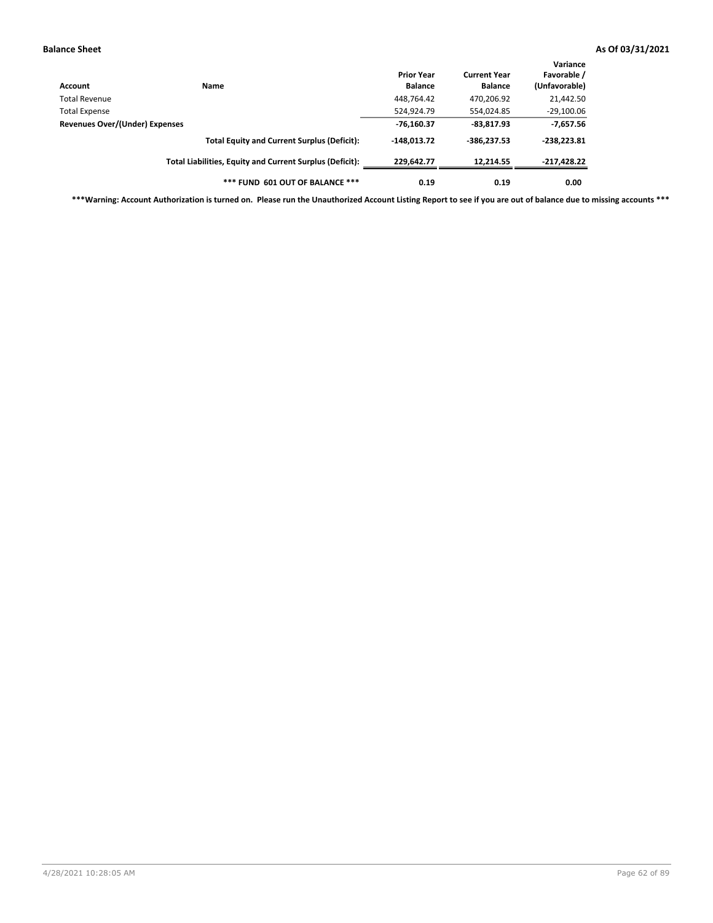| Account                                         | Name                                                     | <b>Prior Year</b><br><b>Balance</b> | <b>Current Year</b><br><b>Balance</b> | Variance<br>Favorable /<br>(Unfavorable) |
|-------------------------------------------------|----------------------------------------------------------|-------------------------------------|---------------------------------------|------------------------------------------|
| Total Revenue                                   |                                                          | 448,764.42                          | 470,206.92                            | 21,442.50                                |
|                                                 |                                                          | 524,924.79                          | 554,024.85                            | $-29,100.06$                             |
| Total Expense<br>Revenues Over/(Under) Expenses | $-76,160.37$                                             | $-83,817.93$                        | $-7,657.56$                           |                                          |
|                                                 | <b>Total Equity and Current Surplus (Deficit):</b>       | $-148.013.72$                       | $-386,237.53$                         | $-238,223.81$                            |
|                                                 | Total Liabilities, Equity and Current Surplus (Deficit): | 229,642.77                          | 12,214.55                             | $-217,428.22$                            |
|                                                 | *** FUND 601 OUT OF BALANCE ***                          | 0.19                                | 0.19                                  | 0.00                                     |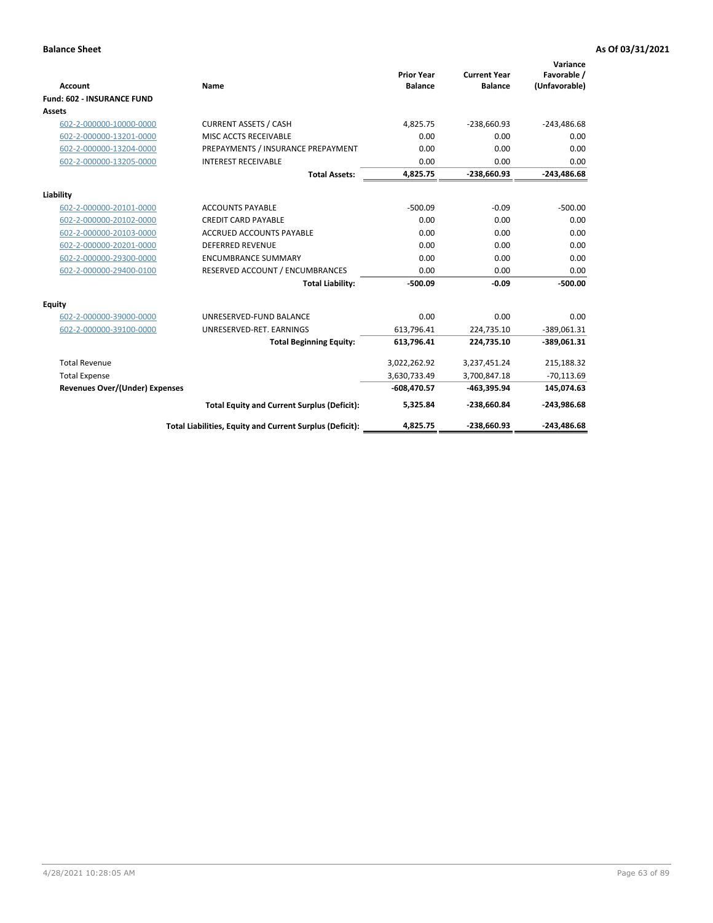|                                       |                                                          |                                     |                                       | Variance                     |
|---------------------------------------|----------------------------------------------------------|-------------------------------------|---------------------------------------|------------------------------|
| <b>Account</b>                        | <b>Name</b>                                              | <b>Prior Year</b><br><b>Balance</b> | <b>Current Year</b><br><b>Balance</b> | Favorable /<br>(Unfavorable) |
| <b>Fund: 602 - INSURANCE FUND</b>     |                                                          |                                     |                                       |                              |
| <b>Assets</b>                         |                                                          |                                     |                                       |                              |
| 602-2-000000-10000-0000               | <b>CURRENT ASSETS / CASH</b>                             | 4,825.75                            | $-238,660.93$                         | $-243,486.68$                |
| 602-2-000000-13201-0000               | MISC ACCTS RECEIVABLE                                    | 0.00                                | 0.00                                  | 0.00                         |
| 602-2-000000-13204-0000               | PREPAYMENTS / INSURANCE PREPAYMENT                       | 0.00                                | 0.00                                  | 0.00                         |
| 602-2-000000-13205-0000               | <b>INTEREST RECEIVABLE</b>                               | 0.00                                | 0.00                                  | 0.00                         |
|                                       | <b>Total Assets:</b>                                     | 4,825.75                            | $-238,660.93$                         | $-243,486.68$                |
| Liability                             |                                                          |                                     |                                       |                              |
| 602-2-000000-20101-0000               | <b>ACCOUNTS PAYABLE</b>                                  | $-500.09$                           | $-0.09$                               | $-500.00$                    |
| 602-2-000000-20102-0000               | <b>CREDIT CARD PAYABLE</b>                               | 0.00                                | 0.00                                  | 0.00                         |
| 602-2-000000-20103-0000               | <b>ACCRUED ACCOUNTS PAYABLE</b>                          | 0.00                                | 0.00                                  | 0.00                         |
| 602-2-000000-20201-0000               | <b>DEFERRED REVENUE</b>                                  | 0.00                                | 0.00                                  | 0.00                         |
| 602-2-000000-29300-0000               | <b>ENCUMBRANCE SUMMARY</b>                               | 0.00                                | 0.00                                  | 0.00                         |
| 602-2-000000-29400-0100               | RESERVED ACCOUNT / ENCUMBRANCES                          | 0.00                                | 0.00                                  | 0.00                         |
|                                       | <b>Total Liability:</b>                                  | $-500.09$                           | $-0.09$                               | $-500.00$                    |
| <b>Equity</b>                         |                                                          |                                     |                                       |                              |
| 602-2-000000-39000-0000               | UNRESERVED-FUND BALANCE                                  | 0.00                                | 0.00                                  | 0.00                         |
| 602-2-000000-39100-0000               | UNRESERVED-RET. EARNINGS                                 | 613,796.41                          | 224,735.10                            | $-389,061.31$                |
|                                       | <b>Total Beginning Equity:</b>                           | 613,796.41                          | 224,735.10                            | $-389,061.31$                |
| <b>Total Revenue</b>                  |                                                          | 3,022,262.92                        | 3,237,451.24                          | 215,188.32                   |
| <b>Total Expense</b>                  |                                                          | 3,630,733.49                        | 3,700,847.18                          | $-70,113.69$                 |
| <b>Revenues Over/(Under) Expenses</b> |                                                          | $-608,470.57$                       | -463,395.94                           | 145,074.63                   |
|                                       | <b>Total Equity and Current Surplus (Deficit):</b>       | 5,325.84                            | -238,660.84                           | -243,986.68                  |
|                                       | Total Liabilities, Equity and Current Surplus (Deficit): | 4,825.75                            | -238,660.93                           | $-243.486.68$                |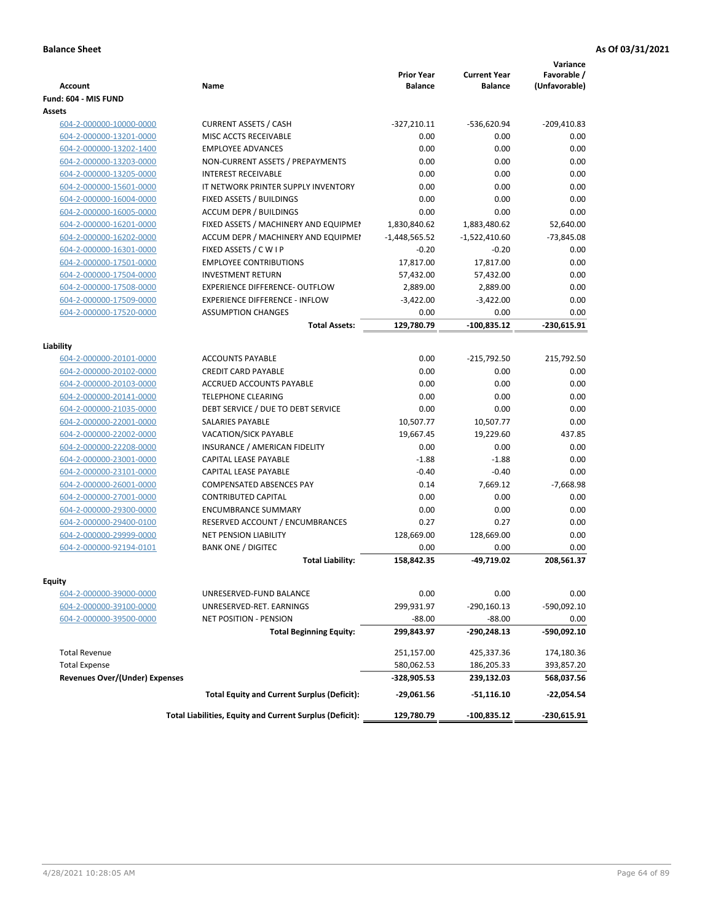| <b>Account</b>                        | Name                                                     | <b>Prior Year</b><br><b>Balance</b> | <b>Current Year</b><br><b>Balance</b> | Variance<br>Favorable /<br>(Unfavorable) |
|---------------------------------------|----------------------------------------------------------|-------------------------------------|---------------------------------------|------------------------------------------|
| Fund: 604 - MIS FUND                  |                                                          |                                     |                                       |                                          |
| Assets                                |                                                          |                                     |                                       |                                          |
| 604-2-000000-10000-0000               | <b>CURRENT ASSETS / CASH</b>                             | $-327,210.11$                       | -536,620.94                           | $-209,410.83$                            |
| 604-2-000000-13201-0000               | MISC ACCTS RECEIVABLE                                    | 0.00                                | 0.00                                  | 0.00                                     |
| 604-2-000000-13202-1400               | <b>EMPLOYEE ADVANCES</b>                                 | 0.00                                | 0.00                                  | 0.00                                     |
| 604-2-000000-13203-0000               | NON-CURRENT ASSETS / PREPAYMENTS                         | 0.00                                | 0.00                                  | 0.00                                     |
| 604-2-000000-13205-0000               | <b>INTEREST RECEIVABLE</b>                               | 0.00                                | 0.00                                  | 0.00                                     |
| 604-2-000000-15601-0000               | IT NETWORK PRINTER SUPPLY INVENTORY                      | 0.00                                | 0.00                                  | 0.00                                     |
| 604-2-000000-16004-0000               | FIXED ASSETS / BUILDINGS                                 | 0.00                                | 0.00                                  | 0.00                                     |
| 604-2-000000-16005-0000               | <b>ACCUM DEPR / BUILDINGS</b>                            | 0.00                                | 0.00                                  | 0.00                                     |
| 604-2-000000-16201-0000               | FIXED ASSETS / MACHINERY AND EQUIPMEN                    | 1,830,840.62                        | 1,883,480.62                          | 52,640.00                                |
| 604-2-000000-16202-0000               | ACCUM DEPR / MACHINERY AND EQUIPMEI                      | $-1,448,565.52$                     | $-1,522,410.60$                       | $-73,845.08$                             |
| 604-2-000000-16301-0000               | FIXED ASSETS / C W I P                                   | $-0.20$                             | $-0.20$                               | 0.00                                     |
| 604-2-000000-17501-0000               | <b>EMPLOYEE CONTRIBUTIONS</b>                            | 17,817.00                           | 17,817.00                             | 0.00                                     |
| 604-2-000000-17504-0000               | <b>INVESTMENT RETURN</b>                                 | 57,432.00                           | 57,432.00                             | 0.00                                     |
| 604-2-000000-17508-0000               | <b>EXPERIENCE DIFFERENCE- OUTFLOW</b>                    | 2,889.00                            | 2,889.00                              | 0.00                                     |
| 604-2-000000-17509-0000               | <b>EXPERIENCE DIFFERENCE - INFLOW</b>                    | $-3,422.00$                         | $-3,422.00$                           | 0.00                                     |
| 604-2-000000-17520-0000               | <b>ASSUMPTION CHANGES</b>                                | 0.00                                | 0.00                                  | 0.00                                     |
|                                       | <b>Total Assets:</b>                                     | 129,780.79                          | $-100,835.12$                         | -230,615.91                              |
|                                       |                                                          |                                     |                                       |                                          |
| Liability                             |                                                          |                                     |                                       |                                          |
| 604-2-000000-20101-0000               | <b>ACCOUNTS PAYABLE</b>                                  | 0.00                                | -215,792.50                           | 215,792.50                               |
| 604-2-000000-20102-0000               | <b>CREDIT CARD PAYABLE</b>                               | 0.00                                | 0.00                                  | 0.00                                     |
| 604-2-000000-20103-0000               | ACCRUED ACCOUNTS PAYABLE                                 | 0.00                                | 0.00                                  | 0.00                                     |
| 604-2-000000-20141-0000               | <b>TELEPHONE CLEARING</b>                                | 0.00                                | 0.00                                  | 0.00                                     |
| 604-2-000000-21035-0000               | DEBT SERVICE / DUE TO DEBT SERVICE                       | 0.00                                | 0.00                                  | 0.00                                     |
| 604-2-000000-22001-0000               | <b>SALARIES PAYABLE</b>                                  | 10,507.77                           | 10,507.77                             | 0.00                                     |
| 604-2-000000-22002-0000               | VACATION/SICK PAYABLE                                    | 19,667.45                           | 19,229.60                             | 437.85                                   |
| 604-2-000000-22208-0000               | INSURANCE / AMERICAN FIDELITY                            | 0.00                                | 0.00                                  | 0.00                                     |
| 604-2-000000-23001-0000               | CAPITAL LEASE PAYABLE                                    | $-1.88$                             | $-1.88$                               | 0.00                                     |
| 604-2-000000-23101-0000               | CAPITAL LEASE PAYABLE                                    | $-0.40$                             | $-0.40$                               | 0.00                                     |
| 604-2-000000-26001-0000               | <b>COMPENSATED ABSENCES PAY</b>                          | 0.14                                | 7,669.12                              | $-7,668.98$                              |
| 604-2-000000-27001-0000               | <b>CONTRIBUTED CAPITAL</b>                               | 0.00                                | 0.00                                  | 0.00                                     |
| 604-2-000000-29300-0000               | <b>ENCUMBRANCE SUMMARY</b>                               | 0.00                                | 0.00                                  | 0.00                                     |
| 604-2-000000-29400-0100               | RESERVED ACCOUNT / ENCUMBRANCES                          | 0.27                                | 0.27                                  | 0.00                                     |
| 604-2-000000-29999-0000               | <b>NET PENSION LIABILITY</b>                             | 128,669.00                          | 128,669.00                            | 0.00                                     |
| 604-2-000000-92194-0101               | <b>BANK ONE / DIGITEC</b>                                | 0.00                                | 0.00                                  | 0.00                                     |
|                                       | <b>Total Liability:</b>                                  | 158,842.35                          | -49,719.02                            | 208,561.37                               |
|                                       |                                                          |                                     |                                       |                                          |
| Equity                                |                                                          |                                     |                                       |                                          |
| 604-2-000000-39000-0000               | UNRESERVED-FUND BALANCE                                  | 0.00                                | 0.00                                  | 0.00                                     |
| 604-2-000000-39100-0000               | UNRESERVED-RET. EARNINGS                                 | 299,931.97                          | $-290,160.13$                         | -590,092.10                              |
| 604-2-000000-39500-0000               | <b>NET POSITION - PENSION</b>                            | $-88.00$                            | $-88.00$                              | 0.00                                     |
|                                       | <b>Total Beginning Equity:</b>                           | 299,843.97                          | -290,248.13                           | -590,092.10                              |
| <b>Total Revenue</b>                  |                                                          | 251,157.00                          | 425,337.36                            | 174,180.36                               |
| <b>Total Expense</b>                  |                                                          | 580,062.53                          | 186,205.33                            | 393,857.20                               |
| <b>Revenues Over/(Under) Expenses</b> |                                                          | -328,905.53                         | 239,132.03                            | 568,037.56                               |
|                                       | <b>Total Equity and Current Surplus (Deficit):</b>       | -29,061.56                          | $-51,116.10$                          | -22,054.54                               |
|                                       | Total Liabilities, Equity and Current Surplus (Deficit): | 129,780.79                          | -100,835.12                           | -230,615.91                              |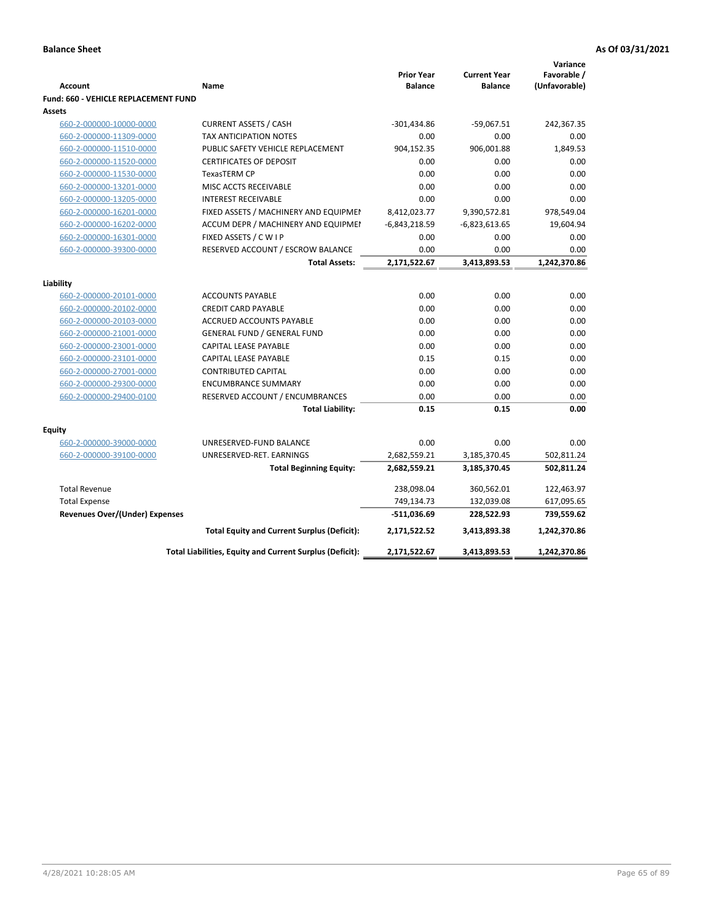| <b>Account</b>                        | Name                                                     | <b>Prior Year</b><br><b>Balance</b> | <b>Current Year</b><br><b>Balance</b> | Variance<br>Favorable /<br>(Unfavorable) |
|---------------------------------------|----------------------------------------------------------|-------------------------------------|---------------------------------------|------------------------------------------|
| Fund: 660 - VEHICLE REPLACEMENT FUND  |                                                          |                                     |                                       |                                          |
| Assets                                |                                                          |                                     |                                       |                                          |
| 660-2-000000-10000-0000               | <b>CURRENT ASSETS / CASH</b>                             | $-301,434.86$                       | $-59,067.51$                          | 242,367.35                               |
| 660-2-000000-11309-0000               | <b>TAX ANTICIPATION NOTES</b>                            | 0.00                                | 0.00                                  | 0.00                                     |
| 660-2-000000-11510-0000               | PUBLIC SAFETY VEHICLE REPLACEMENT                        | 904,152.35                          | 906,001.88                            | 1,849.53                                 |
| 660-2-000000-11520-0000               | <b>CERTIFICATES OF DEPOSIT</b>                           | 0.00                                | 0.00                                  | 0.00                                     |
| 660-2-000000-11530-0000               | <b>TexasTERM CP</b>                                      | 0.00                                | 0.00                                  | 0.00                                     |
| 660-2-000000-13201-0000               | MISC ACCTS RECEIVABLE                                    | 0.00                                | 0.00                                  | 0.00                                     |
| 660-2-000000-13205-0000               | <b>INTEREST RECEIVABLE</b>                               | 0.00                                | 0.00                                  | 0.00                                     |
| 660-2-000000-16201-0000               | FIXED ASSETS / MACHINERY AND EQUIPMEN                    | 8,412,023.77                        | 9,390,572.81                          | 978,549.04                               |
| 660-2-000000-16202-0000               | ACCUM DEPR / MACHINERY AND EQUIPMEI                      | $-6,843,218.59$                     | $-6,823,613.65$                       | 19,604.94                                |
| 660-2-000000-16301-0000               | FIXED ASSETS / C W I P                                   | 0.00                                | 0.00                                  | 0.00                                     |
| 660-2-000000-39300-0000               | RESERVED ACCOUNT / ESCROW BALANCE                        | 0.00                                | 0.00                                  | 0.00                                     |
|                                       | <b>Total Assets:</b>                                     | 2,171,522.67                        | 3,413,893.53                          | 1,242,370.86                             |
| Liability                             |                                                          |                                     |                                       |                                          |
| 660-2-000000-20101-0000               | <b>ACCOUNTS PAYABLE</b>                                  | 0.00                                | 0.00                                  | 0.00                                     |
| 660-2-000000-20102-0000               | <b>CREDIT CARD PAYABLE</b>                               | 0.00                                | 0.00                                  | 0.00                                     |
| 660-2-000000-20103-0000               | ACCRUED ACCOUNTS PAYABLE                                 | 0.00                                | 0.00                                  | 0.00                                     |
| 660-2-000000-21001-0000               | <b>GENERAL FUND / GENERAL FUND</b>                       | 0.00                                | 0.00                                  | 0.00                                     |
| 660-2-000000-23001-0000               | <b>CAPITAL LEASE PAYABLE</b>                             | 0.00                                | 0.00                                  | 0.00                                     |
| 660-2-000000-23101-0000               | <b>CAPITAL LEASE PAYABLE</b>                             | 0.15                                | 0.15                                  | 0.00                                     |
| 660-2-000000-27001-0000               | <b>CONTRIBUTED CAPITAL</b>                               | 0.00                                | 0.00                                  | 0.00                                     |
| 660-2-000000-29300-0000               | <b>ENCUMBRANCE SUMMARY</b>                               | 0.00                                | 0.00                                  | 0.00                                     |
| 660-2-000000-29400-0100               | RESERVED ACCOUNT / ENCUMBRANCES                          | 0.00                                | 0.00                                  | 0.00                                     |
|                                       | <b>Total Liability:</b>                                  | 0.15                                | 0.15                                  | 0.00                                     |
|                                       |                                                          |                                     |                                       |                                          |
| <b>Equity</b>                         |                                                          |                                     |                                       |                                          |
| 660-2-000000-39000-0000               | UNRESERVED-FUND BALANCE                                  | 0.00                                | 0.00                                  | 0.00                                     |
| 660-2-000000-39100-0000               | UNRESERVED-RET. EARNINGS                                 | 2,682,559.21                        | 3,185,370.45                          | 502,811.24                               |
|                                       | <b>Total Beginning Equity:</b>                           | 2,682,559.21                        | 3,185,370.45                          | 502,811.24                               |
| <b>Total Revenue</b>                  |                                                          | 238,098.04                          | 360,562.01                            | 122,463.97                               |
| <b>Total Expense</b>                  |                                                          | 749,134.73                          | 132,039.08                            | 617,095.65                               |
| <b>Revenues Over/(Under) Expenses</b> |                                                          | $-511,036.69$                       | 228,522.93                            | 739,559.62                               |
|                                       | <b>Total Equity and Current Surplus (Deficit):</b>       | 2,171,522.52                        | 3,413,893.38                          | 1,242,370.86                             |
|                                       | Total Liabilities, Equity and Current Surplus (Deficit): | 2,171,522.67                        | 3,413,893.53                          | 1,242,370.86                             |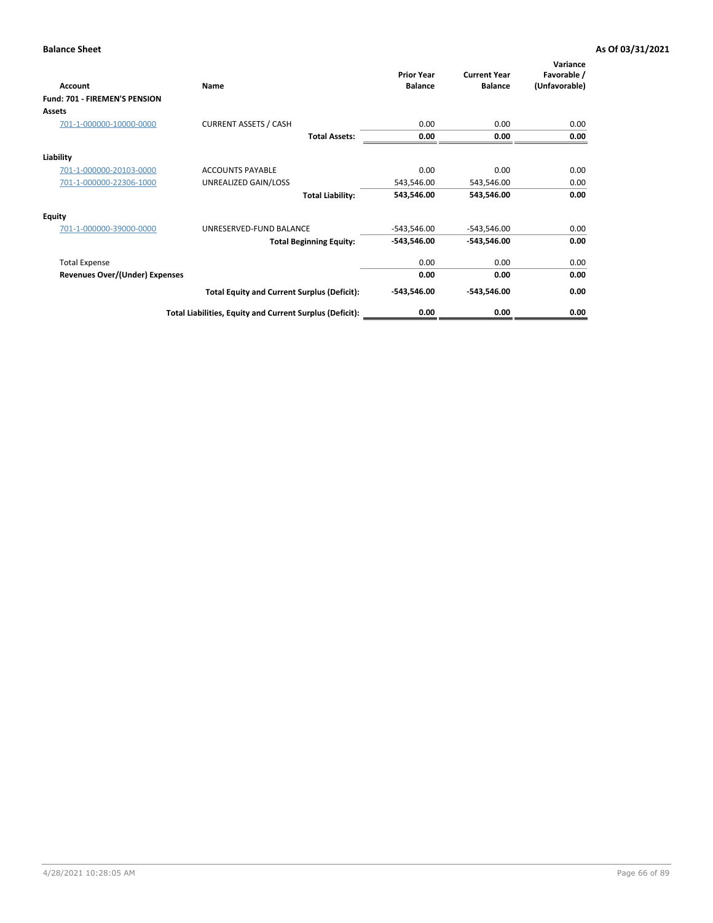| Account                               | Name                                                     | <b>Prior Year</b><br><b>Balance</b> | <b>Current Year</b><br><b>Balance</b> | Variance<br>Favorable /<br>(Unfavorable) |
|---------------------------------------|----------------------------------------------------------|-------------------------------------|---------------------------------------|------------------------------------------|
| Fund: 701 - FIREMEN'S PENSION         |                                                          |                                     |                                       |                                          |
| <b>Assets</b>                         |                                                          |                                     |                                       |                                          |
| 701-1-000000-10000-0000               | <b>CURRENT ASSETS / CASH</b>                             | 0.00                                | 0.00                                  | 0.00                                     |
|                                       | <b>Total Assets:</b>                                     | 0.00                                | 0.00                                  | 0.00                                     |
| Liability                             |                                                          |                                     |                                       |                                          |
| 701-1-000000-20103-0000               | <b>ACCOUNTS PAYABLE</b>                                  | 0.00                                | 0.00                                  | 0.00                                     |
| 701-1-000000-22306-1000               | UNREALIZED GAIN/LOSS                                     | 543,546.00                          | 543,546.00                            | 0.00                                     |
|                                       | <b>Total Liability:</b>                                  | 543,546.00                          | 543,546.00                            | 0.00                                     |
| <b>Equity</b>                         |                                                          |                                     |                                       |                                          |
| 701-1-000000-39000-0000               | UNRESERVED-FUND BALANCE                                  | $-543,546.00$                       | $-543,546.00$                         | 0.00                                     |
|                                       | <b>Total Beginning Equity:</b>                           | $-543,546.00$                       | $-543,546.00$                         | 0.00                                     |
| <b>Total Expense</b>                  |                                                          | 0.00                                | 0.00                                  | 0.00                                     |
| <b>Revenues Over/(Under) Expenses</b> |                                                          | 0.00                                | 0.00                                  | 0.00                                     |
|                                       | <b>Total Equity and Current Surplus (Deficit):</b>       | $-543,546.00$                       | $-543,546.00$                         | 0.00                                     |
|                                       | Total Liabilities, Equity and Current Surplus (Deficit): | 0.00                                | 0.00                                  | 0.00                                     |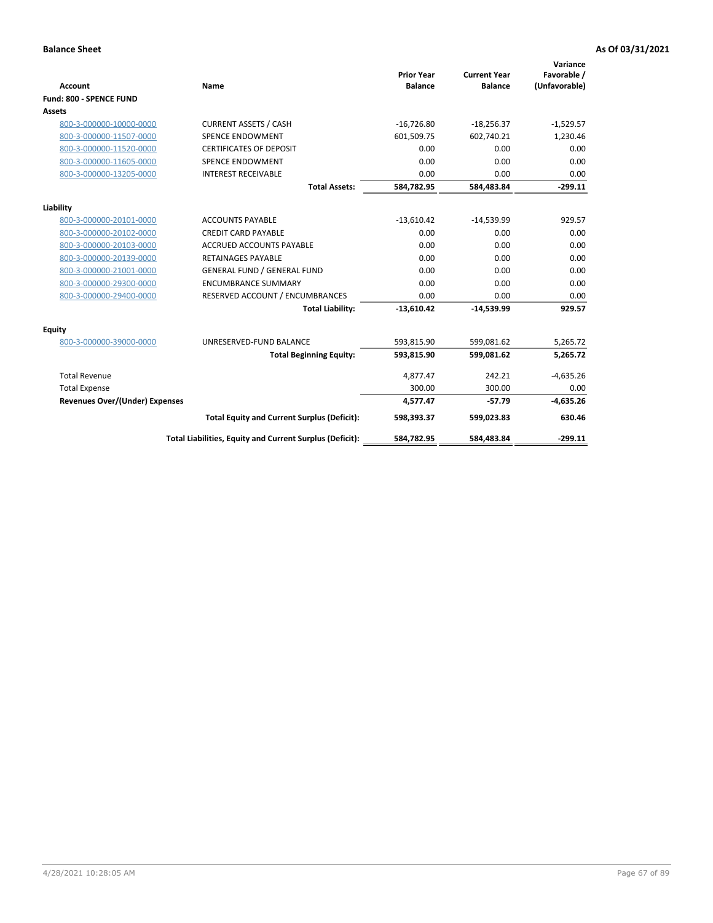|                                       |                                                          |                                     |                                       | Variance                     |
|---------------------------------------|----------------------------------------------------------|-------------------------------------|---------------------------------------|------------------------------|
| <b>Account</b>                        | <b>Name</b>                                              | <b>Prior Year</b><br><b>Balance</b> | <b>Current Year</b><br><b>Balance</b> | Favorable /<br>(Unfavorable) |
| Fund: 800 - SPENCE FUND               |                                                          |                                     |                                       |                              |
| Assets                                |                                                          |                                     |                                       |                              |
| 800-3-000000-10000-0000               | <b>CURRENT ASSETS / CASH</b>                             | $-16,726.80$                        | $-18,256.37$                          | $-1,529.57$                  |
| 800-3-000000-11507-0000               | <b>SPENCE ENDOWMENT</b>                                  | 601,509.75                          | 602,740.21                            | 1,230.46                     |
| 800-3-000000-11520-0000               | <b>CERTIFICATES OF DEPOSIT</b>                           | 0.00                                | 0.00                                  | 0.00                         |
| 800-3-000000-11605-0000               | <b>SPENCE ENDOWMENT</b>                                  | 0.00                                | 0.00                                  | 0.00                         |
| 800-3-000000-13205-0000               | <b>INTEREST RECEIVABLE</b>                               | 0.00                                | 0.00                                  | 0.00                         |
|                                       | <b>Total Assets:</b>                                     | 584,782.95                          | 584,483.84                            | $-299.11$                    |
|                                       |                                                          |                                     |                                       |                              |
| Liability                             |                                                          |                                     |                                       |                              |
| 800-3-000000-20101-0000               | <b>ACCOUNTS PAYABLE</b>                                  | $-13,610.42$                        | $-14,539.99$                          | 929.57                       |
| 800-3-000000-20102-0000               | <b>CREDIT CARD PAYABLE</b>                               | 0.00                                | 0.00                                  | 0.00                         |
| 800-3-000000-20103-0000               | <b>ACCRUED ACCOUNTS PAYABLE</b>                          | 0.00                                | 0.00                                  | 0.00                         |
| 800-3-000000-20139-0000               | <b>RETAINAGES PAYABLE</b>                                | 0.00                                | 0.00                                  | 0.00                         |
| 800-3-000000-21001-0000               | <b>GENERAL FUND / GENERAL FUND</b>                       | 0.00                                | 0.00                                  | 0.00                         |
| 800-3-000000-29300-0000               | <b>ENCUMBRANCE SUMMARY</b>                               | 0.00                                | 0.00                                  | 0.00                         |
| 800-3-000000-29400-0000               | RESERVED ACCOUNT / ENCUMBRANCES                          | 0.00                                | 0.00                                  | 0.00                         |
|                                       | <b>Total Liability:</b>                                  | $-13,610.42$                        | $-14,539.99$                          | 929.57                       |
| <b>Equity</b>                         |                                                          |                                     |                                       |                              |
| 800-3-000000-39000-0000               | UNRESERVED-FUND BALANCE                                  | 593,815.90                          | 599,081.62                            | 5,265.72                     |
|                                       | <b>Total Beginning Equity:</b>                           | 593,815.90                          | 599,081.62                            | 5.265.72                     |
| <b>Total Revenue</b>                  |                                                          | 4,877.47                            | 242.21                                | $-4,635.26$                  |
| <b>Total Expense</b>                  |                                                          | 300.00                              | 300.00                                | 0.00                         |
| <b>Revenues Over/(Under) Expenses</b> |                                                          | 4,577.47                            | $-57.79$                              | $-4,635.26$                  |
|                                       | <b>Total Equity and Current Surplus (Deficit):</b>       | 598,393.37                          | 599,023.83                            | 630.46                       |
|                                       | Total Liabilities, Equity and Current Surplus (Deficit): | 584,782.95                          | 584,483.84                            | $-299.11$                    |
|                                       |                                                          |                                     |                                       |                              |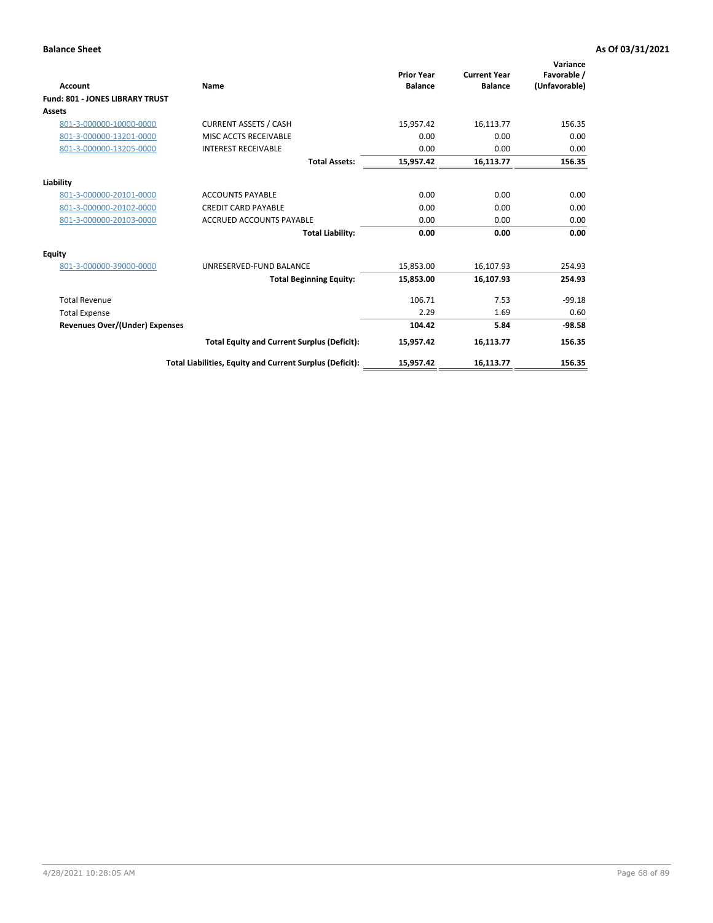| <b>Account</b>                         | Name                                                     | <b>Prior Year</b><br><b>Balance</b> | <b>Current Year</b><br><b>Balance</b> | Variance<br>Favorable /<br>(Unfavorable) |
|----------------------------------------|----------------------------------------------------------|-------------------------------------|---------------------------------------|------------------------------------------|
| <b>Fund: 801 - JONES LIBRARY TRUST</b> |                                                          |                                     |                                       |                                          |
| <b>Assets</b>                          |                                                          |                                     |                                       |                                          |
| 801-3-000000-10000-0000                | <b>CURRENT ASSETS / CASH</b>                             | 15,957.42                           | 16,113.77                             | 156.35                                   |
| 801-3-000000-13201-0000                | MISC ACCTS RECEIVABLE                                    | 0.00                                | 0.00                                  | 0.00                                     |
| 801-3-000000-13205-0000                | <b>INTEREST RECEIVABLE</b>                               | 0.00                                | 0.00                                  | 0.00                                     |
|                                        | <b>Total Assets:</b>                                     | 15,957.42                           | 16,113.77                             | 156.35                                   |
| Liability                              |                                                          |                                     |                                       |                                          |
| 801-3-000000-20101-0000                | <b>ACCOUNTS PAYABLE</b>                                  | 0.00                                | 0.00                                  | 0.00                                     |
| 801-3-000000-20102-0000                | <b>CREDIT CARD PAYABLE</b>                               | 0.00                                | 0.00                                  | 0.00                                     |
| 801-3-000000-20103-0000                | <b>ACCRUED ACCOUNTS PAYABLE</b>                          | 0.00                                | 0.00                                  | 0.00                                     |
|                                        | <b>Total Liability:</b>                                  | 0.00                                | 0.00                                  | 0.00                                     |
| Equity                                 |                                                          |                                     |                                       |                                          |
| 801-3-000000-39000-0000                | UNRESERVED-FUND BALANCE                                  | 15,853.00                           | 16,107.93                             | 254.93                                   |
|                                        | <b>Total Beginning Equity:</b>                           | 15,853.00                           | 16,107.93                             | 254.93                                   |
| <b>Total Revenue</b>                   |                                                          | 106.71                              | 7.53                                  | $-99.18$                                 |
| <b>Total Expense</b>                   |                                                          | 2.29                                | 1.69                                  | 0.60                                     |
| Revenues Over/(Under) Expenses         |                                                          | 104.42                              | 5.84                                  | $-98.58$                                 |
|                                        | <b>Total Equity and Current Surplus (Deficit):</b>       | 15,957.42                           | 16,113.77                             | 156.35                                   |
|                                        | Total Liabilities, Equity and Current Surplus (Deficit): | 15,957.42                           | 16,113.77                             | 156.35                                   |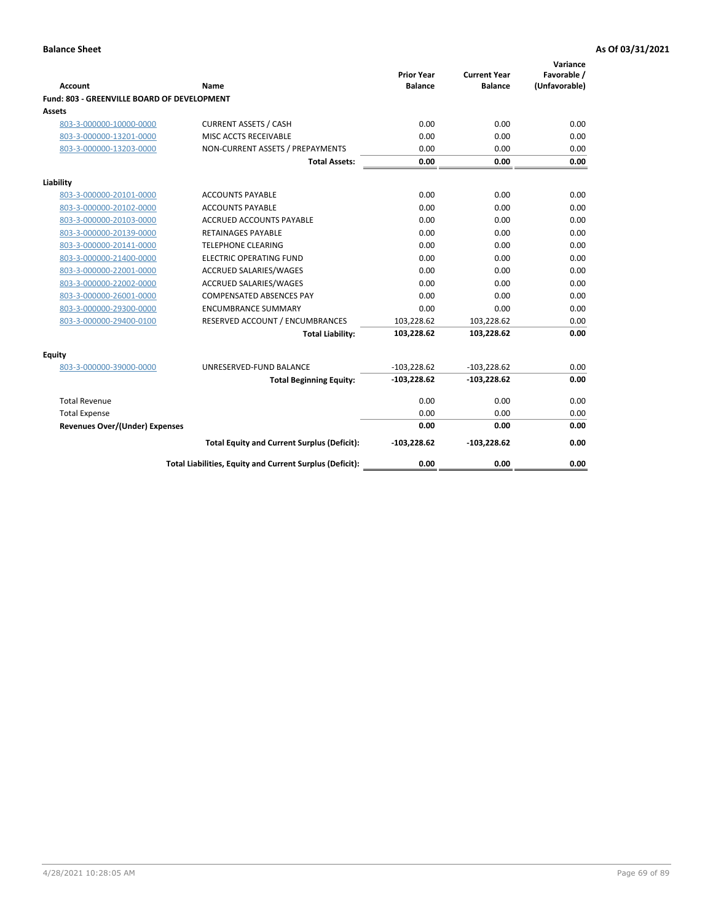| <b>Account</b>                              | Name                                                     | <b>Prior Year</b><br><b>Balance</b> | <b>Current Year</b><br><b>Balance</b> | Variance<br>Favorable /<br>(Unfavorable) |
|---------------------------------------------|----------------------------------------------------------|-------------------------------------|---------------------------------------|------------------------------------------|
| Fund: 803 - GREENVILLE BOARD OF DEVELOPMENT |                                                          |                                     |                                       |                                          |
| Assets                                      |                                                          |                                     |                                       |                                          |
| 803-3-000000-10000-0000                     | <b>CURRENT ASSETS / CASH</b>                             | 0.00                                | 0.00                                  | 0.00                                     |
| 803-3-000000-13201-0000                     | MISC ACCTS RECEIVABLE                                    | 0.00                                | 0.00                                  | 0.00                                     |
| 803-3-000000-13203-0000                     | NON-CURRENT ASSETS / PREPAYMENTS                         | 0.00                                | 0.00                                  | 0.00                                     |
|                                             | <b>Total Assets:</b>                                     | 0.00                                | 0.00                                  | 0.00                                     |
| Liability                                   |                                                          |                                     |                                       |                                          |
| 803-3-000000-20101-0000                     | <b>ACCOUNTS PAYABLE</b>                                  | 0.00                                | 0.00                                  | 0.00                                     |
| 803-3-000000-20102-0000                     | <b>ACCOUNTS PAYABLE</b>                                  | 0.00                                | 0.00                                  | 0.00                                     |
| 803-3-000000-20103-0000                     | ACCRUED ACCOUNTS PAYABLE                                 | 0.00                                | 0.00                                  | 0.00                                     |
| 803-3-000000-20139-0000                     | RETAINAGES PAYABLE                                       | 0.00                                | 0.00                                  | 0.00                                     |
| 803-3-000000-20141-0000                     | <b>TELEPHONE CLEARING</b>                                | 0.00                                | 0.00                                  | 0.00                                     |
| 803-3-000000-21400-0000                     | <b>ELECTRIC OPERATING FUND</b>                           | 0.00                                | 0.00                                  | 0.00                                     |
| 803-3-000000-22001-0000                     | <b>ACCRUED SALARIES/WAGES</b>                            | 0.00                                | 0.00                                  | 0.00                                     |
| 803-3-000000-22002-0000                     | <b>ACCRUED SALARIES/WAGES</b>                            | 0.00                                | 0.00                                  | 0.00                                     |
| 803-3-000000-26001-0000                     | <b>COMPENSATED ABSENCES PAY</b>                          | 0.00                                | 0.00                                  | 0.00                                     |
| 803-3-000000-29300-0000                     | <b>ENCUMBRANCE SUMMARY</b>                               | 0.00                                | 0.00                                  | 0.00                                     |
| 803-3-000000-29400-0100                     | RESERVED ACCOUNT / ENCUMBRANCES                          | 103,228.62                          | 103,228.62                            | 0.00                                     |
|                                             | <b>Total Liability:</b>                                  | 103,228.62                          | 103,228.62                            | 0.00                                     |
| <b>Equity</b>                               |                                                          |                                     |                                       |                                          |
| 803-3-000000-39000-0000                     | UNRESERVED-FUND BALANCE                                  | $-103,228.62$                       | $-103,228.62$                         | 0.00                                     |
|                                             | <b>Total Beginning Equity:</b>                           | $-103,228.62$                       | $-103,228.62$                         | 0.00                                     |
| <b>Total Revenue</b>                        |                                                          | 0.00                                | 0.00                                  | 0.00                                     |
| <b>Total Expense</b>                        |                                                          | 0.00                                | 0.00                                  | 0.00                                     |
| <b>Revenues Over/(Under) Expenses</b>       |                                                          | 0.00                                | 0.00                                  | 0.00                                     |
|                                             | <b>Total Equity and Current Surplus (Deficit):</b>       | $-103,228.62$                       | $-103,228.62$                         | 0.00                                     |
|                                             | Total Liabilities, Equity and Current Surplus (Deficit): | 0.00                                | 0.00                                  | 0.00                                     |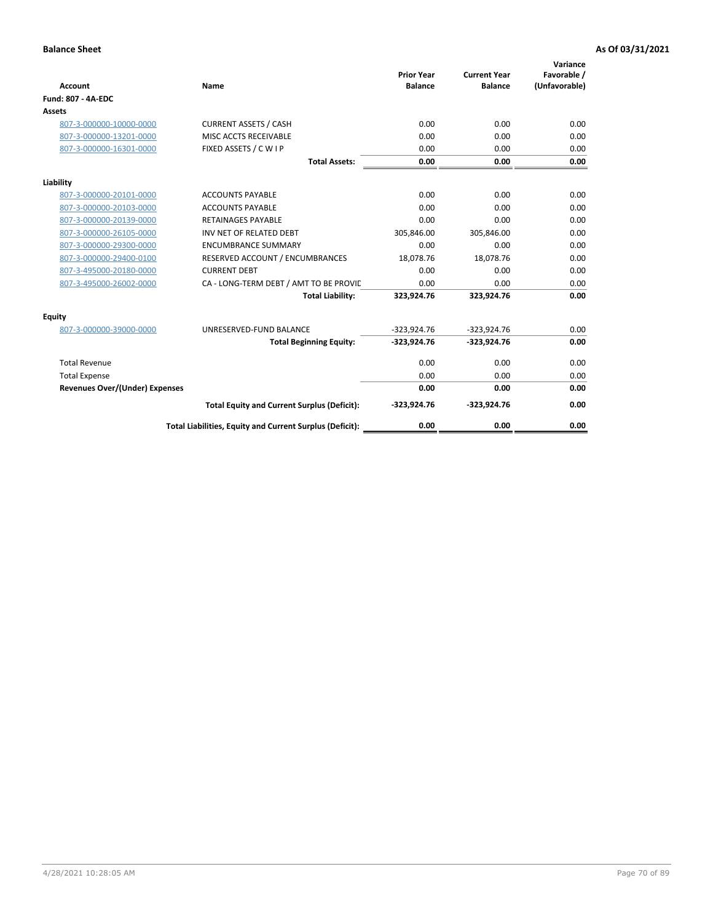| <b>Account</b>                        | Name                                                     | <b>Prior Year</b><br><b>Balance</b> | <b>Current Year</b><br><b>Balance</b> | Variance<br>Favorable /<br>(Unfavorable) |
|---------------------------------------|----------------------------------------------------------|-------------------------------------|---------------------------------------|------------------------------------------|
| <b>Fund: 807 - 4A-EDC</b>             |                                                          |                                     |                                       |                                          |
| <b>Assets</b>                         |                                                          |                                     |                                       |                                          |
| 807-3-000000-10000-0000               | <b>CURRENT ASSETS / CASH</b>                             | 0.00                                | 0.00                                  | 0.00                                     |
| 807-3-000000-13201-0000               | MISC ACCTS RECEIVABLE                                    | 0.00                                | 0.00                                  | 0.00                                     |
| 807-3-000000-16301-0000               | FIXED ASSETS / C W I P                                   | 0.00                                | 0.00                                  | 0.00                                     |
|                                       | <b>Total Assets:</b>                                     | 0.00                                | 0.00                                  | 0.00                                     |
| Liability                             |                                                          |                                     |                                       |                                          |
| 807-3-000000-20101-0000               | <b>ACCOUNTS PAYABLE</b>                                  | 0.00                                | 0.00                                  | 0.00                                     |
| 807-3-000000-20103-0000               | <b>ACCOUNTS PAYABLE</b>                                  | 0.00                                | 0.00                                  | 0.00                                     |
| 807-3-000000-20139-0000               | <b>RETAINAGES PAYABLE</b>                                | 0.00                                | 0.00                                  | 0.00                                     |
| 807-3-000000-26105-0000               | INV NET OF RELATED DEBT                                  | 305,846.00                          | 305,846.00                            | 0.00                                     |
| 807-3-000000-29300-0000               | <b>ENCUMBRANCE SUMMARY</b>                               | 0.00                                | 0.00                                  | 0.00                                     |
| 807-3-000000-29400-0100               | RESERVED ACCOUNT / ENCUMBRANCES                          | 18,078.76                           | 18,078.76                             | 0.00                                     |
| 807-3-495000-20180-0000               | <b>CURRENT DEBT</b>                                      | 0.00                                | 0.00                                  | 0.00                                     |
| 807-3-495000-26002-0000               | CA - LONG-TERM DEBT / AMT TO BE PROVIL                   | 0.00                                | 0.00                                  | 0.00                                     |
|                                       | <b>Total Liability:</b>                                  | 323,924.76                          | 323,924.76                            | 0.00                                     |
| Equity                                |                                                          |                                     |                                       |                                          |
| 807-3-000000-39000-0000               | UNRESERVED-FUND BALANCE                                  | $-323,924.76$                       | $-323,924.76$                         | 0.00                                     |
|                                       | <b>Total Beginning Equity:</b>                           | $-323,924.76$                       | $-323,924.76$                         | 0.00                                     |
| <b>Total Revenue</b>                  |                                                          | 0.00                                | 0.00                                  | 0.00                                     |
| <b>Total Expense</b>                  |                                                          | 0.00                                | 0.00                                  | 0.00                                     |
| <b>Revenues Over/(Under) Expenses</b> |                                                          | 0.00                                | 0.00                                  | 0.00                                     |
|                                       | <b>Total Equity and Current Surplus (Deficit):</b>       | $-323,924.76$                       | $-323,924.76$                         | 0.00                                     |
|                                       | Total Liabilities, Equity and Current Surplus (Deficit): | 0.00                                | 0.00                                  | 0.00                                     |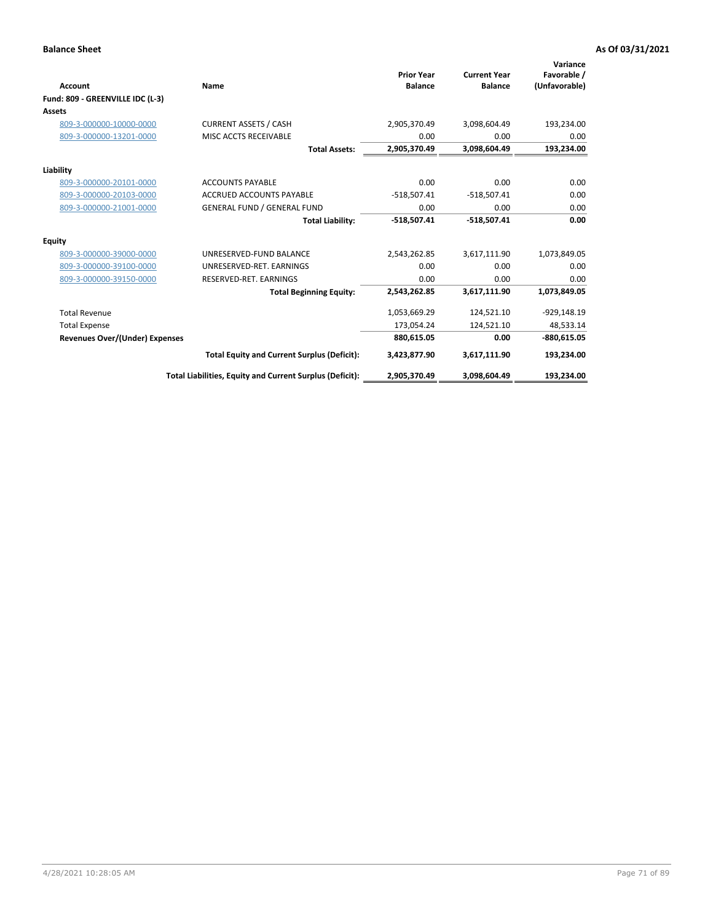| Account                               | Name                                                     | <b>Prior Year</b><br><b>Balance</b> | <b>Current Year</b><br><b>Balance</b> | Variance<br>Favorable /<br>(Unfavorable) |
|---------------------------------------|----------------------------------------------------------|-------------------------------------|---------------------------------------|------------------------------------------|
| Fund: 809 - GREENVILLE IDC (L-3)      |                                                          |                                     |                                       |                                          |
| Assets                                |                                                          |                                     |                                       |                                          |
| 809-3-000000-10000-0000               | <b>CURRENT ASSETS / CASH</b>                             | 2,905,370.49                        | 3,098,604.49                          | 193,234.00                               |
| 809-3-000000-13201-0000               | MISC ACCTS RECEIVABLE                                    | 0.00                                | 0.00                                  | 0.00                                     |
|                                       | <b>Total Assets:</b>                                     | 2,905,370.49                        | 3,098,604.49                          | 193,234.00                               |
| Liability                             |                                                          |                                     |                                       |                                          |
| 809-3-000000-20101-0000               | <b>ACCOUNTS PAYABLE</b>                                  | 0.00                                | 0.00                                  | 0.00                                     |
| 809-3-000000-20103-0000               | <b>ACCRUED ACCOUNTS PAYABLE</b>                          | $-518,507.41$                       | $-518,507.41$                         | 0.00                                     |
| 809-3-000000-21001-0000               | <b>GENERAL FUND / GENERAL FUND</b>                       | 0.00                                | 0.00                                  | 0.00                                     |
|                                       | <b>Total Liability:</b>                                  | $-518,507.41$                       | $-518,507.41$                         | 0.00                                     |
| Equity                                |                                                          |                                     |                                       |                                          |
| 809-3-000000-39000-0000               | UNRESERVED-FUND BALANCE                                  | 2,543,262.85                        | 3,617,111.90                          | 1,073,849.05                             |
| 809-3-000000-39100-0000               | UNRESERVED-RET. EARNINGS                                 | 0.00                                | 0.00                                  | 0.00                                     |
| 809-3-000000-39150-0000               | RESERVED-RET. EARNINGS                                   | 0.00                                | 0.00                                  | 0.00                                     |
|                                       | <b>Total Beginning Equity:</b>                           | 2,543,262.85                        | 3,617,111.90                          | 1,073,849.05                             |
| <b>Total Revenue</b>                  |                                                          | 1,053,669.29                        | 124,521.10                            | $-929,148.19$                            |
| <b>Total Expense</b>                  |                                                          | 173,054.24                          | 124,521.10                            | 48,533.14                                |
| <b>Revenues Over/(Under) Expenses</b> |                                                          | 880,615.05                          | 0.00                                  | $-880,615.05$                            |
|                                       | <b>Total Equity and Current Surplus (Deficit):</b>       | 3,423,877.90                        | 3,617,111.90                          | 193,234.00                               |
|                                       | Total Liabilities, Equity and Current Surplus (Deficit): | 2,905,370.49                        | 3,098,604.49                          | 193.234.00                               |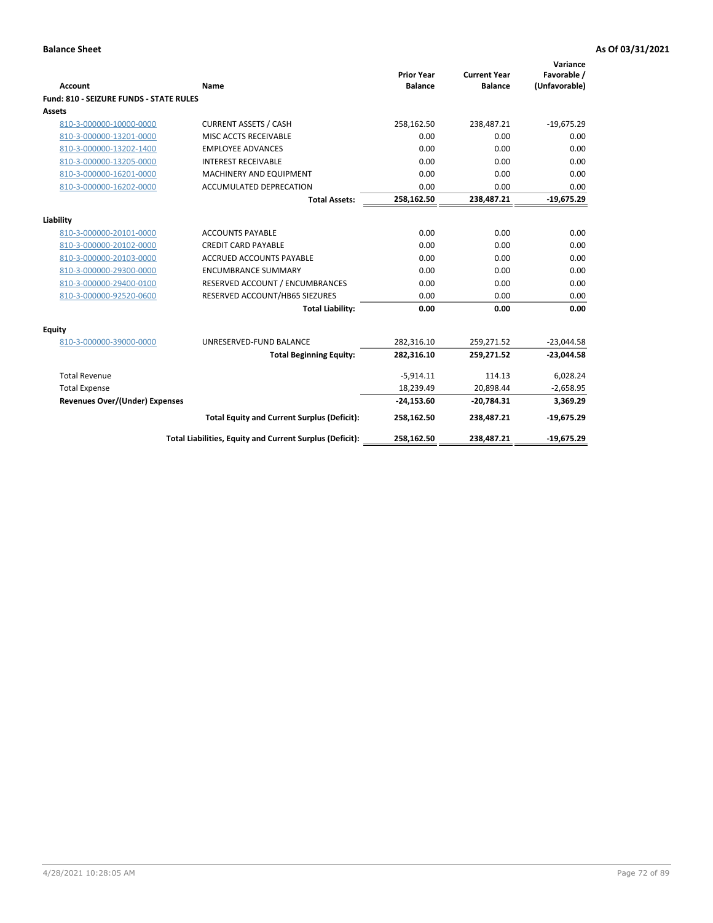| <b>Account</b>                          | Name                                                     | <b>Prior Year</b><br><b>Balance</b> | <b>Current Year</b><br><b>Balance</b> | Variance<br>Favorable /<br>(Unfavorable) |
|-----------------------------------------|----------------------------------------------------------|-------------------------------------|---------------------------------------|------------------------------------------|
| Fund: 810 - SEIZURE FUNDS - STATE RULES |                                                          |                                     |                                       |                                          |
| Assets                                  |                                                          |                                     |                                       |                                          |
| 810-3-000000-10000-0000                 | <b>CURRENT ASSETS / CASH</b>                             | 258,162.50                          | 238,487.21                            | $-19,675.29$                             |
| 810-3-000000-13201-0000                 | MISC ACCTS RECEIVABLE                                    | 0.00                                | 0.00                                  | 0.00                                     |
| 810-3-000000-13202-1400                 | <b>EMPLOYEE ADVANCES</b>                                 | 0.00                                | 0.00                                  | 0.00                                     |
| 810-3-000000-13205-0000                 | <b>INTEREST RECEIVABLE</b>                               | 0.00                                | 0.00                                  | 0.00                                     |
| 810-3-000000-16201-0000                 | MACHINERY AND EQUIPMENT                                  | 0.00                                | 0.00                                  | 0.00                                     |
| 810-3-000000-16202-0000                 | ACCUMULATED DEPRECATION                                  | 0.00                                | 0.00                                  | 0.00                                     |
|                                         | <b>Total Assets:</b>                                     | 258,162.50                          | 238,487.21                            | $-19,675.29$                             |
|                                         |                                                          |                                     |                                       |                                          |
| Liability                               |                                                          |                                     |                                       |                                          |
| 810-3-000000-20101-0000                 | <b>ACCOUNTS PAYABLE</b>                                  | 0.00                                | 0.00                                  | 0.00                                     |
| 810-3-000000-20102-0000                 | <b>CREDIT CARD PAYABLE</b>                               | 0.00                                | 0.00                                  | 0.00                                     |
| 810-3-000000-20103-0000                 | <b>ACCRUED ACCOUNTS PAYABLE</b>                          | 0.00                                | 0.00                                  | 0.00                                     |
| 810-3-000000-29300-0000                 | <b>ENCUMBRANCE SUMMARY</b>                               | 0.00                                | 0.00                                  | 0.00                                     |
| 810-3-000000-29400-0100                 | RESERVED ACCOUNT / ENCUMBRANCES                          | 0.00                                | 0.00                                  | 0.00                                     |
| 810-3-000000-92520-0600                 | RESERVED ACCOUNT/HB65 SIEZURES                           | 0.00                                | 0.00                                  | 0.00                                     |
|                                         | <b>Total Liability:</b>                                  | 0.00                                | 0.00                                  | 0.00                                     |
| <b>Equity</b>                           |                                                          |                                     |                                       |                                          |
| 810-3-000000-39000-0000                 | UNRESERVED-FUND BALANCE                                  | 282,316.10                          | 259,271.52                            | $-23,044.58$                             |
|                                         | <b>Total Beginning Equity:</b>                           | 282,316.10                          | 259,271.52                            | $-23,044.58$                             |
| <b>Total Revenue</b>                    |                                                          | $-5,914.11$                         | 114.13                                | 6,028.24                                 |
| <b>Total Expense</b>                    |                                                          | 18,239.49                           | 20,898.44                             | $-2,658.95$                              |
| <b>Revenues Over/(Under) Expenses</b>   |                                                          | $-24,153.60$                        | $-20,784.31$                          | 3,369.29                                 |
|                                         | <b>Total Equity and Current Surplus (Deficit):</b>       | 258,162.50                          | 238,487.21                            | $-19,675.29$                             |
|                                         | Total Liabilities, Equity and Current Surplus (Deficit): | 258,162.50                          | 238,487.21                            | $-19,675.29$                             |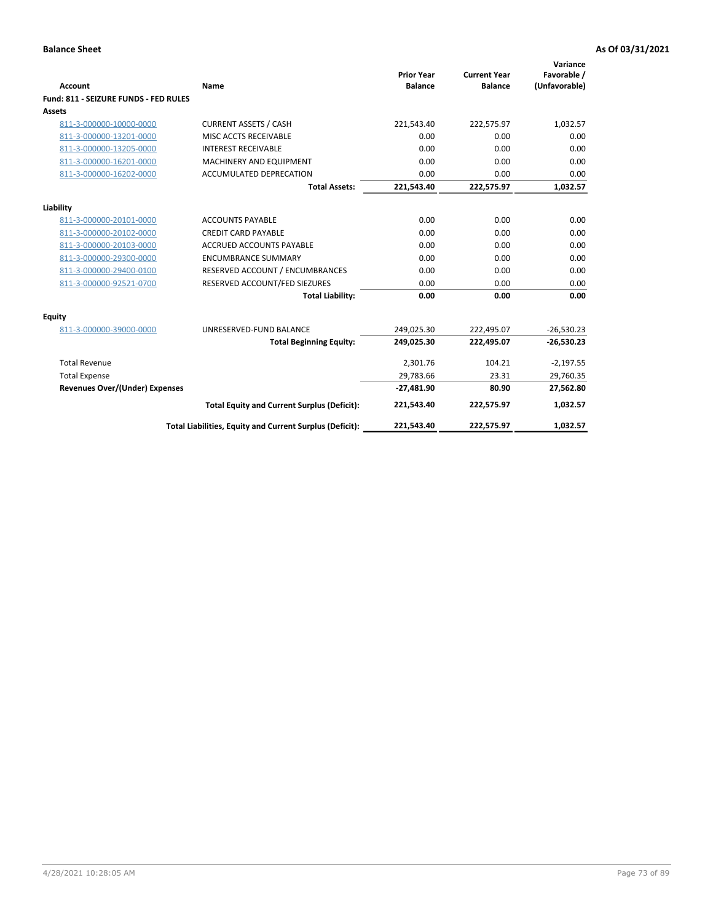| Account                               | Name                                                     | <b>Prior Year</b><br><b>Balance</b> | <b>Current Year</b><br><b>Balance</b> | Variance<br>Favorable /<br>(Unfavorable) |
|---------------------------------------|----------------------------------------------------------|-------------------------------------|---------------------------------------|------------------------------------------|
| Fund: 811 - SEIZURE FUNDS - FED RULES |                                                          |                                     |                                       |                                          |
| <b>Assets</b>                         |                                                          |                                     |                                       |                                          |
| 811-3-000000-10000-0000               | <b>CURRENT ASSETS / CASH</b>                             | 221,543.40                          | 222,575.97                            | 1,032.57                                 |
| 811-3-000000-13201-0000               | MISC ACCTS RECEIVABLE                                    | 0.00                                | 0.00                                  | 0.00                                     |
| 811-3-000000-13205-0000               | <b>INTEREST RECEIVABLE</b>                               | 0.00                                | 0.00                                  | 0.00                                     |
| 811-3-000000-16201-0000               | <b>MACHINERY AND EQUIPMENT</b>                           | 0.00                                | 0.00                                  | 0.00                                     |
| 811-3-000000-16202-0000               | <b>ACCUMULATED DEPRECATION</b>                           | 0.00                                | 0.00                                  | 0.00                                     |
|                                       | <b>Total Assets:</b>                                     | 221,543.40                          | 222,575.97                            | 1,032.57                                 |
| Liability                             |                                                          |                                     |                                       |                                          |
| 811-3-000000-20101-0000               | <b>ACCOUNTS PAYABLE</b>                                  | 0.00                                | 0.00                                  | 0.00                                     |
| 811-3-000000-20102-0000               | <b>CREDIT CARD PAYABLE</b>                               | 0.00                                | 0.00                                  | 0.00                                     |
| 811-3-000000-20103-0000               | <b>ACCRUED ACCOUNTS PAYABLE</b>                          | 0.00                                | 0.00                                  | 0.00                                     |
| 811-3-000000-29300-0000               | <b>ENCUMBRANCE SUMMARY</b>                               | 0.00                                | 0.00                                  | 0.00                                     |
| 811-3-000000-29400-0100               | RESERVED ACCOUNT / ENCUMBRANCES                          | 0.00                                | 0.00                                  | 0.00                                     |
| 811-3-000000-92521-0700               | RESERVED ACCOUNT/FED SIEZURES                            | 0.00                                | 0.00                                  | 0.00                                     |
|                                       | <b>Total Liability:</b>                                  | 0.00                                | 0.00                                  | 0.00                                     |
|                                       |                                                          |                                     |                                       |                                          |
| Equity<br>811-3-000000-39000-0000     | UNRESERVED-FUND BALANCE                                  | 249,025.30                          | 222,495.07                            | $-26,530.23$                             |
|                                       | <b>Total Beginning Equity:</b>                           | 249,025.30                          | 222,495.07                            | $-26,530.23$                             |
|                                       |                                                          |                                     |                                       |                                          |
| <b>Total Revenue</b>                  |                                                          | 2,301.76                            | 104.21                                | $-2,197.55$                              |
| <b>Total Expense</b>                  |                                                          | 29,783.66                           | 23.31                                 | 29,760.35                                |
| <b>Revenues Over/(Under) Expenses</b> |                                                          | $-27,481.90$                        | 80.90                                 | 27,562.80                                |
|                                       | <b>Total Equity and Current Surplus (Deficit):</b>       | 221,543.40                          | 222,575.97                            | 1,032.57                                 |
|                                       | Total Liabilities, Equity and Current Surplus (Deficit): | 221,543.40                          | 222,575.97                            | 1.032.57                                 |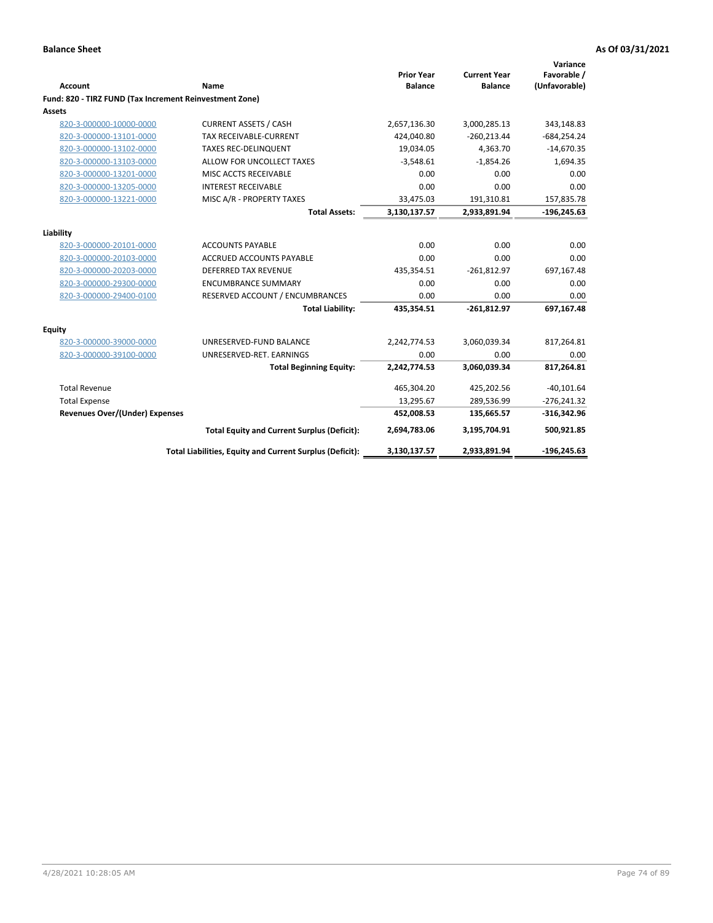| <b>Account</b>                                          | Name                                                     | <b>Prior Year</b><br><b>Balance</b> | <b>Current Year</b><br><b>Balance</b> | Variance<br>Favorable /<br>(Unfavorable) |
|---------------------------------------------------------|----------------------------------------------------------|-------------------------------------|---------------------------------------|------------------------------------------|
| Fund: 820 - TIRZ FUND (Tax Increment Reinvestment Zone) |                                                          |                                     |                                       |                                          |
| Assets                                                  |                                                          |                                     |                                       |                                          |
| 820-3-000000-10000-0000                                 | <b>CURRENT ASSETS / CASH</b>                             | 2,657,136.30                        | 3,000,285.13                          | 343,148.83                               |
| 820-3-000000-13101-0000                                 | <b>TAX RECEIVABLE-CURRENT</b>                            | 424,040.80                          | $-260,213.44$                         | $-684,254.24$                            |
| 820-3-000000-13102-0000                                 | <b>TAXES REC-DELINQUENT</b>                              | 19,034.05                           | 4,363.70                              | $-14,670.35$                             |
| 820-3-000000-13103-0000                                 | ALLOW FOR UNCOLLECT TAXES                                | $-3,548.61$                         | $-1,854.26$                           | 1,694.35                                 |
| 820-3-000000-13201-0000                                 | MISC ACCTS RECEIVABLE                                    | 0.00                                | 0.00                                  | 0.00                                     |
| 820-3-000000-13205-0000                                 | <b>INTEREST RECEIVABLE</b>                               | 0.00                                | 0.00                                  | 0.00                                     |
| 820-3-000000-13221-0000                                 | MISC A/R - PROPERTY TAXES                                | 33,475.03                           | 191,310.81                            | 157,835.78                               |
|                                                         | <b>Total Assets:</b>                                     | 3,130,137.57                        | 2,933,891.94                          | $-196,245.63$                            |
| Liability                                               |                                                          |                                     |                                       |                                          |
| 820-3-000000-20101-0000                                 | <b>ACCOUNTS PAYABLE</b>                                  | 0.00                                | 0.00                                  | 0.00                                     |
| 820-3-000000-20103-0000                                 | <b>ACCRUED ACCOUNTS PAYABLE</b>                          | 0.00                                | 0.00                                  | 0.00                                     |
| 820-3-000000-20203-0000                                 | <b>DEFERRED TAX REVENUE</b>                              | 435,354.51                          | $-261,812.97$                         | 697,167.48                               |
| 820-3-000000-29300-0000                                 | <b>ENCUMBRANCE SUMMARY</b>                               | 0.00                                | 0.00                                  | 0.00                                     |
| 820-3-000000-29400-0100                                 | RESERVED ACCOUNT / ENCUMBRANCES                          | 0.00                                | 0.00                                  | 0.00                                     |
|                                                         | <b>Total Liability:</b>                                  | 435,354.51                          | $-261,812.97$                         | 697,167.48                               |
| Equity                                                  |                                                          |                                     |                                       |                                          |
| 820-3-000000-39000-0000                                 | UNRESERVED-FUND BALANCE                                  | 2,242,774.53                        | 3,060,039.34                          | 817,264.81                               |
| 820-3-000000-39100-0000                                 | UNRESERVED-RET. EARNINGS                                 | 0.00                                | 0.00                                  | 0.00                                     |
|                                                         | <b>Total Beginning Equity:</b>                           | 2,242,774.53                        | 3,060,039.34                          | 817,264.81                               |
| <b>Total Revenue</b>                                    |                                                          | 465,304.20                          | 425,202.56                            | $-40,101.64$                             |
| <b>Total Expense</b>                                    |                                                          | 13,295.67                           | 289,536.99                            | $-276,241.32$                            |
| <b>Revenues Over/(Under) Expenses</b>                   |                                                          | 452,008.53                          | 135,665.57                            | $-316,342.96$                            |
|                                                         | <b>Total Equity and Current Surplus (Deficit):</b>       | 2,694,783.06                        | 3,195,704.91                          | 500,921.85                               |
|                                                         | Total Liabilities, Equity and Current Surplus (Deficit): | 3,130,137.57                        | 2,933,891.94                          | $-196,245.63$                            |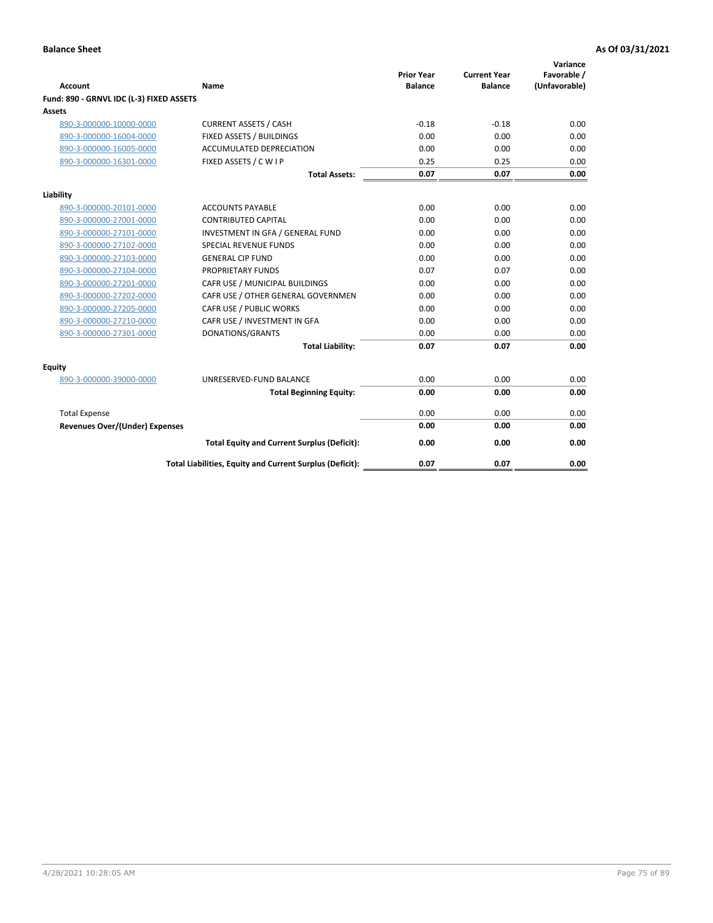| <b>Account</b>                           | Name                                                     | <b>Prior Year</b><br><b>Balance</b> | <b>Current Year</b><br><b>Balance</b> | Variance<br>Favorable /<br>(Unfavorable) |
|------------------------------------------|----------------------------------------------------------|-------------------------------------|---------------------------------------|------------------------------------------|
| Fund: 890 - GRNVL IDC (L-3) FIXED ASSETS |                                                          |                                     |                                       |                                          |
| <b>Assets</b>                            |                                                          |                                     |                                       |                                          |
| 890-3-000000-10000-0000                  | <b>CURRENT ASSETS / CASH</b>                             | $-0.18$                             | $-0.18$                               | 0.00                                     |
| 890-3-000000-16004-0000                  | FIXED ASSETS / BUILDINGS                                 | 0.00                                | 0.00                                  | 0.00                                     |
| 890-3-000000-16005-0000                  | <b>ACCUMULATED DEPRECIATION</b>                          | 0.00                                | 0.00                                  | 0.00                                     |
| 890-3-000000-16301-0000                  | FIXED ASSETS / C W I P                                   | 0.25                                | 0.25                                  | 0.00                                     |
|                                          | <b>Total Assets:</b>                                     | 0.07                                | 0.07                                  | 0.00                                     |
| Liability                                |                                                          |                                     |                                       |                                          |
| 890-3-000000-20101-0000                  | <b>ACCOUNTS PAYABLE</b>                                  | 0.00                                | 0.00                                  | 0.00                                     |
| 890-3-000000-27001-0000                  | <b>CONTRIBUTED CAPITAL</b>                               | 0.00                                | 0.00                                  | 0.00                                     |
| 890-3-000000-27101-0000                  | INVESTMENT IN GFA / GENERAL FUND                         | 0.00                                | 0.00                                  | 0.00                                     |
| 890-3-000000-27102-0000                  | <b>SPECIAL REVENUE FUNDS</b>                             | 0.00                                | 0.00                                  | 0.00                                     |
| 890-3-000000-27103-0000                  | <b>GENERAL CIP FUND</b>                                  | 0.00                                | 0.00                                  | 0.00                                     |
| 890-3-000000-27104-0000                  | PROPRIETARY FUNDS                                        | 0.07                                | 0.07                                  | 0.00                                     |
| 890-3-000000-27201-0000                  | CAFR USE / MUNICIPAL BUILDINGS                           | 0.00                                | 0.00                                  | 0.00                                     |
| 890-3-000000-27202-0000                  | CAFR USE / OTHER GENERAL GOVERNMEN                       | 0.00                                | 0.00                                  | 0.00                                     |
| 890-3-000000-27205-0000                  | CAFR USE / PUBLIC WORKS                                  | 0.00                                | 0.00                                  | 0.00                                     |
| 890-3-000000-27210-0000                  | CAFR USE / INVESTMENT IN GFA                             | 0.00                                | 0.00                                  | 0.00                                     |
| 890-3-000000-27301-0000                  | DONATIONS/GRANTS                                         | 0.00                                | 0.00                                  | 0.00                                     |
|                                          | <b>Total Liability:</b>                                  | 0.07                                | 0.07                                  | 0.00                                     |
| Equity                                   |                                                          |                                     |                                       |                                          |
| 890-3-000000-39000-0000                  | UNRESERVED-FUND BALANCE                                  | 0.00                                | 0.00                                  | 0.00                                     |
|                                          | <b>Total Beginning Equity:</b>                           | 0.00                                | 0.00                                  | 0.00                                     |
| <b>Total Expense</b>                     |                                                          | 0.00                                | 0.00                                  | 0.00                                     |
| <b>Revenues Over/(Under) Expenses</b>    |                                                          | 0.00                                | 0.00                                  | 0.00                                     |
|                                          | <b>Total Equity and Current Surplus (Deficit):</b>       | 0.00                                | 0.00                                  | 0.00                                     |
|                                          | Total Liabilities, Equity and Current Surplus (Deficit): | 0.07                                | 0.07                                  | 0.00                                     |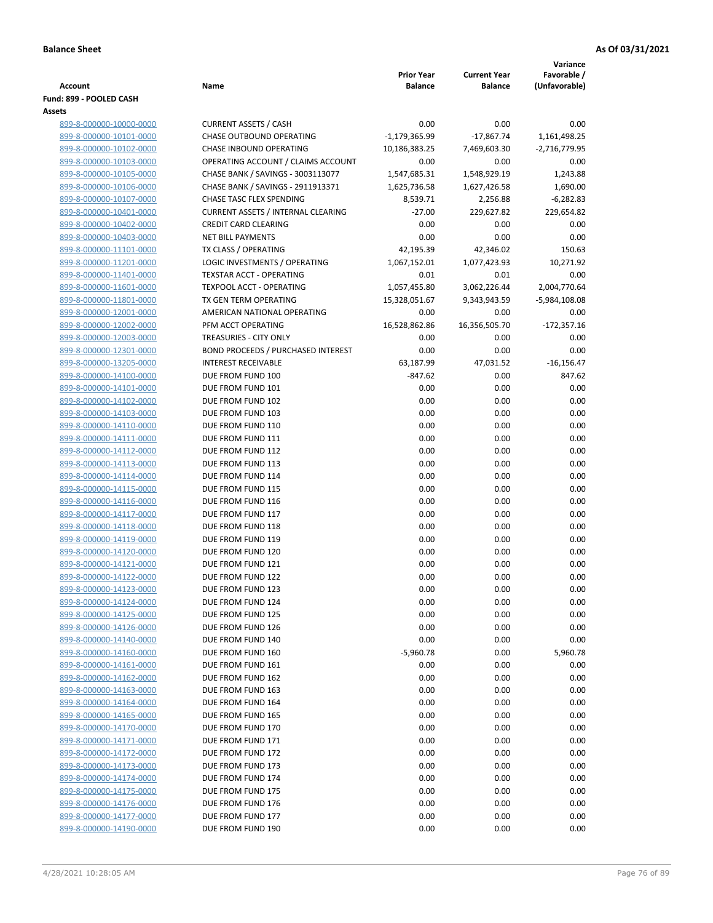|                                                    |                                                                    |                                     |                                       | Variance                     |
|----------------------------------------------------|--------------------------------------------------------------------|-------------------------------------|---------------------------------------|------------------------------|
| Account                                            | Name                                                               | <b>Prior Year</b><br><b>Balance</b> | <b>Current Year</b><br><b>Balance</b> | Favorable /<br>(Unfavorable) |
| Fund: 899 - POOLED CASH                            |                                                                    |                                     |                                       |                              |
| Assets                                             |                                                                    |                                     |                                       |                              |
| 899-8-000000-10000-0000                            | <b>CURRENT ASSETS / CASH</b>                                       | 0.00                                | 0.00                                  | 0.00                         |
| 899-8-000000-10101-0000                            | CHASE OUTBOUND OPERATING                                           | $-1,179,365.99$                     | $-17,867.74$                          | 1,161,498.25                 |
| 899-8-000000-10102-0000                            | CHASE INBOUND OPERATING                                            | 10,186,383.25                       | 7,469,603.30                          | $-2,716,779.95$              |
| 899-8-000000-10103-0000                            | OPERATING ACCOUNT / CLAIMS ACCOUNT                                 | 0.00                                | 0.00                                  | 0.00                         |
| 899-8-000000-10105-0000                            | CHASE BANK / SAVINGS - 3003113077                                  | 1,547,685.31                        | 1,548,929.19                          | 1,243.88                     |
| 899-8-000000-10106-0000                            | CHASE BANK / SAVINGS - 2911913371                                  | 1,625,736.58                        | 1,627,426.58                          | 1,690.00                     |
| 899-8-000000-10107-0000                            | <b>CHASE TASC FLEX SPENDING</b>                                    | 8,539.71                            | 2,256.88                              | $-6,282.83$                  |
| 899-8-000000-10401-0000                            | <b>CURRENT ASSETS / INTERNAL CLEARING</b>                          | $-27.00$                            | 229,627.82                            | 229,654.82                   |
| 899-8-000000-10402-0000                            | <b>CREDIT CARD CLEARING</b>                                        | 0.00                                | 0.00                                  | 0.00                         |
| 899-8-000000-10403-0000                            | <b>NET BILL PAYMENTS</b>                                           | 0.00                                | 0.00                                  | 0.00                         |
| 899-8-000000-11101-0000                            | TX CLASS / OPERATING                                               | 42,195.39                           | 42,346.02                             | 150.63                       |
| 899-8-000000-11201-0000                            | LOGIC INVESTMENTS / OPERATING                                      | 1,067,152.01                        | 1,077,423.93                          | 10,271.92                    |
| 899-8-000000-11401-0000                            | <b>TEXSTAR ACCT - OPERATING</b><br><b>TEXPOOL ACCT - OPERATING</b> | 0.01<br>1,057,455.80                | 0.01<br>3,062,226.44                  | 0.00<br>2,004,770.64         |
| 899-8-000000-11601-0000<br>899-8-000000-11801-0000 | TX GEN TERM OPERATING                                              | 15,328,051.67                       | 9,343,943.59                          | $-5,984,108.08$              |
| 899-8-000000-12001-0000                            | AMERICAN NATIONAL OPERATING                                        | 0.00                                | 0.00                                  | 0.00                         |
| 899-8-000000-12002-0000                            | PFM ACCT OPERATING                                                 | 16,528,862.86                       | 16,356,505.70                         | $-172,357.16$                |
| 899-8-000000-12003-0000                            | TREASURIES - CITY ONLY                                             | 0.00                                | 0.00                                  | 0.00                         |
| 899-8-000000-12301-0000                            | <b>BOND PROCEEDS / PURCHASED INTEREST</b>                          | 0.00                                | 0.00                                  | 0.00                         |
| 899-8-000000-13205-0000                            | <b>INTEREST RECEIVABLE</b>                                         | 63,187.99                           | 47,031.52                             | $-16,156.47$                 |
| 899-8-000000-14100-0000                            | DUE FROM FUND 100                                                  | $-847.62$                           | 0.00                                  | 847.62                       |
| 899-8-000000-14101-0000                            | DUE FROM FUND 101                                                  | 0.00                                | 0.00                                  | 0.00                         |
| 899-8-000000-14102-0000                            | DUE FROM FUND 102                                                  | 0.00                                | 0.00                                  | 0.00                         |
| 899-8-000000-14103-0000                            | DUE FROM FUND 103                                                  | 0.00                                | 0.00                                  | 0.00                         |
| 899-8-000000-14110-0000                            | DUE FROM FUND 110                                                  | 0.00                                | 0.00                                  | 0.00                         |
| 899-8-000000-14111-0000                            | DUE FROM FUND 111                                                  | 0.00                                | 0.00                                  | 0.00                         |
| 899-8-000000-14112-0000                            | DUE FROM FUND 112                                                  | 0.00                                | 0.00                                  | 0.00                         |
| 899-8-000000-14113-0000                            | DUE FROM FUND 113                                                  | 0.00                                | 0.00                                  | 0.00                         |
| 899-8-000000-14114-0000                            | DUE FROM FUND 114                                                  | 0.00                                | 0.00                                  | 0.00                         |
| 899-8-000000-14115-0000                            | DUE FROM FUND 115                                                  | 0.00                                | 0.00                                  | 0.00                         |
| 899-8-000000-14116-0000                            | DUE FROM FUND 116                                                  | 0.00                                | 0.00                                  | 0.00                         |
| 899-8-000000-14117-0000                            | DUE FROM FUND 117<br>DUE FROM FUND 118                             | 0.00                                | 0.00                                  | 0.00                         |
| 899-8-000000-14118-0000<br>899-8-000000-14119-0000 | DUE FROM FUND 119                                                  | 0.00                                | 0.00                                  | 0.00<br>0.00                 |
| 899-8-000000-14120-0000                            | DUE FROM FUND 120                                                  | 0.00<br>0.00                        | 0.00<br>0.00                          | 0.00                         |
| 899-8-000000-14121-0000                            | DUE FROM FUND 121                                                  | 0.00                                | 0.00                                  | 0.00                         |
| 899-8-000000-14122-0000                            | DUE FROM FUND 122                                                  | 0.00                                | 0.00                                  | 0.00                         |
| 899-8-000000-14123-0000                            | DUE FROM FUND 123                                                  | 0.00                                | 0.00                                  | 0.00                         |
| 899-8-000000-14124-0000                            | DUE FROM FUND 124                                                  | 0.00                                | 0.00                                  | 0.00                         |
| 899-8-000000-14125-0000                            | DUE FROM FUND 125                                                  | 0.00                                | 0.00                                  | 0.00                         |
| 899-8-000000-14126-0000                            | DUE FROM FUND 126                                                  | 0.00                                | 0.00                                  | 0.00                         |
| 899-8-000000-14140-0000                            | DUE FROM FUND 140                                                  | 0.00                                | 0.00                                  | 0.00                         |
| 899-8-000000-14160-0000                            | DUE FROM FUND 160                                                  | $-5,960.78$                         | 0.00                                  | 5,960.78                     |
| 899-8-000000-14161-0000                            | DUE FROM FUND 161                                                  | 0.00                                | 0.00                                  | 0.00                         |
| 899-8-000000-14162-0000                            | DUE FROM FUND 162                                                  | 0.00                                | 0.00                                  | 0.00                         |
| 899-8-000000-14163-0000                            | DUE FROM FUND 163                                                  | 0.00                                | 0.00                                  | 0.00                         |
| 899-8-000000-14164-0000                            | DUE FROM FUND 164                                                  | 0.00                                | 0.00                                  | 0.00                         |
| 899-8-000000-14165-0000                            | DUE FROM FUND 165                                                  | 0.00                                | 0.00                                  | 0.00                         |
| 899-8-000000-14170-0000                            | DUE FROM FUND 170                                                  | 0.00                                | 0.00                                  | 0.00                         |
| 899-8-000000-14171-0000                            | DUE FROM FUND 171                                                  | 0.00                                | 0.00                                  | 0.00                         |
| 899-8-000000-14172-0000                            | DUE FROM FUND 172                                                  | 0.00                                | 0.00                                  | 0.00                         |
| 899-8-000000-14173-0000<br>899-8-000000-14174-0000 | DUE FROM FUND 173<br>DUE FROM FUND 174                             | 0.00<br>0.00                        | 0.00<br>0.00                          | 0.00<br>0.00                 |
| 899-8-000000-14175-0000                            | DUE FROM FUND 175                                                  | 0.00                                | 0.00                                  | 0.00                         |
| 899-8-000000-14176-0000                            | DUE FROM FUND 176                                                  | 0.00                                | 0.00                                  | 0.00                         |
| 899-8-000000-14177-0000                            | DUE FROM FUND 177                                                  | 0.00                                | 0.00                                  | 0.00                         |
| 899-8-000000-14190-0000                            | DUE FROM FUND 190                                                  | 0.00                                | 0.00                                  | 0.00                         |
|                                                    |                                                                    |                                     |                                       |                              |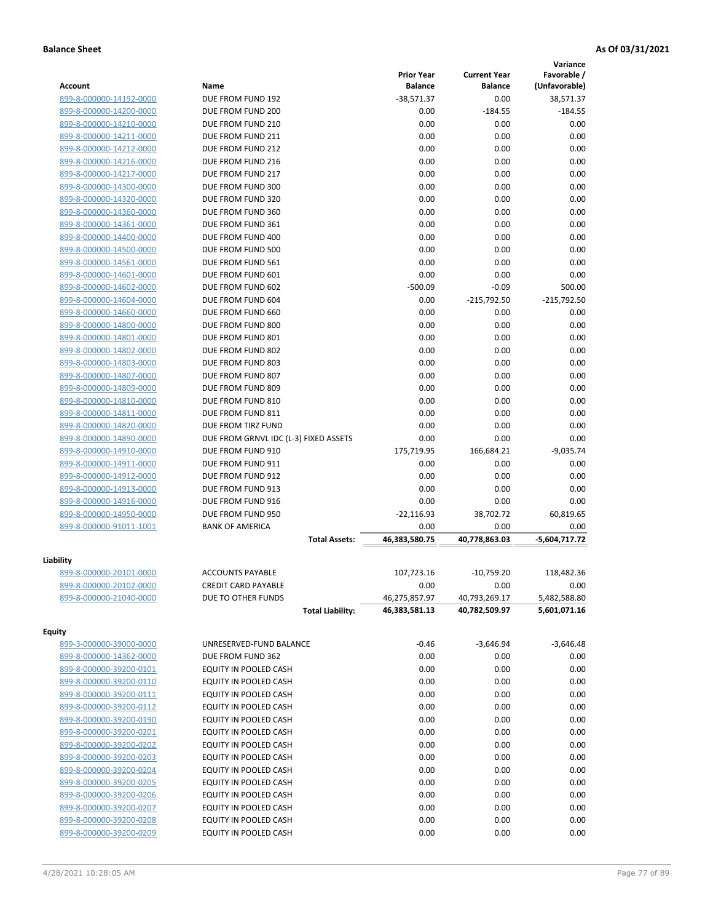|                                      |                                               |                                |                                | Variance                     |
|--------------------------------------|-----------------------------------------------|--------------------------------|--------------------------------|------------------------------|
|                                      |                                               | <b>Prior Year</b>              | <b>Current Year</b>            | Favorable /                  |
| Account                              | Name                                          | <b>Balance</b>                 | <b>Balance</b>                 | (Unfavorable)                |
| 899-8-000000-14192-0000              | DUE FROM FUND 192                             | $-38,571.37$                   | 0.00                           | 38,571.37                    |
| 899-8-000000-14200-0000              | DUE FROM FUND 200                             | 0.00                           | $-184.55$                      | $-184.55$                    |
| 899-8-000000-14210-0000              | DUE FROM FUND 210                             | 0.00                           | 0.00                           | 0.00                         |
| 899-8-000000-14211-0000              | DUE FROM FUND 211                             | 0.00                           | 0.00                           | 0.00                         |
| 899-8-000000-14212-0000              | DUE FROM FUND 212                             | 0.00                           | 0.00                           | 0.00                         |
| 899-8-000000-14216-0000              | DUE FROM FUND 216                             | 0.00                           | 0.00                           | 0.00                         |
| 899-8-000000-14217-0000              | DUE FROM FUND 217                             | 0.00                           | 0.00                           | 0.00                         |
| 899-8-000000-14300-0000              | DUE FROM FUND 300                             | 0.00                           | 0.00                           | 0.00                         |
| 899-8-000000-14320-0000              | DUE FROM FUND 320                             | 0.00                           | 0.00                           | 0.00                         |
| 899-8-000000-14360-0000              | DUE FROM FUND 360                             | 0.00                           | 0.00                           | 0.00                         |
| 899-8-000000-14361-0000              | DUE FROM FUND 361                             | 0.00                           | 0.00                           | 0.00                         |
| 899-8-000000-14400-0000              | DUE FROM FUND 400                             | 0.00                           | 0.00                           | 0.00                         |
| 899-8-000000-14500-0000              | DUE FROM FUND 500                             | 0.00                           | 0.00                           | 0.00                         |
| 899-8-000000-14561-0000              | DUE FROM FUND 561                             | 0.00                           | 0.00                           | 0.00                         |
| 899-8-000000-14601-0000              | DUE FROM FUND 601                             | 0.00                           | 0.00                           | 0.00                         |
| 899-8-000000-14602-0000              | DUE FROM FUND 602                             | $-500.09$                      | $-0.09$                        | 500.00                       |
| 899-8-000000-14604-0000              | DUE FROM FUND 604                             | 0.00                           | $-215,792.50$                  | $-215,792.50$                |
| 899-8-000000-14660-0000              | DUE FROM FUND 660                             | 0.00                           | 0.00                           | 0.00                         |
| 899-8-000000-14800-0000              | DUE FROM FUND 800                             | 0.00                           | 0.00                           | 0.00                         |
| 899-8-000000-14801-0000              | DUE FROM FUND 801                             | 0.00                           | 0.00                           | 0.00                         |
| 899-8-000000-14802-0000              | DUE FROM FUND 802                             | 0.00                           | 0.00                           | 0.00                         |
| 899-8-000000-14803-0000              | DUE FROM FUND 803                             | 0.00                           | 0.00                           | 0.00                         |
| 899-8-000000-14807-0000              | DUE FROM FUND 807                             | 0.00                           | 0.00                           | 0.00                         |
| 899-8-000000-14809-0000              | DUE FROM FUND 809                             | 0.00                           | 0.00                           | 0.00                         |
| 899-8-000000-14810-0000              | DUE FROM FUND 810                             | 0.00                           | 0.00                           | 0.00                         |
| 899-8-000000-14811-0000              | DUE FROM FUND 811                             | 0.00                           | 0.00                           | 0.00                         |
| 899-8-000000-14820-0000              | DUE FROM TIRZ FUND                            | 0.00                           | 0.00                           | 0.00                         |
| 899-8-000000-14890-0000              | DUE FROM GRNVL IDC (L-3) FIXED ASSETS         | 0.00                           | 0.00                           | 0.00                         |
| 899-8-000000-14910-0000              | DUE FROM FUND 910                             | 175,719.95                     | 166,684.21                     | $-9,035.74$                  |
| 899-8-000000-14911-0000              | DUE FROM FUND 911                             | 0.00                           | 0.00                           | 0.00                         |
| 899-8-000000-14912-0000              | DUE FROM FUND 912                             | 0.00                           | 0.00                           | 0.00                         |
| 899-8-000000-14913-0000              | DUE FROM FUND 913                             | 0.00                           | 0.00                           | 0.00                         |
| 899-8-000000-14916-0000              | DUE FROM FUND 916                             | 0.00                           | 0.00                           | 0.00                         |
| 899-8-000000-14950-0000              | DUE FROM FUND 950                             | $-22,116.93$                   | 38,702.72                      | 60,819.65                    |
| 899-8-000000-91011-1001              | <b>BANK OF AMERICA</b>                        | 0.00                           | 0.00                           | 0.00                         |
|                                      | <b>Total Assets:</b>                          | 46,383,580.75                  | 40,778,863.03                  | $-5,604,717.72$              |
|                                      |                                               |                                |                                |                              |
| Liability<br>899-8-000000-20101-0000 | <b>ACCOUNTS PAYABLE</b>                       | 107,723.16                     | $-10,759.20$                   | 118,482.36                   |
|                                      |                                               |                                |                                |                              |
| 899-8-000000-20102-0000              | <b>CREDIT CARD PAYABLE</b>                    | 0.00                           | 0.00                           | 0.00                         |
| 899-8-000000-21040-0000              | DUE TO OTHER FUNDS<br><b>Total Liability:</b> | 46,275,857.97<br>46,383,581.13 | 40,793,269.17<br>40,782,509.97 | 5,482,588.80<br>5,601,071.16 |
|                                      |                                               |                                |                                |                              |
| <b>Equity</b>                        |                                               |                                |                                |                              |
| 899-3-000000-39000-0000              | UNRESERVED-FUND BALANCE                       | $-0.46$                        | $-3,646.94$                    | $-3,646.48$                  |
| 899-8-000000-14362-0000              | DUE FROM FUND 362                             | 0.00                           | 0.00                           | 0.00                         |
| 899-8-000000-39200-0101              | EQUITY IN POOLED CASH                         | 0.00                           | 0.00                           | 0.00                         |
| 899-8-000000-39200-0110              | EQUITY IN POOLED CASH                         | 0.00                           | 0.00                           | 0.00                         |
| 899-8-000000-39200-0111              | EQUITY IN POOLED CASH                         | 0.00                           | 0.00                           | 0.00                         |
| 899-8-000000-39200-0112              | EQUITY IN POOLED CASH                         | 0.00                           | 0.00                           | 0.00                         |
| 899-8-000000-39200-0190              | EQUITY IN POOLED CASH                         | 0.00                           | 0.00                           | 0.00                         |
| 899-8-000000-39200-0201              | EQUITY IN POOLED CASH                         | 0.00                           | 0.00                           | 0.00                         |
| 899-8-000000-39200-0202              | EQUITY IN POOLED CASH                         | 0.00                           | 0.00                           | 0.00                         |
| 899-8-000000-39200-0203              | EQUITY IN POOLED CASH                         | 0.00                           | 0.00                           | 0.00                         |
| 899-8-000000-39200-0204              | EQUITY IN POOLED CASH                         | 0.00                           | 0.00                           | 0.00                         |
| 899-8-000000-39200-0205              | EQUITY IN POOLED CASH                         | 0.00                           | 0.00                           | 0.00                         |
| 899-8-000000-39200-0206              | EQUITY IN POOLED CASH                         | 0.00                           | 0.00                           | 0.00                         |
| 899-8-000000-39200-0207              | EQUITY IN POOLED CASH                         | 0.00                           | 0.00                           | 0.00                         |
|                                      |                                               |                                |                                |                              |
| 899-8-000000-39200-0208              | EQUITY IN POOLED CASH                         | 0.00                           | 0.00                           | 0.00                         |
| 899-8-000000-39200-0209              | EQUITY IN POOLED CASH                         | 0.00                           | 0.00                           | 0.00                         |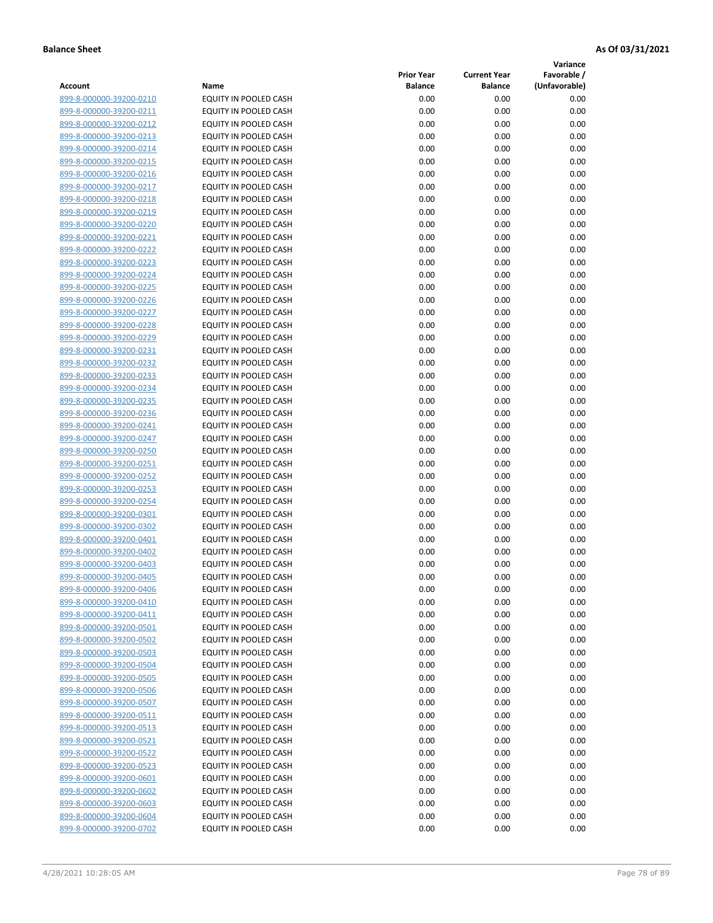**Variance**

| Account                                            | Name                                                  | <b>Prior Year</b><br><b>Balance</b> | <b>Current Year</b><br><b>Balance</b> | Favorable /<br>(Unfavorable) |
|----------------------------------------------------|-------------------------------------------------------|-------------------------------------|---------------------------------------|------------------------------|
| 899-8-000000-39200-0210                            | EQUITY IN POOLED CASH                                 | 0.00                                | 0.00                                  | 0.00                         |
| 899-8-000000-39200-0211                            | EQUITY IN POOLED CASH                                 | 0.00                                | 0.00                                  | 0.00                         |
| 899-8-000000-39200-0212                            | EQUITY IN POOLED CASH                                 | 0.00                                | 0.00                                  | 0.00                         |
| 899-8-000000-39200-0213                            | EQUITY IN POOLED CASH                                 | 0.00                                | 0.00                                  | 0.00                         |
| 899-8-000000-39200-0214                            | <b>EQUITY IN POOLED CASH</b>                          | 0.00                                | 0.00                                  | 0.00                         |
| 899-8-000000-39200-0215                            | EQUITY IN POOLED CASH                                 | 0.00                                | 0.00                                  | 0.00                         |
| 899-8-000000-39200-0216                            | EQUITY IN POOLED CASH                                 | 0.00                                | 0.00                                  | 0.00                         |
| 899-8-000000-39200-0217                            | EQUITY IN POOLED CASH                                 | 0.00                                | 0.00                                  | 0.00                         |
| 899-8-000000-39200-0218                            | EQUITY IN POOLED CASH                                 | 0.00                                | 0.00                                  | 0.00                         |
| 899-8-000000-39200-0219                            | EQUITY IN POOLED CASH                                 | 0.00                                | 0.00                                  | 0.00                         |
| 899-8-000000-39200-0220                            | <b>EQUITY IN POOLED CASH</b>                          | 0.00                                | 0.00                                  | 0.00                         |
| 899-8-000000-39200-0221                            | EQUITY IN POOLED CASH                                 | 0.00                                | 0.00                                  | 0.00                         |
| 899-8-000000-39200-0222                            | EQUITY IN POOLED CASH                                 | 0.00                                | 0.00                                  | 0.00                         |
| 899-8-000000-39200-0223                            | EQUITY IN POOLED CASH                                 | 0.00                                | 0.00                                  | 0.00                         |
| 899-8-000000-39200-0224                            | EQUITY IN POOLED CASH                                 | 0.00                                | 0.00                                  | 0.00                         |
| 899-8-000000-39200-0225                            | EQUITY IN POOLED CASH                                 | 0.00                                | 0.00                                  | 0.00                         |
| 899-8-000000-39200-0226                            | EQUITY IN POOLED CASH                                 | 0.00                                | 0.00                                  | 0.00                         |
| 899-8-000000-39200-0227                            | EQUITY IN POOLED CASH                                 | 0.00                                | 0.00                                  | 0.00                         |
| 899-8-000000-39200-0228                            | EQUITY IN POOLED CASH                                 | 0.00                                | 0.00                                  | 0.00                         |
| 899-8-000000-39200-0229                            | EQUITY IN POOLED CASH                                 | 0.00                                | 0.00                                  | 0.00                         |
| 899-8-000000-39200-0231                            | EQUITY IN POOLED CASH                                 | 0.00                                | 0.00                                  | 0.00                         |
| 899-8-000000-39200-0232                            | EQUITY IN POOLED CASH                                 | 0.00                                | 0.00                                  | 0.00                         |
| 899-8-000000-39200-0233                            | EQUITY IN POOLED CASH                                 | 0.00                                | 0.00                                  | 0.00                         |
| 899-8-000000-39200-0234                            | EQUITY IN POOLED CASH                                 | 0.00                                | 0.00                                  | 0.00                         |
| 899-8-000000-39200-0235                            | EQUITY IN POOLED CASH                                 | 0.00                                | 0.00                                  | 0.00                         |
| 899-8-000000-39200-0236                            | EQUITY IN POOLED CASH                                 | 0.00                                | 0.00                                  | 0.00                         |
| 899-8-000000-39200-0241                            | EQUITY IN POOLED CASH                                 | 0.00                                | 0.00                                  | 0.00                         |
| 899-8-000000-39200-0247                            | EQUITY IN POOLED CASH                                 | 0.00                                | 0.00                                  | 0.00                         |
| 899-8-000000-39200-0250                            | EQUITY IN POOLED CASH                                 | 0.00                                | 0.00                                  | 0.00                         |
| 899-8-000000-39200-0251                            | EQUITY IN POOLED CASH                                 | 0.00                                | 0.00                                  | 0.00                         |
| 899-8-000000-39200-0252                            | EQUITY IN POOLED CASH                                 | 0.00                                | 0.00                                  | 0.00                         |
| 899-8-000000-39200-0253                            | EQUITY IN POOLED CASH                                 | 0.00                                | 0.00                                  | 0.00                         |
| 899-8-000000-39200-0254                            | EQUITY IN POOLED CASH                                 | 0.00                                | 0.00                                  | 0.00                         |
| 899-8-000000-39200-0301                            | EQUITY IN POOLED CASH                                 | 0.00                                | 0.00                                  | 0.00                         |
| 899-8-000000-39200-0302                            | EQUITY IN POOLED CASH                                 | 0.00                                | 0.00                                  | 0.00                         |
| 899-8-000000-39200-0401                            | EQUITY IN POOLED CASH                                 | 0.00                                | 0.00                                  | 0.00                         |
| 899-8-000000-39200-0402                            | EQUITY IN POOLED CASH                                 | 0.00                                | 0.00                                  | 0.00                         |
| 899-8-000000-39200-0403                            | EQUITY IN POOLED CASH                                 | 0.00                                | 0.00                                  | 0.00                         |
| 899-8-000000-39200-0405                            | EQUITY IN POOLED CASH                                 | 0.00                                | 0.00                                  | 0.00                         |
| 899-8-000000-39200-0406                            | <b>EQUITY IN POOLED CASH</b>                          | 0.00                                | 0.00                                  | 0.00                         |
| 899-8-000000-39200-0410                            | <b>EQUITY IN POOLED CASH</b>                          | 0.00                                | 0.00                                  | 0.00                         |
| 899-8-000000-39200-0411                            | EQUITY IN POOLED CASH                                 | 0.00                                | 0.00                                  | 0.00                         |
| 899-8-000000-39200-0501                            | EQUITY IN POOLED CASH                                 | 0.00                                | 0.00                                  | 0.00                         |
| 899-8-000000-39200-0502                            | EQUITY IN POOLED CASH<br><b>EQUITY IN POOLED CASH</b> | 0.00                                | 0.00                                  | 0.00                         |
| 899-8-000000-39200-0503                            | <b>EQUITY IN POOLED CASH</b>                          | 0.00                                | 0.00                                  | 0.00                         |
| 899-8-000000-39200-0504<br>899-8-000000-39200-0505 |                                                       | 0.00<br>0.00                        | 0.00<br>0.00                          | 0.00<br>0.00                 |
| 899-8-000000-39200-0506                            | EQUITY IN POOLED CASH<br>EQUITY IN POOLED CASH        | 0.00                                | 0.00                                  | 0.00                         |
| 899-8-000000-39200-0507                            | EQUITY IN POOLED CASH                                 | 0.00                                | 0.00                                  | 0.00                         |
| 899-8-000000-39200-0511                            | EQUITY IN POOLED CASH                                 | 0.00                                | 0.00                                  | 0.00                         |
| 899-8-000000-39200-0513                            | EQUITY IN POOLED CASH                                 | 0.00                                | 0.00                                  | 0.00                         |
| 899-8-000000-39200-0521                            | EQUITY IN POOLED CASH                                 | 0.00                                | 0.00                                  | 0.00                         |
| 899-8-000000-39200-0522                            | EQUITY IN POOLED CASH                                 | 0.00                                | 0.00                                  | 0.00                         |
| 899-8-000000-39200-0523                            | EQUITY IN POOLED CASH                                 | 0.00                                | 0.00                                  | 0.00                         |
| 899-8-000000-39200-0601                            | EQUITY IN POOLED CASH                                 | 0.00                                | 0.00                                  | 0.00                         |
| 899-8-000000-39200-0602                            | EQUITY IN POOLED CASH                                 | 0.00                                | 0.00                                  | 0.00                         |
| 899-8-000000-39200-0603                            | EQUITY IN POOLED CASH                                 | 0.00                                | 0.00                                  | 0.00                         |
| 899-8-000000-39200-0604                            | EQUITY IN POOLED CASH                                 | 0.00                                | 0.00                                  | 0.00                         |
| 899-8-000000-39200-0702                            | EQUITY IN POOLED CASH                                 | 0.00                                | 0.00                                  | 0.00                         |
|                                                    |                                                       |                                     |                                       |                              |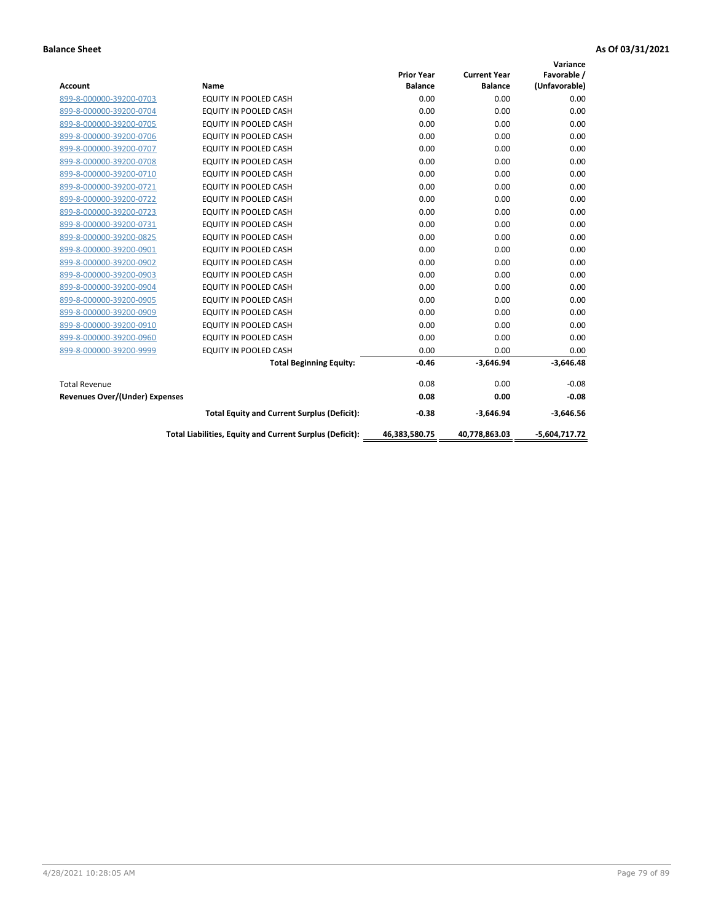|                                |                                                          |                   |                     | Variance        |
|--------------------------------|----------------------------------------------------------|-------------------|---------------------|-----------------|
|                                |                                                          | <b>Prior Year</b> | <b>Current Year</b> | Favorable /     |
| <b>Account</b>                 | <b>Name</b>                                              | <b>Balance</b>    | <b>Balance</b>      | (Unfavorable)   |
| 899-8-000000-39200-0703        | EQUITY IN POOLED CASH                                    | 0.00              | 0.00                | 0.00            |
| 899-8-000000-39200-0704        | EQUITY IN POOLED CASH                                    | 0.00              | 0.00                | 0.00            |
| 899-8-000000-39200-0705        | <b>EQUITY IN POOLED CASH</b>                             | 0.00              | 0.00                | 0.00            |
| 899-8-000000-39200-0706        | <b>EQUITY IN POOLED CASH</b>                             | 0.00              | 0.00                | 0.00            |
| 899-8-000000-39200-0707        | EQUITY IN POOLED CASH                                    | 0.00              | 0.00                | 0.00            |
| 899-8-000000-39200-0708        | <b>EQUITY IN POOLED CASH</b>                             | 0.00              | 0.00                | 0.00            |
| 899-8-000000-39200-0710        | <b>EQUITY IN POOLED CASH</b>                             | 0.00              | 0.00                | 0.00            |
| 899-8-000000-39200-0721        | <b>EQUITY IN POOLED CASH</b>                             | 0.00              | 0.00                | 0.00            |
| 899-8-000000-39200-0722        | EQUITY IN POOLED CASH                                    | 0.00              | 0.00                | 0.00            |
| 899-8-000000-39200-0723        | EQUITY IN POOLED CASH                                    | 0.00              | 0.00                | 0.00            |
| 899-8-000000-39200-0731        | <b>EQUITY IN POOLED CASH</b>                             | 0.00              | 0.00                | 0.00            |
| 899-8-000000-39200-0825        | EQUITY IN POOLED CASH                                    | 0.00              | 0.00                | 0.00            |
| 899-8-000000-39200-0901        | EQUITY IN POOLED CASH                                    | 0.00              | 0.00                | 0.00            |
| 899-8-000000-39200-0902        | EQUITY IN POOLED CASH                                    | 0.00              | 0.00                | 0.00            |
| 899-8-000000-39200-0903        | <b>EQUITY IN POOLED CASH</b>                             | 0.00              | 0.00                | 0.00            |
| 899-8-000000-39200-0904        | <b>EQUITY IN POOLED CASH</b>                             | 0.00              | 0.00                | 0.00            |
| 899-8-000000-39200-0905        | EQUITY IN POOLED CASH                                    | 0.00              | 0.00                | 0.00            |
| 899-8-000000-39200-0909        | EQUITY IN POOLED CASH                                    | 0.00              | 0.00                | 0.00            |
| 899-8-000000-39200-0910        | <b>EQUITY IN POOLED CASH</b>                             | 0.00              | 0.00                | 0.00            |
| 899-8-000000-39200-0960        | <b>EQUITY IN POOLED CASH</b>                             | 0.00              | 0.00                | 0.00            |
| 899-8-000000-39200-9999        | EQUITY IN POOLED CASH                                    | 0.00              | 0.00                | 0.00            |
|                                | <b>Total Beginning Equity:</b>                           | $-0.46$           | $-3,646.94$         | $-3,646.48$     |
| <b>Total Revenue</b>           |                                                          | 0.08              | 0.00                | $-0.08$         |
| Revenues Over/(Under) Expenses |                                                          | 0.08              | 0.00                | $-0.08$         |
|                                | <b>Total Equity and Current Surplus (Deficit):</b>       | $-0.38$           | $-3,646.94$         | $-3,646.56$     |
|                                | Total Liabilities, Equity and Current Surplus (Deficit): | 46,383,580.75     | 40,778,863.03       | $-5,604,717.72$ |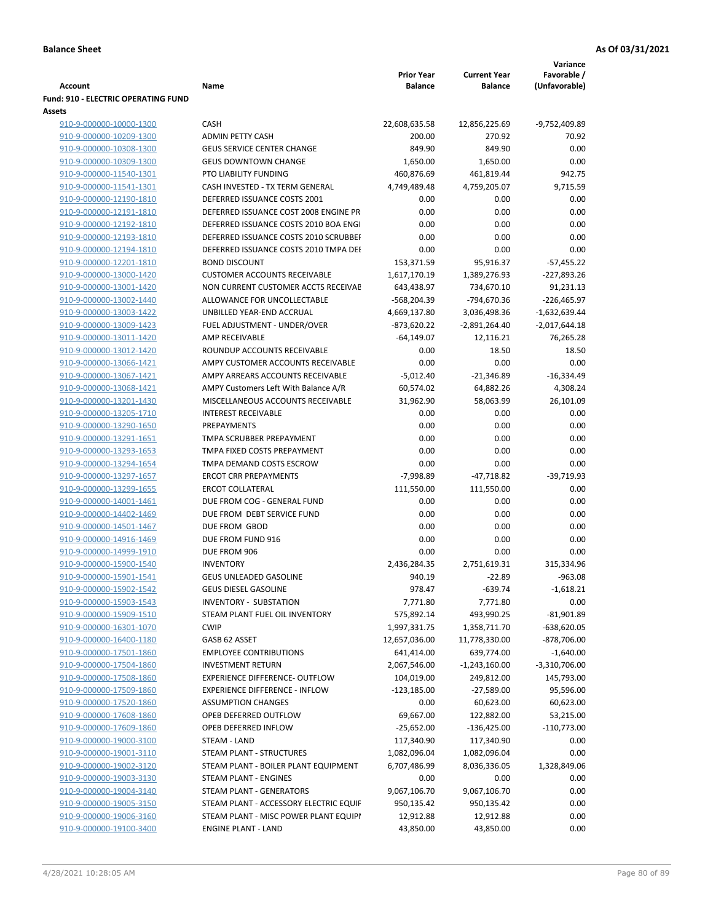|                                                      |                                                                           |                        |                             | Variance                   |
|------------------------------------------------------|---------------------------------------------------------------------------|------------------------|-----------------------------|----------------------------|
|                                                      |                                                                           | <b>Prior Year</b>      | <b>Current Year</b>         | Favorable /                |
| Account                                              | Name                                                                      | <b>Balance</b>         | <b>Balance</b>              | (Unfavorable)              |
| <b>Fund: 910 - ELECTRIC OPERATING FUND</b><br>Assets |                                                                           |                        |                             |                            |
| 910-9-000000-10000-1300                              | <b>CASH</b>                                                               | 22,608,635.58          | 12,856,225.69               | -9,752,409.89              |
| 910-9-000000-10209-1300                              | <b>ADMIN PETTY CASH</b>                                                   | 200.00                 | 270.92                      | 70.92                      |
| 910-9-000000-10308-1300                              | <b>GEUS SERVICE CENTER CHANGE</b>                                         | 849.90                 | 849.90                      | 0.00                       |
| 910-9-000000-10309-1300                              | <b>GEUS DOWNTOWN CHANGE</b>                                               | 1,650.00               | 1,650.00                    | 0.00                       |
| 910-9-000000-11540-1301                              | PTO LIABILITY FUNDING                                                     | 460,876.69             | 461,819.44                  | 942.75                     |
| 910-9-000000-11541-1301                              | CASH INVESTED - TX TERM GENERAL                                           | 4,749,489.48           | 4,759,205.07                | 9,715.59                   |
| 910-9-000000-12190-1810                              | DEFERRED ISSUANCE COSTS 2001                                              | 0.00                   | 0.00                        | 0.00                       |
| 910-9-000000-12191-1810                              | DEFERRED ISSUANCE COST 2008 ENGINE PR                                     | 0.00                   | 0.00                        | 0.00                       |
| 910-9-000000-12192-1810                              | DEFERRED ISSUANCE COSTS 2010 BOA ENGI                                     | 0.00                   | 0.00                        | 0.00                       |
| 910-9-000000-12193-1810                              | DEFERRED ISSUANCE COSTS 2010 SCRUBBEI                                     | 0.00                   | 0.00                        | 0.00                       |
| 910-9-000000-12194-1810                              | DEFERRED ISSUANCE COSTS 2010 TMPA DEI                                     | 0.00                   | 0.00                        | 0.00                       |
| 910-9-000000-12201-1810                              | <b>BOND DISCOUNT</b>                                                      | 153,371.59             | 95,916.37                   | $-57,455.22$               |
| 910-9-000000-13000-1420                              | <b>CUSTOMER ACCOUNTS RECEIVABLE</b>                                       | 1,617,170.19           | 1,389,276.93                | -227,893.26                |
| 910-9-000000-13001-1420                              | NON CURRENT CUSTOMER ACCTS RECEIVAE                                       | 643,438.97             | 734,670.10                  | 91,231.13                  |
| 910-9-000000-13002-1440                              | ALLOWANCE FOR UNCOLLECTABLE                                               | -568,204.39            | -794,670.36                 | $-226,465.97$              |
| 910-9-000000-13003-1422                              | UNBILLED YEAR-END ACCRUAL                                                 | 4,669,137.80           | 3,036,498.36                | $-1,632,639.44$            |
| 910-9-000000-13009-1423                              | FUEL ADJUSTMENT - UNDER/OVER                                              | -873,620.22            | $-2,891,264.40$             | $-2,017,644.18$            |
| 910-9-000000-13011-1420                              | AMP RECEIVABLE                                                            | $-64, 149.07$          | 12,116.21                   | 76,265.28                  |
| 910-9-000000-13012-1420                              | ROUNDUP ACCOUNTS RECEIVABLE                                               | 0.00                   | 18.50                       | 18.50                      |
| 910-9-000000-13066-1421                              | AMPY CUSTOMER ACCOUNTS RECEIVABLE                                         | 0.00                   | 0.00                        | 0.00                       |
| 910-9-000000-13067-1421                              | AMPY ARREARS ACCOUNTS RECEIVABLE                                          | $-5,012.40$            | $-21,346.89$                | $-16,334.49$               |
| 910-9-000000-13068-1421<br>910-9-000000-13201-1430   | AMPY Customers Left With Balance A/R<br>MISCELLANEOUS ACCOUNTS RECEIVABLE | 60,574.02<br>31,962.90 | 64,882.26<br>58,063.99      | 4,308.24                   |
| 910-9-000000-13205-1710                              | <b>INTEREST RECEIVABLE</b>                                                | 0.00                   | 0.00                        | 26,101.09<br>0.00          |
| 910-9-000000-13290-1650                              | PREPAYMENTS                                                               | 0.00                   | 0.00                        | 0.00                       |
| 910-9-000000-13291-1651                              | TMPA SCRUBBER PREPAYMENT                                                  | 0.00                   | 0.00                        | 0.00                       |
| 910-9-000000-13293-1653                              | TMPA FIXED COSTS PREPAYMENT                                               | 0.00                   | 0.00                        | 0.00                       |
| 910-9-000000-13294-1654                              | TMPA DEMAND COSTS ESCROW                                                  | 0.00                   | 0.00                        | 0.00                       |
| 910-9-000000-13297-1657                              | <b>ERCOT CRR PREPAYMENTS</b>                                              | $-7,998.89$            | $-47,718.82$                | $-39,719.93$               |
| 910-9-000000-13299-1655                              | <b>ERCOT COLLATERAL</b>                                                   | 111,550.00             | 111,550.00                  | 0.00                       |
| 910-9-000000-14001-1461                              | DUE FROM COG - GENERAL FUND                                               | 0.00                   | 0.00                        | 0.00                       |
| 910-9-000000-14402-1469                              | DUE FROM DEBT SERVICE FUND                                                | 0.00                   | 0.00                        | 0.00                       |
| 910-9-000000-14501-1467                              | DUE FROM GBOD                                                             | 0.00                   | 0.00                        | 0.00                       |
| 910-9-000000-14916-1469                              | DUE FROM FUND 916                                                         | 0.00                   | 0.00                        | 0.00                       |
| 910-9-000000-14999-1910                              | DUE FROM 906                                                              | 0.00                   | 0.00                        | 0.00                       |
| 910-9-000000-15900-1540                              | <b>INVENTORY</b>                                                          | 2,436,284.35           | 2,751,619.31                | 315,334.96                 |
| 910-9-000000-15901-1541                              | <b>GEUS UNLEADED GASOLINE</b>                                             | 940.19                 | $-22.89$                    | $-963.08$                  |
| 910-9-000000-15902-1542                              | <b>GEUS DIESEL GASOLINE</b>                                               | 978.47                 | $-639.74$                   | $-1,618.21$                |
| 910-9-000000-15903-1543                              | <b>INVENTORY - SUBSTATION</b>                                             | 7,771.80               | 7,771.80                    | 0.00                       |
| 910-9-000000-15909-1510                              | STEAM PLANT FUEL OIL INVENTORY                                            | 575,892.14             | 493,990.25                  | $-81,901.89$               |
| 910-9-000000-16301-1070                              | <b>CWIP</b>                                                               | 1,997,331.75           | 1,358,711.70                | $-638,620.05$              |
| 910-9-000000-16400-1180                              | GASB 62 ASSET                                                             | 12,657,036.00          | 11,778,330.00               | -878,706.00                |
| 910-9-000000-17501-1860                              | <b>EMPLOYEE CONTRIBUTIONS</b>                                             | 641,414.00             | 639,774.00                  | $-1,640.00$                |
| 910-9-000000-17504-1860                              | <b>INVESTMENT RETURN</b>                                                  | 2,067,546.00           | $-1,243,160.00$             | $-3,310,706.00$            |
| 910-9-000000-17508-1860                              | <b>EXPERIENCE DIFFERENCE- OUTFLOW</b>                                     | 104,019.00             | 249,812.00                  | 145,793.00                 |
| 910-9-000000-17509-1860                              | <b>EXPERIENCE DIFFERENCE - INFLOW</b><br><b>ASSUMPTION CHANGES</b>        | $-123,185.00$          | $-27,589.00$                | 95,596.00                  |
| 910-9-000000-17520-1860<br>910-9-000000-17608-1860   | OPEB DEFERRED OUTFLOW                                                     | 0.00<br>69,667.00      | 60,623.00                   | 60,623.00                  |
| 910-9-000000-17609-1860                              | OPEB DEFERRED INFLOW                                                      | $-25,652.00$           | 122,882.00<br>$-136,425.00$ | 53,215.00<br>$-110,773.00$ |
| 910-9-000000-19000-3100                              | STEAM - LAND                                                              | 117,340.90             | 117,340.90                  | 0.00                       |
| 910-9-000000-19001-3110                              | STEAM PLANT - STRUCTURES                                                  | 1,082,096.04           | 1,082,096.04                | 0.00                       |
| 910-9-000000-19002-3120                              | STEAM PLANT - BOILER PLANT EQUIPMENT                                      | 6,707,486.99           | 8,036,336.05                | 1,328,849.06               |
| 910-9-000000-19003-3130                              | STEAM PLANT - ENGINES                                                     | 0.00                   | 0.00                        | 0.00                       |
| 910-9-000000-19004-3140                              | STEAM PLANT - GENERATORS                                                  | 9,067,106.70           | 9,067,106.70                | 0.00                       |
| 910-9-000000-19005-3150                              | STEAM PLANT - ACCESSORY ELECTRIC EQUIF                                    | 950,135.42             | 950,135.42                  | 0.00                       |
| 910-9-000000-19006-3160                              | STEAM PLANT - MISC POWER PLANT EQUIPI                                     | 12,912.88              | 12,912.88                   | 0.00                       |
| 910-9-000000-19100-3400                              | <b>ENGINE PLANT - LAND</b>                                                | 43,850.00              | 43,850.00                   | 0.00                       |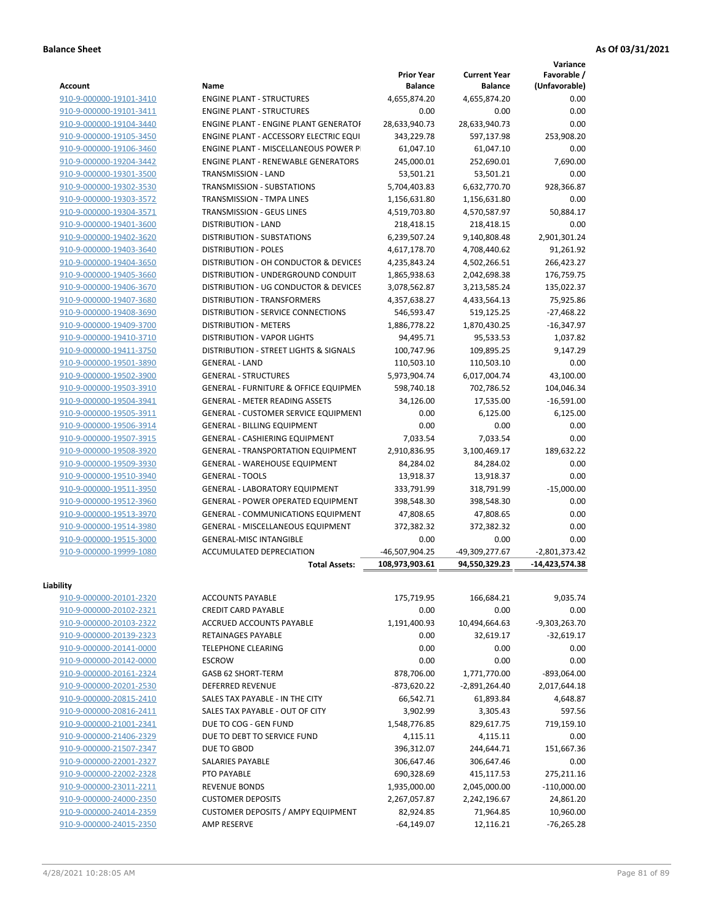|                         |                                                  |                                     |                                       | Variance                     |
|-------------------------|--------------------------------------------------|-------------------------------------|---------------------------------------|------------------------------|
| Account                 | Name                                             | <b>Prior Year</b><br><b>Balance</b> | <b>Current Year</b><br><b>Balance</b> | Favorable /<br>(Unfavorable) |
| 910-9-000000-19101-3410 | <b>ENGINE PLANT - STRUCTURES</b>                 | 4,655,874.20                        | 4,655,874.20                          | 0.00                         |
| 910-9-000000-19101-3411 | <b>ENGINE PLANT - STRUCTURES</b>                 | 0.00                                | 0.00                                  | 0.00                         |
| 910-9-000000-19104-3440 | <b>ENGINE PLANT - ENGINE PLANT GENERATOF</b>     | 28,633,940.73                       | 28,633,940.73                         | 0.00                         |
| 910-9-000000-19105-3450 | ENGINE PLANT - ACCESSORY ELECTRIC EQUI           | 343,229.78                          | 597,137.98                            | 253,908.20                   |
| 910-9-000000-19106-3460 | ENGINE PLANT - MISCELLANEOUS POWER P             | 61,047.10                           | 61,047.10                             | 0.00                         |
| 910-9-000000-19204-3442 | <b>ENGINE PLANT - RENEWABLE GENERATORS</b>       | 245,000.01                          | 252,690.01                            | 7,690.00                     |
| 910-9-000000-19301-3500 | TRANSMISSION - LAND                              | 53,501.21                           | 53,501.21                             | 0.00                         |
| 910-9-000000-19302-3530 | TRANSMISSION - SUBSTATIONS                       | 5,704,403.83                        | 6,632,770.70                          | 928,366.87                   |
| 910-9-000000-19303-3572 | <b>TRANSMISSION - TMPA LINES</b>                 | 1,156,631.80                        | 1,156,631.80                          | 0.00                         |
| 910-9-000000-19304-3571 | TRANSMISSION - GEUS LINES                        | 4,519,703.80                        | 4,570,587.97                          | 50,884.17                    |
| 910-9-000000-19401-3600 | <b>DISTRIBUTION - LAND</b>                       | 218,418.15                          | 218,418.15                            | 0.00                         |
| 910-9-000000-19402-3620 | DISTRIBUTION - SUBSTATIONS                       | 6,239,507.24                        | 9,140,808.48                          | 2,901,301.24                 |
| 910-9-000000-19403-3640 | <b>DISTRIBUTION - POLES</b>                      | 4,617,178.70                        | 4,708,440.62                          | 91,261.92                    |
| 910-9-000000-19404-3650 | DISTRIBUTION - OH CONDUCTOR & DEVICES            | 4,235,843.24                        | 4,502,266.51                          | 266,423.27                   |
| 910-9-000000-19405-3660 | DISTRIBUTION - UNDERGROUND CONDUIT               | 1,865,938.63                        | 2,042,698.38                          | 176,759.75                   |
| 910-9-000000-19406-3670 | DISTRIBUTION - UG CONDUCTOR & DEVICES            | 3,078,562.87                        | 3,213,585.24                          | 135,022.37                   |
| 910-9-000000-19407-3680 | <b>DISTRIBUTION - TRANSFORMERS</b>               | 4,357,638.27                        | 4,433,564.13                          | 75,925.86                    |
| 910-9-000000-19408-3690 | DISTRIBUTION - SERVICE CONNECTIONS               | 546,593.47                          | 519,125.25                            | $-27,468.22$                 |
| 910-9-000000-19409-3700 | <b>DISTRIBUTION - METERS</b>                     | 1,886,778.22                        | 1,870,430.25                          | $-16,347.97$                 |
| 910-9-000000-19410-3710 | <b>DISTRIBUTION - VAPOR LIGHTS</b>               | 94,495.71                           | 95,533.53                             | 1,037.82                     |
| 910-9-000000-19411-3750 | DISTRIBUTION - STREET LIGHTS & SIGNALS           | 100,747.96                          | 109,895.25                            | 9,147.29                     |
| 910-9-000000-19501-3890 | <b>GENERAL - LAND</b>                            | 110,503.10                          | 110,503.10                            | 0.00                         |
| 910-9-000000-19502-3900 | <b>GENERAL - STRUCTURES</b>                      | 5,973,904.74                        | 6,017,004.74                          | 43,100.00                    |
| 910-9-000000-19503-3910 | <b>GENERAL - FURNITURE &amp; OFFICE EQUIPMEN</b> | 598,740.18                          | 702,786.52                            | 104,046.34                   |
| 910-9-000000-19504-3941 | <b>GENERAL - METER READING ASSETS</b>            | 34,126.00                           | 17,535.00                             | $-16,591.00$                 |
| 910-9-000000-19505-3911 | <b>GENERAL - CUSTOMER SERVICE EQUIPMENT</b>      | 0.00                                | 6,125.00                              | 6,125.00                     |
| 910-9-000000-19506-3914 | <b>GENERAL - BILLING EQUIPMENT</b>               | 0.00                                | 0.00                                  | 0.00                         |
| 910-9-000000-19507-3915 | <b>GENERAL - CASHIERING EQUIPMENT</b>            | 7,033.54                            | 7,033.54                              | 0.00                         |
| 910-9-000000-19508-3920 | <b>GENERAL - TRANSPORTATION EQUIPMENT</b>        | 2,910,836.95                        | 3,100,469.17                          | 189,632.22                   |
| 910-9-000000-19509-3930 | <b>GENERAL - WAREHOUSE EQUIPMENT</b>             | 84,284.02                           | 84,284.02                             | 0.00                         |
| 910-9-000000-19510-3940 | <b>GENERAL - TOOLS</b>                           | 13,918.37                           | 13,918.37                             | 0.00                         |
| 910-9-000000-19511-3950 | <b>GENERAL - LABORATORY EQUIPMENT</b>            | 333,791.99                          | 318,791.99                            | $-15,000.00$                 |
| 910-9-000000-19512-3960 | <b>GENERAL - POWER OPERATED EQUIPMENT</b>        | 398,548.30                          | 398,548.30                            | 0.00                         |
| 910-9-000000-19513-3970 | GENERAL - COMMUNICATIONS EQUIPMENT               | 47,808.65                           | 47,808.65                             | 0.00                         |
| 910-9-000000-19514-3980 | <b>GENERAL - MISCELLANEOUS EQUIPMENT</b>         | 372,382.32                          | 372,382.32                            | 0.00                         |
| 910-9-000000-19515-3000 | <b>GENERAL-MISC INTANGIBLE</b>                   | 0.00                                | 0.00                                  | 0.00                         |
| 910-9-000000-19999-1080 | ACCUMULATED DEPRECIATION                         | -46,507,904.25                      | -49,309,277.67                        | $-2,801,373.42$              |
|                         | <b>Total Assets:</b>                             | 108,973,903.61                      | 94,550,329.23                         | $-14,423,574.38$             |
| Liability               |                                                  |                                     |                                       |                              |
| 910-9-000000-20101-2320 | <b>ACCOUNTS PAYABLE</b>                          | 175,719.95                          | 166,684.21                            | 9,035.74                     |
| 910-9-000000-20102-2321 | <b>CREDIT CARD PAYABLE</b>                       | 0.00                                | 0.00                                  | 0.00                         |
| 910-9-000000-20103-2322 | ACCRUED ACCOUNTS PAYABLE                         | 1,191,400.93                        | 10,494,664.63                         | $-9,303,263.70$              |
| 910-9-000000-20139-2323 | RETAINAGES PAYABLE                               | 0.00                                | 32,619.17                             | $-32,619.17$                 |
| 910-9-000000-20141-0000 | <b>TELEPHONE CLEARING</b>                        | 0.00                                | 0.00                                  | 0.00                         |
| 910-9-000000-20142-0000 | <b>ESCROW</b>                                    | 0.00                                | 0.00                                  | 0.00                         |
| 910-9-000000-20161-2324 | GASB 62 SHORT-TERM                               | 878,706.00                          | 1,771,770.00                          | $-893,064.00$                |
| 910-9-000000-20201-2530 | <b>DEFERRED REVENUE</b>                          | $-873,620.22$                       | $-2,891,264.40$                       | 2,017,644.18                 |
| 910-9-000000-20815-2410 | SALES TAX PAYABLE - IN THE CITY                  | 66,542.71                           | 61,893.84                             | 4,648.87                     |
| 910-9-000000-20816-2411 | SALES TAX PAYABLE - OUT OF CITY                  | 3,902.99                            | 3,305.43                              | 597.56                       |
| 910-9-000000-21001-2341 | DUE TO COG - GEN FUND                            | 1,548,776.85                        | 829,617.75                            | 719,159.10                   |
| 910-9-000000-21406-2329 | DUE TO DEBT TO SERVICE FUND                      | 4,115.11                            | 4,115.11                              | 0.00                         |
| 910-9-000000-21507-2347 | DUE TO GBOD                                      | 396,312.07                          | 244,644.71                            | 151,667.36                   |
| 910-9-000000-22001-2327 | <b>SALARIES PAYABLE</b>                          | 306,647.46                          | 306,647.46                            | 0.00                         |
| 910-9-000000-22002-2328 | PTO PAYABLE                                      | 690,328.69                          | 415,117.53                            | 275,211.16                   |
| 910-9-000000-23011-2211 | <b>REVENUE BONDS</b>                             | 1,935,000.00                        | 2,045,000.00                          | $-110,000.00$                |
| 910-9-000000-24000-2350 | <b>CUSTOMER DEPOSITS</b>                         | 2,267,057.87                        | 2,242,196.67                          | 24,861.20                    |
| 910-9-000000-24014-2359 | <b>CUSTOMER DEPOSITS / AMPY EQUIPMENT</b>        | 82,924.85                           | 71,964.85                             | 10,960.00                    |
| 910-9-000000-24015-2350 | <b>AMP RESERVE</b>                               | $-64, 149.07$                       | 12,116.21                             | $-76,265.28$                 |
|                         |                                                  |                                     |                                       |                              |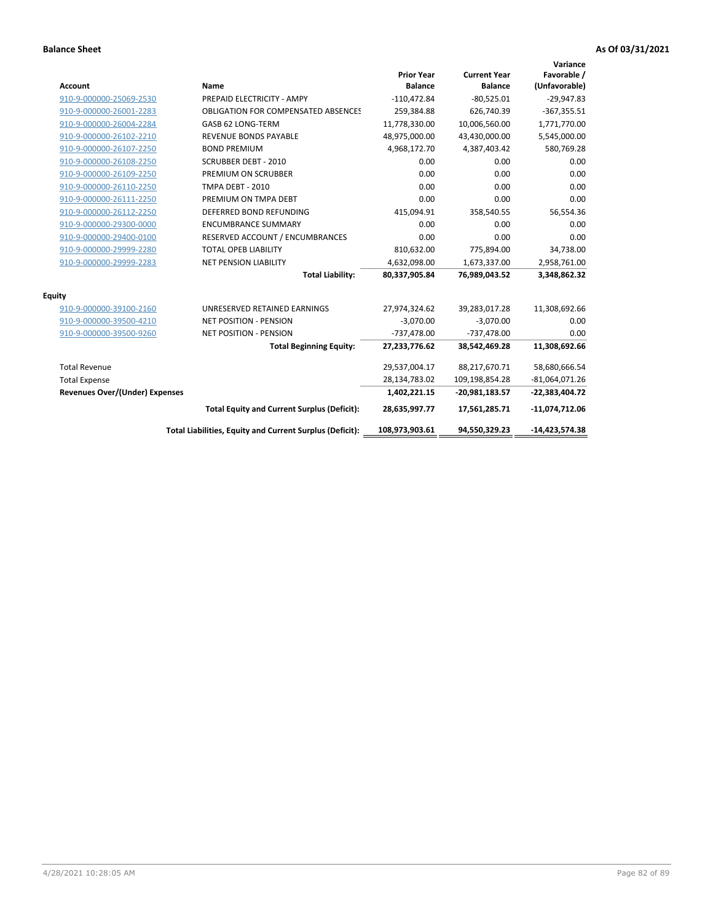| <b>Account</b>                 | Name                                                     | <b>Prior Year</b><br><b>Balance</b> | <b>Current Year</b><br><b>Balance</b> | Variance<br>Favorable /<br>(Unfavorable) |
|--------------------------------|----------------------------------------------------------|-------------------------------------|---------------------------------------|------------------------------------------|
| 910-9-000000-25069-2530        | PREPAID ELECTRICITY - AMPY                               | $-110,472.84$                       | $-80,525.01$                          | $-29,947.83$                             |
| 910-9-000000-26001-2283        | <b>OBLIGATION FOR COMPENSATED ABSENCES</b>               | 259,384.88                          | 626,740.39                            | $-367,355.51$                            |
| 910-9-000000-26004-2284        | GASB 62 LONG-TERM                                        | 11,778,330.00                       | 10,006,560.00                         | 1,771,770.00                             |
| 910-9-000000-26102-2210        | <b>REVENUE BONDS PAYABLE</b>                             | 48,975,000.00                       | 43,430,000.00                         | 5,545,000.00                             |
| 910-9-000000-26107-2250        | <b>BOND PREMIUM</b>                                      | 4,968,172.70                        | 4,387,403.42                          | 580,769.28                               |
| 910-9-000000-26108-2250        | <b>SCRUBBER DEBT - 2010</b>                              | 0.00                                | 0.00                                  | 0.00                                     |
| 910-9-000000-26109-2250        | PREMIUM ON SCRUBBER                                      | 0.00                                | 0.00                                  | 0.00                                     |
| 910-9-000000-26110-2250        | <b>TMPA DEBT - 2010</b>                                  | 0.00                                | 0.00                                  | 0.00                                     |
| 910-9-000000-26111-2250        | PREMIUM ON TMPA DEBT                                     | 0.00                                | 0.00                                  | 0.00                                     |
| 910-9-000000-26112-2250        | DEFERRED BOND REFUNDING                                  | 415,094.91                          | 358,540.55                            | 56,554.36                                |
| 910-9-000000-29300-0000        | <b>ENCUMBRANCE SUMMARY</b>                               | 0.00                                | 0.00                                  | 0.00                                     |
| 910-9-000000-29400-0100        | RESERVED ACCOUNT / ENCUMBRANCES                          | 0.00                                | 0.00                                  | 0.00                                     |
| 910-9-000000-29999-2280        | <b>TOTAL OPEB LIABILITY</b>                              | 810,632.00                          | 775,894.00                            | 34,738.00                                |
| 910-9-000000-29999-2283        | <b>NET PENSION LIABILITY</b>                             | 4,632,098.00                        | 1,673,337.00                          | 2,958,761.00                             |
|                                | <b>Total Liability:</b>                                  | 80,337,905.84                       | 76,989,043.52                         | 3,348,862.32                             |
| <b>Equity</b>                  |                                                          |                                     |                                       |                                          |
| 910-9-000000-39100-2160        | UNRESERVED RETAINED EARNINGS                             | 27,974,324.62                       | 39,283,017.28                         | 11,308,692.66                            |
| 910-9-000000-39500-4210        | <b>NET POSITION - PENSION</b>                            | $-3,070.00$                         | $-3,070.00$                           | 0.00                                     |
| 910-9-000000-39500-9260        | <b>NET POSITION - PENSION</b>                            | $-737,478.00$                       | $-737,478.00$                         | 0.00                                     |
|                                | <b>Total Beginning Equity:</b>                           | 27,233,776.62                       | 38,542,469.28                         | 11,308,692.66                            |
| <b>Total Revenue</b>           |                                                          | 29,537,004.17                       | 88,217,670.71                         | 58,680,666.54                            |
| <b>Total Expense</b>           |                                                          | 28,134,783.02                       | 109,198,854.28                        | $-81,064,071.26$                         |
| Revenues Over/(Under) Expenses |                                                          | 1,402,221.15                        | -20,981,183.57                        | $-22,383,404.72$                         |
|                                | <b>Total Equity and Current Surplus (Deficit):</b>       | 28,635,997.77                       | 17,561,285.71                         | $-11,074,712.06$                         |
|                                | Total Liabilities, Equity and Current Surplus (Deficit): | 108,973,903.61                      | 94,550,329.23                         | $-14,423,574.38$                         |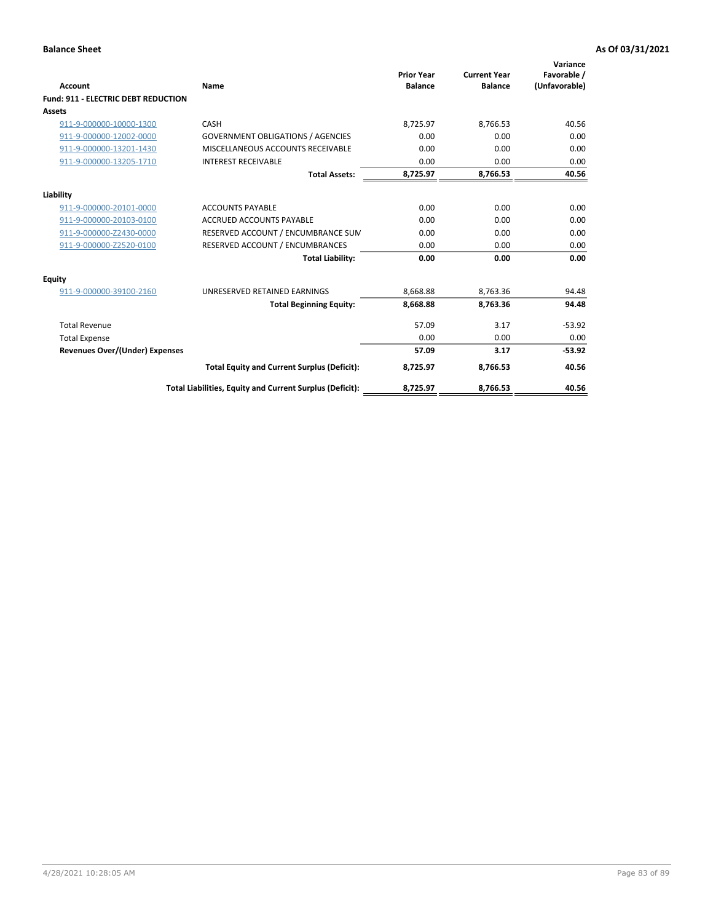| Account                                    | Name                                                     | <b>Prior Year</b><br><b>Balance</b> | <b>Current Year</b><br><b>Balance</b> | Variance<br>Favorable /<br>(Unfavorable) |
|--------------------------------------------|----------------------------------------------------------|-------------------------------------|---------------------------------------|------------------------------------------|
| <b>Fund: 911 - ELECTRIC DEBT REDUCTION</b> |                                                          |                                     |                                       |                                          |
| <b>Assets</b>                              |                                                          |                                     |                                       |                                          |
| 911-9-000000-10000-1300                    | CASH                                                     | 8.725.97                            | 8.766.53                              | 40.56                                    |
| 911-9-000000-12002-0000                    | <b>GOVERNMENT OBLIGATIONS / AGENCIES</b>                 | 0.00                                | 0.00                                  | 0.00                                     |
| 911-9-000000-13201-1430                    | MISCELLANEOUS ACCOUNTS RECEIVABLE                        | 0.00                                | 0.00                                  | 0.00                                     |
| 911-9-000000-13205-1710                    | <b>INTEREST RECEIVABLE</b>                               | 0.00                                | 0.00                                  | 0.00                                     |
|                                            | <b>Total Assets:</b>                                     | 8,725.97                            | 8,766.53                              | 40.56                                    |
| Liability                                  |                                                          |                                     |                                       |                                          |
| 911-9-000000-20101-0000                    | <b>ACCOUNTS PAYABLE</b>                                  | 0.00                                | 0.00                                  | 0.00                                     |
| 911-9-000000-20103-0100                    | <b>ACCRUED ACCOUNTS PAYABLE</b>                          | 0.00                                | 0.00                                  | 0.00                                     |
| 911-9-000000-Z2430-0000                    | RESERVED ACCOUNT / ENCUMBRANCE SUM                       | 0.00                                | 0.00                                  | 0.00                                     |
| 911-9-000000-Z2520-0100                    | RESERVED ACCOUNT / ENCUMBRANCES                          | 0.00                                | 0.00                                  | 0.00                                     |
|                                            | <b>Total Liability:</b>                                  | 0.00                                | 0.00                                  | 0.00                                     |
| <b>Equity</b>                              |                                                          |                                     |                                       |                                          |
| 911-9-000000-39100-2160                    | UNRESERVED RETAINED EARNINGS                             | 8,668.88                            | 8,763.36                              | 94.48                                    |
|                                            | <b>Total Beginning Equity:</b>                           | 8,668.88                            | 8,763.36                              | 94.48                                    |
| <b>Total Revenue</b>                       |                                                          | 57.09                               | 3.17                                  | $-53.92$                                 |
| <b>Total Expense</b>                       |                                                          | 0.00                                | 0.00                                  | 0.00                                     |
| Revenues Over/(Under) Expenses             |                                                          | 57.09                               | 3.17                                  | $-53.92$                                 |
|                                            | <b>Total Equity and Current Surplus (Deficit):</b>       | 8,725.97                            | 8,766.53                              | 40.56                                    |
|                                            | Total Liabilities, Equity and Current Surplus (Deficit): | 8,725.97                            | 8,766.53                              | 40.56                                    |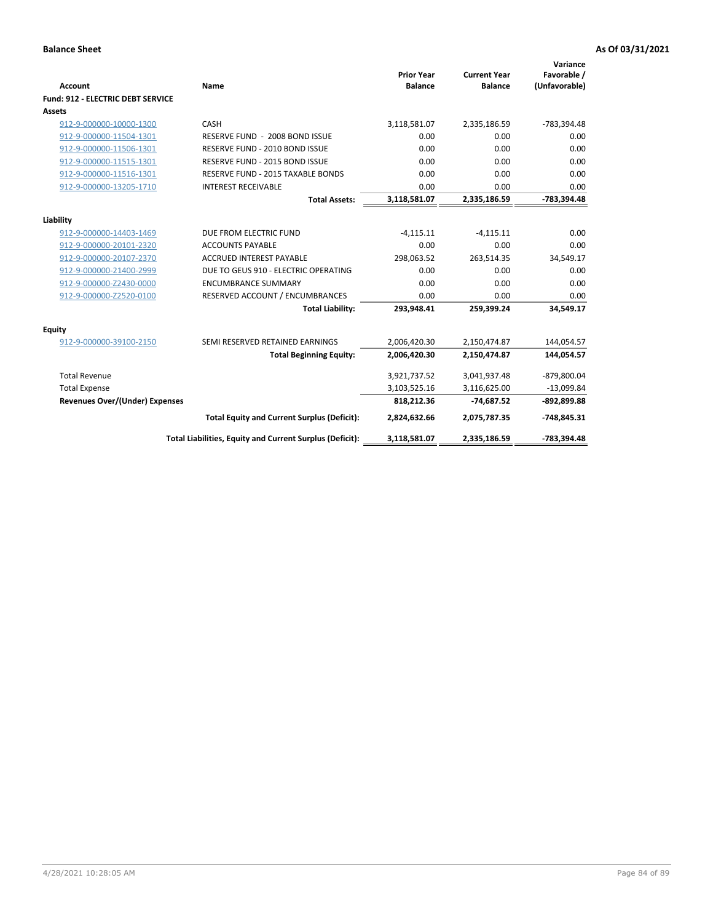| <b>Account</b>                    | Name                                                     | <b>Prior Year</b><br><b>Balance</b> | <b>Current Year</b><br><b>Balance</b> | Variance<br>Favorable /<br>(Unfavorable) |
|-----------------------------------|----------------------------------------------------------|-------------------------------------|---------------------------------------|------------------------------------------|
| Fund: 912 - ELECTRIC DEBT SERVICE |                                                          |                                     |                                       |                                          |
| <b>Assets</b>                     |                                                          |                                     |                                       |                                          |
| 912-9-000000-10000-1300           | CASH                                                     | 3,118,581.07                        | 2,335,186.59                          | -783,394.48                              |
| 912-9-000000-11504-1301           | RESERVE FUND - 2008 BOND ISSUE                           | 0.00                                | 0.00                                  | 0.00                                     |
| 912-9-000000-11506-1301           | RESERVE FUND - 2010 BOND ISSUE                           | 0.00                                | 0.00                                  | 0.00                                     |
| 912-9-000000-11515-1301           | RESERVE FUND - 2015 BOND ISSUE                           | 0.00                                | 0.00                                  | 0.00                                     |
| 912-9-000000-11516-1301           | <b>RESERVE FUND - 2015 TAXABLE BONDS</b>                 | 0.00                                | 0.00                                  | 0.00                                     |
| 912-9-000000-13205-1710           | <b>INTEREST RECEIVABLE</b>                               | 0.00                                | 0.00                                  | 0.00                                     |
|                                   | <b>Total Assets:</b>                                     | 3,118,581.07                        | 2,335,186.59                          | -783,394.48                              |
|                                   |                                                          |                                     |                                       |                                          |
| Liability                         |                                                          |                                     |                                       |                                          |
| 912-9-000000-14403-1469           | DUE FROM ELECTRIC FUND                                   | $-4,115.11$                         | $-4,115.11$                           | 0.00                                     |
| 912-9-000000-20101-2320           | <b>ACCOUNTS PAYABLE</b>                                  | 0.00                                | 0.00                                  | 0.00                                     |
| 912-9-000000-20107-2370           | <b>ACCRUED INTEREST PAYABLE</b>                          | 298,063.52                          | 263,514.35                            | 34,549.17                                |
| 912-9-000000-21400-2999           | DUE TO GEUS 910 - ELECTRIC OPERATING                     | 0.00                                | 0.00                                  | 0.00                                     |
| 912-9-000000-Z2430-0000           | <b>ENCUMBRANCE SUMMARY</b>                               | 0.00                                | 0.00                                  | 0.00                                     |
| 912-9-000000-Z2520-0100           | RESERVED ACCOUNT / ENCUMBRANCES                          | 0.00                                | 0.00                                  | 0.00                                     |
|                                   | <b>Total Liability:</b>                                  | 293,948.41                          | 259,399.24                            | 34,549.17                                |
| <b>Equity</b>                     |                                                          |                                     |                                       |                                          |
| 912-9-000000-39100-2150           | SEMI RESERVED RETAINED EARNINGS                          | 2,006,420.30                        | 2,150,474.87                          | 144,054.57                               |
|                                   | <b>Total Beginning Equity:</b>                           | 2,006,420.30                        | 2,150,474.87                          | 144,054.57                               |
| <b>Total Revenue</b>              |                                                          | 3,921,737.52                        | 3,041,937.48                          | -879,800.04                              |
| <b>Total Expense</b>              |                                                          | 3,103,525.16                        | 3,116,625.00                          | $-13,099.84$                             |
| Revenues Over/(Under) Expenses    |                                                          | 818,212.36                          | $-74,687.52$                          | -892,899.88                              |
|                                   | <b>Total Equity and Current Surplus (Deficit):</b>       | 2,824,632.66                        | 2,075,787.35                          | $-748,845.31$                            |
|                                   | Total Liabilities, Equity and Current Surplus (Deficit): | 3,118,581.07                        | 2,335,186.59                          | -783,394.48                              |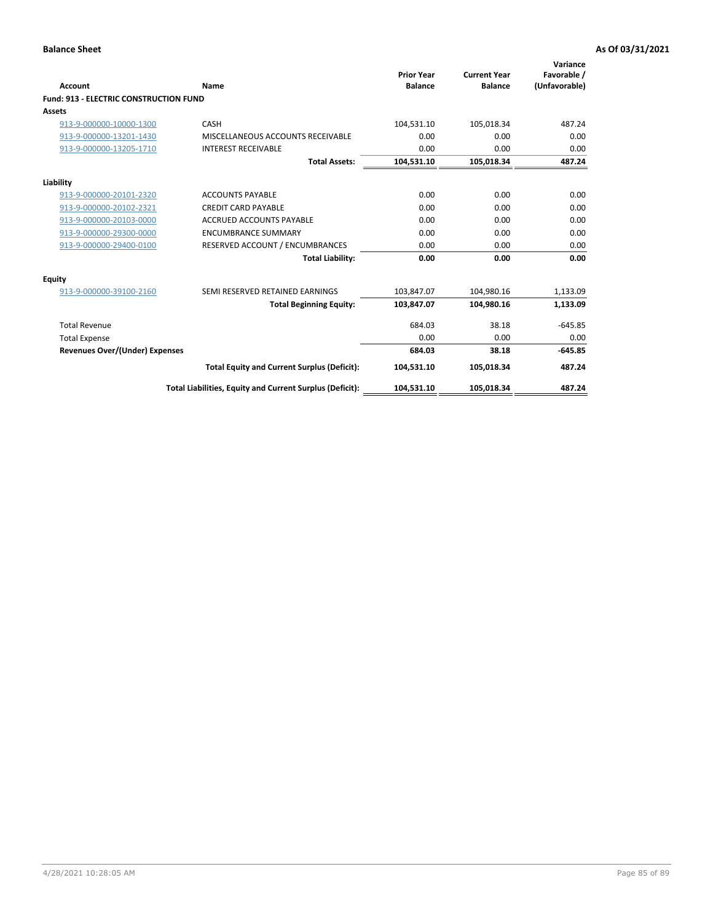| <b>Account</b>                                | Name                                                     | <b>Prior Year</b><br><b>Balance</b> | <b>Current Year</b><br><b>Balance</b> | Variance<br>Favorable /<br>(Unfavorable) |
|-----------------------------------------------|----------------------------------------------------------|-------------------------------------|---------------------------------------|------------------------------------------|
| <b>Fund: 913 - ELECTRIC CONSTRUCTION FUND</b> |                                                          |                                     |                                       |                                          |
| <b>Assets</b>                                 |                                                          |                                     |                                       |                                          |
| 913-9-000000-10000-1300                       | CASH                                                     | 104,531.10                          | 105,018.34                            | 487.24                                   |
| 913-9-000000-13201-1430                       | MISCELLANEOUS ACCOUNTS RECEIVABLE                        | 0.00                                | 0.00                                  | 0.00                                     |
| 913-9-000000-13205-1710                       | <b>INTEREST RECEIVABLE</b>                               | 0.00                                | 0.00                                  | 0.00                                     |
|                                               | <b>Total Assets:</b>                                     | 104,531.10                          | 105,018.34                            | 487.24                                   |
| Liability                                     |                                                          |                                     |                                       |                                          |
| 913-9-000000-20101-2320                       | <b>ACCOUNTS PAYABLE</b>                                  | 0.00                                | 0.00                                  | 0.00                                     |
| 913-9-000000-20102-2321                       | <b>CREDIT CARD PAYABLE</b>                               | 0.00                                | 0.00                                  | 0.00                                     |
| 913-9-000000-20103-0000                       | <b>ACCRUED ACCOUNTS PAYABLE</b>                          | 0.00                                | 0.00                                  | 0.00                                     |
| 913-9-000000-29300-0000                       | <b>ENCUMBRANCE SUMMARY</b>                               | 0.00                                | 0.00                                  | 0.00                                     |
| 913-9-000000-29400-0100                       | RESERVED ACCOUNT / ENCUMBRANCES                          | 0.00                                | 0.00                                  | 0.00                                     |
|                                               | <b>Total Liability:</b>                                  | 0.00                                | 0.00                                  | 0.00                                     |
| <b>Equity</b>                                 |                                                          |                                     |                                       |                                          |
| 913-9-000000-39100-2160                       | SEMI RESERVED RETAINED EARNINGS                          | 103,847.07                          | 104,980.16                            | 1,133.09                                 |
|                                               | <b>Total Beginning Equity:</b>                           | 103,847.07                          | 104,980.16                            | 1,133.09                                 |
| <b>Total Revenue</b>                          |                                                          | 684.03                              | 38.18                                 | $-645.85$                                |
| <b>Total Expense</b>                          |                                                          | 0.00                                | 0.00                                  | 0.00                                     |
| <b>Revenues Over/(Under) Expenses</b>         |                                                          | 684.03                              | 38.18                                 | $-645.85$                                |
|                                               | <b>Total Equity and Current Surplus (Deficit):</b>       | 104,531.10                          | 105,018.34                            | 487.24                                   |
|                                               | Total Liabilities, Equity and Current Surplus (Deficit): | 104,531.10                          | 105,018.34                            | 487.24                                   |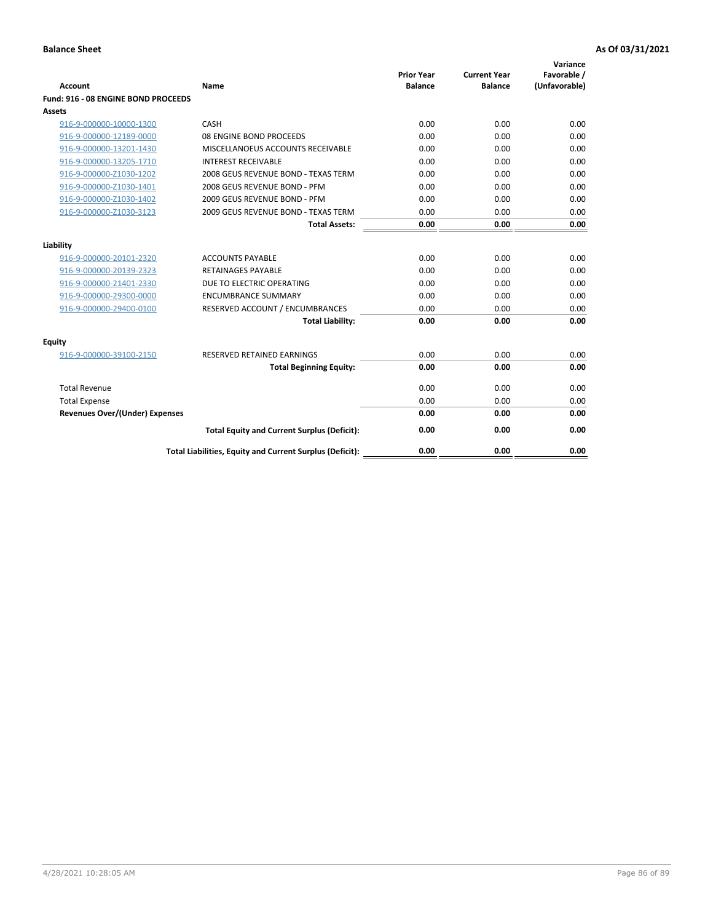| <b>Account</b>                        | Name                                                     | <b>Prior Year</b><br><b>Balance</b> | <b>Current Year</b><br><b>Balance</b> | Variance<br>Favorable /<br>(Unfavorable) |
|---------------------------------------|----------------------------------------------------------|-------------------------------------|---------------------------------------|------------------------------------------|
| Fund: 916 - 08 ENGINE BOND PROCEEDS   |                                                          |                                     |                                       |                                          |
| Assets                                |                                                          |                                     |                                       |                                          |
| 916-9-000000-10000-1300               | CASH                                                     | 0.00                                | 0.00                                  | 0.00                                     |
| 916-9-000000-12189-0000               | 08 ENGINE BOND PROCEEDS                                  | 0.00                                | 0.00                                  | 0.00                                     |
| 916-9-000000-13201-1430               | MISCELLANOEUS ACCOUNTS RECEIVABLE                        | 0.00                                | 0.00                                  | 0.00                                     |
| 916-9-000000-13205-1710               | <b>INTEREST RECEIVABLE</b>                               | 0.00                                | 0.00                                  | 0.00                                     |
| 916-9-000000-Z1030-1202               | 2008 GEUS REVENUE BOND - TEXAS TERM                      | 0.00                                | 0.00                                  | 0.00                                     |
| 916-9-000000-Z1030-1401               | 2008 GEUS REVENUE BOND - PFM                             | 0.00                                | 0.00                                  | 0.00                                     |
| 916-9-000000-Z1030-1402               | 2009 GEUS REVENUE BOND - PFM                             | 0.00                                | 0.00                                  | 0.00                                     |
| 916-9-000000-Z1030-3123               | 2009 GEUS REVENUE BOND - TEXAS TERM                      | 0.00                                | 0.00                                  | 0.00                                     |
|                                       | <b>Total Assets:</b>                                     | 0.00                                | 0.00                                  | 0.00                                     |
| Liability                             |                                                          |                                     |                                       |                                          |
| 916-9-000000-20101-2320               | <b>ACCOUNTS PAYABLE</b>                                  | 0.00                                | 0.00                                  | 0.00                                     |
| 916-9-000000-20139-2323               | <b>RETAINAGES PAYABLE</b>                                | 0.00                                | 0.00                                  | 0.00                                     |
| 916-9-000000-21401-2330               | DUE TO ELECTRIC OPERATING                                | 0.00                                | 0.00                                  | 0.00                                     |
| 916-9-000000-29300-0000               | <b>ENCUMBRANCE SUMMARY</b>                               | 0.00                                | 0.00                                  | 0.00                                     |
| 916-9-000000-29400-0100               | RESERVED ACCOUNT / ENCUMBRANCES                          | 0.00                                | 0.00                                  | 0.00                                     |
|                                       | <b>Total Liability:</b>                                  | 0.00                                | 0.00                                  | 0.00                                     |
| Equity                                |                                                          |                                     |                                       |                                          |
| 916-9-000000-39100-2150               | <b>RESERVED RETAINED EARNINGS</b>                        | 0.00                                | 0.00                                  | 0.00                                     |
|                                       | <b>Total Beginning Equity:</b>                           | 0.00                                | 0.00                                  | 0.00                                     |
| <b>Total Revenue</b>                  |                                                          | 0.00                                | 0.00                                  | 0.00                                     |
| <b>Total Expense</b>                  |                                                          | 0.00                                | 0.00                                  | 0.00                                     |
| <b>Revenues Over/(Under) Expenses</b> |                                                          | 0.00                                | 0.00                                  | 0.00                                     |
|                                       | <b>Total Equity and Current Surplus (Deficit):</b>       | 0.00                                | 0.00                                  | 0.00                                     |
|                                       | Total Liabilities, Equity and Current Surplus (Deficit): | 0.00                                | 0.00                                  | 0.00                                     |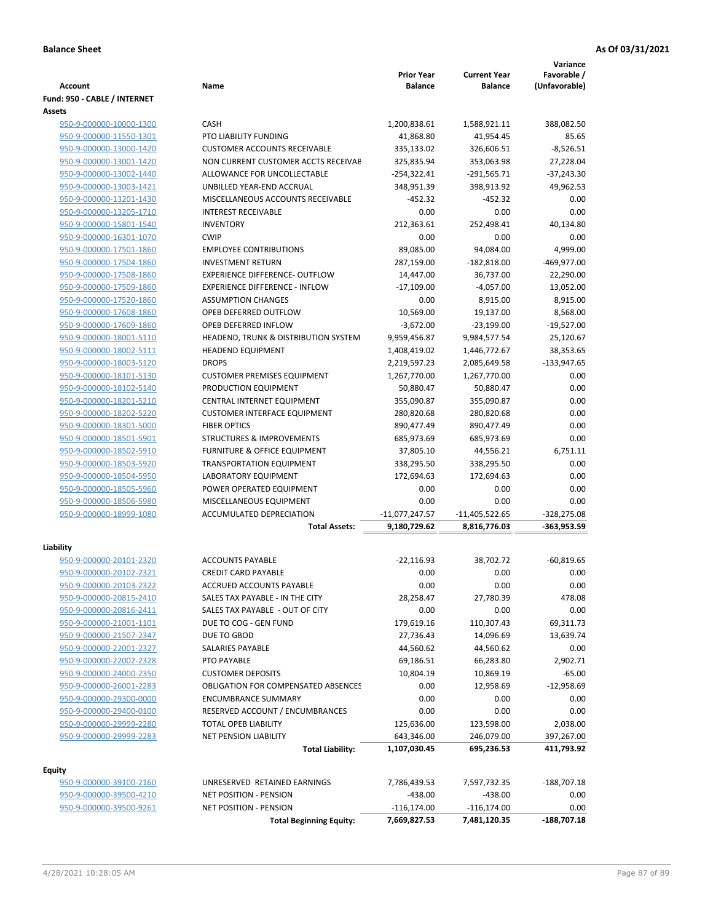|                                                    |                                            |                                     |                                       | Variance                     |
|----------------------------------------------------|--------------------------------------------|-------------------------------------|---------------------------------------|------------------------------|
| Account                                            | Name                                       | <b>Prior Year</b><br><b>Balance</b> | <b>Current Year</b><br><b>Balance</b> | Favorable /<br>(Unfavorable) |
| Fund: 950 - CABLE / INTERNET                       |                                            |                                     |                                       |                              |
| Assets                                             |                                            |                                     |                                       |                              |
| 950-9-000000-10000-1300                            | <b>CASH</b>                                | 1,200,838.61                        | 1,588,921.11                          | 388,082.50                   |
| 950-9-000000-11550-1301                            | PTO LIABILITY FUNDING                      | 41,868.80                           | 41,954.45                             | 85.65                        |
| 950-9-000000-13000-1420                            | <b>CUSTOMER ACCOUNTS RECEIVABLE</b>        | 335,133.02                          | 326,606.51                            | $-8,526.51$                  |
| 950-9-000000-13001-1420                            | NON CURRENT CUSTOMER ACCTS RECEIVAE        | 325,835.94                          | 353,063.98                            | 27,228.04                    |
| 950-9-000000-13002-1440                            | ALLOWANCE FOR UNCOLLECTABLE                | $-254,322.41$                       | $-291,565.71$                         | $-37,243.30$                 |
| 950-9-000000-13003-1421                            | UNBILLED YEAR-END ACCRUAL                  | 348,951.39                          | 398,913.92                            | 49,962.53                    |
| 950-9-000000-13201-1430                            | MISCELLANEOUS ACCOUNTS RECEIVABLE          | $-452.32$                           | $-452.32$                             | 0.00                         |
| 950-9-000000-13205-1710                            | <b>INTEREST RECEIVABLE</b>                 | 0.00                                | 0.00                                  | 0.00                         |
| 950-9-000000-15801-1540                            | <b>INVENTORY</b>                           | 212,363.61                          | 252,498.41                            | 40,134.80                    |
| 950-9-000000-16301-1070                            | <b>CWIP</b>                                | 0.00                                | 0.00                                  | 0.00                         |
| 950-9-000000-17501-1860                            | <b>EMPLOYEE CONTRIBUTIONS</b>              | 89,085.00                           | 94,084.00                             | 4,999.00                     |
| 950-9-000000-17504-1860                            | <b>INVESTMENT RETURN</b>                   | 287,159.00                          | $-182,818.00$                         | -469,977.00                  |
| 950-9-000000-17508-1860                            | <b>EXPERIENCE DIFFERENCE- OUTFLOW</b>      | 14,447.00                           | 36,737.00                             | 22,290.00                    |
| 950-9-000000-17509-1860                            | <b>EXPERIENCE DIFFERENCE - INFLOW</b>      | $-17,109.00$                        | $-4,057.00$                           | 13,052.00                    |
| 950-9-000000-17520-1860                            | <b>ASSUMPTION CHANGES</b>                  | 0.00                                | 8,915.00                              | 8,915.00                     |
| 950-9-000000-17608-1860                            | OPEB DEFERRED OUTFLOW                      | 10,569.00                           | 19.137.00                             | 8,568.00                     |
| 950-9-000000-17609-1860                            | OPEB DEFERRED INFLOW                       | $-3,672.00$                         | $-23,199.00$                          | $-19,527.00$                 |
| 950-9-000000-18001-5110                            | HEADEND, TRUNK & DISTRIBUTION SYSTEM       | 9,959,456.87                        | 9,984,577.54                          | 25,120.67                    |
| 950-9-000000-18002-5111<br>950-9-000000-18003-5120 | <b>HEADEND EQUIPMENT</b><br><b>DROPS</b>   | 1,408,419.02<br>2,219,597.23        | 1,446,772.67                          | 38,353.65<br>$-133,947.65$   |
|                                                    | <b>CUSTOMER PREMISES EQUIPMENT</b>         | 1,267,770.00                        | 2,085,649.58<br>1,267,770.00          | 0.00                         |
| 950-9-000000-18101-5130<br>950-9-000000-18102-5140 | PRODUCTION EQUIPMENT                       | 50,880.47                           | 50,880.47                             | 0.00                         |
| 950-9-000000-18201-5210                            | CENTRAL INTERNET EQUIPMENT                 | 355,090.87                          | 355,090.87                            | 0.00                         |
| 950-9-000000-18202-5220                            | <b>CUSTOMER INTERFACE EQUIPMENT</b>        | 280,820.68                          | 280,820.68                            | 0.00                         |
| 950-9-000000-18301-5000                            | <b>FIBER OPTICS</b>                        | 890,477.49                          | 890,477.49                            | 0.00                         |
| 950-9-000000-18501-5901                            | <b>STRUCTURES &amp; IMPROVEMENTS</b>       | 685,973.69                          | 685,973.69                            | 0.00                         |
| 950-9-000000-18502-5910                            | FURNITURE & OFFICE EQUIPMENT               | 37,805.10                           | 44,556.21                             | 6,751.11                     |
| 950-9-000000-18503-5920                            | <b>TRANSPORTATION EQUIPMENT</b>            | 338,295.50                          | 338,295.50                            | 0.00                         |
| 950-9-000000-18504-5950                            | <b>LABORATORY EQUIPMENT</b>                | 172,694.63                          | 172,694.63                            | 0.00                         |
| 950-9-000000-18505-5960                            | POWER OPERATED EQUIPMENT                   | 0.00                                | 0.00                                  | 0.00                         |
| 950-9-000000-18506-5980                            | MISCELLANEOUS EQUIPMENT                    | 0.00                                | 0.00                                  | 0.00                         |
| 950-9-000000-18999-1080                            | ACCUMULATED DEPRECIATION                   | $-11,077,247.57$                    | $-11,405,522.65$                      | $-328,275.08$                |
|                                                    | <b>Total Assets:</b>                       | 9,180,729.62                        | 8,816,776.03                          | -363,953.59                  |
|                                                    |                                            |                                     |                                       |                              |
| Liability                                          |                                            |                                     |                                       |                              |
| 950-9-000000-20101-2320                            | <b>ACCOUNTS PAYABLE</b>                    | $-22,116.93$                        | 38,702.72                             | $-60,819.65$                 |
| 950-9-000000-20102-2321                            | <b>CREDIT CARD PAYABLE</b>                 | 0.00                                | 0.00                                  | 0.00                         |
| 950-9-000000-20103-2322                            | ACCRUED ACCOUNTS PAYABLE                   | 0.00                                | 0.00                                  | 0.00                         |
| 950-9-000000-20815-2410                            | SALES TAX PAYABLE - IN THE CITY            | 28,258.47                           | 27,780.39                             | 478.08                       |
| 950-9-000000-20816-2411                            | SALES TAX PAYABLE - OUT OF CITY            | 0.00                                | 0.00                                  | 0.00                         |
| 950-9-000000-21001-1101                            | DUE TO COG - GEN FUND<br>DUE TO GBOD       | 179,619.16                          | 110,307.43                            | 69,311.73                    |
| 950-9-000000-21507-2347                            |                                            | 27,736.43                           | 14,096.69                             | 13,639.74                    |
| 950-9-000000-22001-2327<br>950-9-000000-22002-2328 | SALARIES PAYABLE                           | 44,560.62                           | 44,560.62                             | 0.00                         |
|                                                    | PTO PAYABLE<br><b>CUSTOMER DEPOSITS</b>    | 69,186.51<br>10,804.19              | 66,283.80                             | 2,902.71                     |
| 950-9-000000-24000-2350<br>950-9-000000-26001-2283 | <b>OBLIGATION FOR COMPENSATED ABSENCES</b> | 0.00                                | 10,869.19<br>12,958.69                | $-65.00$<br>$-12,958.69$     |
| 950-9-000000-29300-0000                            | <b>ENCUMBRANCE SUMMARY</b>                 | 0.00                                | 0.00                                  | 0.00                         |
| 950-9-000000-29400-0100                            | RESERVED ACCOUNT / ENCUMBRANCES            | 0.00                                | 0.00                                  | 0.00                         |
| 950-9-000000-29999-2280                            | TOTAL OPEB LIABILITY                       | 125,636.00                          | 123,598.00                            | 2,038.00                     |
| 950-9-000000-29999-2283                            | NET PENSION LIABILITY                      | 643,346.00                          | 246,079.00                            | 397,267.00                   |
|                                                    | <b>Total Liability:</b>                    | 1,107,030.45                        | 695,236.53                            | 411,793.92                   |
|                                                    |                                            |                                     |                                       |                              |
| <b>Equity</b>                                      |                                            |                                     |                                       |                              |
| 950-9-000000-39100-2160                            | UNRESERVED RETAINED EARNINGS               | 7,786,439.53                        | 7,597,732.35                          | $-188,707.18$                |
| 950-9-000000-39500-4210                            | <b>NET POSITION - PENSION</b>              | $-438.00$                           | $-438.00$                             | 0.00                         |
| 950-9-000000-39500-9261                            | NET POSITION - PENSION                     | $-116, 174.00$                      | -116,174.00                           | 0.00                         |
|                                                    | <b>Total Beginning Equity:</b>             | 7,669,827.53                        | 7,481,120.35                          | $-188,707.18$                |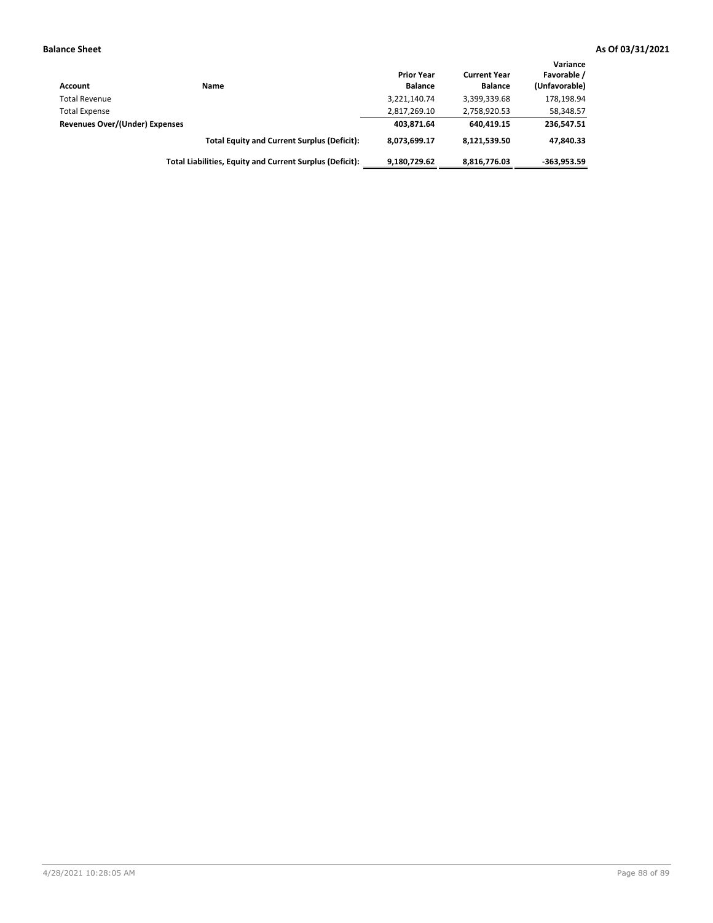| Account                               | Name                                                     | <b>Prior Year</b><br><b>Balance</b> | <b>Current Year</b><br><b>Balance</b> | Variance<br>Favorable /<br>(Unfavorable) |
|---------------------------------------|----------------------------------------------------------|-------------------------------------|---------------------------------------|------------------------------------------|
| <b>Total Revenue</b>                  |                                                          | 3,221,140.74                        | 3,399,339.68                          | 178,198.94                               |
| <b>Total Expense</b>                  |                                                          | 2,817,269.10                        | 2,758,920.53                          | 58,348.57                                |
| <b>Revenues Over/(Under) Expenses</b> |                                                          | 403.871.64                          | 640.419.15                            | 236,547.51                               |
|                                       | <b>Total Equity and Current Surplus (Deficit):</b>       | 8.073.699.17                        | 8,121,539.50                          | 47.840.33                                |
|                                       | Total Liabilities, Equity and Current Surplus (Deficit): | 9,180,729.62                        | 8,816,776.03                          | $-363.953.59$                            |